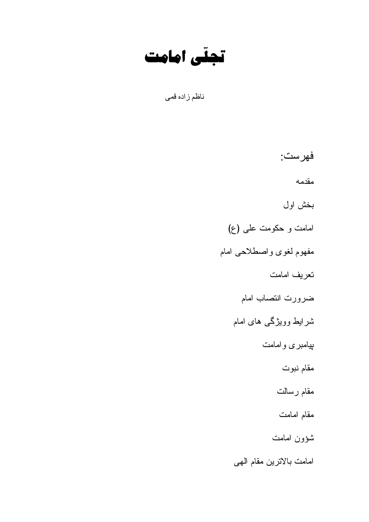تجلّى امامت

ناظم زاده قمى

فهرست: مقدمه بخش اول امامت و حکومت علمی (ع) مفهوم لغوى واصطلاحي امام تعريف امامت ضرورت انتصاب امام شرایط وویژگ<sub>ی</sub> ها*ی* امام بپامبری وامامت مقام نبوت مقام رسالت مقام امامت شؤون امامت امامت بالاترين مقام الهي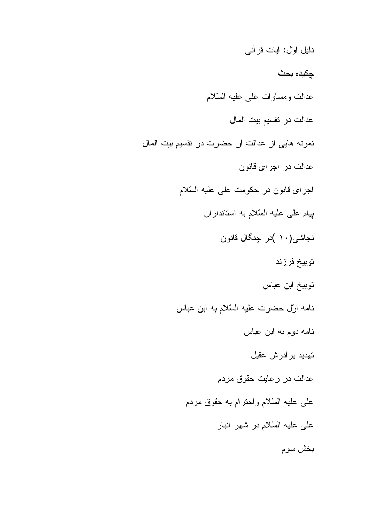دليل اول: أيات فرأني جكبده بحث عدالت ومساوات على عليه السّلام عدالت در نقسيم بيت المال نمونه هايي از عدالت آن حضرت در نقسيم بيت المال عدالت در اجرای قانون اجرای قانون در حکومت علی علیه السّلام بیام علی علیه السّلام به استانداران نجاشی(۱۰ )در چنگال قانون توبيخ فرزند توبيخ ابن عباس نامه اول حضرت عليه السّلام به ابن عباس نامه دوم به ابن عباس تهديد برادرش عقيل عدالت در رعايت حقوق مردم على عليه السّلام واحترام به حقوق مردم على عليه السّلام در شهر انبار بخش سوم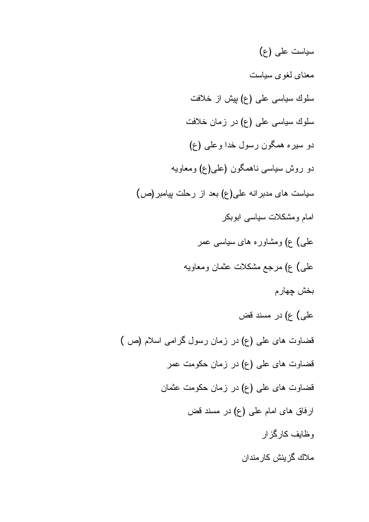سياست على (ع) معنای لغوی سیاست سلوك سياسي على (ع) بيش از خلافت سلوك سياسي على (ع) در زمان خلافت دو سیره همگون رسول خدا وعلمی (ع) دو روش سیاسی ناهمگون (علی(ع) ومعاویه سیاست های مدبر انه علی(ع) بعد از رحلت بیامبر(ص) امام ومشکلات سیاسی ابوبکر علمی) ع) ومشاوره های سیاسی عمر علمی) ع) مرجع مشکلات عثمان ومعاویه بخش چهار علي) ع) در مسند قض قضاوت های علمی (ع) در زمان رسول گرامی اسلام (ص ) قضاوت های علی (ع) در زمان حکومت عمر قضاوت های علی (ع) در زمان حکومت عثمان ارفاق های امام علی (ع) در مسند قض و ظایف کار گز ار ملاك گزينش كارمندان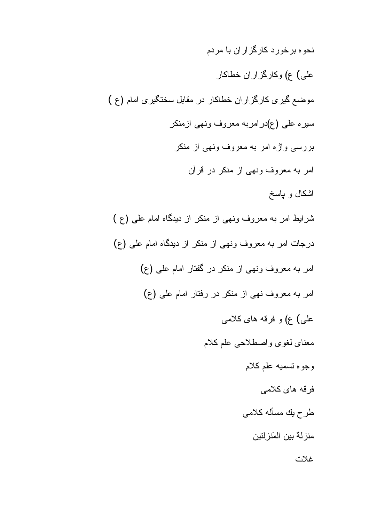نحو ه بر خو ر د کار گز ار ان با مر دم علي) ع) وكارگزاران خطاكار موضع گیری کارگزاران خطاکار در مقابل سختگیری امام (ع ) سیرہ علی (ع)درامربه معروف ونھی ازمنکر بررسی واژه امر به معروف ونهی از منکر امر به معروف ونهي از منكر در قرآن اشكال و ياسخ شرایط امر به معروف ونهی از منکر از دیدگاه امام علی (ع ) درجات امر به معروف ونهي از منكر از ديدگاه امام على (ع) امر به معروف ونهي از منكر در گفتار امام على (ع) امر به معروف نهى از منكر در رفتار امام على (ع) علی) ع) و فرقه های کلامی معناي لغوى واصطلاحي علم كلام وجوه تسميه علم كلام فر قه های کلامی طرح يك مسأله كلامي منزلة بين المَنزلتين

غلات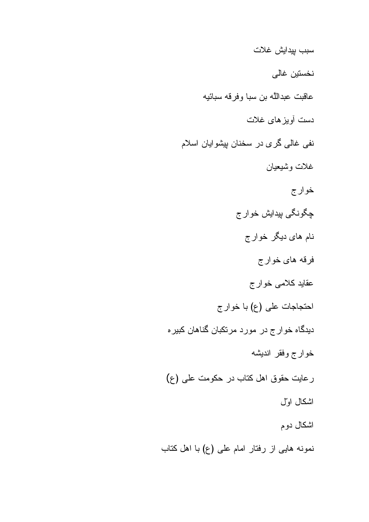سبب بيدايش غلات نخستين غالى عاقبت عبداللَّه بن سبا وفرفه سبائيه دست أويز هاى غلات نفي غالمي گري در سخنان بپشوايان اسلام غلات وشيعيان خوارج چگونگي پيدايش خوار ج نام های دیگر خوارج فرقه هاي خوارج عقاید کلامی خوارج احتجاجات على (ع) با خوارج دیدگاه خوار ج در مورد مرتکبان گناهان کبیره خوارج وفقر انديشه رعايت حقوق اهل كتاب در حكومت على (ع) اشكال اول اشكال دوم

نمونه هایبی از رفتار امام علمی (ع) با اهل کتاب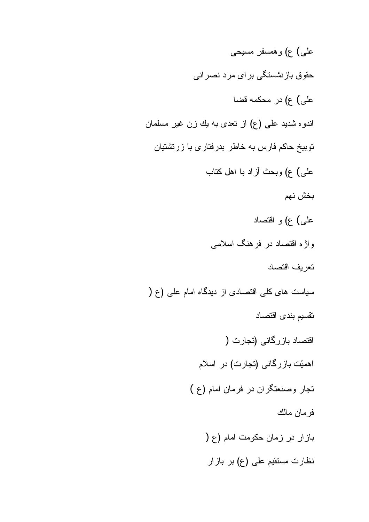علي) ع) و همسفر مسيحي حقوق بازنشستگی برای مرد نصرانی على) ع) در محكمه قضا اندوه شدید علمی (ع) از تعدی به یك زن غیر مسلمان توبیخ حاکم فارس به خاطر بدرفتاری با زرتشتیان علمی) ع) وبحث أزاد با اهل كتاب بخش نهم علي) ع)و اقتصاد واژه اقتصاد در فرهنگ اسلامی تعربف اقتصاد سیاست های کلّی اقتصادی از دیدگاه امام علّی (ع ( نقسيم بندى اقتصاد اقتصاد بازرگانی (تجارت ( اهمیّت بازرگانی (تجارت) در اسلام تجار وصنعتگران در فرمان امام (ع) فرمان مالك بازار در زمان حکومت امام (ع ( نظارت مستقیم علمی (ع) بر بازار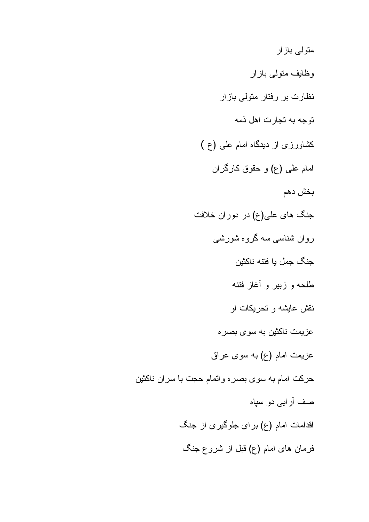متولی باز ار وظایف متولمی بازار نظارت بر رفتار متولی بازار نوجه به تجارت اهل ذمه کشاورزی از دیدگاه امام علی (ع ) امام علمي (ع) و حقوق كارگران بخش دهم جنگ های علی(ع) در دوران خلافت روان شناسی سه گروه شورشی جنگ جمل يا فتنه ناكثين طلحه و زبیر و أغاز فتنه نقش عایشه و تحریکات او عزیمت ناکثین به سوی بصر ه عزیمت امام (ع) به سوی عراق حركت امام به سوى بصره واتمام حجت با سران ناكثين صف آرایبی دو سپاه اقدامات امام (ع) برای جلوگیری از جنگ فرمان های امام (ع) قبل از شروع جنگ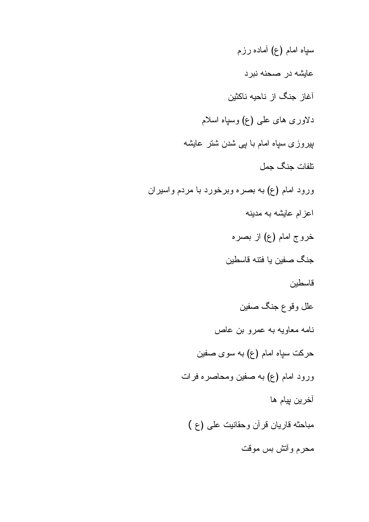سپاہ امام (ع) آمادہ رزم عايشه در صحنه نبرد آغاز جنگ از ناحیه ناکثین دلاوری های علمی (ع) وسپاه اسلام بپروزی سپاہ امام با ببی شدن شنر عایشه تلفات جنگ جمل ورود امام (ع) به بصره وبرخورد با مردم واسيران اعزام عايشه به مدينه خروج امام (ع) از بصره جنگ صفین یا فتنه قاسطین قاسطين علل وقوع جنگ صفين نامه معاویه به عمرو بن عاص حرکت سپاه امام (ع) به سوی صفین ورود امام (ع) به صفين ومحاصره فرات آخرين ٻيام ها مباحثه قاريان قرآن وحقانيت على (ع ) محرم وأتش بس موقت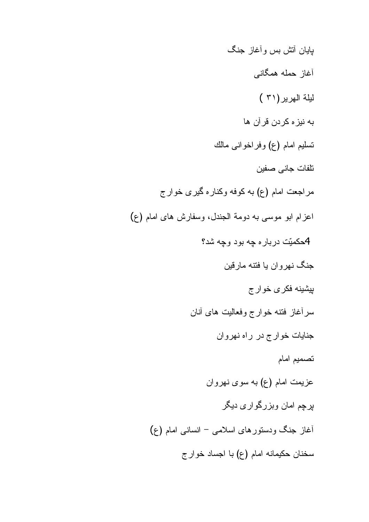يايان أتش بس وأغاز جنگ أغاز حمله همگانبي ليلة الهرير (٣١) به نیز ه کردن قرآن ها نسليم امام (ع) وفراخواني مالك تلفات جاني صفين مراجعت امام (ع) به کوفه وکناره گیری خوار ج اعزام ابو موسى به دومة الجندل، وسفارش هاى امام (ع) 4حکميّت درباره چه بود وچه شد؟ جنگ نهروان يا فتنه مارقين بیشینه فکر ی خوار ج سرأغاز فتنه خوارج وفعاليت هاى أنان جنايات خوارج در راه نهروان تصميم امام عزیمت امام (ع) به سوی نهروان پرچم امان وبزرگواری دیگر أغاز جنگ ودستور های اسلامی – انسانی امام (ع) سخنان حکیمانه امام (ع) با اجساد خوارج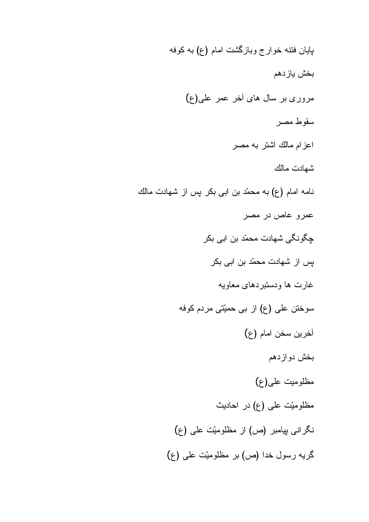پایان فننه خوارج وبازگشت امام (ع) به کوفه بخش باز دهم مروری بر سال های آخر عمر علی(ع) سقوط مصر اعزام مالك اشتر به مصر شهادت مالك نامه امام (ع) به محمّد بن ابی بکر پس از شهادت مالك عمرو عاص در مصر چگونگی شهادت محمّد بن ابی بکر پِس از شهادت محمّد بن ابی بکر غارت ها ودستبردهاي معاويه سوختن علی (ع) از بی حمیّتی مردم کوفه أخرين سخن امام (ع) بخش دوازدهم مظلوميت على(ع) مظلومیّت علمی (ع) در احادیث نگرانی بیامبر (ص) از مظلومیّت علی (ع) گریه رسول خدا (ص) بر مظلومیّت علی (ع)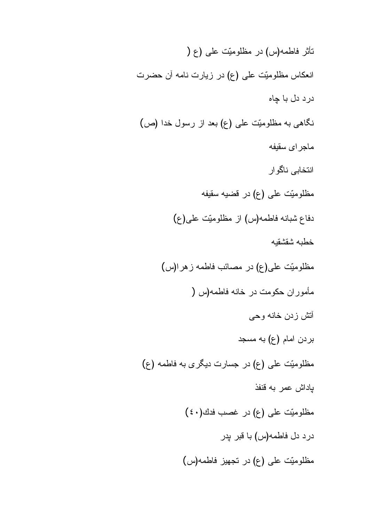نَاثِر فاطمه(س) در مظلومیِّت علی (ع ( انعکاس مظلومیّت علی (ع) در زیارت نامه آن حضرت درد دل با چاه نگاهی به مظلومیّت علمی (ع) بعد از رسول خدا (ص) ماجر اي سقيفه انتخابي ناگوار مظلوميّت على (ع) در قضيه سقيفه دفاع شبانه فاطمه(س) از مظلومیّت علی(ع) خطبه شقشقبه مظلومیّت علی(ع) در مصائب فاطمه ز هر ا(س) مأموران حكومت در خانه فاطمه(س ( أتش زدن خانه وحي بردن امام (ع) به مسجد مظلومیّت علمی (ع) در جسارت دیگری به فاطمه (ع) بإداش عمر به قنفذ مظلوميّت على (ع) در غصب فدك(٤٠) درد دل فاطمه(س) با قبر پدر مظلومیّت علی (ع) در تجهیز فاطمه(س)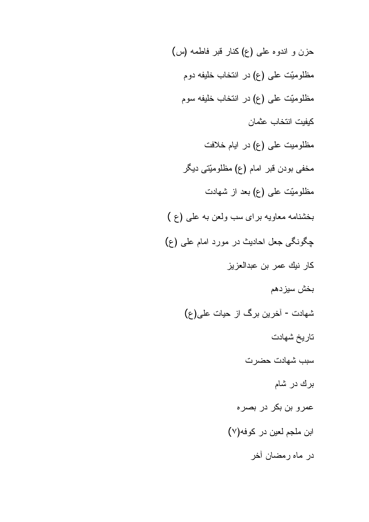حزن و اندوه على (ع) كنار قبر فاطمه (س) مظلومیّت علی (ع) در انتخاب خلیفه دوم مظلومیّت علمی (ع) در انتخاب خلیفه سوم كيفيت انتخاب عثمان مظلومیت علی (ع) در ایام خلافت مخفی بودن قبر امام (ع) مظلومیّتی دیگر مظلومیّت علمی (ع) بعد از شهادت بخشنامه معاويه براي سب ولعن به على (ع) چگونگی جعل احادیث در مورد امام علی (ع) كار نيك عمر بن عبدالعزيز بخش سيزدهم شهادت - آخرین برگ از حیات علی(ع) تاريخ شهادت سبب شهادت حضرت برك در شام عمرو بن بكر در بصره ابن ملجم لعين در كوفه(٧) در ماه رمضان أخر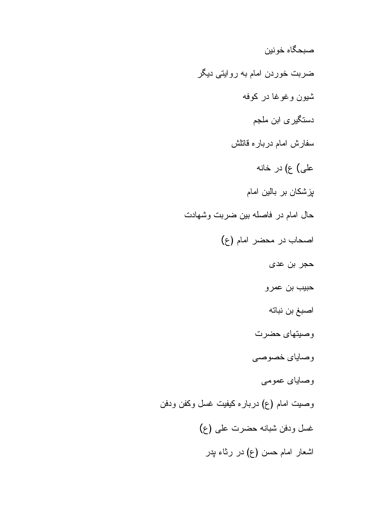صبحگاه خونين ضربت خوردن امام به روایتی دیگر شيون وغوغا در كوفه دستگیر *ی* ابن ملجم سفارش امام درباره قاتلش على) ع) در خانه پزشکان بر بالین امام حال امام در فاصله بين ضربت وشهادت اصحاب در محضر امام (ع) حجر بن عدى حبيب بن عمرو اصبغ بن نباته وصيتهاى حضرت وصاباي خصوصي وصاياي عمومي وصيت امام (ع) درباره كيفيت غسل وكفن ودفن غسل ودفن شبانه حضرت على (ع) اشعار امام حسن (ع) در رثاء پدر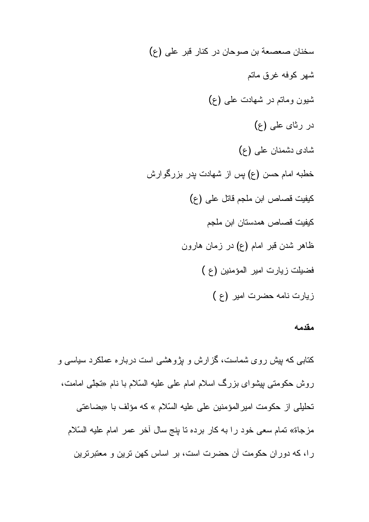سخنان صعصعة بن صوحان در كنار قبر على (ع) شهر كوفه غرق ماتم شیون وماتم در شهادت علمی (ع) در رثای علمی (ع) شادی دشمنان علمی (ع) خطبه امام حسن (ع) پس از شهادت پدر بزرگوارش كيفيت قصاص ابن ملجم قاتل على (ع) كيفيت قصاص همدستان ابن ملجم ظاهر شدن قبر امام (ع) در زمان هارون فضيلت زيارت امير المؤمنين (ع) زیارت نامه حضرت امیر (ع)

#### مقدمه

کتابی که بیش روی شماست، گزارش و بژوهشی است درباره عملکرد سیاسی و روش حکومتی بیشوای بزرگ اسلام امام علی علیه السّلام با نام «تَجلّی امامت، تحليلي از حكومت امير المؤمنين على عليه السّلام » كه مؤلف با «بضاعتي مزجاة» تمام سعى خود را به كار برده تا بنج سال أخر عمر امام عليه السّلام را، که دوران حکومت آن حضرت است، بر اساس کهن ترین و معتبرترین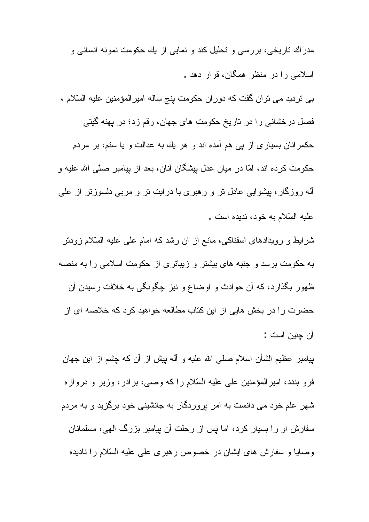مدر اك ناريخي، بررسي و نحليل كند و نمايي از يك حكومت نمونه انساني و اسلامی را در منظر همگان، قرار دهد . بی تردید می توان گفت که دوران حکومت پنج ساله امیرالمؤمنین علیه السّلام ، فصل درخشانی را در تاریخ حکومت های جهان، رقم زد؛ در پهنه گیتی

حکمرانان بسیاری از یی هم آمده اند و هر یك به عدالت و یا ستم، بر مردم حکومت کرده اند، امّا در میان عدل بپشگان آنان، بعد از بپامبر صلّی الله علیه و أله روزگار ، بپشوایی عادل نر و رهبری با درایت نر و مربی دلسوزنر از علی علبه السّلام به خود، ندبده است .

شرایط و رویدادهای اسفناکی، مانع از آن رشد که امام علی علیه السّلام زودتر به حکومت برسد و جنبه های بیشتر و زیباتری از حکومت اسلامی را به منصه ظهور بگذارد، که أن حوادث و اوضاع و نیز چگونگی به خلافت رسیدن أن حضرت را در بخش هایی از این کتاب مطالعه خواهید کرد که خلاصه ای از آن جنبن است :

بِيامبر عظيم الشَّان اسلام صلَّى الله عليه و أله بِيش از أن كه چِشْم از اين جهان فر و بندد، امیر المؤمنین علی علیه السّلام ر ا که وصبی، بر ادر ، وزیر و در و از ه شهر علم خود می دانست به امر پروردگار به جانشینی خود برگزید و به مردم سفارش او را بسیار کرد، اما بس از رحلت آن بپامبر بزرگ المهی، مسلمانان وصابا و سفارش های ایشان در خصوص رهبری علمی علیه السّلام را نادیده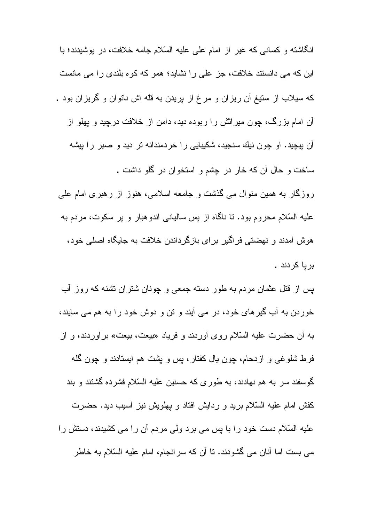انگاشته و کسانی که غیر از امام علی علیه السّلام جامه خلافت، در بوشیدند؛ با این که می دانستند خلافت، جز علی را نشاید؛ همو که کوه بلندی را می مانست که سیلاب از ستیغ آن ریزان و مرغ از پریدن به قلّه اش ناتوان و گریزان بود . آن امام بزرگ، چون میراثش را ربوده دید، دامن از خلافت درچید و پهلو از آن بیچید. او چون نیك سنجید، شكیبایی را خردمندانه تر دید و صبر را بیشه ساخت و حال أن كه خار در چشم و استخوان در گلو داشت .

روزگار به همین منوال می گذشت و جامعه اسلامی، هنوز از رهبری امام علی علیه السّلام محروم بود. تا ناگاه از پس سالیانی اندوهبار و پر سکوت، مردم به هوش آمدند و نهضتي فراگير براي بازگرداندن خلافت به جايگاه اصلي خود، بر یا کر دند .

پس از قتل عثمان مردم به طور دسته جمعی و چونان شتران نشنه که روز أب خوردن به آب گیرهای خود، در می آیند و تن و دوش خود را به هم می سایند، به أن حضرت عليه السّلام روى أوردند و فرياد «بيعت، بيعت» برأوردند، و از فرط شلوغی و ازدحام، چون بال کفتار، پس و پشت هم ایستادند و چون گله گوسفند سر به هم نهادند، به طوری که حسنین علیه السّلام فشر ده گشتند و بند کفش امام علیه السّلام برید و ردایش افتاد و پهلویش نیز آسیب دید. حضرت علیه السّلام دست خود را با پس می برد ولی مردم أن را می کشیدند، دستش را می بست اما آنان می گشودند. نا آن که سرانجام، امام علیه السّلام به خاطر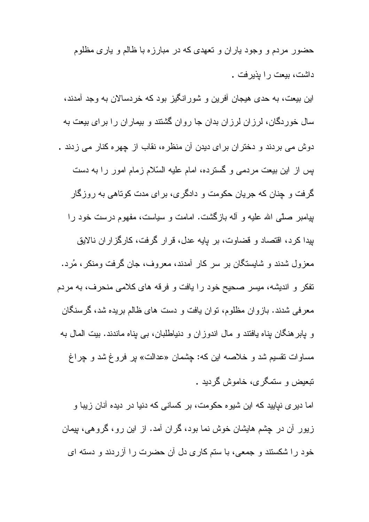حضور مردم و وجود پاران و تعهدي كه در مبارزه با ظالم و پاري مظلوم داشت، ببعت را بذبر فت .

این بیعت، به حدی هیجان آفرین و شورانگیز بود که خردسالان به وجد آمدند، سال خوردگان، لرزان لرزان بدان جا روان گشتند و بیماران را برای بیعت به دوش می بردند و دختران برای دیدن آن منظره، نقاب از چهره کنار می زدند . بس از این بیعت مردمی و گسترده، امام علیه السّلام زمام امور را به دست گرفت و چنان که جریان حکومت و دادگری، برای مدت کوناهی به روزگار بپامبر صلَّى الله عليه و أله بازگشت. امامت و سياست، مفهوم درست خود را بپدا کرد، اقتصاد و قضاوت، بر پایه عدل، قرار گرفت، کارگزاران نالایق معزول شدند و شایستگان بر سر کار آمدند، معروف، جان گرفت ومنکر ، مُرد. تفکر و اندیشه، میسر صحیح خود را یافت و فرقه های کلامی منحرف، به مردم معرفی شدند. بازوان مظلوم، نوان یافت و دست های ظالم بریده شد، گرسنگان و پابرهنگان پناه یافتند و مال اندوزان و دنیاطلبان، بی پناه ماندند. بیت المال به مساوات نقسیم شد و خلاصه این که: چشمان «عدالت» پر فروغ شد و چراغ نبعيض و سنمگري، خاموش گرديد .

اما دیری نپایید که این شیوه حکومت، بر کسانی که دنیا در دیده آنان زیبا و زیور أن در چشم هایشان خوش نما بود، گران آمد. از این رو ، گروهی، پیمان خود را شکستند و جمعی، با ستم کاری دل آن حضرت را آزردند و دسته ای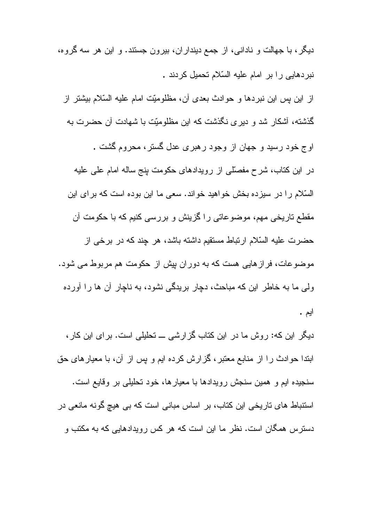دیگر، با جهالت و نادانی، از جمع دینداران، بیرون جستند. و این هر سه گروه، نبردهایی را بر امام علیه السّلام تحمیل کردند .

از این بس این نبردها و حوادث بعدی آن، مظلومیّت امام علیه السّلام بیشتر از گذشته، آشکار شد و دیری نگذشت که این مظلومیّت با شهادت آن حضرت به

اوج خود رسید و جهان از وجود رهبری عدل گستر، محروم گشت . در این کتاب، شرح مفصلّمی از رویدادهای حکومت بنج ساله امام علمی علیه السّلام را در سیزده بخش خواهید خواند. سعی ما این بوده است که برای این مقطع ناریخی مهم، موضوعاتی را گزینش و بررسی کنیم که با حکومت آن حضرت عليه السّلام ارتباط مستقيم داشته باشد، هر چند كه در برخي از موضوعات، فراز هایی هست که به دوران بیش از حکومت هم مربوط می شود. ولی ما به خاطر این که مباحث، دچار بریدگی نشود، به ناچار آن ها را آورده ايم .

دیگر این که: روش ما در این کتاب گزارشی ـــ تحلیلی است. برای این کار ، ابندا حوادث را از منابع معتبر، گزارش کرده ایم و پس از آن، با معیارهای حق سنجيده ايم و همين سنجش رويدادها با معيار ها، خود تحليلي بر وقايع است. استنباط های تاریخی این کتاب، بر اساس مبانی است که بی هیچ گونه مانعی در دسترس همگان است. نظر ما این است که هر کس رویدادهایی که به مکتب و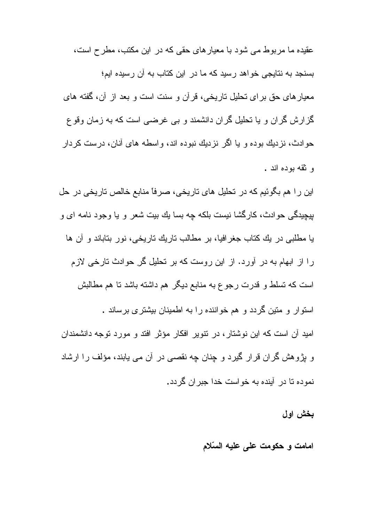عقیدہ ما مر ہو طے مے شود با معیار های حقے که در این مکتب، مطر ح است، بسنجد به نتایجی خو اهد ر سبد که ما در این کتاب به آن ر سبده ایم؛ معيار هاي حق بر اي تحليل تاريخي، قر آن و سنت است و بعد از آن، گفته هاي گز ارش گران و یا نحلیل گران دانشمند و بی غرضی است که به زمان وقوع حو ادث، نز دیك بوده و یا اگر نزدیك نبوده اند، واسطه های آنان، درست كردار و ثقه بوده اند .

این را هم بگوئیم که در تحلیل های تاریخی، صرفاً منابع خالص تاریخی در حل بیجیدگے و دور ادث، کار گشا نیست بلکه جه بسا بك بیت شعر و با وجود نامه ای و یا مطلبی در یك كتاب جغرافیا، بر مطالب تاریك تاریخی، نور بتاباند و آن ها را از ابهام به در آورد. از این روست که بر تحلیل گر حوادث تارخی لازم است که تسلط و قدرت رجوع به منابع دیگر هم داشته باشد تا هم مطالبش استو ار و متین گر دد و هم خو اننده ر ا به اطمینان بیشتر ی بر ساند . امید آن است که این نوشتار ، در نتویر افکار مؤثر افتد و مورد توجه دانشمندان و پڑوهش گران قرار گیرد و چِنان چه نقصبی در آن می یابند، مؤلف را ارشاد نموده تا در آینده به خواست خدا جبران گردد.

بخش اول

امامت و حکومت علم علیه السّلام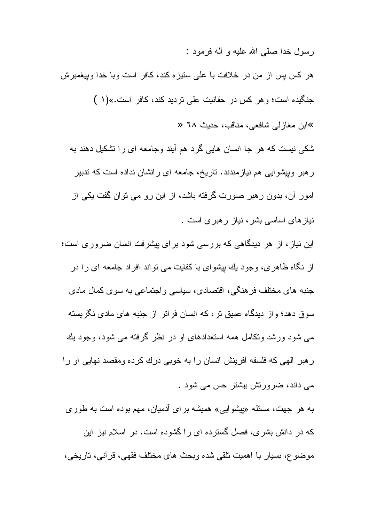رسول خدا صلّبي الله عليه و آله فرمود :

هر كس بس از من در خلافت با على ستيزه كند، كافر است وبا خدا وبيغمبرش جنگیده است؛ و هر کس در حقانیت علمی نردید کند، کافر است.»(۱) ≫ابن مغازلے شافعی، مناقب، حدیث ٦٨ « شکی نیست که هر جا انسان هایی گرد هم آیند وجامعه ای را تشکیل دهند به ر هبر وبیشوایی هم نیازمندند. تاریخ، جامعه ای رانشان نداده است که ندبیر امور آن، بدون رهبر صورت گرفته باشد، از این رو می توان گفت یکی از نیاز های اساسی بشر ، نیاز ر هبر ی است .

این نیاز ، از هر دیدگاهی که بررسی شود برای بیشرفت انسان ضروری است؛ از نگاه ظاهر ی، وجود بك بیشوای با كفایت می نواند افراد جامعه ای را در جنبه های مختلف فرهنگی، اقتصادی، سیاسی واجتماعی به سوی کمال مادی سوق دهد؛ و از دیدگاه عمیق تر ، که انسان فر اتر ً از جنبه های مادی نگریسته مبی شود ورشد ونکامل همه استعدادهای او در نظر گرفته مبی شود، وجود بك ر هبر الهي كه فلسفه أفرينش انسان را به خوبي درك كرده ومقصد نهايي او را مے داند، ضرورتش بیشتر حس مے شود .

به هر جهت، مسئله «بیشوایی» همیشه بر ای آدمیان، مهم بوده است به طور ی که در دانش بشر ی، فصل گستر ده ای را گشوده است. در اسلام نیز این موضوع، بسیار با اهمیت نلقی شده وبحث های مختلف فقهی، قرأنی، ناریخی،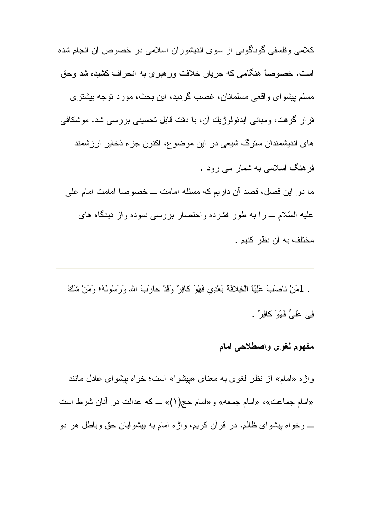كلامي وفلسفي گوناگوني از سوي انديشوران اسلامي در خصوص أن انجام شده است. خصوصاً هنگامی که جریان خلافت ورهبری به انحراف کشیده شد وحق مسلم بیشوای واقعی مسلمانان، غصب گردید، این بحث، مورد نوجه بیشتری قرار گرفت، ومبانی ایدئولوژیك آن، با دقت قابل نحسینی بررسی شد. موشكافی های اندیشمندان سترگ شیعی در این موضوع، اکنون جزء ذخایر ارزشمند فرهنگ اسلامی به شمار می رود . ما در این فصل، قصد آن داریم که مسئله امامت ـــ خصوصاً امامت امام علی

علیه السّلام ــ را به طور فشرده واختصار بررسی نموده واز دیدگاه های مختلف به أن نظر كنيم .

. [مَنْ ناصَبَ عَلِيًّا الْخِلافَةَ بَعْدِي فَهُوَ كَافِرٌ وَقَدْ حَارَبَ الله وَرَسُولَهُ؛ وَمَنْ شَكَّ فِي عَلَيٍّ فَهُوَ كَافِرٌ .

# مفهوم لغوى واصطلاحي امام

واژه «امام» از نظر لغوی به معنای «بپشوا» است؛ خواه بپشوای عادل مانند «امام جماعت»، «امام جمعه» و «امام حج(١)» ــ كه عدالت در أنان شرط است \_ وخواه بپشوای ظالم. در قرآن کریم، واژه امام به بپشوایان حق وباطل هر دو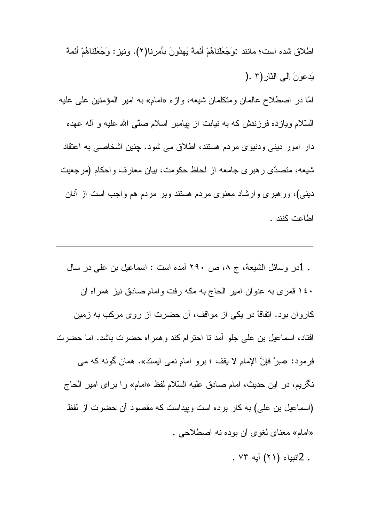اطلاق شده است؛ مانند :وَجَعَلْناهُمْ أَئِمَةً يَهِدُونَ بِأَمِرِ نا(٢). ونيز : وَجَعَلْناهُمْ أَئِمَةً يَدعونَ إلى النّار (٢ .( امّا در اصطلاح عالمان ومتكلمان شیعه، واژه «امام» به امیر المؤمنین علی علیه السَّلام ويازده فرزندش كه به نيابت از بپامبر اسلام صلَّى الله عليه و أله عهده دار امور دینی ودنیوی مردم هستند، اطلاق می شود. چنین اشخاصی به اعتقاد شبعه، متصدّى رهبري جامعه از لحاظ حكومت، بيان معارف واحكام (مرجعيت دینبی)، ورهبری وارشاد معنوی مردم هستند وبر مردم هم واجب است از أنان اطاعت كنند .

. 1در وسائل الشيعة، ج ٨، ص ٢٩٠ آمده است : اسماعيل بن علي در سال ۱٤٠ قمري به عنوان امير الحاج به مكه رفت وامام صادق نيز همراه أن كاروان بود. اتفاقاً در یكی از مواقف، آن حضرت از روی مركب به زمین افتاد، اسماعیل بن علی جلو آمد نا احترام کند و همراه حضرت باشد. اما حضرت فرمود: «سرِرْ فإنَّ الإمام لا يقف ؛ برو امام نمي ايسند». همان گونه كه مي نگریم، در این حدیث، امام صادق علیه السّلام لفظ «امام» را برای امیر الحاج (اسماعیل بن علی) به کار برده است وبپداست که مقصود أن حضرت از لفظ «امام» معناي لغوي أن بوده نه اصطلاحي .

. 2انبياء (٢١) آيه ٧٣ .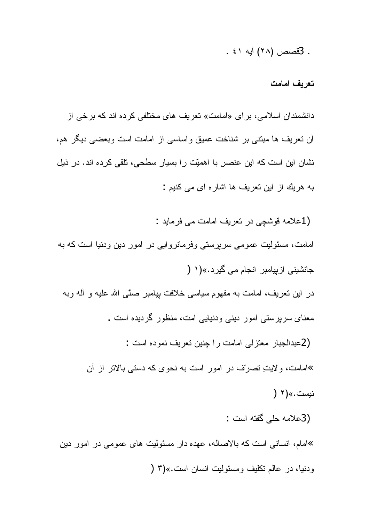. 3قصص (٢٨) آبه ٤١ .

#### تعريف امامت

دانشمندان اسلامی، برای «امامت» تعریف های مختلفی کرده اند که برخی از أن نعريف ها مبتنى بر شناخت عميق واساسى از امامت است وبعضى ديگر هم، نشان این است که این عنصر با اهمیّت را بسیار سطحی، تلقی کرده اند. در ذیل به هريك از اين تعريف ها اشاره اي مي كنيم :

(1علامه قوشچي در تعريف امامت مي فرمايد : امامت، مسئولیت عمومی سرپرستی وفرمانروایی در امور دین ودنیا است که به جانشینی از بیامبر انجام می گیر د.»(۱ ( در این نعریف، امامت به مفهوم سیاسی خلافت بپامبر صلّی الله علیه و أله وبه معنای سرپرستی امور دینی ودنیایی امت، منظور گردیده است . (2عبدالجبار معتزلي امامت را جنين تعريف نموده است : »امامت، ولايتِ تصرّف در امور است به نحوی که دستی بالاتر از آن نيست.»(۲ ( (3علامه حلي گفته است : »امام، انسانی است که بالاصاله، عهده دار مسئولیت های عمومی در امور دین ودنيا، در عالم نكليف ومسئوليت انسان است.»(٣ (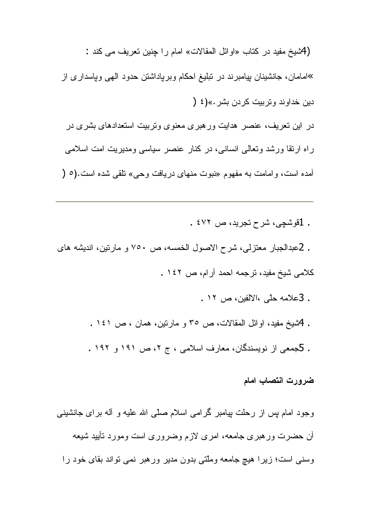(Aشيخ مفيد در كتاب «اوائل المقالات» امام را چنين تعريف مي كند : »امامان، جانشینان بپامبرند در تبلیغ احکام وبرپاداشتن حدود الهی وپاسداری از دين خداوند وتربيت كردن بشر .»(٤ ( در ِ این نعریف، عنصر ِ هدایت ور هبر ی معنو ی و نربیت استعدادهای بشر ی در ر اه ارتقا ورشد وتعالی انسانی، در کنار عنصر سیاسی ومدیریت امت اسلامی آمده است، و امامت به مفهوم «نبوت منهای دریافت وجی» نلقی شده است.(٥ (

. 1قوشجي، شرح تجريد، ص ٤٧٢ .

. 2عبدالجبار معتزلي، شرح الاصول الخمسه، ص ٧٥٠ و مارتين، انديشه هاي كلامي شيخ مفيد، ترجمه احمد أرام، ص ١٤٢ .

- . 3علامه حلَّمي ،الالفين، ص ١٢ .
- . 4شيخ مفيد، اوائل المقالات، ص ٣٥ و مارنين، همان ، ص ١٤١ .
- . 5جمعی از نویسندگان، معارف اسلامی ، ج ۲، ص ۱۹۱ و ۱۹۲ .

### ضرورت انتصاب امام

وجود امام بس از رحلت بیامبر گرامی اسلام صلّبی الله علیه و أله برای جانشینبی أن حضرت ورهبري جامعه، امرى لازم وضرورى است ومورد تأييد شيعه وسنی است؛ زیرا هیچ جامعه وملّتی بدون مدیر ورهبر نمی نواند بقای خود را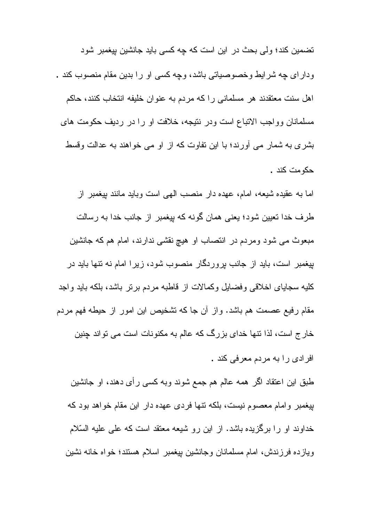تضمین کند؛ ولی بحث در این است که چه کسی باید جانشین بیغمبر شود و دار ای چه شر ایط و خصوصیاتی باشد، و چه کسی او را بدین مقام منصوب کند . اهل سنت معتقدند هر مسلمانی را که مردم به عنوان خلیفه انتخاب کنند، حاکم مسلمانان وواجب الاتباع است ودر نتیجه، خلافت او را در ردیف حکومت های بشری به شمار می أورند؛ با این نفاوت که از او می خواهند به عدالت وقسط حكومت كند .

اما به عقیده شیعه، امام، عهده دار منصب الهی است وباید مانند بیغمبر از طرف خدا تعیین شود؛ یعنی همان گونه که بیغمبر از جانب خدا به رسالت مبعوث مي شود ومردم در انتصاب او هيچ نقشي ندارند، امام هم كه جانشين بیغمبر است، باید از جانب بروردگار منصوب شود، زیرا امام نه نتها باید در كليه سجاياي اخلاقي وفضايل وكمالات از قاطبه مردم برنر باشد، بلكه بايد واجد مقام رفیع عصمت هم باشد. و از آن جا که نشخیص این امور از حیطه فهم مردم خار ج است، لذا نتها خدای بزرگ که عالم به مکنونات است می تواند چنین افرادي را به مردم معرفي كند .

طبق این اعتقاد اگر همه عالم هم جمع شوند وبه کسی رأی دهند، او جانشین بیغمبر وامام معصوم نیست، بلکه نتها فردی عهده دار این مقام خواهد بود که خداوند او را برگزیده باشد. از این رو شیعه معتقد است که علمی علیه السّلام ويازده فرزندش، امام مسلمانان وجانشين بيغمبر اسلام هستند؛ خواه خانه نشين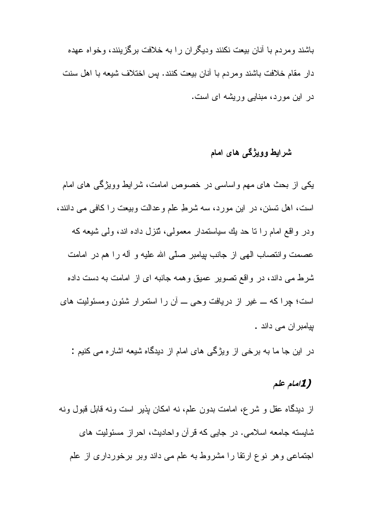باشند و مر دم با آنان بیعت نکنند و دیگر ان ر ا به خلافت بر گز بنند، و خو اه عهده دار مقام خلافت باشند ومردم با أنان بيعت كنند. بس اختلاف شيعه با اهل سنت در این مورد، مبنایی وریشه ای است.

## شرایط وویژگی های امام

یکی از بحث های مهم واساسی در خصوص امامت، شرایط وویژگی های امام است، اهل نسنن، در این مورد، سه شرطِ علم وعدالت وبیعت را کافی می دانند، ودر واقع امام را نا حد بك سياستمدار معمولي، تُنزل داده اند، ولي شيعه كه عصمت وانتصاب الهي از جانب بيامبر صلَّى الله عليه و أله را هم در امامت شرط می داند، در واقع نصویر عمیق وهمه جانبه ای از امامت به دست داده است؛ چرا که ـــ غیر از دریافت وحی ـــ أن را استمرار شئون ومسئولیت های بیامبر ان مے داند ۔

در این جا ما به برخی از ویژگی های امام از دیدگاه شیعه اشاره می کنیم :

## (1امام علم

از دیدگاه عقل و شرع، امامت بدون علم، نه امکان بذیر است ونه قابل قبول ونه شابسته جامعه اسلامي. در جايبي كه قرآن وإحاديث، احراز مسئوليت هاي اجتماعی و هر نوع ارتقا را مشروط به علم می داند وبر برخورداری از علم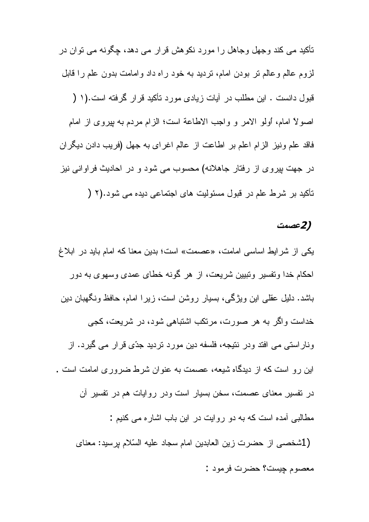تأکید می کند وجھل وجاهل را مورد نکوهش قرار می دهد، چگونه می توان در لزوم عالم وعالم نر بودن امام، نردید به خود راه داد وامامت بدون علم را قابل قبول دانست . این مطلب در آیات زیادی مورد تأکید قرار گرفته است.(۱ ( اصولاً امام، أولو الامر و واجب الاطاعة است؛ الزام مردم به بيروي از امام فاقد علم ونيز الزام اعلم بر اطاعت از عالم اغراي به جهل (فريب دادن ديگران در جهت بپروی از رفتار جاهلانه) محسوب می شود و در احادیث فراوانی نیز تأكيد بر شرط علم در قبول مسئوليت هاى اجتماعى ديده مى شود.(٢ (

### (2عصمت

یکی از شرایط اساسی امامت، «عصمت» است؛ بدین معنا که امام باید در ابلاغ احکام خدا وتفسیر وتبیین شریعت، از هر گونه خطای عمدی وسهوی به دور باشد. دلیل عقلی این ویژگی، بسیار روشن است، زیرا امام، حافظ ونگهبان دین خداست واگر به هر صورت، مرتکب اشتباهی شود، در شریعت، کجی وناراستی می افتد ودر نتیجه، فلسفه دین مورد نردید جدّی قرار می گیرد. از ابن ر و است که از دبدگاه شبعه، عصمت به عنو ان شر ط ضر و ر ی امامت است . در نفسیر معنای عصمت، سخن بسیار است ودر روایات هم در نفسیر آن مطالبی آمده است که به دو روایت در این باب اشاره می کنیم : (1شخصبي از حضرت زين العابدين امام سجاد عليه السّلام پرسيد: معناي معصوم چيست؟ حضرت فرمود :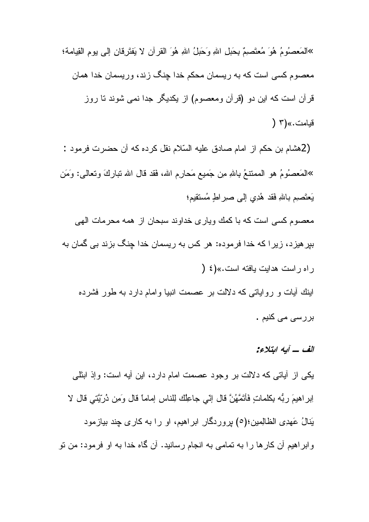»المَعصُومُ هُوَ مُعتَصِمٌ بِحَبْلِ اللهِ وَحَبْلُ اللهِ هُوَ القرآن لا يَفتَرِقانِ إلى يومِ القِيامة؛ معصوم کسی است که به ریسمان محکم خدا چِنگ زند، وریسمان خدا همان قرآن است که این دو (قرآن ومعصوم) از یکدیگر جدا نمی شوند تا روز قيامت.»(٣ (

(2هشام بن حكم از امام صادق عليه السّلام نقل كرده كه أن حضرت فرمود : »الْمَعصُومُ هُو الْمُمْتَنعُ بِاللهِ مِن جَمِيعِ مَحارِمِ اللهِ، فَقَدْ قَالَ اللهُ نَبَارِكَ وَنَعالمي: وَمَن يَعتَصبِم باللهِ فَقد هُدِي إلى صير اطٍ مُستقيم؛ معصوم كسي است كه با كمك وياري خداوند سبحان از همه محرمات الهي

بپرهیزد، زیرا که خدا فرموده: هر کس به ریسمان خدا چنگ بزند بی گمان به ر ام ر است هدایت بافته است.»(٤ (

اینك أیات و روایاتی كه دلالت بر عصمت انبیا وامام دارد به طور فشرده بررسی می کنیم .

### الف ۔ آبه ابتلاء:

يکي از أياتي که دلالت بر وجود عصمت امام دارد، اين أيه است: وإذ ابتَليي اِبِرِ اهِيمَ رِبُّه بِكلماتٍ فَأَتَمَّهُنَّ قَالَ إِنِّي جاعِلُكَ لِلناسِ إماماً قَالَ وَمِن دُرِّيَّتِي قَال لا يَنالُ عَهدِي الظالِمينِ؛(٥) بروردگار ابراهيم، او را به كاري چند بيازمود وابراهیم آن کارها را به تمامی به انجام رسانید. آن گاه خدا به او فرمود: من نو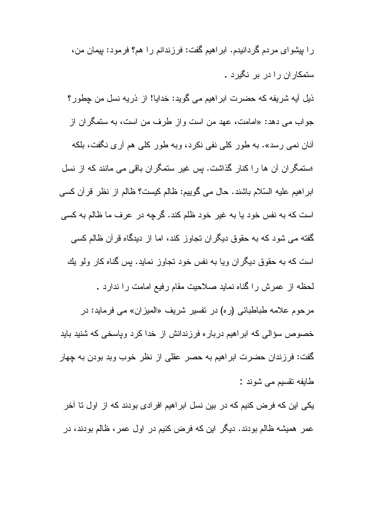ر ا بیشو ای مردم گردانیدم. ابر اهیم گفت: فرزندانم ر ا هم؟ فرمود: بیمان من، ستمکار آن را در بر نگیرد . ذيل آيه شريفه كه حضرت ابراهيم مي گويد: خدايا! از ذريه نسل من چطور؟ جواب مي دهد: «امامت، عهد من است واز طرف من است، به ستمگران از أنان نمي رسد». به طور كلي نفي نكرد، وبه طور كلي هم أرى نگفت، بلكه استمگران آن ها را كنار گذاشت. پس غیر ستمگران باقی می مانند كه از نسل ابراهيم عليه السّلام باشند. حال مي گوييم: ظالم كيست؟ ظالم از نظر قرآن كسي است که به نفس خود یا به غیر خود ظلم کند. گرچه در عرف ما ظالم به کسی گفته می شود که به حقوق دیگران تجاوز کند، اما از دیدگاه قرآن ظالم کسی است که به حقوق دیگر ان ویا به نفس خود تجاوز نماید. بس گناه کار ولو بك لحظه از عمرش را گناه نماید صلاحیت مقام رفیع امامت را ندارد . مرحوم علامه طباطبائي (ر0) در تفسير شريف «الميزان» مي فرمايد: در خصوص سؤالی که ابراهیم درباره فرزندانش از خدا کرد وپاسخی که شنید باید گفت: فرزندان حضرت ابراهیم به حصر عقلی از نظر خوب وبد بودن به چهار طايفه نقسيم مي شوند :

یکی این که فرض کنیم که در بین نسل ابر اهیم افرادی بودند که از اول تا آخر عمر همیشه ظالم بودند. دیگر این که فرض کنیم در اول عمر، ظالم بودند، در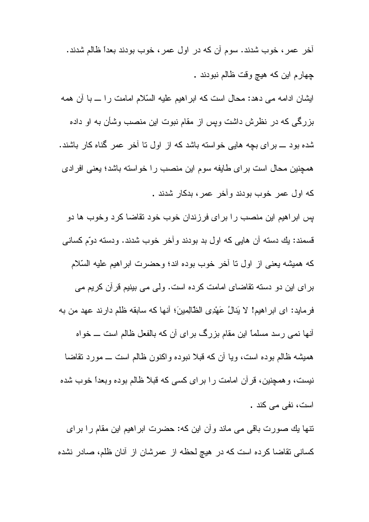آخر عمر ، خوب شدند. سوم آن که در اول عمر ، خوب بودند بعداً ظالم شدند. چهارم این که هیچ وقت ظالم نبودند . ایشان ادامه می دهد: محال است که ابر اهیم علیه السّلام امامت را ـــ با آن همه بزرگی که در نظرش داشت وپس از مقام نبوت این منصب وشأن به او داده شده بود ـــ برای بچه هایی خواسته باشد که از اول نا آخر عمر گناه کار باشند. همچنین محال است بر ای طایفه سوم این منصب را خواسته باشد؛ یعنی افرادی كه اول عمر خوب بودند و آخر عمر ، بدكار شدند . پس ابراهیم این منصب را برای فرزندان خوب خود نقاضا کرد وخوب ها دو قسمند: بِكِ دسته أن هايي كه اول بد بودند وأخر خوب شدند. ودسته دوّم كساني که همیشه یعنی از اول تا أخر خوب بوده اند؛ وحضرت ابراهیم علیه السّلام بر ای این دو دسته نقاضای امامت کرده است. ولی می بینیم قرآن کریم می فرمايد: اى ابراهيم! لا يَنالُ عَهْدِى الظَّالِمينَ؛ أنها كه سابقه ظلم دارند عهد من به أنها نمی رسد مسلماً این مقام بزرگ برای آن که بالفعل ظالم است ـــ خواه همیشه ظالم بوده است، ویا أن که قبلا نبوده واکنون ظالم است ـــ مورد نقاضا

نیست، و همچنین، قرآن امامت را برای کسی که قبلاً ظالم بوده وبعداً خوب شده است، نفي مي كند .

نتها يك صورت باقى مى ماند وأن اين كه: حضرت ابراهيم اين مقام را براى کسانی نقاضا کرده است که در هیچ لحظه از عمرشان از آنان ظلم، صادر نشده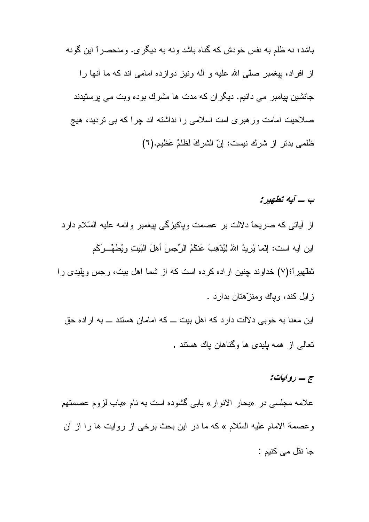باشد؛ نه ظلم به نفس خودش که گناه باشد ونه به دیگر ی. ومنحصر اً این گونه از افراد، بیغمبر صلّبی الله علیه و آله ونیز دوازده امامی اند که ما أنها را جانشین بیامبر می دانیم. دیگر ان که مدت ها مشرك بوده وبت می برستیدند صلاحیت امامت ور هبری امت اسلامی را نداشته اند چرا که بی نردید، هیچ ظلمي بدتر از شرك نيست: إنّ الشركَ لظلمٌ عَظيم.(٦)

ب ــ آبه تطهير :

از أياتي كه صريحاً دلالت بر عصمت وپاكيزگي پيغمبر وائمه عليه السّلام دارد اين أيه است: إنَّما يُرِيدُ اللهُ لِيُدْهِبَ عَنكُمُ الرِّجسَ أهلَ الْبَيتِ ويُطهِّ رَكُم تَطْهیراً؛(٧) خداوند چنین اراده کرده است که از شما اهل بیت، رجس وپلیدی را ز ابل کند، وباك ومنز ّهتان بدار د . این معنا به خوبی دلالت دارد که اهل بیت ـــ که امامان هستند ـــ به اراده حق نعالمی از همه بلِیدی ها وگناهان باك هستند .

# ج – روایات:

علامه مجلسی در «بحار الانوار» بابی گشوده است به نام «باب لزوم عصمتهم وعصمة الامام عليه السّلام » كه ما در اين بحث برخي از روايت ها را از أن جا نقل مے کنبم :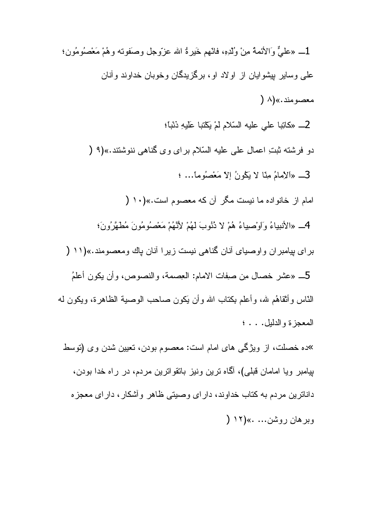1\_ «عليٌّ وَالأئمةُ مِنْ وُلْدِهِ، فانّهم خَيرةُ الله عزّوجل وصَفوته وهُمْ مَعْصُومُونِ؛ علمی وسایر پیشوایان از اولاد او، برگزیدگان وخوبان خداوند و آنان معصومند.»(۸ ( 2\_ «كاتِبا على عليه السّلام لمْ يَكْتبا عَلَيهِ ذَنْباً؛ دو فرشته ثبتِ اعمالِ على عليه السّلام براي وي كَناهي ننوشتند.»(٩ ( 3\_ «الإمامُ مِنّا لا يَكُونُ إلاّ مَعْصُلُوما... ؛ امام از خانو اده ما نیست مگر آن که معصوم است.»(١٠ ( 4\_ «الأنبياءُ وَاوْصِياءُ هُمْ لا دُنُوبَ لَهُمْ لأَنَّهُمْ مَعْصُومُونَ مُطهَّرُونَ؛ برای بیامبران واوصیای آنان گناهی نیست زیرا آنان پاك ومعصومند.»(١١ ( 5\_ «عشر خصال مِن صفِات الامام: العِصمة، والنصوص، وأن يكون أعلمُ النَّاس وأثقاهُم لله، وأعلم بكتاب الله وأن يَكون صـاحب الوصـيـة الظـاهرة، ويكون لـه المعجزة والدليل. . . ؛ <sup>ی</sup>ده خصلت، از ویژگی های امام است: معصوم بودن، نعیین شدن وی (توسط بپامبر ویا امامان قبلی)، آگاه نرین ونیز بانقوانرین مردم، در راه خدا بودن، داناترین مردم به کتاب خداوند، دارای وصیتی ظاهر وأشکار ، دارای معجزه

وبر هان روشن... .»(١٢ (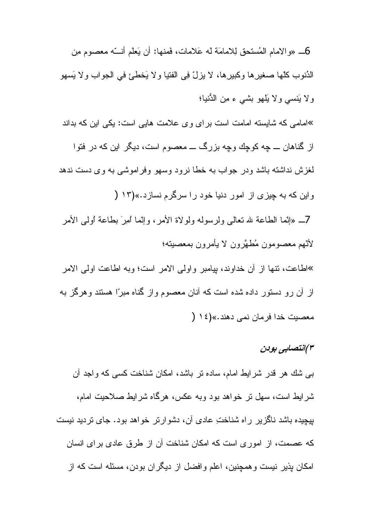6\_ «و الامام المُستحق لِلامامَة له عَلامات، فَمنها: أن يَعلَّم أنـــّـه معصوم مِن الدُنوب كلَّها صغير ِها وكبير ِها، لا يزلِّ فِي الفتيا و لا يَخطِّئ في الجواب و لا يَسهو ولا يَنسى ولا يَلْهُو بِشَي ءِ مِن الدُّنيا؛ »امامی که شایسته امامت است برای وی علامت هایی است: یکی این که بداند از گناهان ـــ چه کوچك وچه بزرگ ـــ معصوم است، ديگر ِ اين که در فتوا لغزش نداشته باشد ودر جواب به خطا نرود وسهو وفراموشبي به وي دست ندهد واین که به چیزی از امور دنیا خود را سرگرم نسازد.»(۱۳ ( 7ــ «إنَّما الطَّاعة لله نعالمي ولرسوله ولو لاة الأمر ، وإنَّما أمرَ بطَّاعة أولِّمي الأمر لأتّهم معصومون مُطهَّرون لا يأمرون بمعصبته؛ »اطاعت، نتها از آن خداوند، بیامبر و اولی الامر است؛ وبه اطاعت اولی الامر از آن رو دستور داده شده است که آنان معصوم واز گناه مبر ّا هستند و هرگز به معصبت خدا فر مان نمي دهند.»(١٤ (

# ۳)انتصابی بودن

ببی شك هر قدر شرايط امام، ساده نر باشد، امكان شناخت كسبی كه واجد أن شرایط است، سهل نر خواهد بود وبه عکس، هرگاه شرایط صلاحیت امام، بپچیده باشد ناگزیر راه شناخت عادی آن، دشوارتر خواهد بود. جای تردید نیست كه عصمت، از امور ى است كه امكان شناخت آن از طرق عادى براى انسان امکان پذیر نیست و همچنین، اعلم و افضل از دیگران بودن، مسئله است که از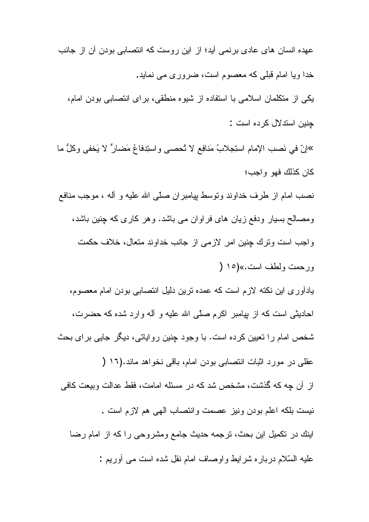عهده انسان های عادی برنمی اّید؛ از این روست که انتصابی بودن آن از جانب خدا ویا امام قبلے که معصوم است، ضروری مے نماید. یکی از متکلمان اسلامی با استفاده از شیوه منطقی، بر ای انتصابی بودن امام، چنین استدلال کرده است : »إنّ في نَصب الإمام استِجلابُ مَنافِع لا تُحصىي واستِدفاعُ مَضـارٍّ لا يَخفى وكلُّ ما كان كذلك فهو واجب؛ نصب امام از طرف خداوند ونوسط بپامبر ان صلَّى الله عليه و أله ، موجب منافع ومصالح بسیار ودفع زیان های فراوان می باشد. و هر کاری که چنین باشد، واجب است ونرك چنين امر لازمى از جانب خداوند متعال، خلاف حكمت ورحمت ولطف است.»(١٥ ( بادأوری این نکته لازم است که عمده نرین دلیل انتصابی بودن امام معصوم، احادیثی است که از بیامبر اکرم صلّبی الله علیه و آله وارد شده که حضرت، شخص امام را نعیین کرده است. با وجود چنین روایاتی، دیگر جایی برای بحث عقلبي در مورد اثبات انتصابي بودن امام، باقي نخواهد ماند.(١٦ ( از آن چه که گذشت، مشخص شد که در مسئله امامت، فقط عدالت وبیعت کافی نيست بلكه اعلم بودن ونيز عصمت وانتصاب المهى هم لازم است . اينك در نكميل اين بحث، نرجمه حديث جامع ومشروحي راكه از امام رضا عليه السَّلام درباره شرايط واوصاف امام نقل شده است مي أوريم :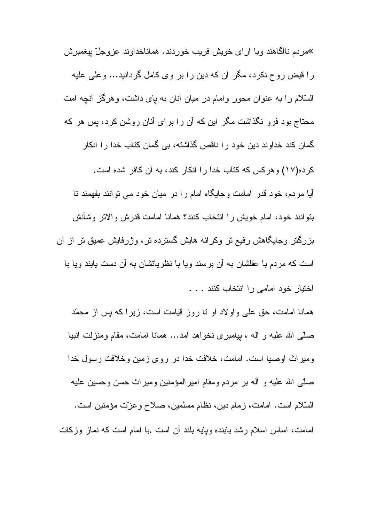»مر دم نـاآگـاهند و بـا آر اي خويش فريب خور دند. همـانـاخداوند عز و جلّ بيغمبر ش را قبض روح نکرد، مگر آن که دین را بر وی کامل گردانید… وعلی علیه السَّلام را به عنوان محور و امام در میان أنان به بای داشت، و هرگز أنچه امت محتاج بود فرو نگذاشت مگر این که آن را برای آنان روشن کرد، پس هر که گمان کند خداوند دین خود را ناقص گذاشته، بی گمان کتاب خدا را انکار كرده(١٧) و هركس كه كتاب خدا را انكار كند، به آن كافر شده است. آیا مردم، خود قدر امامت وجایگاه امام را در میان خود می توانند بفهمند تا بنوانند خود، امام خويش را انتخاب كنند؟ همانا امامت قدرش والاتر وشأنش بزرگتر وجایگاهش رفیع تر وکرانه هایش گسترده تر، وژرفایش عمیق تر از آن است که مردم با عقلشان به أن برسند ویا با نظریاتشان به أن دست یابند ویا با لختيار خود امامي را انتخاب كنند . . .

همانا امامت، حق علمی و اولاد او نا روز قیامت است، زیرا که بس از محمّد صلَّمي الله عليه و أله ، بيامبر ي نخو اهد أمد… همانا امامت، مقام ومنزلت انبيا وميراث اوصيا است. امامت، خلافت خدا در روى زمين وخلافت رسول خدا صلَّبي الله عليه و آله بر ٍ مر دم و مقام امير المؤمنين و مير اتْ حسن و حسين عليه السَّلام است. امامت، زمام دين، نظام مسلمين، صلاح وعزَّت مؤمنين است. امامت، اساس اسلام رشد بابنده وبایه بلند أن است .با امام است که نماز وزکات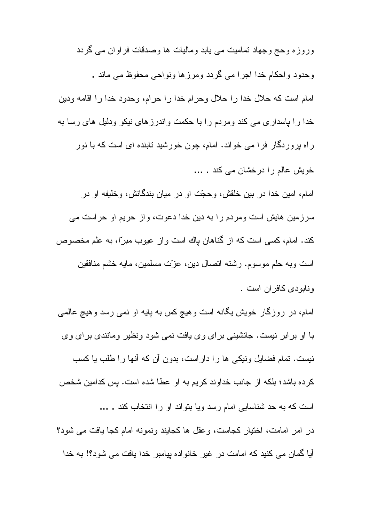وروزه وحج وجهاد تماميت مي يابد وماليات ها وصدقات فراوان مي گردد وحدود واحكام خدا اجرا مي گردد ومرزها ونواحي محفوظ مي ماند . امام است كه حلال خدا را حلال وحرام خدا را حرام، وحدود خدا را اقامه ودين خدا را پاسداری می کند ومردم را با حکمت واندرزهای نیکو ودلیل های رسا به راه پروردگار فرا می خواند. امام، چون خورشید تابنده ای است که با نور خویش عالم را درخشان می کند . ...

امام، امین خدا در بین خلقش، وحجّت او در میان بندگانش، وخلیفه او در سرزمین هایش است ومردم را به دین خدا دعوت، واز حریم او حراست می كند. امام، كسى است كه از گناهان باك است و از عيوب مبراً، به علم مخصوص است وبه حلم موسوم. رشته اتصال دین، عزّت مسلمین، مایه خشم منافقین و نابو دي کافر ان است .

امام، در روزگار خویش یگانه است وهیچ کس به پایه او نمی رسد وهیچ عالمی با او برابر نیست. جانشینی برای وی یافت نمی شود ونظیر ومانندی برای وی نیست. تمام فضایل ونیکی ها را دار است، بدون آن که أنها را طلب یا کسب كرده باشد؛ بلكه از جانب خداوند كريم به او عطا شده است. بس كدامين شخص است که به حد شناسایی امام رسد ویا بتواند او را انتخاب کند . ... در امر امامت، اختیار کجاست، وعقل ها کجایند ونمونه امام کجا یافت می شود؟ آیا گمان می کنید که امامت در غیر خانواده بپامبر خدا یافت می شود؟! به خدا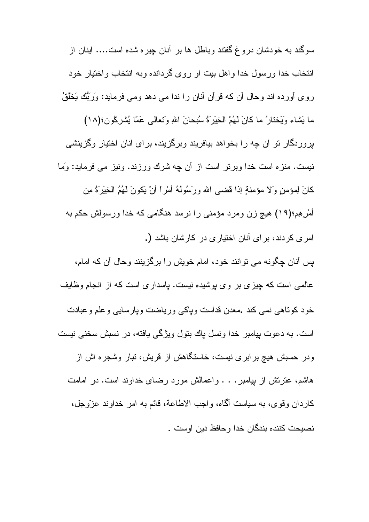سوگند به خودشان دروغ گفتند وباطل ها بر آنان چیره شده است.... اینان از انتخاب خدا ورسول خدا واهل بيت او روى گردانده وبه انتخاب واختيار خود روی أورده اند وحال أن که قرأن أنان را ندا می دهد ومی فرماید: وَرَبُّك يَخْلُقُ ما يَشاء وَيَخْتَارُ ما كَانَ لَهُمْ الْخِيَرَةُ سُبْحَانَ اللهِ وَتَعَالَى عَمَّا يُشْرِكُونِ؛(١٨) بروردگار نو آن چه را بخواهد بیافریند وبرگزیند، برای آنان اختیار وگزینشی نیست. منز ه است خدا وبرتر است از آن چه شرك ورزند. ونیز مى فرماید: وَما كَانَ لِمؤمنِ وَلا مؤمنةٍ إذا قضيى الله ورَسُولُهُ أَمْرٍ! أَنْ يَكُونَ لَهُمُ الْخِيَرَةُ مِن أمْرِهِمِ؛(١٩) هيچ زن ومرد مؤمني را نرسد هنگامي كه خدا ورسولش حكم به امری کردند، برای آنان اختیاری در کارشان باشد (.

بس أنان چگونه می نوانند خود، امام خویش را برگزینند وحال أن که امام، عالمی است که چیزی بر وی پوشیده نیست. پاسداری است که از انجام وظایف خود كوناهي نمي كند .معدن قداست وياكي ورياضت وبارسايي وعلم وعبادت است. به دعوت پیامبر خدا ونسل پاك بنول ویژگی یافته، در نسبش سخنی نیست ودر حسبش هیچ بر ابر ی نیست، خاستگاهش از قریش، تبار وشجره اش از هاشم، عنریتش از بیامبر . . . و اعمالش مورد رضای خداوند است. در امامت كاردان وقوى، به سياست أكماه، واجب الاطاعة، قائم به امر خداوند عزَّوجل، نصيحت كننده بندگان خدا و حافظ دين اوست .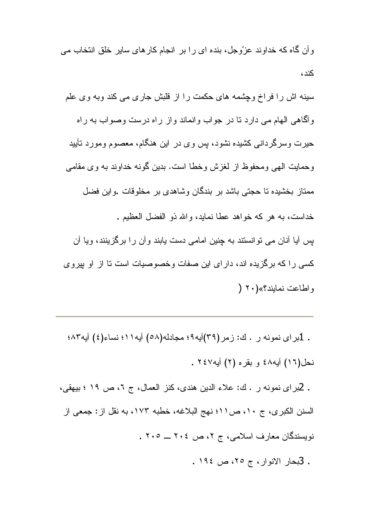و أن گاه كه خداوند عزّوجل، بنده اي را بر انجام كار هاي ساير خلق انتخاب مي  $\sim$   $\sim$ 

سینه اش را فراخ وچشمه های حکمت را از قلبش جاری می کند وبه وی علم و الكاهي الهام مي دارد تا در جو اب و انماند و از ر اه درست وصواب به ر اه حیرت وسرگردانی کشیده نشود، پس وی در این هنگام، معصوم ومورد تأیید وحمايت الهي ومحفوظ از لغزش وخطا است. بدين گونه خداوند به وي مقامي ممتاز بخشیده تا حجتی باشد بر بندگان وشاهدی بر مخلوقات واین فضل خداست، به هر كه خواهد عطا نمايد، والله ذو الفضل العظيم . پس آیا آنان می توانستند به چنین امامی دست یابند وآن را برگزینند، ویا آن کسی را که برگزیده اند، دارای این صفات وخصوصیات است تا از او پیروی و اطاعت نمابند؟» (٢٠ (

. 1براي نمونه ر . ك: زمر (٣٩)أيه٩؛ مجادله(٥٨) أيه١١؛ نساء(٤) أيه٨٣؛ نحل(١٦) أيه٤٨ و بقره (٢) أيه٢٤٧ . . 2براي نمونه ر . ك: علاء الدين هندي، كنز العمال، ج ٦، ص ١٩ ؛ بيهقي، السنن الكبرى، ج ١٠، ص١١؛ نهج البلاغه، خطبه ١٧٣، به نقل از : جمعي از

نویسندگان معارف اسلامی، ج ۲، ص ۲۰٤ \_ ۲۰٥ .

. 3بحار الانوار، ج ٢٥، ص ١٩٤.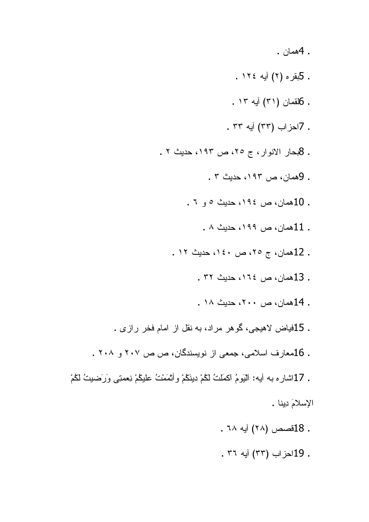- .  $A$ همان  $\overline{A}$
- . 5بقره (۲) أيه ١٢٤ .
- . 6لقمان (٣١) أيه ١٣ .
- . 7احزاب (٣٣) أيه ٣٣ .
- . 8بحار الانوار، ج ٢٥، ص ١٩٢، حديث ٢ .
	- . 9همان، ص ١٩٣، حديث ٣ .
	- . 10همان، ص ١٩٤، حديث ٥ و ٦ .
		- . 11همان، ص ١٩٩، حديث ٨ .
	- . 12همان، ج ٢٥، ص ١٤٠، حديث ١٢.
		- . 13همان، ص ١٦٤، حديث ٣٢ .
		- . 14همان، ص ۲۰۰، حدیث ۱۸.
- . 15فياض لاهيجي، گوهر مراد، به نقل از امام فخر رازي .
- . 16معارف اسلامی، جمعی از نویسندگان، ص ص ۲۰۷ و ۲۰۸ .
- . 17اشاره به أيه: الْبَومُ اكمَلْتُ لَكُمْ دينَكُمْ وأَنْمَمْتُ عَلَيْكُمْ نِعْمَتِي وَرَضِيتُ لَكُمْ الإسلامَ دِينا .
	- . 18فصص (٢٨) أيه ٦٨ .
	- . 19احزاب (٣٣) آيه ٣٦ .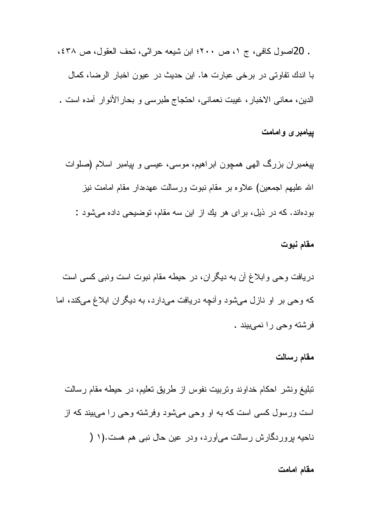. 20اصول كافي، ج ١، ص ٢٠٠؛ ابن شيعه حرائي، نحف العقول، ص ٤٣٨، با اندك تفاوتي در برخي عبارت ها. اين حديث در عيون اخبار الرضا، كمال الدين، معاني الاخبار ، غيبت نعماني، احتجاج طبرسي و بحار الأنوار أمده است .

ييامبرى وامامت

بیغمبران بزرگ الهی همچون ابراهیم، موسی، عیسی و بیامبر اسلام (صلوات الله عليهم اجمعين) علاوه بر مقام نبوت ورسالت عهدهدار مقام امامت نيز بو دهاند. که در ذیل، بر ای هر یك از این سه مقام، توضیحی داده می شود :

#### مقام نبوت

دریافت وحی وابلاغ آن به دیگران، در حیطه مقام نبوت است ونبی کسی است که وحی بر او نازل میشود وأنچه دریافت میدارد، به دیگران ابلاغ میکند، اما فر شته وحے را نمےہیند

#### مقام رسالت

تبليغ ونشر احكام خداوند ونربيت نفوس از طريق تعليم، در حيطه مقام رسالت است ورسول کسی است که به او وحی میشود وفرشته وحی را میبیند که از ناحیه بروردگارش رسالت میآورد، ودر عین حال نبی هم هست.(۱ (

#### مقام امامت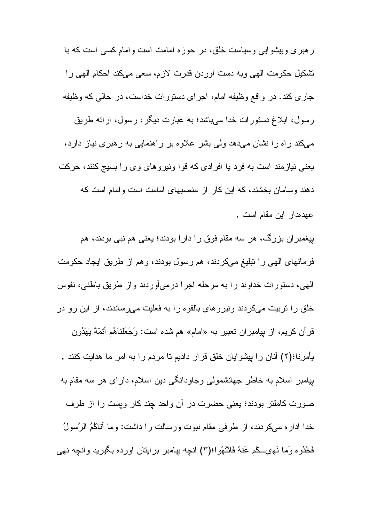ر هبر ی ویپشو ایبی وسیاست خلق، در حوزه امامت است و امام کسبی است که با تشكيل حكومت الهي وبه دست أوردن قدرت لازم، سعى ميكند احكام الهي را جاري كند. در واقع وظيفه امام، اجراي دستورات خداست، در حالي كه وظيفه رسول، ابلاغ دستورات خدا مىباشد؛ به عبارت ديگر ، رسول، ارائه طريق میکند راه را نشان میدهد ولی بشر علاوه بر راهنمایی به رهبری نیاز دارد، یعنی نیازمند است به فرد یا افرادی که قوا ونیروهای وی را بسیج کنند، حرکت دهند وسامان بخشند، که این کار از منصبهای امامت است وامام است که عهدهدار اين مقام است .

بیغمبران بزرگ، هر سه مقام فوق را دارا بودند؛ یعنی هم نبی بودند، هم فرمانهای الهی را تبلیغ میکردند، هم رسول بودند، وهم از طریق ایجاد حکومت الهي، دستورات خداوند را به مرحله اجرا درميأوردند واز طريق باطني، نفوس خلق را نربیت میکردند ونیروهای بالقوه را به فعلیت میرساندند، از این رو در قرآن كريم، از بِيامبران نعبير به «امام» هم شده است: وَجَعَلْناهُم أَئِمَّةً يَهْدُون بِأمرِنا؛(٢) آنان را بِيشوايان خلق قرار داديم تا مردم را به امر ما هدايت كنند . پیامبر اسلام به خاطر جهانشمولی وجاودانگی دین اسلام، دارای هر سه مقام به صورت کاملتر بودند؛ یعنی حضرت در آن واحد چند کار ویست را از طرف خدا اداره مىكردند، از طرفى مقام نبوت ورسالت را داشت: وما أناكُمُ الرَّسولُ فَخُدُوه وَما نَهِيَـــكُم عَنهُ فَانْتَهُوا؛(٣) أنــجه بِيامبر برايتان أورده بكَيريد وأنـجِه نـهي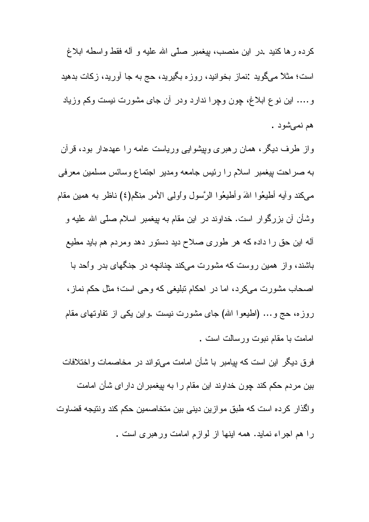كرده ر ها كنيد .در اين منصب، بيغمبر صلَّى الله عليه و آله فقط واسطه ابلاغ است؛ مثلاً میگوید :نماز بخوانید، روزه بگیرید، حج به جا آورید، زکات بدهید و…. این نوع ابلاغ، چون وچرا ندارد ودر أن جای مشورت نیست وکم وزیاد هم نمي شود .

واز طرف دیگر، همان رهبری وبپشوایی وریاست عامه را عهدهار بود، قرآن به صراحت بیغمبر اسلام را رئیس جامعه ومدیر اجتماع وسائس مسلمین معرفی مبيكند وأيه أطيعُوا اللهَ وأطيعُوا الرَّسول واولِبي الأمر مِنكُم(٤) ناظرٍ به همين مقام وشأن أن بزرگوار است. خداوند در این مقام به بیغمبر اسلام صلَّى الله علیه و أله این حق را داده که هر طوری صلاح دید دستور دهد ومردم هم باید مطیع باشند، واز همین روست که مشورت میکند چنانچه در جنگهای بدر واحد با اصحاب مشورت میکرد، اما در احکام تبلیغی که وحی است؛ مثل حکم نماز، روزه، حج و… (اطیعوا الله) جای مشورت نیست .واین یکی از نفاوتهای مقام امامت با مقام نبوت ور سالت است .

فرق دیگر این است که بیامبر با شأن امامت می واند در مخاصمات و اختلافات بین مردم حکم کند چون خداوند این مقام را به بپغمبر ا*ن دار ای شأن امامت* و اگذار کر ده است که طبق مو از بن دبنی بین متخاصمین حکم کند و نتیجه قضاو ت را هم اجراء نماید. همه اینها از لوازم امامت ورهبری است .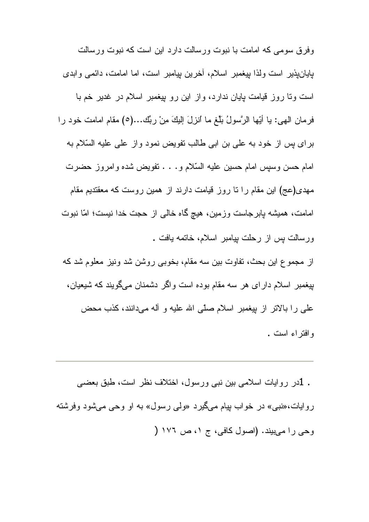وفرق سومی که امامت با نبوت ورسالت دارد این است که نبوت ورسالت بإيانيذير است ولذا بيغمبر اسلام، أخرين بيامبر است، اما امامت، دائمي وابدى است ونا روز قیامت پایان ندارد، واز این رو پیغمبر اسلام در غدیر خم با فرمان الهي: يا أَيِّها الرَّسولُ بلِّغ ما أنزلَ إليكَ مِنْ ربِّك...(٥) مقام امامت خود را برای پس از خود به علی بن ابی طالب تفویض نمود واز علی علیه السّلام به امام حسن وسبس امام حسین علیه السّلام و . . . نفویض شده و امروز حضرت مهدی(عج) این مقام را نا روز قیامت دارند از همین روست که معقندیم مقام امامت، همیشه پابرجاست وزمین، هیچ گاه خالبی از حجت خدا نیست؛ امّا نبوت ورسالت بس از رحلت بیامبر اسلام، خاتمه بافت .

از مجموع این بحث، تفاوت بین سه مقام، بخوبی روشن شد ونیز معلوم شد که بیغمبر اسلام دارای هر سه مقام بوده است واگر دشمنان میگویند که شیعیان، على را بالاتر از بيغمبر اسلام صلَّى الله عليه و أله مى،دانند، كذب محض وافتراء است .

. 1در روایات اسلامی بین نبی ورسول، اختلاف نظر است، طبق بعضبی روایات،«نببی» در خواب بپام میگیرد «ولمی رسول» به او وحی میشود وفرشته وحي را مي بيند. (اصول كافي، ج ١، ص ١٧٦ (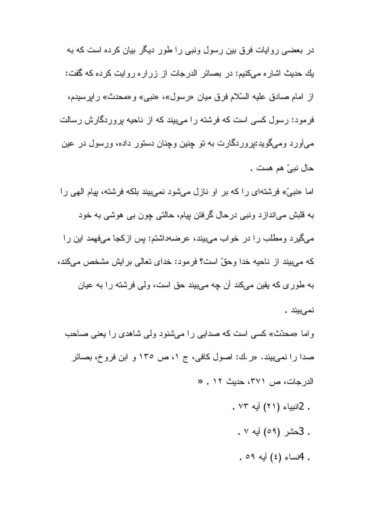در بعضبی روایات فرق بین رسول ونبی را طور دیگر بیان کرده است که به يك حديث اشار ه مىكنيم: در بصائر الدرجات از زرار ه روايت كرده كه گفت: از امام صادق عليه السّلام فرق ميان «رسول»، «نبي» و «محدث» رايرسيدم، فرمود: رسول کسی است که فرشته را میبیند که از ناحیه بروردگارش رسالت میآورد ومیگوید:بیروردگارت به نو چنین وچنان دستور داده، ورسول در عین حال نبيّ هم هست .

اما «نبيّ» فرشتهاي راكه بر او نازل ميشود نمي بيند بلكه فرشته، بيام الهي را به قلبش مياندازد ونبي درحال گرفتن بيام، حالتي چون بي هوشي به خود میگیرد ومطلب را در خواب میبیند، عرضهداشتم: بس ازکجا میفهمد این را كه مىبيند از ناحيه خدا وحقّ است؟ فرمود: خداى نعالى بر ايش مشخص مىكند، به طوری که یقین میکند آن چه میبیند حق است، ولی فرشته را به عیان نمىبيند .

واما «محدّث» کسی است که صدایی را میشنود ولی شاهدی را یعنی صاحب صدا را نمیبیند. «ر ك: اصول كافی، ج ۱، ص ۱۳۰ و ابن فروخ، بصائر الدرجات، ص ٣٧١، حديث ١٢ . «

- . 2انبياء (٢١) آيه ٧٣ .
	- . 3حشر (٥٩) أيه ٧ .
	- . Piwla  $(3)$  آبه ٥٩.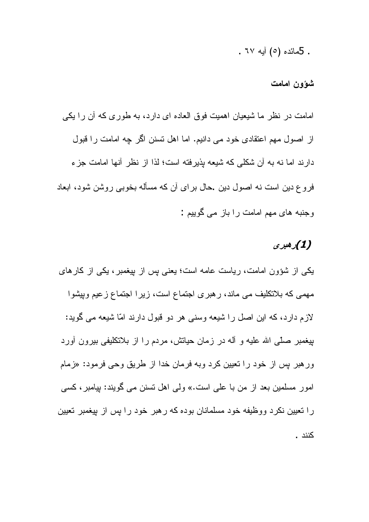. 5مائده (٥) آبه ٦٧ .

شوون امامت

امامت در نظر ما شیعیان اهمیت فوق العاده ای دارد، به طوری که آن را یکی از اصول مهم اعتقادی خود می دانیم. اما اهل تسنن اگر چه امامت را قبول دارند اما نه به آن شکلی که شیعه بذیرفته است؛ لذا از نظر آنها امامت جزء فر و ع دین است نه اصول دین .حال بر ای آن که مسأله بخوبی روشن شود، ابعاد وجنبه های مهم امامت را باز می گوییم :

## (1)رھيرى

یکی از شؤون امامت، ریاست عامه است؛ یعنی بس از بیغمبر ، یکی از کار های مهمی که بلانکلیف می ماند، رهبری اجتماع است، زیرا اجتماع زعیم وییشوا لازم دارد، که این اصل را شیعه وسنی هر دو قبول دارند امّا شیعه می گوید: بیغمبر صلّی الله علیه و أله در زمان حیاتش، مردم را از بلانکلیفی بیرون أورد ورهبر بس از خود را نعیین کرد وبه فرمان خدا از طریق وحی فرمود: «زمام امور مسلمین بعد از من با علی است.» ولی اهل تسنن می گویند: بیامبر، کسی را نعیین نکرد ووظیفه خود مسلمانان بوده که رهبر خود را بس از بیغمبر تعیین كنند .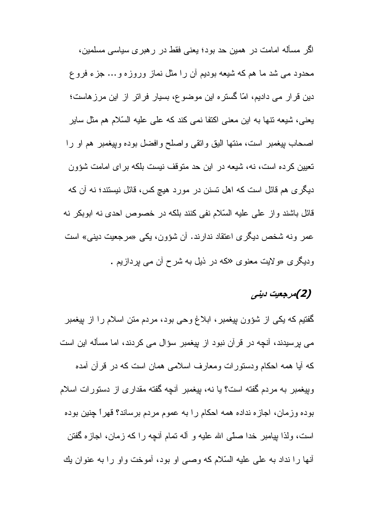اگر مسأله امامت در همین حد بود؛ یعنی فقط در رهبری سیاسی مسلمین، محدود می شد ما هم که شیعه بودیم آن را مثل نماز وروزه و ... جزء فرو ع دین قرار می دادیم، امّا گستره این موضوع، بسیار فراتر از این مرزهاست؛ یعنی، شیعه نتها به این معنی اکتفا نمی کند که علی علیه السّلام هم مثل سایر اصحاب بيغمبر است، منتها اليق واتقى واصلح وافضل بوده وبيغمبر هم او را نعیین کرده است، نه، شیعه در این حد متوقف نیست بلکه بر ای امامت شؤون دیگری هم قائل است که اهل نسنن در مورد هیچ کس، قائل نیستند؛ نه أن که قائل باشند و از علی علیه السّلام نفی کنند بلکه در خصوص احدی نه ابوبکر نه عمر ونه شخص دیگری اعتقاد ندارند. آن شؤون، یکی «مرجعیت دینی» است ودیگری «ولایت معنوی «که در ذیل به شرح آن می پردازیم .

# (2)مرجعیت دینی

گفتیم که یکی از شؤون پیغمبر ، ابلاغ وحی بود، مردم متن اسلام را از بپغمبر می برسیدند، آنچه در قرآن نبود از بیغمبر سؤال می کردند، اما مسأله این است که أيا همه احکام ودستورات ومعارف اسلامي همان است که در قرأن أمده وبيغمبر به مردم گفته است؟ يا نه، بيغمبر أنجه گفته مقداري از دستورات اسلام بوده وزمان، اجازه نداده همه احكام را به عموم مردم برساند؟ قهراً چنین بوده است، ولذا بيامبر خدا صلَّى الله عليه و أله نمام أنـڃه را كـه زمان، اجازه گفتن أنها را نداد به علي عليه السّلام كه وصبي او بود، أموخت و او را به عنوان يك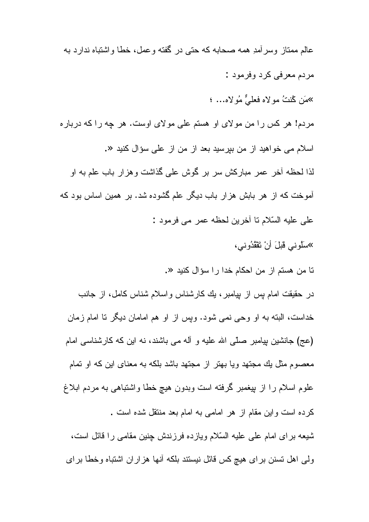عالم ممتاز وسر أمدِ همه صحابه كه حتى در گفته و عمل، خطا واشتباه ندار د به مر دم معرفی کر د وفر مود : »مَن كُنتُ مولاه فعليٌّ مُولاه... ؛ مردم! هر كس را من مولاى او هستم على مولاى اوست. هر چه را كه درباره اسلام می خواهید از من بیرسید بعد از من از علی سؤال کنید «. لذا لحظه آخر عمر مباركش سر بر گوش على گذاشت و هز ار باب علم به او أموخت كه از هر بابش هزار باب ديگر علم گشوده شد. بر همين اساس بود كه على عليه السّلام نا أخرين لحظه عمر مي فرمود : ≫سلُوني قَبلَ أَنْ تَقْقُدُوني، تا من هستم از من احكام خدا را سؤال كنيد «. در حقیقت امام بس از بپامبر، بك كارشناس واسلام شناس كامل، از جانب خداست، البته به او وحی نمی شود. ویس از او هم امامان دیگر نا امام زمان

كرده است واين مقام از هر امامي به امام بعد منتقل شده است . شبعه براي امام على عليه السّلام ويازده فرزندش جِنين مقامي را قائل است، ولی اهل نسنن برای هیچ کس قائل نیستند بلکه أنها هزاران اشتباه وخطا برای

(عج) جانشین بیامبر صلّبی الله علیه و آله می باشند، نه این که کارشناسی امام

معصوم مثل بك مجتهد ويا بهتر از مجتهد باشد بلكه به معناى اين كه او نمام

علوم اسلام را از بپغمبر گرفته است وبدون هیچ خطا واشتباهی به مردم ابلاغ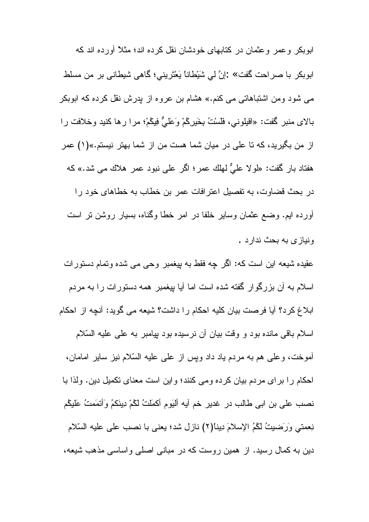ابوبکر وعمر وعثمان در کنابهای خودشان نقل کرده اند؛ مثلاً أورده اند که ابوبكر با صراحت گفت» :إنَّ لي شَيْطاناً يَعْتَرِيني؛ كَاهي شيطاني بر من مسلط می شود ومن اشتباهاتی می کنم.» هشام بن عروه از پدرش نقل کرده که ابوبکر بالاي منبر كَفت: «اقيلوني، فَلَسْتُ بِخَيرِكُمْ وَعَلَيٌّ فِيكُمْ؛ مرا رها كنيد وخلافت را از من بگیرید، که تا علی در میان شما هست من از شما بهتر نیستم.»(۱) عمر هفتاد بار گفت: «لمولا عليٌّ لـهلك عمر ؛ اگر علـي نبود عمر هلاك مـي شد.» كـه در بحث قضاوت، به تفصیل اعترافات عمر بن خطاب به خطاهای خود را أورده ايم. وضع عثمان وساير خلفا در امر خطا وگناه، بسيار روشن نر است ونياز ی به بحث ندار د .

عقیده شیعه این است که: اگر چه فقط به بپغمبر وحی می شده ونمام دستورات اسلام به أن بزرگوار گفته شده است اما أيا بپغمبر همه دستورات را به مردم ابلاغ كرد؟ آيا فرصت بيان كليه احكام را داشت؟ شيعه مي گويد: آنچه از احكام اسلام باقی مانده بود و وقت بیان أن نرسیده بود بپامبر به علی علیه السّلام أموخت، وعلى هم به مردم ياد داد وبس از على عليه السَّلام نيز ساير امامان، احكام را براي مردم بيان كرده ومي كنند؛ واين است معناي نكميل دين. ولذا با نصب علي بن ابي طالب در غدير خم آيه أليَوم أكملَتُ لَكُمْ دِينَكُمُ وَأَتْمَمَتُ عَلَيْكُم نِعمتي وَرَضيتُ لَكُمُ الإسلامَ دِينَا(٢) نازل شد؛ يعني با نصب علي عليه السّلام دین به کمال رسید. از همین روست که در مبانی اصلی واساسی مذهب شیعه،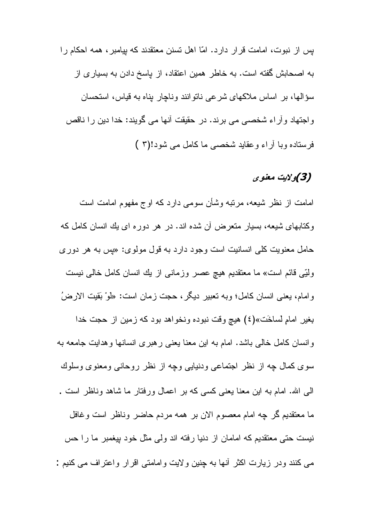بس از نبوت، امامت قرار دارد. امّا اهل نسنن معنقدند که بیامبر ، همه احکام را به اصحابش گفته است. به خاطر همین اعتقاد، از پاسخ دادن به بسیاری از سؤالها، بر اساس ملاکهای شرعی ناتوانند وناچار بناه به قیاس، استحسان واجتهاد وأراء شخصبي مي برند. در حقيقت أنها مي گويند: خدا دين را ناقص فر ستاده وبا آر اء و عقاید شخصبی ما کامل می شود!(۳ )

## (3)ولايت معنوى

امامت از نظر شیعه، مرتبه وشأن سومی دارد که اوج مفهوم امامت است وکتابهای شیعه، بسیار منعرض آن شده اند. در هر دوره ای بك انسان كامل كه حامل معنویت کلبی انسانیت است وجود دارد به قول مولوی: «پس به هر دوری وَلَّتِي قَائِمِ اسْتَ» ما معتقديم هيچ عصر وزماني از يك انسان كامل خالبي نيست وامام، يعني انسان كامل؛ وبه نعبير ديگر ، حجت زمان است: «لَوْ بَقيت الارضُ بغير امامٍ لساخَت»(٤) هيچ وقت نبوده ونخواهد بود كه زمين از حجت خدا وانسان كامل خالبي باشد. امام به اين معنا يعني رهبري انسانها وهدايت جامعه به سوی کمال چه از نظر اجتماعی ودنیایی وچه از نظر روحانی ومعنوی وسلوك الی الله. امام به این معنا یعنی کسی که بر اعمال ورفتار ما شاهد وناظر است . ما معنقديم گر چه امام معصوم الان بر همه مردم حاضر وناظر است وغافل نیست حتی معتقدیم که امامان از دنیا رفته اند ولی مثل خود بیغمبر ما را حس می کنند ودر زیارت اکثر أنها به چنین ولایت وامامتی اقرار واعتراف می کنیم :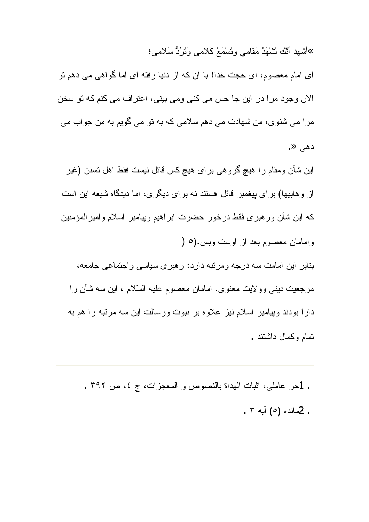»أشهد أَنَّك تَشْهَدُ مَقامى وتَسْمَعُ كَلامي وَتَرُدُّ سَلامي؛

ای امام معصوم، ای حجت خدا! با آن که از دنیا رفته ای اما گواهی می دهم نو الان وجود مرا در این جا حس می کنی ومی بینی، اعتراف می کنم که تو سخن مرا می شنوی، من شهادت می دهم سلامی که به نو می گویم به من جواب می دهی «.

این شأن ومقام را هیچ گروهی برای هیچ کس قائل نیست فقط اهل تسنن (غیر از و هابیها) بر ای بیغمبر قائل هستند نه بر ای دیگر ی، اما دیدگاه شیعه این است که این شأن ورهبری فقط درخور حضرت ابراهیم وبپامبر اسلام وامیرالمؤمنین و امامان معصوم بعد از اوست وبس.(٥ ( بنابر این امامت سه درجه ومرتبه دارد: رهبری سیاسی واجتماعی جامعه، مرجعيت دينبي وولايت معنوي. امامان معصوم عليه السّلام ، اين سه شأن را دارا بودند وبِيامبر اسلام نيز علاوه بر نبوت ورسالت اين سه مرتبه را هم به تمام وكمال داشتند .

. 1حر عاملي، اثبات الهداة بالنصوص و المعجزات، ج ٤، ص ٣٩٢ . . 2مائده (٥) أبه ٣ .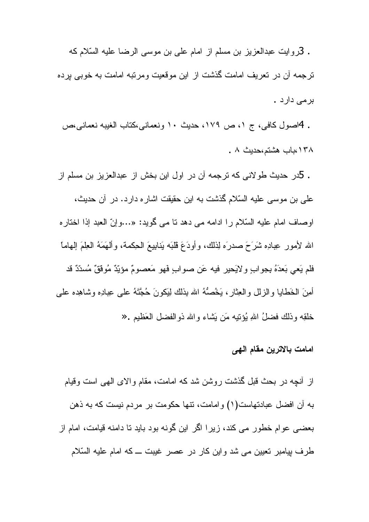. 3روايت عبدالعزيز بن مسلم از امام على بن موسى الرضا عليه السّلام كه ترجمه آن در تعریف امامت گذشت از این موقعیت ومرتبه امامت به خوبی برده برمی دارد .

. 4اصول كافي، ج ١، ص ١٧٩، حديث ١٠ ونعماني،كتاب الغيبه نعماني،ص ١٣٨،باب هشتم،حديث ٨ .

. 5در حدیث طولانی که نرجمه آن در اول این بخش از عبدالعزیز بن مسلم از علي بن موسى عليه السّلام گذشت به اين حقيقت اشار ه دار د. در آن حديث، اوصاف امام عليه السّلام را ادامه مي دهد نا مي گويد: «…وإنّ العبد إذا اختاره الله لأمور عِبادِه شَرَحَ صدرَه لِذلك، وأودَعَ قُلْبَه بَنابيعَ الْحِكْمَة، وأَلْهَمَهُ الْعِلْمَ الْهامَا فلم يَعي بَعدَهُ بِجو ابٍ و لايَحير فيه عَن صو اب فَهو مَعصومٌ مؤيّدٌ مُو ققٌ مُسدّدٌ قد أُمِنَ الْخَطَابِا وِالزَّلْلِ وِالْعِثَارِ، يَخْصُهُ الله بِذَلَكَ لِيَكُونَ حُجَّنَهُ عَلَى عِبَادِه وشاهِده على خلقِه وذلك فضلُ اللهِ بُؤنبِه مَن بَشاء والله ذوالفضل العَظيم .«

### امامت بالاترين مقام الـهي

از أنچه در بحث قبل گذشت روشن شد که امامت، مقام والای الهی است وقیام به أن افضل عبادتهاست(١) وامامت، نتها حكومت بر مردم نيست كه به ذهن بعضبي عوام خطور مي كند، زيرا اگر اين گونه بود بايد تا دامنه قيامت، امام از طرف بیامبر نعیین می شد واین کار در عصر غیبت ــ که امام علیه السّلام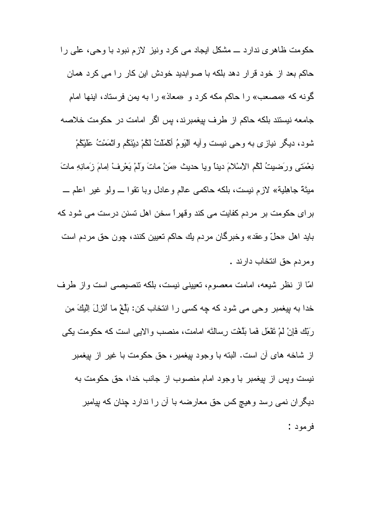حکومت ظاہری ندارد ـــ مشکل ایجاد می کرد ونیز لازم نبود با وحی، علی را حاكم بعد از خود قرار دهد بلكه با صوابديد خودش اين كار را مي كرد همان گونه كه «مصعب» را حاكم مكه كرد و «معاذ» را به يمن فرستاد، اينها امام جامعه نیستند بلکه حاکم از طرف بیغمبرند، پس اگر امامت در حکومت خلاصه شود، ديگر نيازي به وحي نيست وأيه اليَومُ أَكْمَلْتُ لَكُمْ دِيْنَكُم واتْمَمْتُ عَلَيْكُمْ نِعْمَتَي ورَضِيتُ لَكُم الْإِسْلامَ دَيْنَا وَيَا حَدِيثَ «مَنْ مَاتَ وَلَمْ يَعْرِفْ لِصَامَ زَمَانِهِ مَاتَ مَيْنَةً جاهِلِيةً» لازم نيست، بلكه حاكمي عالم وعادل وبا نقوا ـــ ولو غير اعلم ـــ بر ای حکومت بر مردم کفایت می کند و قهر ا سخن اهل نسنن در ست می شود که بايد اهل «حلّ وعقد» وخبرگان مردم يك حاكم تعيين كنند، چون حق مردم است و مر دم حق انتخاب دار ند .

امّا از نظر شیعه، امامت معصوم، تعیینی نیست، بلکه ننصیصبی است واز طرف خدا به بيغمبر وحي مي شود كه چه كسي را انتخاب كن: بَلَّغْ ما ٱنْزِلَ اِلْيَكَ مِن رَبِّك فَإِنْ لَمْ نَقْعَلَ فَما بَلَّغْتِ رِسِالَتَه امامت، منصب وإلايبي است كه حكومت يكي از شاخه های آن است. البته با وجود بیغمبر ، حق حکومت با غیر از بیغمبر نیست ویس از بیغمبر با وجود امام منصوب از جانب خدا، حق حکومت به دیگران نمی رسد و هیچ کس حق معارضه با ان را ندارد چنان که بپامبر فرمود :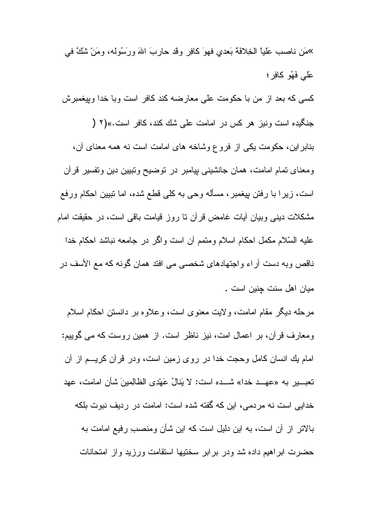»مَن ناصبٍ عَلَيْـا الْخِلافَة بَعدي فيهوَ كافِرٍ وقد حاريبَ اللهَ ورسِّوله، ومَنْ شَكَّ في عَلَّمِي فَهُو كَافِرٍ ؛ كسي كه بعد از من با حكومت على معارضه كند كافر است وبا خدا وبيغمبرش جنگیده است ونیز هر کس در امامت علمی شك كند، كافر است.»(۲ ( بنابر این، حکومت یکی از فروع وشاخه های امامت است نه همه معنای آن، ومعنای نمام امامت، همان جانشینبی پیامبر در نوضیح ونبیین دین ونفسیر قرأن است، زیرا با رفتن بیغمبر ، مسأله وحی به کلّی قطع شده، اما نبیین احکام ورفع مشکلات دینی وبیان أیات غامض قرأن نا روز قیامت باقی است، در حقیقت امام عليه السَّلام مكمل احكام اسلام ومتمم أن است واگر در جامعه نباشد احكام خدا ناقص وبه دست أراء واجتهادهاى شخصىي مى افتد همان گونه كه مع الأسف در ميان اهل سنت جنين است .

مرحله دیگر مقام امامت، ولایت معنوی است، وعلاوه بر دانستن احکام اسلام ومعارف قرأن، بر اعمال امت، نیز ناظر است. از همین روست که می گوییم: امام بك انسان كامل وحجت خدا در روى زمين است، ودر قرأن كريـــم از أن تعبــــير بـه «عهـــد خدا» شــــده است: لا يَنالُ عَهْدِي الظّالِمينَ شأن امامت، عهد خدایی است نه مردمی، این که گفته شده است: امامت در ردیف نبوت بلکه بالاتر از أن است، به این دلیل است که این شأن ومنصىب رفیع امامت به حضرت ابراهیم داده شد ودر برابر سخنیها استقامت ورزید وإز امتحانات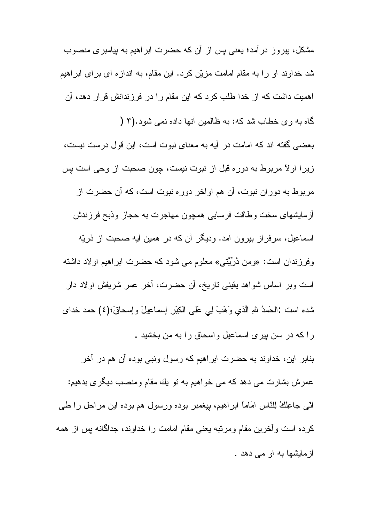مشکل، بیروز در آمد؛ یعنی بس از آن که حضرت ابر اهیم به بیامبر ی منصوب شد خداوند او را به مقام امامت مزیّن کرد. این مقام، به اندازه ای بر ای ابر اهیم اهمیت داشت که از خدا طلب کرد که این مقام را در فرزندانش قرار دهد، آن گاه به و ی خطاب شد که: به ظالمین آنها داده نمی شود.(۳ (

بعضبي گفته اند كه امامت در آيه به معناي نبوت است، اين قول درست نيست، زیرا اولاً مربوط به دوره قبل از نبوت نیست، چون صحبت از وحی است پس مربوط به دوران نبوت، آن هم اواخر دوره نبوت است، که آن حضرت از آز مایشهای سخت و طاقت فر سایی همچون مهاجرت به حجاز ٍ و ذبح فر ز ندش اسماعیل، سرفراز بیرون آمد. ودیگر أن که در همین أیه صحبت از ذریّه

وفرزندان است: «ومن دُرِّيَّتي» معلوم مي شود كه حضرت ابراهيم اولاد داشته است وبر اساس شواهد يقيني ناريخ، أن حضرت، أخر عمر شريفش اولاد دار شده است :الحَمدُ للهِ الَّذي وَهَبَ لِمِي عَلَى الكِبَرِ إِسماعِيلَ وَإِسحاقَ؛(٤) حمد خداي را که در سن بیری اسماعیل و اسحاق را به من بخشید .

بنابر این، خداوند به حضرت ابر اهیم که رسول ونبی بوده آن هم در آخر عمر ش بشار ت مے، دھد که مے، خو اھیم به نو پك مقام و منصب ديگر ي بدھيم: اتبي جاعِلكُ لِلنَّاسِ امَاماً ابرِاهيم، بِيغمبر بوده ورسول هم بوده اين مراحل را طبي كرده است وأخرين مقام ومرتبه يعني مقام امامت را خداوند، جداگانه بس از همه آز مایشها به او مے دهد .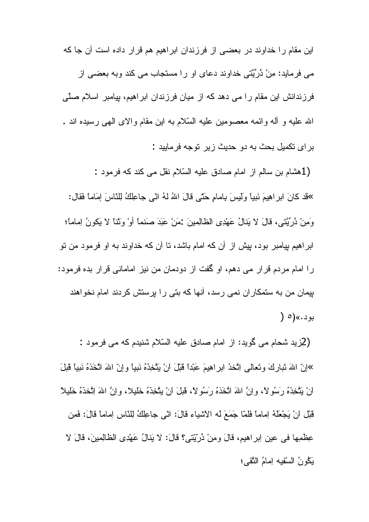این مقام را خداوند در بعضبی از فرزندان ابراهیم هم قرار داده است آن جا که می فرماید: مِنْ دُرِّیَّتی خداوند دعای او را مستجاب می کند وبه بعضی از فرزندانش این مقام را می دهد که از میان فرزندان ابراهیم، بیامبر اسلام صلّی الله عليه و أله وائمه معصومين عليه السّلام به اين مقام والاي الهي رسيده اند . بر اي تكميل بحث به دو حديث ز بر تو جه فر مابيد :

(1هشام بن سالم از امام صادق عليه السّلام نقل مي كند كه فرمود :

»قد كانَ ابر اهِيمَ نَبِيًّا وَلَيسَ بِامامٍ حَتَّى قالَ اللهُ لهُ اتَّى جاعِلِكُ لِلنَّاسَ إِمَاماً فَقال: وَمِنْ دُرِّيَّتِي، قَالَ لا يَنالُ عَهْدِي الظالِمينَ :مَنْ عَبَدَ صَنماً أَوْ وَثَنا لا يَكونُ لِماماً؛ ابر اهیم پیامبر بود، پیش از آن که امام باشد، نا آن که خداوند به او فرمود من نو را امام مردم قرار می دهم، او گفت از دودمان من نیز امامانی قرار بده فرمود: بیمان من به ستمکار ان نمی رسد، آنها که بتی را برستش کردند امام نخواهند بو د .»(٥ (

(2زید شحام می گوید: از امام صادق علیه السّلام شنیدم که می فرمود : »إنّ اللهَ تَبارِكَ وتَعالى اِتَّخذُ ابرِ اهِيمَ عَبْدًا قَبْلَ انْ يَتَّخِذَهُ نَبياً وإنّ اللهَ اتَّخَذهُ نَبياً قَبلَ انْ يَتَّخِذَهُ رَسُولًا، وإنَّ اللهَ اتَّخَذَهُ رَسُولًا، قَبْلَ انْ يتَّخِذَهُ خَليلًا، وإنَّ اللهَ اِتَّخذهُ خَليلًا قَبْلِ انْ يَجْعَلْهُ اِماماً فَلَمَّا جَمَعَ له الأشياء قالَ: انِّي جاعِلْكُ لِلنَّاسِ اِماماً قالَ: فَمِن عِظْمِها في عين اِبراهيم، قالَ ومِنْ دُرِّيِّتي؟ قالَ: لا يَنالُ عَهْدِي الظَّالِمِينَ، قالَ لا يَكُونُ السّقيه لِمامُ النَّقي؛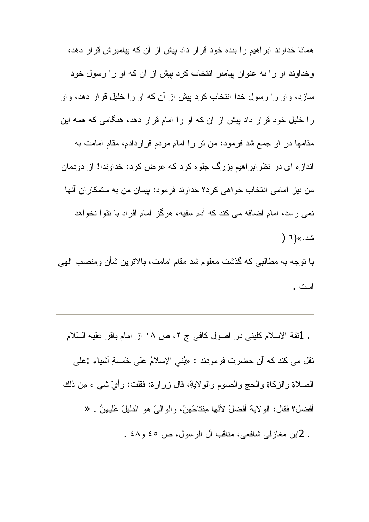همانا خداوند ابراهیم را بنده خود قرار داد بیش از آن که بیامبرش قرار دهد، وخداوند او را به عنوان بیامبر انتخاب کرد بیش از آن که او را رسول خود سازد، واو را رسول خدا انتخاب کرد بیش از آن که او را خلیل قرار دهد، واو را خلیل خود قرار داد بیش از آن که او را امام قرار دهد، هنگامی که همه این مقامها در او جمع شد فرمود: من نو را امام مردم قراردادم، مقام امامت به انداز ه ای در نظر ابر اهیم بزرگ جلو ه کرد که عرض کرد: خداوندا! از دودمان من نيز امامي انتخاب خواهي كرد؟ خداوند فرمود: بيمان من به ستمكار ان آنها نمبي رسد، امام اضافه مبي كند كه آدم سفيه، هر گز امام افر اد با نقو ا نخو اهد شد.»(٦ (

بـا نوجه بـه مطـالبـي كـه گذشت معلوم شد مقام امـامت، بـالانرين شـأن ومنصب الـهي است .

. 1نقة الاسلام كليني در اصول كافي ج ٢، ص ١٨ از امام باقر عليه السّلام نقل مي كند كه أن حضرت فرمودند : «بُني الإسلامُ على خَمسةِ أشياء :علي الصلاةِ والزكاةِ والحجِ والصومِ والولايةِ، قال زرارة: فقلت: وأيَّ شي ء مِن ذلك أفضل؟ فقال: الو لايةُ أفضلُ لأنّها مِفتاحُهنّ، و الو الـيُ هو الدليلُ عليهنَّ . « . 2ابن مغازلمي شافعي، مناقب أل الرسول، ص ٤٥ و٤٨ .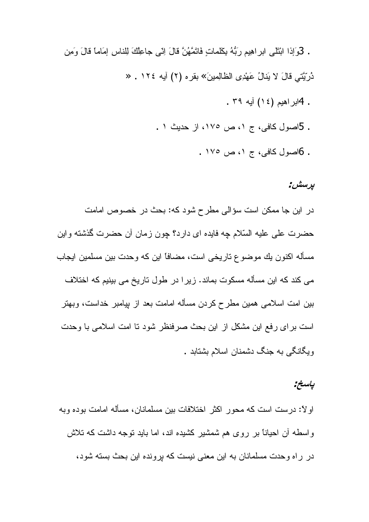. كَوَإِذَا ابْتَنْبِي ابرِ اهِيم رَبُّهُ بِكَلِّمَاتٍ فَاتَمَّهُنَّ قَالَ إِنِّي جَاعِلُكَ لِلنَّاسِ إمَاماً قالَ وَمِن دُرِ بَّتِي قَالَ لا بَذَالُ عَهْدِي الظَّالِمِينَ» بقر ه (٢) آيه ١٢٤ . « . 4ابر اهيم (١٤) آيه ٣٩. . 5اصول كافى، ج ١، ص ١٧٥، از حديث ١ .

. 6اصول كافي، ج ١، ص ١٧٥ .

### يرسش:

در اين جا ممكن است سؤالى مطرح شود كه: بحث در خصوص امامت حضرت على عليه السّلام چه فايده اي دارد؟ چون زمان أن حضرت گذشته واين مسأله اكنون يك موضوع تاريخي است، مضافاً اين كه وحدت بين مسلمين ايجاب می کند که این مسأله مسکوت بماند. زیر ا در طول تاریخ می بینیم که اختلاف بین امت اسلامی همین مطرح کردن مسأله امامت بعد از بیامبر خداست، وبهتر است برای رفع این مشکل از این بحث صرفنظر شود تا امت اسلامی با وحدت ویگانگی به جنگ دشمنان اسلام بشتابد .

### ياسخ.

او لا: درست است كه محور اكثر اختلافات بين مسلمانان، مسأله امامت بوده وبه واسطه أن احیاناً بر روی هم شمشیر کشیده اند، اما باید نوجه داشت که نلاش در راه وحدت مسلمانان به این معنی نیست که برونده این بحث بسته شود،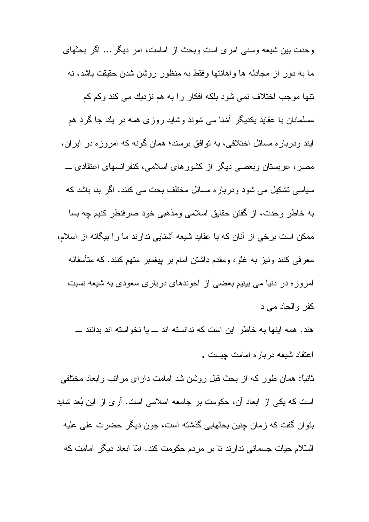وحدت بين شيعه وسنى امرى است وبحث از امامت، امر ديگر ... اگر بحثهاى ما به دور از مجادله ها واهانتها وفقط به منظور روشن شدن حقیقت باشد، نه نتها موجب اختلاف نمی شود بلکه افکار را به هم نزدیك می كند وكم كم مسلمانان با عقاید یکدیگر آشنا می شوند وشاید روزی همه در یك جا گرد هم أيند ودرباره مسائل اختلافي، به نوافق برسند؛ همان گونه كه امروزه در ايران، مصر ، عربستان وبعضبي ديگر از كشورهاي اسلامي، كنفرانسهاي اعتقادي ــــ سیاسی تشکیل می شود ودرباره مسائل مختلف بحث می کنند. اگر بنا باشد که به خاطر وحدت، از گفتن حقایق اسلامی ومذهبی خود صرفنظر کنیم چه بسا ممکن است برخی از آنان که با عقاید شیعه آشنایی ندارند ما را بیگانه از اسلام، معرفی کنند ونیز به غلّو، ومقدم داشتن امام بر بیغمبر منهم کنند. که متأسفانه امروزه در دنیا می بینیم بعضی از آخوندهای درباری سعودی به شیعه نسبت كفر و الحاد مى د

هند. همه اینها به خاطر این است که ندانسته اند ــ یا نخو استه اند بدانند ـــ اعتقاد شيعه درباره امامت جيست .

ثانیاً: همان طور که از بحث قبل روشن شد امامت دارای مراتب وابعاد مختلفی است که یکی از ابعاد آن، حکومت بر جامعه اسلامی است. آری از این بُعد شاید بنوان گفت که زمان چنین بحثهایی گذشته است، چون دیگر حضرت علی علیه السّلام حیات جسمانی ندارند نا بر مردم حکومت کند. امّا ابعاد دیگر امامت که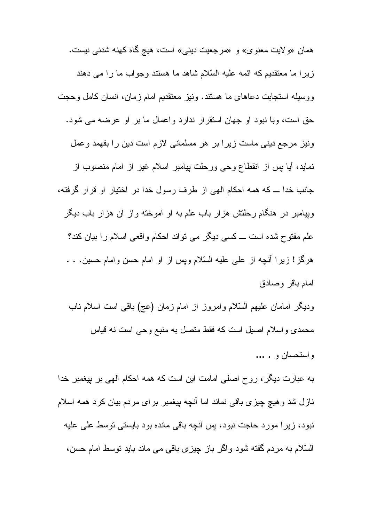همان «ولايت معنوى» و «مرجعيت ديني» است، هيچ گاه كهنه شدني نيست. زیرا ما معتقدیم که ائمه علیه السّلام شاهد ما هستند وجواب ما را می دهند ووسيله استجابت دعاهاى ما هستند. ونيز معنقديم امام زمان، انسان كامل وحجت حق است، وبا نبود او جهان استقرار ندارد واعمال ما بر او عرضه می شود. ونیز مرجع دینی ماست زیرا بر هر مسلمانی لازم است دین را بفهمد وعمل نماید، أیا پس از انقطاع وحی ورحلت پیامبر اسلام غیر از امام منصوب از جانب خدا ـــ كه همه احكام الهي از طرف رسول خدا در اختيار او قرار گرفته، وبیامبر در هنگام رحلتش هزار باب علم به او آموخته واز آن هزار باب دیگر علم مفتوح شده است ـــ كسى ديگر مى نواند احكام واقعى اسلام را بيان كند؟ هرگز! زيرا أنچه از على عليه السّلام ويس از او امام حسن وامام حسين. . . امام باقر وصادق

وديگر امامان عليهم السّلام وامروز از امام زمان (عج) باقي است اسلام ناب محمدی واسلام اصلی است که فقط متصل به منبع وحی است نه قیاس

و استحسان و . ...

به عبارت دیگر ، روح اصلی امامت این است که همه احکام المهی بر بپغمبر خدا نازل شد و هیچ چیزی باقی نماند اما أنچه بپغمبر برای مردم بیان کرد همه اسلام نبود، زیرا مورد حاجت نبود، پس أنچه باقی مانده بود بایستی توسط علی علیه السَّلام به مردم گفته شود واگر باز چیزی باقی می ماند باید توسط امام حسن،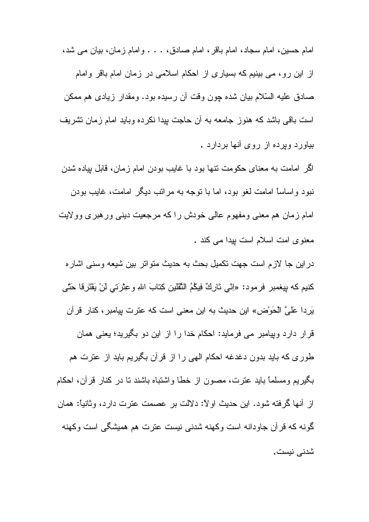امام حسین، امام سجاد، امام باقر ، امام صادق، . . . و امام زمان، بیان می شد، از این رو، می بینیم که بسیاری از احکام اسلامی در زمان امام باقر وامام صادق عليه السّلام بيان شده چون وقت أن رسيده بود. ومقدار زيادى هم ممكن است باقی باشد که هنوز جامعه به أن حاجت بپدا نکرده وباید امام زمان نشریف بیاور د و بر ده از روی آنها بر دار د .

اگر امامت به معنای حکومت نتها بود با غایب بودن امام زمان، قابل پیاده شدن نبود واساساً امامت لغو بود، اما با نوجه به مراتب دیگر امامت، غایب بودن امام زمان هم معنى ومفهوم عالى خودش راكه مرجعيت ديني ورهبري وولايت معنوی امت اسلام است بیدا می کند .

دراين جا لازم است جهت نكميل بحث به حديث متواتر بين شيعه وسنى اشار ه كنيم كه بيغمبر فرمود: «اِنّي تَارِكٌ فِيكُمُ الثَّقَلين كِتابَ اللهِ وعِثْرَتي لَنْ يَقْتَرِقا حَتّى يَرِدا عَلَيَّ الْحَوْضِ» اين حديث به اين معنى است كه عترت بيامبر ، كنار قرآن قرار دارد وبِیامبر می فرماید: احکام خدا را از این دو بگیرید؛ یعنی همان طوری که باید بدون دغدغه احکام الهی را از قرآن بگیریم باید از عترت هم بگیریم ومسلماً باید عترت، مصون از خطا واشتباه باشند نا در کنار قرآن، احکام از أنها گرفته شود. این حدیث اولاً: دلالت بر عصمت عترت دارد، وثانیاً: همان گونـه کـه قرآن جاودانـه است وکـهنـه شدنـی نیست عنرت هم همیشگی است وکـهنـه شدنے ،نیست .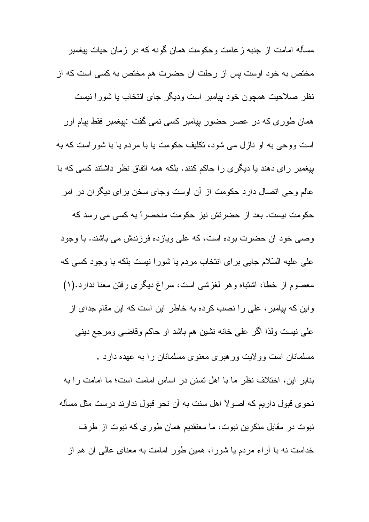مسأله امامت از جنبه ز عامت و حکو مت همان گو نه که در ز مان حیات بیغمبر مختص به خود اوست پس از رحلت آن حضرت هم مختص به کسی است که از نظر صلاحیت همچون خود بپامبر است ودیگر جای انتخاب یا شورا نیست همان طوری که در عصر حضور بیامبر کسی نمی گفت :بیغمبر فقط بیام أور است ووجے به او نازل مے شود، تکلیف حکومت یا با مردم یا با شور است که به بیغمبر رای دهند یا دیگری را حاکم کنند. بلکه همه اتفاق نظر داشتند کسی که با عالم وحی انصال دارد حکومت از آن اوست وجای سخن برای دیگران در امر حکومت نیست. بعد از حضر تش نیز حکومت منحصر اً به کسی می رسد که وصبی خود أن حضرت بوده است، كه على ويازده فرزندش مى باشند. با وجود على عليه السّلام جايي براي انتخاب مردم يا شورا نيست بلكه با وجود كسي كه معصوم از خطا، اشتباه و هر لغزشی است، سراغ دیگری رفتن معنا ندارد.(۱) و این که بیامبر ، علی را نصب کرده به خاطر این است که این مقام جدای از علمي نيست ولذا اگر علمي خانه نشين هم باشد او حاكم وقاضـي ومرجع دينـي مسلمانان است وولایت ورهبری معنوی مسلمانان را به عهده دارد . بنابر ِ ابنِ، اختلاف نظر ما با اهل تسنن در اساس امامت است؛ ما امامت را به نحوي قبول داريم كه اصولاً اهل سنت به آن نحو قبول ندارند درست مثل مسأله نبوت در مقابل منکرین نبوت، ما معتقدیم همان طوری که نبوت از طرف خداست نه با آراء مردم یا شورا، همین طور امامت به معنای عالمی آن هم از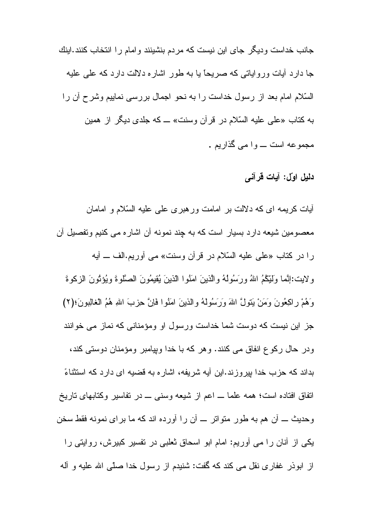جانب خداست ودیگر جای این نیست که مردم بنشینند و امام را انتخاب کنند.اینك جا دارد آبات وروایاتی که صریحاً یا به طور اشاره دلالت دارد که علمی علیه السَّلام امام بعد از رسول خداست را به نحو اجمال بررسی نماییم وشرح أن را به كتاب «على عليه السّلام در قرآن وسنت» ــ كه جلدى ديگر از همين مجموعه است ــــ و ۱ می گذاریع .

### دليل اوّل: آيات قرآني

أيات كريمه اي كه دلالت بر امامت ورهبري علمي عليه السّلام و امامان معصومین شیعه دارد بسیار است که به چند نمونه آن اشاره می کنیم ونفصیل آن را در كتاب «على عليه السّلام در قرآن وسنت» مي أوريم.الف ــ أيه ولايت:إنَّما وَلَيِّكُمُ اللهُ ورَسُولُهُ والَّذينَ امَنُوا الذينَ يُقيمُونَ الصَّلوةَ ويُؤثِّونَ الزكوةَ وَهُمْ رِاكِعُونَ وَمَنْ يَتَوِلَّ اللهَ وَرَسُولَهُ والذينَ امَنُوا فَانَّ حِزْبَ اللهِ هُمُ الْغَالِبُونَ؛(٢) جز این نیست که دوست شما خداست ورسول او ومؤمنانی که نماز می خوانند ودر حال رکو ع انفاق می کنند. و هر که با خدا وبیامبر ومؤمنان دوستی کند، بداند که حزب خدا بپروزند.این آیه شریفه، اشاره به قضیه ای دارد که استثناءً اتفاق افتاده است؛ همه علما ـــ اعم از شیعه وسنبي ـــ در نفاسیر وكتابهای تاریخ وحديث ــــ أن هم به طور متواتر ــــ أن را أورده اند كه ما براى نمونه فقط سخن یکی از آنان را می آوریم: امام ابو اسحاق ثعلبی در نفسیر کبیرش، روایتی را از ابوذر غفاري نقل مي كند كه گفت: شنيدم از رسول خدا صلّى الله عليه و أله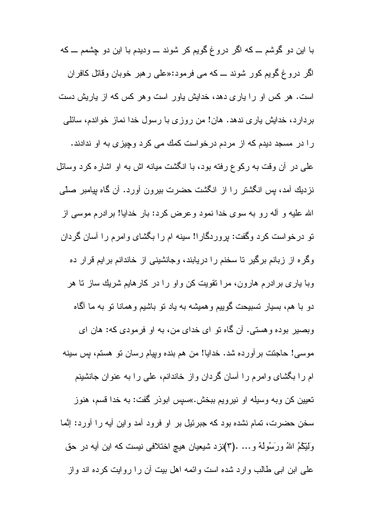با این دو گوشم ـــ که اگر دروغ گویم کر شوند ــــ ودیدم با این دو چشمم ـــ که اگر دروغ گویم کور شوند ـــ که می فرمود:«علی رهبر خوبا*ن و*قاتل کافران است. هر کس او را باری دهد، خدایش باور است و هر کس که از باریش دست بردارد، خدایش یاری ندهد. هان! من روزی با رسول خدا نماز خواندم، سائلی را در مسجد دیدم که از مردم درخواست کمك مى کرد وچیزى به او ندادند. علمی در آن وقت به رکوع رفته بود، با انگشت میانه اش به او اشاره کرد وسائل نزدیك أمد، بس انگشتر را از انگشت حضرت بیرون أورد. أن گاه بپامبر صلَّى الله عليه و آله رو به سوى خدا نمود و عرض كرد: بار خدايا! بر ادر م موسى از نو درخواست کرد وگفت: پروردگار!! سینه ام را بگشای وامرم را أسان گردان وگره از زبانم برگیر نا سخنم را دریابند، وجانشینی از خاندانم برایم قرار ده وبا باری بر ادرم هارون، مر ا نقویت کن و او ر ا در کار هایم شریك ساز تا هر دو با هم، بسیار نسبیحت گوییم وهمیشه به یاد نو باشیم وهمانا نو به ما آگاه وبصير بوده و هستي. آن گاه نو اي خداي من، به او فرمودي كه: هان اي موسى! حاجتت برآورده شد. خدايا! من هم بنده وبيام رسان نو هستم، بس سينه ام را بگشای و امرم را أسان گردان واز خاندانم، علی را به عنوان جانشینم تعبین کن وبه وسیله او نیرویم ببخش.»سپس ابوذر گفت: به خدا قسم، هنوز سخن حضرت، تمام نشده بود که جبرئیل بر او فرود آمد واین أیه را أورد: إنَّما وَلَيِّكُمُ اللهُ ورَسُولُهُ و… .(٣)نزد شیعیان هیچ اختلافی نیست که این أیه در حق علمی این ابی طالب و ارد شده است و ائمه اهل بیت آن ر ا رو ایت کرده اند و از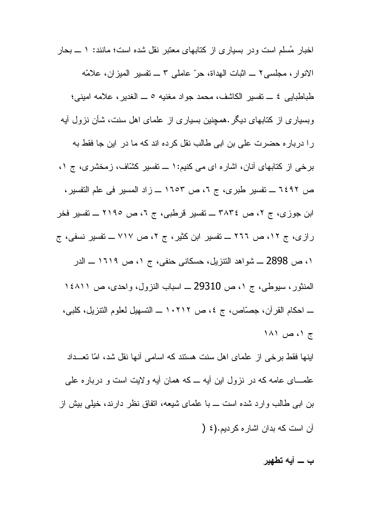اخبار مُسلَّم است و در بسیاری از کتابهای معتبر نقل شده است؛ مانند: ١ ـــ بحار الانوار ، مجلسي ٢ ــ اثبات الهداة، حرّ عاملي ٣ ــ نفسير الميزان، علامّه طباطبايي ٤ ـــ تفسير الكاشف، محمد جواد مغنيه ٥ ـــ الغدير، علامه اميني؛ وبسیاری از کتابهای دیگر .همچنین بسیاری از علمای اهل سنت، شأن نزول آیه را درباره حضرت على بن ابى طالب نقل كرده اند كه ما در اين جا فقط به برخي از كتابهاي آنان، اشاره اي مي كنيم:١ ـــ نفسير كشّاف، زمخشري، ج ١، ص ٦٤٩٢ ــــ تفسير طبري، ج ٢، ص ١٦٥٣ ــــ زاد المسير في علم التفسير ، ابن جوزی، ج ۲، ص ۳۸۳٤ ــــ تفسیر قرطبی، ج ۲، ص ۲۱۹٥ ـــ تفسیر فخر رازی، ج ۱۲، ص ۲۲۲ ـــ تفسیر ابن کثیر ، ج ۲، ص ۷۱۷ ـــ تفسیر نسفی، ج ١، ص 2898 ـــ شواهد النتزيل، حسكاني حنفي، ج ١، ص ١٦١٩ ـــ الدر المنثور، سيوطى، ج ١، ص 29310 ــ اسباب النزول، واحدى، ص ١٤٨١١ ــــ احكام القرآن، جصّاص، ج ٤، ص ٢١٢ - ١ النسهيل لعلوم النتزيل، كلبي، ج ۱، ص ۱۸۱ اینها فقط برخی از علمای اهل سنت هستند که اسامی آنها نقل شد، امّا تعــداد علمـــای عامه کـه در نزول این أیـه ـــ کـه همان أیـه و لایت است و درباره علـی بن اببی طالب وارد شده است ـــ با علمای شیعه، انفاق نظر دارند، خیلبی بیش از آن است كه بدان اشار ه كرديم.(٤ (

ب ـــ آبـه تطهير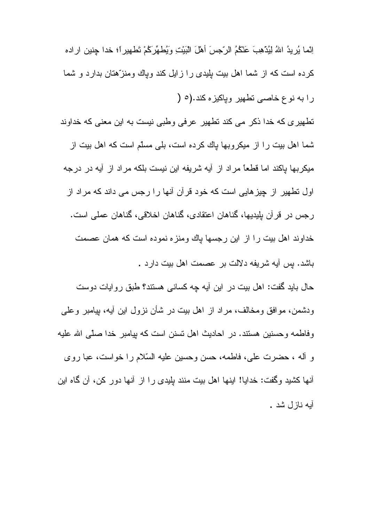اِنِّما بُرِيدُ اللهُ لِيُدْهِبَ عَنْكُمُ الرَّجِسَ أَهْلَ الْبَيْتِ وَيُطهِّرَكُمْ تَطهيرِ أَ؛ خدا جنين ار اده کرده است که از شما اهل بیت بلیدی را ز ایل کند ویاك ومنز ّهتان بدارد و شما را به نوع خاصبي تطهير وپاكيزه كند.(٥ (

تطهیری که خدا ذکر می کند تطهیر عرفی وطبی نیست به این معنی که خداوند شما اهل بیت را از میکروبها پاك كرده است، بلی مسلّم است كه اهل بیت از میکربها پاکند اما قطعاً مراد از آیه شریفه این نیست بلکه مراد از آیه در درجه اول نطهیر از چیزهایی است که خود قرآن آنها را رجس می داند که مراد از رجس در قرآن بلِبِدِيها، گَناهان اعتقادی، گَناهان اخلاقی، گَناهان عملی است. خداوند اهل بيت را از اين رجسها بإك ومنزه نموده است كه همان عصمت باشد. پس آیه شریفه دلالت بر عصمت اهل بیت دارد .

حال باید گفت: اهل بیت در این أیه چه کسانی هستند؟ طبق روایات دوست ودشمن، موافق ومخالف، مراد از اهل بیت در شأن نزول این أیه، بپامبر وعلی وفاطمه وحسنين هستند. در احاديث اهل نسنن است كه بيامبر خدا صلَّى الله عليه و آله ، حضرت علي، فاطمه، حسن وحسين عليه السّلام را خواست، عبا روى أنها كشيد وگفت: خدايا! اينها اهل بيت منند بِلِيدي را از أنـها دور كن، أن گـاه اين أيه نازل شد .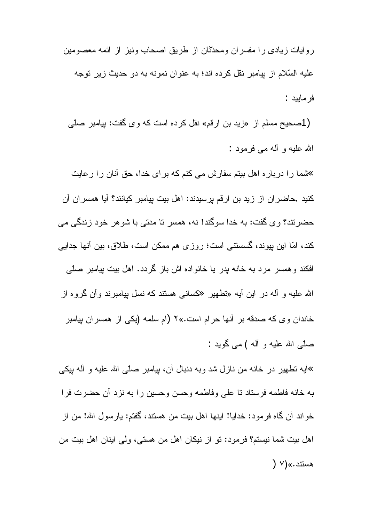روایات زیادی را مفسران ومحدّثان از طریق اصحاب ونیز از ائمه معصومین عليه السّلام از بيامبر نقل كرده اند؛ به عنوان نمونه به دو حديث زير نوجه فر ماييد :

(1صحیح مسلم از «زید بن ارقم» نقل کرده است که وی گفت: پیامبر صلّی الله عليه و آله مے فر مود :

»شما را درباره اهل بیتم سفارش می کنم که برای خدا، حق آنان را رعایت كنيد .حاضر ان از زيد بن ارقم برسيدند: اهل بيت بيامبر كيانند؟ آيا همسر ان آن حضرتند؟ وی گفت: به خدا سوگند! نه، همسر تا مدتی با شوهر خود زندگی می کند، امّا این پیوند، گسسنتی است؛ روزی هم ممکن است، طلاق، بین أنها جدایی افکند و همسر مرد به خانه پدر یا خانواده اش باز گردد. اهل بیت بیامبر صلّبی الله علیه و أله در این أیه «تطهیر «کسان<sub>ت</sub>ی هستند که نسل بپامبرند وأن گروه از خاندان وی که صدقه بر آنها حرام است.»۲ (ام سلمه (یکی از همسران پیامبر صلّٰی الله علیه و آله ) می گوید :

»آيه نطهير در خانه من نازل شد وبه دنبال أن، بيامبر صلَّى الله عليه و أله بيكي به خانه فاطمه فرستاد تا على وفاطمه وحسن وحسين را به نزد أن حضرت فرا خواند أن كماه فرمود: خدايا! اينها اهل بيت من هستند، گفتم: يارسول الله! من از اهل بيت شما نيستم؟ فرمود: نو از نيكان اهل من هستي، ولي اينان اهل بيت من هستند.»(٧ (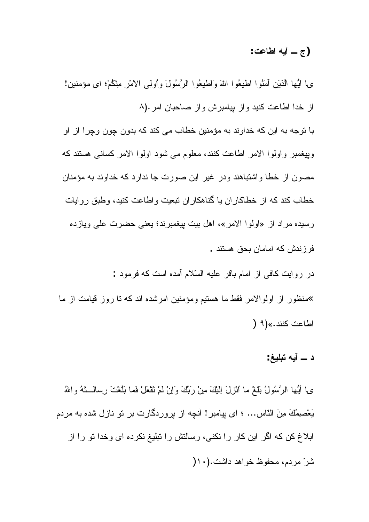### (ج \_ أبه اطاعت:

ى\ اَيُّها الَّذِيَنِ آمَنُوا اَطْيِعُوا اللهَ وَاطْيِعُوا الرَّسُولَ واولِي الاَمْرِ مِثْكُمْ؛ اي مؤمنين! از خدا اطاعت كنيد واز بيامبرش واز صاحبان امر.(٨

با نوجه به این که خداوند به مؤمنین خطاب می کند که بدون چون وچرا از او وبِيغمبر واولوا الامر اطاعت كنند، معلوم مي شود اولوا الامر كساني هستند كه مصون از خطا واشتباهند ودر غیر این صورت جا ندارد که خداوند به مؤمنان خطاب كند كه از خطاكاران يا گناهكاران نبعيت واطاعت كنيد، وطبق روايات رسیده مراد از «اولوا الامر»، اهل بیت بپغمبرند؛ یعنی حضرت علی ویازده فر ز ندش كه امامان بحق هستند .

در رو ایت کافی از امام باقر علیه السّلام آمده است که فرمود : »منظور از اولوالامر فقط ما هستیم ومؤمنین امرشده اند که تا روز قیامت از ما اطاعت كنند.» (9 (

د \_ آيه تبليغ:

ى\ أَيُّها الرَّسُولُ بَلَّغْ ما ٱلْزِلَ اِلْبَكَ مِنْ رَبِّكَ وَاِنْ لَمْ تَقْعَلْ فَما بَلَّغْتَ رِسالَــتَهُ واللهُ يَعْصِمِكَ مِنَ النَّاسِ... ؛ اي بِيامبر ! أنچه از بروردگارت بر نو نازل شده به مردم ابلاغ کن که اگر این کار را نکنی، رسالتش را تبلیغ نکرده ای وخدا تو را از شرّ مردم، محفوظ خواهد داشت.(١٠(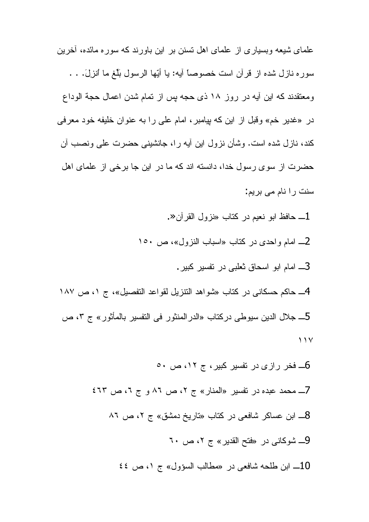علمای شیعه وبسیار ی از علمای اهل نسنن بر این باورند که سور ه مائده، أخرین سوره نازل شده از قرآن است خصوصاً آيه: يا أَيِّها الرسول بلُّغ ما أنزلَ. . . ومعتقدند كه اين أيه در روز ١٨ ذي حجه بس از نمام شدن اعمال حجة الوداع در «غدیر خم» وقبل از این که پیامبر ، امام علی را به عنوان خلیفه خود معرفی كند، نازل شده است. وشأن نزول این أیه را، جانشینی حضرت علی ونصب أن حضرت از سوی رسول خدا، دانسته اند که ما در این جا برخی از علمای اهل سنت را نام می بریم:

- ـ حافظ ابو نعيم در كتاب «نزول القرآن«.
- 2\_ امام واحدى در كتاب «اسباب النزول»، ص ١٥٠
	- 3ـــ امـام ابو اسـحاق ثـعلبـي در نفسير كبير .
- 4\_ حاكم حسكاني در كتاب «شواهد النتزيل لقواعد التفصيل»، ج ١، ص ١٨٧ 5\_ جلال الدين سيوطى دركتاب «الدرالمنثور في التفسير بالمأثور» ج ٣، ص  $\bigwedge$ 
	- 6ــ فخر رازی در تفسیر کبیر، ج ۱۲، ص ۵۰ 7\_ محمد عبده در نفسیر «المنار» ج ۲، ص ۸۲ و ج ۲، ص ٤٦٣ 8\_ ابن عساكر شافعي در كتاب «تاريخ دمشق» ج ٢، ص ٨٦ 9\_ شوكاني در «فتح القدير» ج ٢، ص ٦٠ 10\_ ابن طلحه شافعي در «مطالب السؤول» ج ٥، ص ٤٤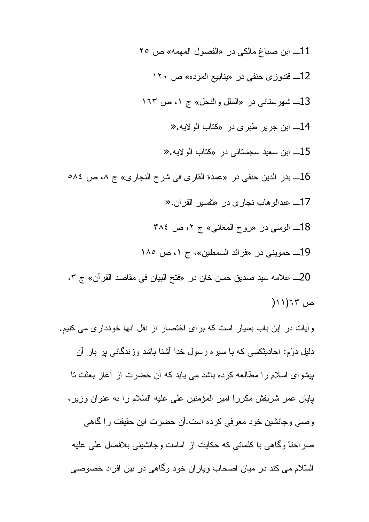ابن صباغ مالكي در «الفصول المهمه» ص ٢٥  $\sim 11$ 12\_ قندوزي حنفي در «ينابيع الموده» ص ١٢٠ 13\_ شهرستاني در «الملل و النحل» ج ١، ص ١٦٣ 14\_ ابن جرير طبري در «كتاب الو لايه « 15\_ ابن سعيد سجستاني در «كتاب الولايه « 16\_ بدر الدين حنفي در «عمدة القار ى في شرح النجار ى» ج ٨، ص ٥٨٤ 17\_ عبدالوهاب نجاري در «تفسير القرآن.« 18\_ الوسي در «روح المعاني» ج ٢، ص ٣٨٤ 19\_ حمويني در «فرائد السمطين»، ج ١، ص ١٨٥ 20ـــ علامه سيد صديق حسن خان در «فتح البيان في مقاصد القرآن» ج ٢،  $(11)$ ص

و آبات در این باب بسیار است که بر ای اختصار از نقل آنها خوددار ی می کنیم. دلیل دوّم: احادیثکسی که با سیره رسول خدا آشنا باشد وزندگانی پر بار آن بیشوای اسلام را مطالعه کرده باشد می بابد که آن حضرت از آغاز بعثت نا بِايان عمر شريفش مكرراً امير المؤمنين على عليه السّلام را به عنوان وزير، وصبي وجانشين خود معرفي كرده است.آن حضرت اين حقيقت را گاهي صراحتاً وگاهی با کلماتی که حکایت از امامت وجانشینی بلافصل علی علیه السّلام می کند در میان اصحاب ویاران خود وگاهی در بین افراد خصوصی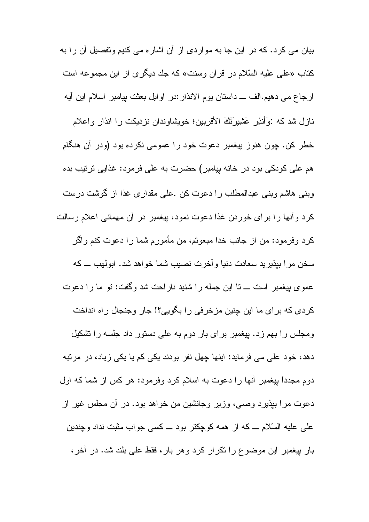بیان می کرد. که در این جا به مواردی از آن اشاره می کنیم وتفصیل آن را به كتاب «على عليه السّلام در قرآن وسنت» كه جلد ديگرى از اين مجموعه است ارجاع مبي دهيم.الف ـــ داستان يوم الانذار :در اوايل بعثت بيامبر اسلام اين أيه نازل شد که :وَأَنذِر عَشِيرَنَكَ الأقربينِ؛ خويشاوندان نزديکت را انذار واعلام خطر کن. چون هنوز بیغمبر دعوت خود را عمومی نکرده بود (ودر آن هنگام هم علی کودکی بود در خانه پیامبر) حضرت به علی فرمود: غذایی ترتیب بده وبنی هاشم وبنی عبدالمطلب را دعوت کن .علی مقداری غذا از گوشت درست كرد و آنها را براي خوردن غذا دعوت نمود، بيغمبر در آن مهماني اعلام رسالت كرد وفرمود: من از جانب خدا مبعوثم، من مأمورم شما را دعوت كنم واگر سخن مرا بيذيريد سعادت دنيا وأخرت نصيب شما خواهد شد. ابولهب ـــ كه عموى بيغمبر است ـــ نا اين جمله را شنيد ناراحت شد وگفت: نو ما را دعوت كردي كه براي ما اين چنين مزخرفي را بگويي؟! جار وجنجال راه انداخت ومجلس را بهم زد. بیغمبر برای بار دوم به علی دستور داد جلسه را تشکیل دهد، خود علی می فرماید: اینها چهل نفر بودند یکی کم یا یکی زیاد، در مرتبه دوم مجدداً بیغمبر أنها را دعوت به اسلام کرد وفرمود: هر کس از شما که اول دعوت مرا بپذیرد وصبی، وزیر وجانشین من خواهد بود. در آن مجلس غیر از علمی علیه السّلام ــ که از همه کوچکتر بود ــ کسی جواب مثبت نداد وچندین بار بپغمبر این موضوع را نکرار کرد وهر بار، فقط علی بلند شد. در أخر،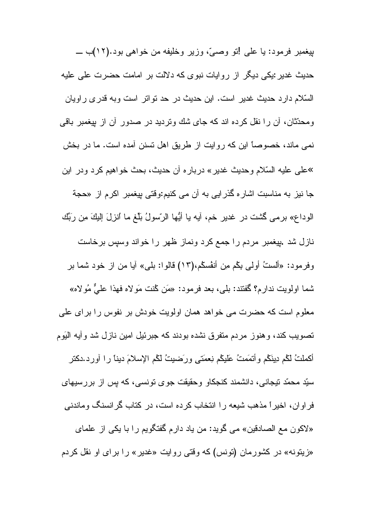بيغمبر فرمود: يا علي إنو وصبيّ، وزير وخليفه من خواهي بود.(١٢)ب ـــ حدیث غدیر :یکی دیگر از روایات نبوی که دلالت بر امامت حضرت علی علیه السّلام دارد حدیث غدیر است. این حدیث در حد نواتر است وبه قدری راویان ومحدِّثان، أن را نقل كرده اند كه جاي شك ونرديد در صدور أن از بيغمبر باقي نمی ماند، خصوصاً این که روایت از طریق اهل نسنن آمده است. ما در بخش »علي عليه السّلام وحديث غدير » دربار ه أن حديث، بحث خواهيم كرد ودر اين جا نیز به مناسبت اشاره گذرایی به آن می کنیم:وقتی بیغمبر اکرم از «حجة الوداع» برمي گَشت در غدير خم، أيه يا أيُّها الرّسولُ بلُّغ ما أنزلَ إليكَ م*ِن* ربِّك نازل شد .بیغمبر مردم را جمع کرد ونماز ظهر را خواند وسپس برخاست وفرمود: «ألستُ أولى يكم مِن أنفْسكُم،(١٣) قالوا: بلي» أيا من از خود شما بر شما اولويت ندارم؟ گفتند: بلي، بعد فرمود: «مَن كُنت مَولاه فهذا عليٌّ مُولاه» معلوم است که حضرت می خواهد همان اولویت خودش بر نفوس را برای علی تصويب كند، وهنوز مردم متفرق نشده بودند كه جبرئيل امين نازل شد وأبه اليَوم أكملتُ لمهم دينَكم وأنمَمتُ عَليكُم نِعمَتـى ورَضيتُ لكم الإسلامَ ديناً را أورد.دكتر سيّد محمّد نيجاني، دانشمند كنجكاو وحقيقت جو ي نونسي، كه پس از بررسيهاي فراوان، اخیراً مذهب شیعه را انتخاب کرده است، در کتاب گرانسنگ وماندنی «لاکون مع الصادقین» می گوید: من یاد دارم گفتگویم را با یکی از علمای «زیتونه» در کشورمان (تونس) که وقتی روایت «غدیر» را برای او نقل کردم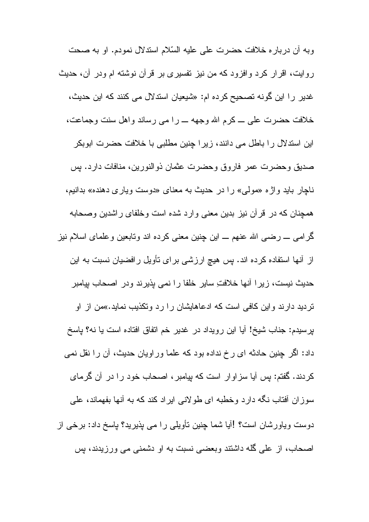وبه أن دربار ه خلافت حضرت على عليه السّلام استدلال نمودم. او به صحت روایت، اقرار کرد و افزود که من نیز نفسیری بر قرآن نوشته ام ودر آن، حدیث غدیر را این گونه تصحیح کرده ام: «شیعیان استدلال می کنند که این حدیث، خلافت حضرت على ــ كرم الله وجهه ـــ را مى رساند واهل سنت وجماعت، این استدلال را باطل می دانند، زیرا چنین مطلبی با خلافت حضرت ابوبکر صديق وحضرت عمر فاروق وحضرت عثمان ذوالنورين، منافات دارد. بس ناچار باید واژه «مولّی» را در حدیث به معنای «دوست ویاری دهنده» بدانیم، همجنان که در ٍ قر آن نیز بدین معنی و ارد شده است و خلفای ر اشدین و صحابه گرامبی ـــ رضــی الله عنـهم ـــ این چنین معنـی کرده اند وتـابـعین وعلمـای اسـلام نیز از آنها استفاده کرده اند. پس هیچ ارزشی برای تأویل رافضیان نسبت به این حدیث نیست، زیرا أنها خلافتِ سایر خلفا را نمی پذیرند ودر اصحاب بپامبر نردید دارند واین کافی است که ادعاهایشان را رد وتکذیب نماید.»من از او بِرسیدم: جناب شیخ! آیا این رویداد در غدیر خم اتفاق افتاده است یا نه؟ پاسخ داد: اگر چنین حادثه ای رخ نداده بود که علما وراویان حدیث، آن را نقل نمی کردند. گفتم: بس أبا سزاوار است که بیامبر ، اصحاب خود را در أن گرمای سوزان أفتاب نگه دارد وخطبه ای طولانی ایراد کند که به أنها بفهماند، علی دوست وياورشان است؟ !آيا شما چنين تأويلي را مي پذيريد؟ ياسخ داد: برخي از اصحاب، از علی گله داشتند وبعضی نسبت به او دشمنی می ورزیدند، پس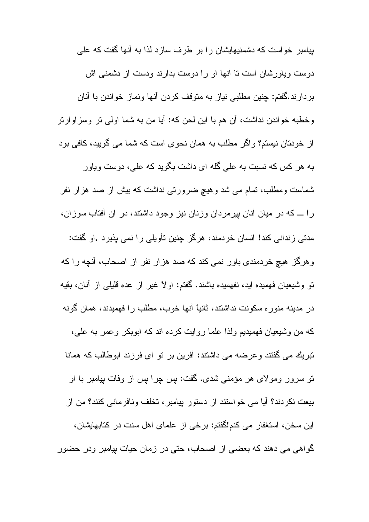بیامبر خواست که دشمنیهایشان را بر طرف سازد لذا به أنها گفت که علی دوست ویاورشان است تا آنها او را دوست بدارند ودست از دشمنی اش بردارند.گفتم: چنین مطلبی نیاز به متوقف کردن أنها ونماز خواندن با أنان وخطبه خواندن نداشت، أن هم با اين لحن كه: أيا من به شما اولىي نر وسزاوارنر از خودتان نیستم؟ و اگر مطلب به همان نحوی است که شما می گویید، کافی بود به هر کس که نسبت به علی گله ای داشت بگوید که علی، دوست ویاور شماست ومطلب، تمام می شد و هیچ ضرورتی نداشت که بیش از صد هزار نفر را ـــ که در میان أنان بیرمردان وزنان نیز وجود داشتند، در أن أفتاب سوزان، مدنی زندانی کند! انسان خردمند، هرگز چنین تأویلی را نمی پذیرد .او گفت: وهرگز هیچ خردمندی باور نمی کند که صد هزار نفر از اصحاب، آنچه را که نو وشيعيان فهميده ايد، نفهميده باشند. گفتم: اولاً غير از عده قليلي از آنان، بقيه در مدینه منور ه سکونت نداشتند، ثانیاً آنها خوب، مطلب را فهمیدند، همان گونه که من وشیعیان فهمیدیم ولذا علما روایت کرده اند که ابوبکر وعمر به علمی، تبريك مي گفتند و عرضه مي داشتند: آفرين بر تو اي فرزند ابوطالب كه همانا نو سرور ومولای هر مؤمنی شدی. گفت: پس چرا پس از وفات بپامبر با او بیعت نکردند؟ أیا می خواستند از دستور بپامبر، تخلف ونافرمانی کنند؟ من از این سخن، استغفار می کنم!گفتم: برخی از علمای اهل سنت در کتابهایشان، گواهی می دهند که بعضی از اصحاب، حتی در زمان حیات بیامبر ودر حضور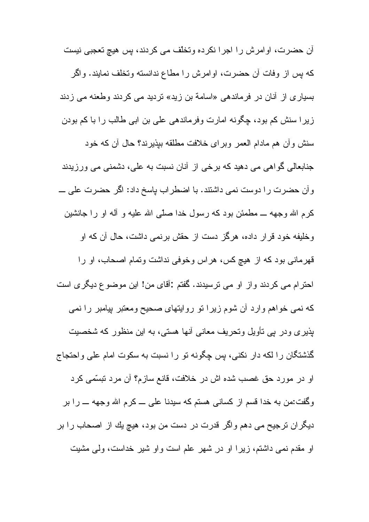أن حضرت، اوامرش را اجرا نكرده وتخلّف مي كردند، بس هيچ تعجبي نيست كه بس از وفات أن حضرت، اوامرش را مطاع ندانسته وتخلف نمايند. واگر بسیاری از آنان در فرماندهی «اسامة بن زید» تردید می کردند وطعنه می زدند زیرا سنش کم بود، چگونه امارت وفرماندهی علی بن ابی طالب را با کم بودن سنش وأن هم مادام العمر وبراى خلافت مطلقه ببذيرند؟ حال أن كه خود جنابعالي گو اهي مي دهيد كه برخي از آنان نسبت به علي، دشمني مي ورزيدند وأن حضرت را دوست نمي داشتند. با اضطراب پاسخ داد: اگر حضرت علي ـــ کرم الله وجهه ـــ مطمئن بود که رسول خدا صلَّبي الله عليه و آله او را جانشين وخلیفه خود قرار داده، هرگز دست از حقش برنمی داشت، حال آن که او قهرمانی بود که از هیچ کس، هراس وخوفی نداشت وتمام اصحاب، او را احترام می کردند واز او می ترسیدند. گفتم :آقای من! این موضوع دیگری است که نمی خواهم وارد آن شوم زیرا تو روایتهای صحیح ومعتبر بیامبر را نمی پذیری ودر بپی نأویل ونحریف معانبی أنها هستبی، به این منظور که شخصیت گذشتگان را لکه دار نکنی، بس چگونه تو را نسبت به سکوت امام علی واحتجاج او در مورد حق غصب شده اش در خلافت، قانع سازم؟ أن مرد نبسَّمى كرد وگفت:من به خدا قسم از کسانی هستم که سیدنا علی ـــ کرم الله وجهه ـــ را بر دیگران ترجیح می دهم واگر قدرت در دست من بود، هیچ یك از اصحاب را بر او مقدم نمی داشتم، زیرا او در شهر علم است واو شیر خداست، ولی مشیت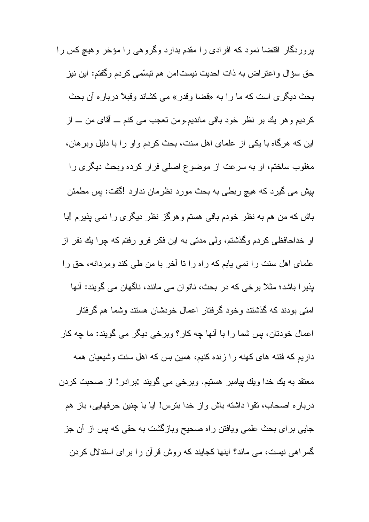بروردگار اقتضا نمود که افرادی را مقدم بدارد وگروهی را مؤخر وهیچ کس را حق سؤال واعتراض به ذات احديت نيست!من هم نبسِّمي كردم وگفتم: اين نيز بحث ديگر ي است كه ما را به «قضا وقدر » مي كشاند وقبلاً دربار ه آن بحث كرديم و هر يك بر نظر خود باقي مانديم.ومن نعجب مي كنم ـــ أقاي من ـــ از این که هرگاه با یکی از علمای اهل سنت، بحث کردم و او ر ا با دلیل ویر هان، مغلوب ساختم، او به سرعت از موضوع اصلی فرار کرده وبحث دیگری را بیش می گیرد که هیچ ربطی به بحث مورد نظرمان ندارد !گفت: پس مطمئن باش که من هم به نظر خودم باقی هستم و هرگز نظر دیگری را نمی بذیرم !با او خداحافظی کردم وگذشتم، ولی مدتی به این فکر فرو رفتم که چرا یك نفر از علمای اهل سنت را نمی یابم که راه را نا آخر با من طی کند ومردانه، حق را پذیرا باشد؛ مثلاً برخی که در بحث، ناتوان می مانند، ناگهان می گویند: آنها امتے بودند که گذشتند و خود گر فتار اعمال خودشان هستند و شما هم گر فتار اعمال خودتان، بِس شما را با أنها چه كار؟ وبرخي ديگر مي گويند: ما چه كار داریم که فتنه های کهنه را زنده کنیم، همین بس که اهل سنت وشیعیان همه معنقد به يك خدا ويك بپامبر هستيم. وبرخي مي گويند :برادر! از صحبت كردن درباره اصحاب، نقوا داشته باش واز خدا بنرس! أيا با جنين حرفهايي، باز هم جایی بر ای بحث علمی ویافتن راه صحیح وبازگشت به حقی که پس از آن جز گمراهی نیست، می ماند؟ اینها کجایند که روش قرآن را برای استدلال کردن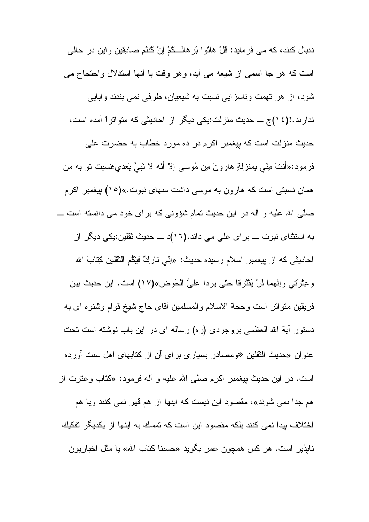دنبال كنند، كه مي فرمايد: قُلْ هاتُوا بُرِ هانَـــكُمْ إِنْ كُنتُم صادِقِين و اين در حالي است که هر جا اسمی از شیعه می آید، و هر وقت با آنها استدلال واحتجاج می شود، از هر نهمت وناسزایی نسبت به شیعیان، طرفی نمی بندند وابایی ندارند.!(٤١)ج ـــ حدیث منزلت:یکی دیگر از احادیثی که متواتراً آمده است، حديث منزلت است كه بيغمبر اكرم در ده مورد خطاب به حضرت على فرمود:«أنتَ مِنِّي بِمنزلةِ هارونَ مِن مُوسى إلاّ أنَّه لا نَبِيَّ بَعدي؛نسبت نو به من همان نسبتی است که هارون به موسی داشت منهای نبوت.»(١٥) بپغمبر اکرم صلّٰے الله علیه و آله در این حدیث تمام شؤونے که بر ای خود مے دانسته است ـــ به استثنای نبوت ـــ بر ای علی می داند.(۱۲)د ـــ حدیث نقلین:یکی دیگر از احاديثي كه از بِيغمبر اسلام رسيده حديث: «إنّي تاركٌ فِيْكُم النّقلين كِتابَ الله وعِثْرَتي واِنَّهما لن يَقْتَرِقا حتَّى يرِدا علىَّ الْحَوض»(١٧) است. اين حديث بين فريقين منواتر است وحجة الاسلام والمسلمين أقاى حاج شيخ قوام وشنوه اى به دستور أية الله العظمى بروجردى (ره) رساله اى در اين باب نوشته است تحت عنوان «حدیث الثقلین «ومصادر بسیاری برای أن از کتابهای اهل سنت أورده است. در این حدیث بیغمبر اکرم صلّبی الله علیه و آلـه فرمود: «کَتاب وعَترت از هم جدا نمی شوند»، مقصود این نیست که اینها از هم قهر نمی کنند وبا هم اختلاف بیدا نمی کنند بلکه مقصود این است که تمسك به اینها از یکدیگر تفکیك نابذیر است. هر کس همچون عمر بگوید «حسبنا کتاب الله» یا مثل اخباریون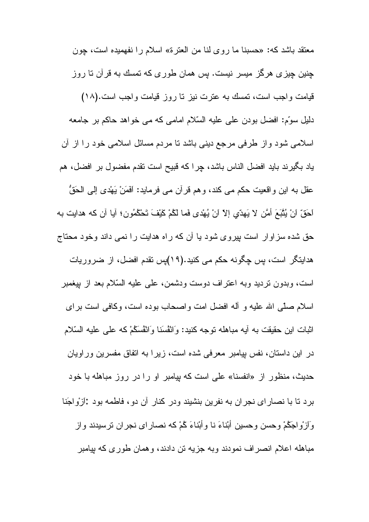معتقد باشد كه: «حسبنا ما روى لنا من العترة» اسلام را نفهميده است، چون جنین چیز ی هرگز میسر نیست. بس همان طور ی که نمسك به قرآن تا روز قیامت واجب است، نمسك به عنرت نیز نا روز قیامت واجب است.(١٨) دلیل سوّم: افضل بودن علی علیه السّلام امامی که می خواهد حاکم بر جامعه اسلامی شود واز طرفی مرجع دینی باشد نا مردم مسائل اسلامی خود را از أن ياد بگيرند بايد افضل الناس باشد، چرا كه قبيح است نقدم مفضول بر افضل، هم عقل به اين واقعيت حكم مي كند، وهم قرآن مي فرمايد: اَفَمَنْ يَهْدي إلىي الْحَقُّ احَقِّ انْ يُثْبَعَ أَمَّنِ لا يَهدّي إلاّ انْ يُهْدي فَما لَكُمْ كَيْفَ تَحْكُمُونِ؛ آيا آن كه هدايت به حق شده سزاوار است پیروی شود یا آن که راه هدایت را نمی داند وخود محتاج هدایتگر است، پس چگونه حکم می کنید.(۱۹)پس تقدم افضل، از ضروریات است، وبدون نردید وبه اعتراف دوست ودشمن، علی علیه السّلام بعد از بیغمبر اسلام صلَّبي الله عليه و أله افضل امت واصـحاب بوده است، وكافي است براي اثبات این حقیقت به آیه مباهله توجه کنید: وَانْفْسَنا وَانْفْسَكُمْ که علی علیه السّلام در این داستان، نفس بیامبر معرفی شده است، زیرا به اتفاق مفسرین وراویان حدیث، منظور از «انفسنا» علی است که بپامبر او را در روز مباهله با خود برد تا با نصارای نجران به نفرین بنشیند ودر کنار آن دو، فاطمه بود :آزواجَنا وَ اَزِ وْ اجَکْمْ وحسن وحسين أَبْناءَ نا وأَبْناءَ کُمْ که نصار ای نجر ان تر سيدند و از مباهله اعلام انصراف نمودند وبه جزيه تن دادند، وهمان طوري كه بيامبر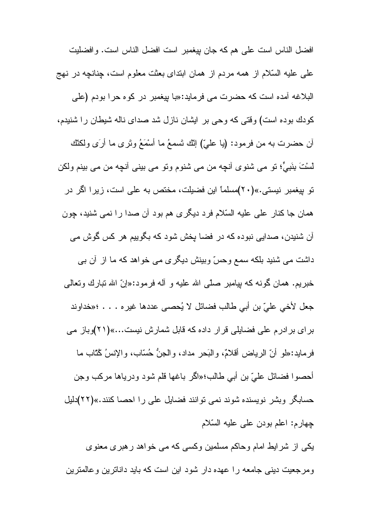افضل الناس است على هم كه جان بيغمبر است افضل الناس است. و افضليت علمي عليه السّلام از همه مردم از همان ابنداي بعثت معلوم است، چنانچه در نهج البلاغه أمده است كه حضرت مي فرمايد:«با بيغمبر در كوه حرا بودم (علي کودك بوده است) وقتى كه وحى بر ايشان نازل شد صداى ناله شيطان را شنيدم، أن حضرت به من فرمود: (يا عليّ) إنّك تَسمعُ ما أَسْمَعُ وتَرى ما أرَى ولكنّك لَسْتَ بِنَبِيٍّ؛ تو مي شَنوي أنچِه من مي شَنوم وتو مي بيني أنچِه من مي بينم ولكن نو بپغمبر نیستی.»(۲۰)مسلماً این فضیلت، مختص به علی است، زیرا اگر در همان جا کنار علي عليه السّلام فرد ديگر ي هم بود آن صدا را نمي شنيد، چون أن شنیدن، صدایی نبوده که در فضا پخش شود که بگوییم هر کس گوش می داشت می شنید بلکه سمع وحسّ وبینش دیگری می خواهد که ما از آن بی خبریم. همان گونه که بیامبر صلّبی الله علیه و أله فرمود:«إنّ الله نبارك ونعالمي جعل لأخي عليّ بن أبي طالب فضائل لا يُحصى عددها غير ه . . . ؛«خداوند بر ای بر ادرم علی فضایلی قر ار داده که قابل شمارش نیست...»(۲۱)وباز می فرمايد:«لمو أنّ الرياض أقلامٌ، والبَحر مداد، والجنُّ حُسّاب، والإنسُ كُنّاب ما أحصوا فضائل عليّ بن أبي طالب؛«اگر باغها قلم شود ودرياها مركب وجن حسابگر وبشر نویسنده شوند نمی توانند فضایل علی را احصا کنند.»(۲۲)دلیل چهارم: اعلم بودن علي عليه السّلام یکی از شرایط امام وحاکم مسلمین وکسی که می خواهد رهبری معنوی و مرجعیت دینی جامعه را عهده دار شود این است که باید داناترین و عالمترین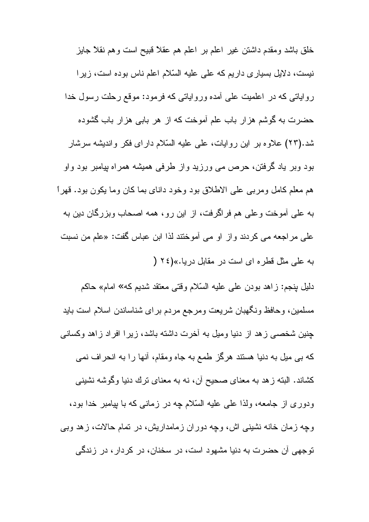خلق باشد ومقدم داشتن غیر اعلم بر اعلم هم عقلاً قبیح است و هم نقلاً جایز نیست، دلایل بسیاری داریم که علی علیه السّلام اعلم ناس بوده است، زیرا روایاتی که در اعلمیت علی آمده وروایاتی که فرمود: موقع رحلت رسول خدا حضرت به گوشم هزار باب علم أموخت كه از هر بابي هزار باب گشوده شد.(۲۳) علاوه بر این روایات، علی علیه السّلام دارای فکر واندیشه سرشار بود وبر یاد گرفتن، حرص می ورزید واز طرفی همیشه همراه پیامبر بود واو هم معلم كامل ومربى على الاطلاق بود وخود داناى بما كان وما يكون بود. قهراً به علي آموخت و علي هم فر اگر فت، از اين ر و ، همه اصحاب و بز ر گان دين به على مراجعه مى كردند واز او مى أموختند لذا ابن عباس گفت: «علم من نسبت به علی مثل قطره ای است در مقابل دریا.»(٢٤ (

دليل بنجم: زاهد بودن على عليه السّلام وقتى معتقد شديم كه» امام» حاكم مسلمین، وحافظ ونگهبان شریعت ومرجع مردم برای شناساندن اسلام است باید چنین شخصبی زهد از دنیا ومیل به أخرت داشته باشد، زیرا افراد زاهد وکسانی که بی میل به دنیا هستند هرگز طمع به جاه ومقام، أنها را به انحراف نمی كشاند. البته ز هد به معناي صحيح أن، نه به معناي ترك دنيا وگوشه نشيني ودوری از جامعه، ولذا علی علیه السّلام چه در زمانی که با بیامبر خدا بود، وچه زمان خانه نشینی اش، وچه دوران زمامداریش، در نمام حالات، زهد وبی نوجهي آن حضرت به دنيا مشهود است، در سخنان، در كردار ، در زندگي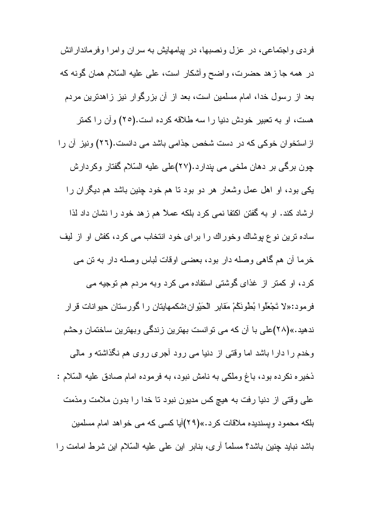فردی و اجتماعی، در عزل ونصبها، در بیامهایش به سران و امرا وفرماندار انش در همه جا زهد حضرت، واضح وأشكار است، على عليه السّلام همان گونه كه بعد از رسول خدا، امام مسلمین است، بعد از آن بزرگوار نیز زاهدترین مردم هست، او به تعبیر خودش دنیا را سه طلاقه کرده است.(٢٥) وأن را کمتر از استخوان خوکی که در دست شخص جذامی باشد می دانست.(۲۲) ونیز آن را جون برگی بر دهان ملخی می بندارد.(۲۷)علی علیه السّلام گفتار وکردارش یکی بود، او اهل عمل وشعار هر دو بود نا هم خود چنین باشد هم دیگران را ارشاد کند. او به گفتن اکتفا نمی کرد بلکه عملاً هم ز هد خود را نشان داد لذا ساده نرین نوع بوشاك وخوراك را برای خود انتخاب می كرد، كفش او از ليف خرما أن هم گاهي وصله دار بود، بعضبي اوقات لباس وصله دار به نن مي کرد، او کمتر از غذای گوشتی استفاده می کرد وبه مردم هم توجیه می فرمود:«لا تَجْعَلُوا بُطْونَكُمْ مَقابِرِ الْحَيْوانِ؛شكمهايتان را گورستان حيوانات قرار ندهید.»(۲۸)علی با آن که می نوانست بهترین زندگی وبهترین ساختمان وحشم وخدم را دارا باشد اما وقتبي از دنيا مي رود أجرى روى هم نگذاشته و مالي ذخیره نکرده بود، باغ وملکی به نامش نبود، به فرموده امام صادق علیه السّلام : علمی وقتی از دنیا رفت به هیچ کس مدیون نبود تا خدا را بدون ملامت ومذمت بلکه محمود ویسندیده ملاقات کرد.»(۲۹)آیا کسی که می خواهد امام مسلمین باشد نباید چنین باشد؟ مسلماً آری، بنابر این علی علیه السّلام این شرط امامت را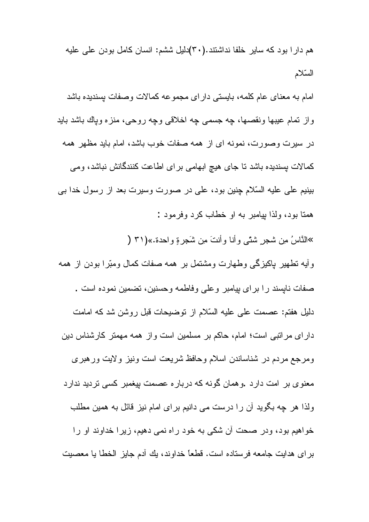هم دار ا بود که سایر خلفا نداشتند.(۳۰)دلیل ششم: انسان کامل بودن علی علیه السّلام

امام به معنای عام کلمه، بایستی دار ای مجموعه کمالات و صفات بسندیده باشد واز تمام عيبها ونقصها، جه جسمي جه اخلاقي وجه روحي، منزه وياك باشد بايد در سیرت وصورت، نمونه ای از همه صفات خوب باشد، امام باید مظهر همه كمالات بسنديده باشد نا جاى هيچ ابهامى براى اطاعت كنندگانش نباشد، ومى بینیم علی علیه السّلام چنین بود، علی در صورت وسیرت بعد از رسول خدا بی همتا بود، ولذا بيامبر به او خطاب كرد وفر مود :

»النَّاسُ مِن شجرٍ شئَّى وأنا وأنتَ مِن شَجِرٍ ةِ واحدة.»(٣١ (

وأيه نطهير بإكيزگي وطهارت ومشتمل بر همه صفات كمال ومترا بودن از همه صفات نابسند را براي بيامبر وعلى وفاطمه وحسنين، نضمين نموده است . دليل هفتم: عصمت على عليه السّلام از نوضيحات قبل روشن شد كه امامت دارای مراتبی است؛ امام، حاکم بر مسلمین است واز همه مهمتر کارشناس دین ومرجع مردم در شناساندن اسلام وحافظ شريعت است ونيز ولايت ورهبري معنوی بر امت دارد .وهمان گونه که درباره عصمت بیغمبر کسی نردید ندارد ولذا هر چه بگوید آن را درست می دانیم بر ای امام نیز قائل به همین مطلب خواهیم بود، ودر صحت آن شکی به خود راه نمی دهیم، زیرا خداوند او را بر اي هدايت جامعه فرستاده است. قطعًا خداوند، يك أدم جايز الخطا يا معصيت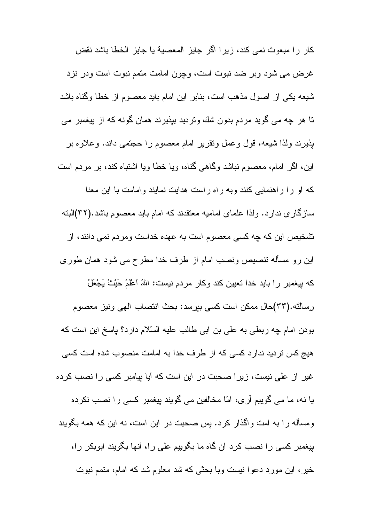كار را مبعوث نمي كند، زيرا اگر جايز المعصبة يا جايز الخطا باشد نقض غرض می شود وبر ضد نبوت است، وچون امامت متمم نبوت است ودر نزد شیعه یکی از اصول مذهب است، بنابر این امام باید معصوم از خطا وگناه باشد تا هر چه می گوید مردم بدون شك ونردید بپذیرند همان گونه كه از بپغمبر می بذيرند ولذا شيعه، قول وعمل ونقرير امام معصوم را حجتمي داند. وعلاوه بر این، اگر امام، معصوم نباشد وگاهی گناه، ویا خطا ویا اشتباه کند، بر مردم است که او را راهنمایی کنند وبه راه راست هدایت نمایند وامامت با این معنا سازگار ی ندار د. ولذا علمای امامیه معتقدند که امام باید معصوم باشد.(۳۲)البته نشخیص این که چه کسی معصوم است به عهده خداست ومردم نمی دانند، از این رو مسأله نتصیص ونصب امام از طرف خدا مطرح می شود همان طوری كه بيغمبر را بايد خدا تعيين كند وكار مردم نيست: اللهُ اعْلَمُ حَيْثُ يَجْعَلُ رسالتَه.(٣٣)حال ممكن است كسي بيرسد: بحث انتصاب الهي ونيز معصوم بودن امام چه ربطی به علی بن ابی طالب علیه السّلام دارد؟ پاسخ این است که هیچ کس نردید ندارد کسی که از طرف خدا به امامت منصوب شده است کسی غیر از علی نیست، زیرا صحبت در این است که آیا بیامبر کسی را نصب کرده یا نه، ما می گوییم آری، امّا مخالفین می گویند پیغمبر کسی را نصب نکرده ومسأله را به امت واگذار كرد. پس صحبت در اين است، نه اين كه همه بگويند پیغمبر کسی را نصب کرد آن گاه ما بگوییم علی را، آنها بگویند ابوبکر را، خير ، اين مورد دعوا نيست وبا بحثي كه شد معلوم شد كه امام، متمم نبوت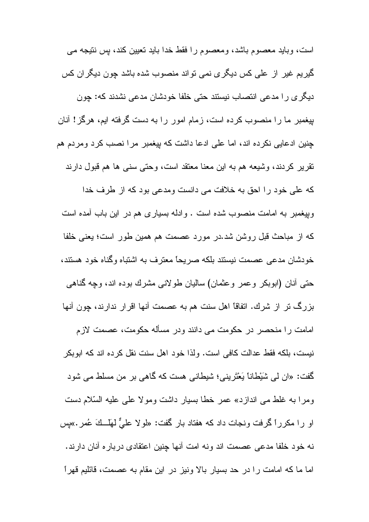است، وباید معصوم باشد، ومعصوم را فقط خدا باید تعیین کند، بس نتیجه می گیریم غیر از علی کس دیگری نمی نواند منصوب شده باشد چون دیگران کس دیگر ی را مدعی انتصاب نیستند حتی خلفا خودشان مدعی نشدند که: چون بیغمبر ما را منصوب کرده است، زمام امور را به دست گرفته ایم، هرگز! أنان چنین ادعایی نکرده اند، اما علی ادعا داشت که بیغمبر مرا نصب کرد ومردم هم نقریر کردند، وشیعه هم به این معنا معنقد است، وحتی سنبی ها هم قبول دارند كه على خود را احق به خلافت مى دانست ومدعى بود كه از طرف خدا وبیغمبر به امامت منصوب شده است . و ادله بسیار ی هم در این باب آمده است كه از مباحث قبل روشن شد.در مورد عصمت هم همین طور است؛ یعنی خلفا خودشان مدعی عصمت نیستند بلکه صریحاً معترف به اشتباه وگناه خود هستند، حتبی أنان (ابوبکر وعمر وعثمان) سالیان طولانبی مشرك بوده اند، وچه گناهبی بزرگ تر از شرك. اتفاقا اهل سنت هم به عصمت أنها اقرار ندارند، چون أنها امامت را منحصر در حکومت می دانند ودر مسأله حکومت، عصمت لازم نيست، بلكه فقط عدالت كافي است. ولذا خود اهل سنت نقل كرده اند كه ابوبكر گفت: «ان لمی شَیْطاناً یَعْتَرینی؛ شیطانی هست که گاهی بر من مسلط می شود ومرا به غلط مي اندازد» عمر خطا بسيار داشت ومولا على عليه السّلام دست او را مكرراً گرفت ونجات داد كه هفتاد بار گفت: «لولا عليٌّ لهَ<u>ا ك</u>َ عُمر .»پس نه خود خلفا مدعى عصمت اند ونه امت آنها جنين اعتقادي درباره آنان دارند. اما ما كه امامت را در حد بسيار بالا ونيز در اين مقام به عصمت، قائليم قهر أ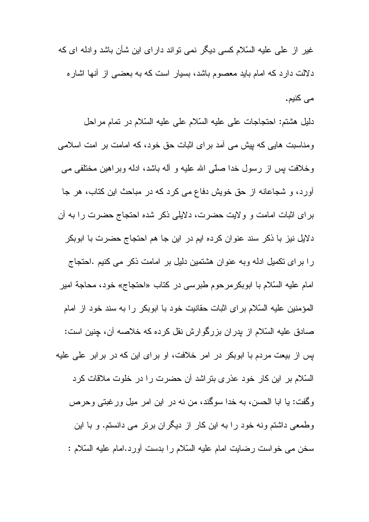غیر از علمی علیه السّلام کسی دیگر نمی نواند دارای این شأن باشد وادله ای که دلالت دارد که امام باید معصوم باشد، بسیار است که به بعضبی از آنها اشاره می کنیم.

دليل هشتم: احتجاجات على عليه السّلام على عليه السّلام در تمام مراحل ومناسبت هایی که بیش می آمد بر ای اثبات حق خود، که امامت بر امت اسلامی وخلافت بس از رسول خدا صلَّى الله عليه و أله باشد، ادله وبراهين مختلفى مى آورد، و شجاعانه از حق خویش دفاع می کرد که در مباحث این کتاب، هر جا بر ای اثبات امامت و و لایت حضرت، دلایلی ذکر شده احتجاج حضرت را به آن دلایل نیز با ذکر سند عنوان کرده ایم در این جا هم احتجاج حضرت با ابوبکر را برای نکمیل ادله وبه عنوان هشتمین دلیل بر امامت ذکر می کنیم .احتجاج امام عليه السّلام با ابوبكر مرحوم طبر سي در كتاب «احتجاج» خود، محاجة امير المؤمنين عليه السّلام براي اثبات حقانيت خود با ابوبكر را به سند خود از امام صادق عليه السّلام از پدران بزرگوارش نقل كرده كه خلاصه آن، چنين است: بس از بیعت مردم با ابوبکر در امر خلافت، او بر ای این که در بر ابر علی علیه السّلام بر این کار خود عذری بتراشد آن حضرت را در خلوت ملاقات کرد وگفت: يا ابا الحسن، به خدا سوگند، من نه در اين امر ميل ورغبتي وحرص وطمعی داشتم ونه خود را به این کار از دیگران برتر می دانستم. و با این سخن مي خواست رضايت امام عليه السّلام را بدست أورد.امام عليه السّلام :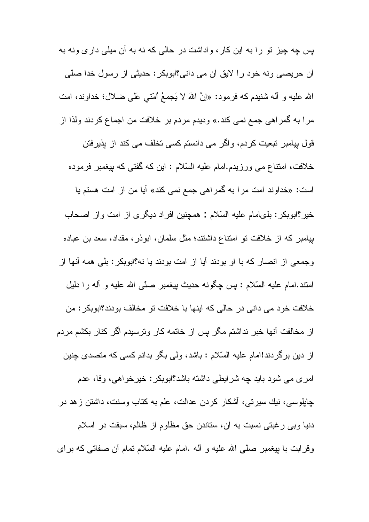بس چه چیز نو را به این کار ، واداشت در حالی که نه به آن میلی داری ونه به أن حريصي ونه خود را لايق أن مي داني؟ابوبكر : حديثي از رسول خدا صلّي الله عليه و أله شنيدم كه فرمود: «إنَّ اللهَ لا يَجمعُ ٱمَّتَى عَلَى ضلال؛ خداوند، امت مرا به گمراهي جمع نمي كند.» وديدم مردم بر خلافت من اجماع كردند ولذا از قول بیامبر تبعیت کردم، واگر می دانستم کسی تخلف می کند از پذیرفتن خلافت، امتناع می ورزیدم.امام علیه السّلام : این که گفتی که پیغمبر فرموده است: «خداوند امت مرا به گمراهی جمع نمی کند» آیا من از امت هستم یا خير؟ابوبكر: بلىلمام عليه السّلام : همچنين افراد ديگرى از امت واز اصحاب بیامبر که از خلافت نو امتناع داشتند؛ مثل سلمان، ابوذر، مقداد، سعد بن عباده وجمعي از انصار كه با او بودند آيا از امت بودند يا نه؟ابوبكر : بلَّى همه أنَّها از امنند.امام عليه السّلام : بِس چِگونه حديث بيغمبر صلَّى الله عليه و أله را دليل خلافت خود مي داني در حالي كه اينها با خلافت تو مخالف بودند؟ابوبكر : من از مخالفت أنها خبر نداشتم مگر بس از خاتمه كار ونرسيدم اگر كنار بكشم مردم از دین برگر دند!امام علیه السّلام : باشد، ولی بگو بدانم کسی که متصدی جنین امری می شود باید چه شرایطی داشته باشد؟ابوبکر : خیرخواهی، وفا، عدم چاپلوسی، نیك سیرتی، أشكار كردن عدالت، علم به كتاب وسنت، داشتن زهد در دنیا وبی رغبتی نسبت به أن، ستاندن حق مظلوم از ظالم، سبقت در اسلام وقرابت با بپغمبر صلَّى الله عليه و أله .امام عليه السَّلام نمام أن صفاتـي كه براي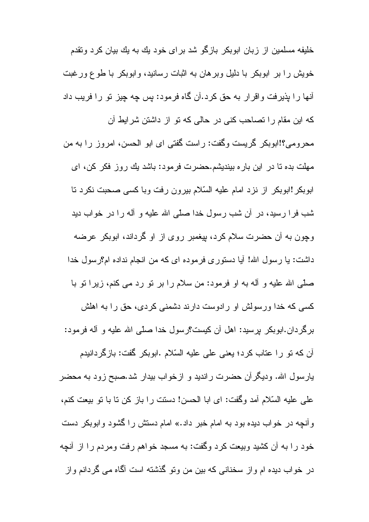خلیفه مسلمین از زبان ابوبکر بازگو شد برای خود یك به یك بیان كرد وتقدم خویش را بر ابوبکر با دلیل وبر هان به اثبات رسانید، و ابوبکر با طوع ورغبت أنها را بِذيرفت واقرار به حق كرد.أن گاه فرمود: بِس چِه چِيز نو را فريب داد كه اين مقام را نصاحب كنى در حالى كه نو از داشتن شرايط آن محرومی؟!ابوبکر گریست وگفت: راست گفتی ای ابو الحسن، امروز را به من مهلت بده تا در این بار ه بیندیشم.حضرت فرمود: باشد یك روز فكر كن، ای ابوبکر !ابوبکر از نزد امام علیه السّلام بیرون رفت وبا کسی صحبت نکرد تا شب فرا رسید، در آن شب رسول خدا صلّی الله علیه و آله را در خواب دید وچون به آن حضرت سلام کرد، پیغمبر روی از او گرداند، ابوبکر عرضه داشت: يا رسول الله! أيا دستوري فرموده اي كه من انجام نداده ام؟رسول خدا صلَّى الله عليه و أله به او فرمود: من سلام را بر نو رد مى كنم، زيرا نو با کسی که خدا ورسولش او رادوست دارند دشمنی کردی، حق را به اهلش بر گر دان.ابو بکر پر سيد: اهل آن کيست؟ر سول خدا صلّبي الله عليه و آله فر مود: أن كه نو را عتاب كرد؛ يعني على عليه السّلام .ابوبكر گفت: بازگردانيدم پارسول الله. ودیگران حضرت راندید و ازخواب بیدار شد.صبح زود به محضر على عليه السّلام أمد وكَفت: اي ابا الحسن! دستت را باز كن نا با نو بيعت كنم، و آنچه در خواب دیده بود به امام خبر داد.» امام دستش را گشود وابوبکر دست خود را به آن كشيد وبيعت كرد وگفت: به مسجد خواهم رفت ومردم را از آنچه در خواب دیده ام واز سخنانی که بین من ونو گذشته است آگاه می گردانم واز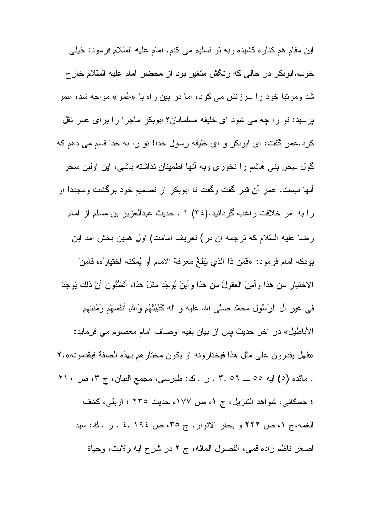اين مقام هم كنار ه كشيده وبه نو نسليم مي كنم. امام عليه السّلام فرمود: خيلي خوب.ابوبکر در حالی که رنگش متغیر بود از محضر امام علیه السّلام خارج شد ومرتباً خود را سرزنش می کرد، اما در بین راه با «عُمر» مواجه شد، عمر برسید: نو را چه می شود ای خلیفه مسلمانان؟ ابوبکر ماجرا را برای عمر نقل كرد.عمر گفت: اى ابوبكر و اى خليفه رسول خدا! تو را به خدا قسم مى دهم كه گول سحر ٍ بنبی هاشم را نخوری وبه آنها اطمینان نداشته باشی، این اولین سحر أنها نيست. عمر أن قدر گفت وگفت نا ابوبكر از نصميم خود برگشت ومجدداً او را به امر خلافت راغب گردانید.(٣٤) ٠ ـ حدیث عبدالعزیز بن مسلم از امام رضا عليه السّلام كه نرجمه أن در) نعريف امامت) اول همين بخش أمد اين بودكه امام فرمود: «فَمَن ذا الذي يَبلُغُ معرفة الامام أو يُمكنه اختيارُه، فَامِنَ الاختيار مِن هذا وأمِنَ العقولُ من هذا وأينَ يُوجَد مثلَ هذا، أَتَظُنُّون أنَّ ذلك يُوجَدُ في غير أل الرَسُولِ محمَّدٍ صلَّى الله عليه و أله كَذِّبَنَّهُم وَاللهِ أنفُسهُم وَمُنتهم الأباطيل» در أخر حديث بس از بيان بقيه اوصاف امام معصوم مي فرمايد: «فهل يقدر ون على مثل هذا فيختار ونه او يكون مختار هم بهذه الصفة فيقدمونه».٢ . مائده (٥) أيه ٥٥ \_ ٢. ٥٦ . ر . ك: طبرسي، مجمع البيان، ج ٣، ص ٢١٠ ؛ حسكاني، شواهد النتزيل، ج ١، ص ١٧٧، حديث ٢٣٥ ؛ اربلي، كشف الغمه،ج ١، ص ٢٢٢ و بحار الانوار، ج ٣٥، ص ١٩٤. ٤ . ر . ك: سيد اصغر ناظم زاده قمي، الفصول المائه، ج ٢ در شرح أيه ولايت، وحياة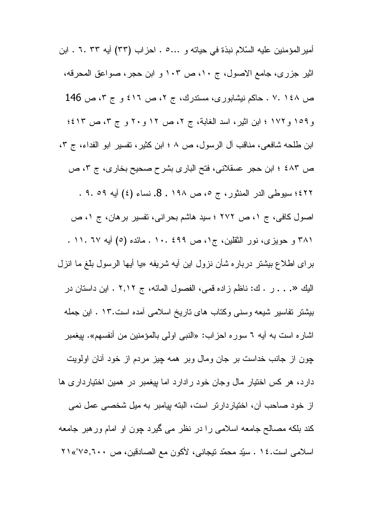أمير المؤمنين عليه السّلام نبذة في حياته و .0.. • . احز اب (٣٣) آيه ٦٠ ٣٣ . ابن اثیر جزری، جامع الاصول، ج ١٠، ص ١٠٣ و ابن حجر، صواعق المحرفه، ص ١٤٨ .٧ . حاكم نيشابوري، مستدرك، ج ٢، ص ٤١٦ و ج ٣، ص 146 و١٥٩ و١٧٢ ؛ ابن اثير، اسد الغابة، ج ٢، ص ١٢ و ٢٠ و ج ٣، ص ٤١٣؛ ابن طلحه شافعي، مناقب آل الرسول، ص ٨ ؛ ابن كثير ، تفسير ابو الفداء، ج ٣، ص ٤٨٣ ؛ ابن حجر عسقلاني، فتح الباري بشرح صحيح بخاري، ج ٣، ص ٤٢٢؛ سيوطى الدر المنثور، ج ٥، ص ١٩٨. 8. نساء (٤) أيه ٥٩. ٩. اصول كافى، ج ١، ص ٢٧٢ ؛ سيد هاشم بحرانى، نفسير برهان، ج ١، ص ٣٨١ و حويزي، نور الثقلين، ج١، ص ٤٩٩ .١٠. مائده (٥) أيه ٦٧ .١١. . برای اطلاع بیشتر درباره شأن نزول این أیه شریفه «یا أیها الرسول بلّغ ما انزل اليك «. . . ر . ك: ناظم زاده قمي، الفصول المائه، ج ٢,١٢ . اين داستان در بیشتر تفاسیر شیعه وسنی وکتاب های تاریخ اسلامی آمده است.۱۳ . این جمله اشار ه است به أيه ٦ سور ه احزاب: «النبي اولي بالمؤمنين من أنفسهم». بيغمبر چون از جانب خداست بر جان ومال وبر همه چیز مردم از خود أنان اولویت دارد، هر کس اختیار مال وجان خود رادارد اما بیغمبر در همین اختیارداری ها از خود صاحب آن، اختیاردارتر است، البته بپامبر به میل شخصبی عمل نمی کند بلکه مصـالح جامعه اسلامـي را در نظر مـي گيرد چون او امـام ورهبر جامعه اسلامي است.٤٤ . سبِّد محمَّد نيجاني، لأكون مع الصادقين، ص ٢١،٣٧٥,٦٠٠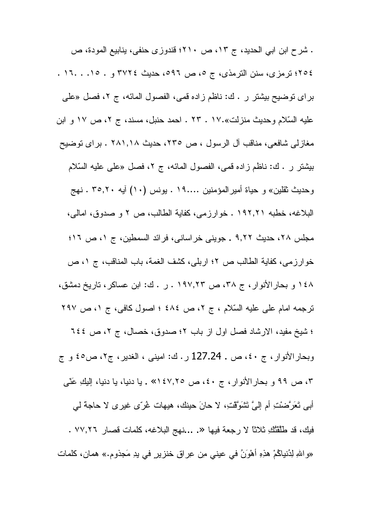. شرح ابن ابي الحديد، ج ١٣، ص ٢١٠؛ قندوزي حنفي، ينابيع المودة، ص ٢٥٤؛ ترمزي، سنن الترمذي، ج ٥، ص ٥٩٦، حديث ٣٧٢٤ و . ١٥. . ١٦. . براي توضيح بيشتر ر . ك: ناظم زاده قمي، الفصول المائه، ج ٢، فصل «علي عليه السّلام وحديث منزلت».١٧ . ٢٣ . احمد حنبل، مسند، ج ٢، ص ١٧ و ابن مغازلي شافعي، مناقب آل الرسول ، ص ٢٣٥، حديث ٢٨١,١٨ . براي نوضيح بيشتر ر . ك: ناظم زاده قمي، الفصول المائه، ج ٢، فصل «علي عليه السّلام وحديث ثقلين» و حياة أمير المؤمنين ١٩... . ونس (١٠) آيه ٣٥,٢٠ . نهج البلاغه، خطبه ١٩٢,٢١ . خوارزمي، كفاية الطالب، ص ٢ و صدوق، امالي، مجلس ٢٨، حديث ٩,٢٢ . جويني خراساني، فرائد السمطين، ج ٥، ص ١٦؛ خوارزمي، كفاية الطالب ص ٢؛ اربلي، كشف الغمة، باب المناقب، ج ١، ص ١٤٨ و بحار الأنوار ، ج ٣٨، ص ١٩٧,٢٣ . ر . ك: ابن عساكر ، تاريخ دمشق، ترجمه امام على عليه السَّلام ، ج ٢، ص ٤٨٤ ؛ اصول كافي، ج ١، ص ٢٩٧ ؛ شيخ مفيد، الارشاد فصل اول از باب ٢؛ صدوق، خصال، ج ٢، ص ٢٤٤ وبحار الأنوار، ج ٤٠، ص ـ 127.24 ر . ك: اميني ، الغدير، ج٢، ص٥٤ و ج ٣، ص ٩٩ و بحارالأنوار، ج ٤٠، ص ١٤٧,٢٥» . يا دنيا، يا دنيا، إليكِ عَنَّى أَبِي نَعَرَّضْتِ أَم إِلَيَّ نَتْنَوَّقْتِ، لا حانَ حينك، هيهات غُرِّي غيري لا حاجة لي فيك، قد طَلَّقْتُكِ ثلاثًا لا رجعة فيها «. ...نهج البلاغه، كلمات قصار ٧٧,٢٦ . «واللهِ لِدُنياكُمْ هٰذِهِ أَهْوَنُ في عيني مِن عِراقٍ خنزيرٍ في يدِ مَجذوم.» همان، كلمات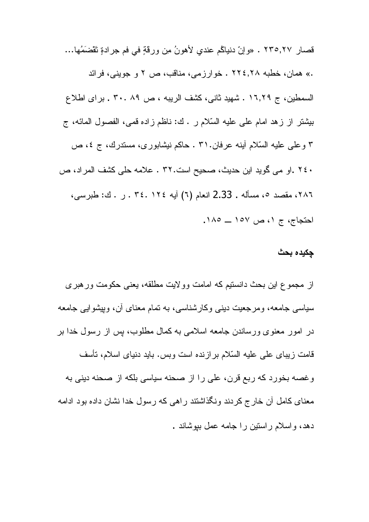قصار ٢٣٥,٢٧ . «وإنّ دنياكُم عندي لأهونُ مِن ورقةٍ في فم جرادةٍ تَقْضَمُها... .» همان، خطبه ۲۲٤٫۲۸ . خوارزمی، مناقب، ص ۲ و جوینی، فرائد السمطين، ج ١٦,٢٩ . شهيد ثاني، كشف الريبه ، ص ٨٩ .٢٠ . براى اطلاع بيثنتر از زهد امام على عليه السّلام ر . ك: ناظم زاده قمي، الفصول المائه، ج ۳ وعلمي عليه السّلام أينه عرفان.٣١ . حاكم نيشابوري، مستدرك، ج ٤، ص ٢٤٠ .او مي گويد اين حديث، صحيح است.٣٢ . علامه حلي كشف المراد، ص ٢٨٦، مقصد ٥، مسأله . 2.33 انعام (٦) أيه ٢٤. ٢٤. . ٣٤. ل . ك: طبرسي، احتجاج، ج ١، ص ١٥٧ \_ ١٨٥.

## جكيده بحث

از مجموع این بحث دانستیم که امامت وولایت مطلقه، یعنی حکومت ور هبر ی سیاسی جامعه، ومرجعیت دینی وکارشناسی، به نمام معنای آن، ویپشوایی جامعه در امور معنوی ورساندن جامعه اسلامی به کمال مطلوب، پس از رسول خدا بر قامت زيباي على عليه السّلام برازنده است وبس. بايد دنياي اسلام، تأسف وغصه بخورد كه ربع قرن، على را از صحنه سياسي بلكه از صحنه ديني به معنای کامل آن خارج کردند ونگذاشتند راهی که رسول خدا نشان داده بود ادامه دهد، واسلام راستین را جامه عمل ببوشاند .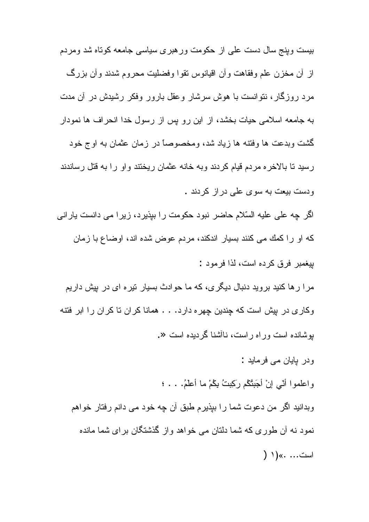بیست وینج سال دست علمی از حکومت ور هبری سیاسی جامعه کوناه شد ومردم از أن مخزن علم وفقاهت وأن اقيانوس نقوا وفضليت محروم شدند وأن بزرگ مرد روزگار، نتوانست با هوش سرشار وعقل بارور وفکر رشیدش در آن مدت به جامعه اسلامی حیات بخشد، از این رو پس از رسول خدا انحراف ها نمودار گشت وبدعت ها وفتنه ها زیاد شد، ومخصوصاً در زمان عثمان به اوج خود رسید نا بالاخر ه مردم قیام کردند و به خانه عثمان ریختند و او را به قتل رساندند و دست بیعت به سو ی علمی در از کر دند .

اگر چه علی علیه السّلام حاضر نبود حکومت را بیذیر د، زیر ا می دانست بار انی كه او را كمك مى كنند بسيار اندكند، مردم عوض شده اند، اوضاع با زمان

بيغمبر فرق كرده است، لذا فر مود :

مر ا ر ها کنید بر وید دنبال دیگر ی، که ما حوادث بسیار نیر ه ای در بیش داریم وكارى در بيش است كه چندين چهره دارد. . . همانا كران تا كران را ابر فتنه بوشانده است وراه راست، ناأشنا گر دیده است «.

ودر بابان می فرماید :

واعلموا أنّي إنْ أجَبِثْكُم رَكِبِتُ بِكُمْ ما أعلَمُ. . . ؛

وبدانید اگر من دعوت شما را ببذیرم طبق آن چه خود می دانم رفتار خواهم نمود نه آن طوری که شما دلتان می خواهد واز گذشتگان برای شما مانده است... .» (۱ (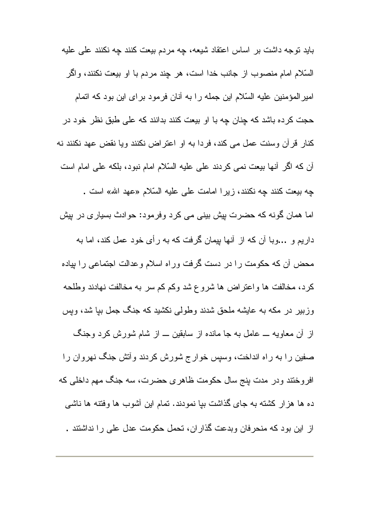باید نوجه داشت بر اساس اعتقاد شیعه، چه مردم بیعت کنند چه نکنند علی علیه السَّلام امام منصوب از جانب خدا است، هر چند مردم با او بیعت نکنند، واگر امیر المؤمنین علیه السّلام این جمله را به آنان فرمود بر ای این بود که اتمام حجت کرده باشد که چنان چه با او بیعت کنند بدانند که علی طبق نظر خود در كنار قرآن وسنت عمل مى كند، فردا به او اعتراض نكنند ويا نقض عهد نكنند نه أن كه اگر أنها بيعت نمي كردند على عليه السّلام امام نبود، بلكه على امام است چه بیعت کنند چه نکنند، زیرا امامت علی علیه السّلام «عهد الله» است . اما همان گونه که حضرت بیش بینی می کرد وفرمود: حوادث بسیاری در بیش داریم و …وبا آن که از آنها بپمان گرفت که به رأی خود عمل کند، اما به محض أن كه حكومت را در دست گرفت وراه اسلام وعدالت اجتماعی را بپاده كرد، مخالفت ها واعتراض ها شروع شد وكم كم سر به مخالفت نهادند وطلحه وزبیر در مکه به عایشه ملحق شدند وطولبی نکشید که جنگ جمل بیا شد، ویس از أن معاويه ـــ عامل به جا مانده از سابقين ـــ از شام شورش كرد وجنگ صفین را به راه انداخت، وسپس خوار ج شورش کردند وأتش جنگ نهروان را افروختند ودر مدت بنج سال حکومت ظاهری حضرت، سه جنگ مهم داخلی که ده ها هزار کشته به جای گذاشت بیا نمودند. تمام این أشوب ها وفتنه ها ناشبی از این بود که منحرفان وبدعت گذاران، تحمل حکومت عدل علی را نداشتند .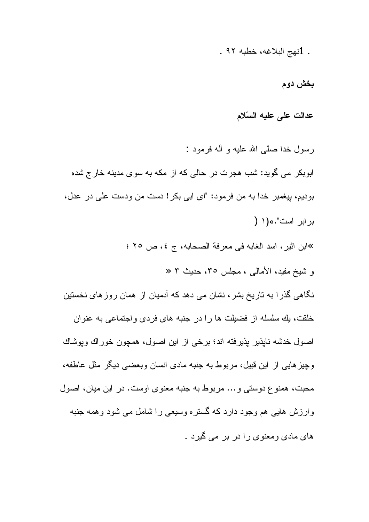. 1نهج البلاغه، خطبه ٩٢ .

بخش دوم

عدالت على عليه السّلام

رسول خدا صلَّى الله عليه و أله فرمود : ابوبکر می گوید: شب هجرت در حالی که از مکه به سوی مدینه خارج شده بوديم، بيغمبر خدا به من فرمود: "اي ابي بكر ! دست من ودست علي در عدل، بر ابر است".» (١ ( »ابن اثير ، اسد الغابه في معرفة الصحابه، ج ٤، ص ٢٥ ؛ و شيخ مفيد، الأمالي ، مجلس ٢٥، حديث ٣ « نگاهی گذرا به تاریخ بشر ، نشان می دهد که آدمیان از همان روز های نخستین خلقت، يك سلسله از فضيلت ها را در جنبه هاى فردى واجتماعى به عنوان اصول خدشه نايذير يذيرفته اند؛ برخي از اين اصول، همچون خوراك وبوشاك وچیز ہایی از این قبیل، مربوط به جنبه مادی انسان وبعضبی دیگر مثل عاطفه، محبت، همنو ع دوستی و ... مربوط به جنبه معنو ی اوست. در این میان، اصول وارزش هایی هم وجود دارد که گستره وسیعی را شامل می شود وهمه جنبه های مادی ومعنوی را در بر می گیرد .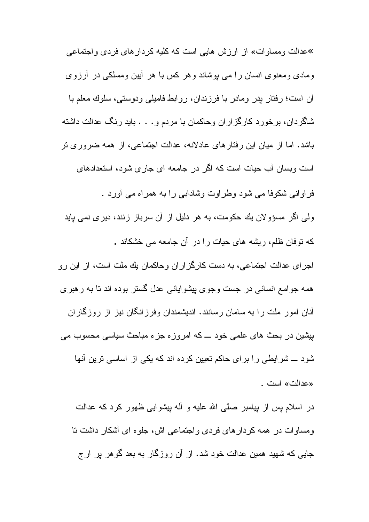»عدالت و مساو ات» از ارزش هایی است که کلیه کردار های فردی و اجتماعی ومادی ومعنوی انسان را می بوشاند وهر کس با هر أبین ومسلکی در أرزوی آن است؛ رفتار بدر ومادر با فرزندان، روابط فاميلي ودوستي، سلوك معلم با شاگردان، برخورد کارگزاران وحاکمان با مردم و . . . باید رنگ عدالت داشته باشد. اما از میان این رفتارهای عادلانه، عدالت اجتماعی، از همه ضروری تر است وبسان آب حیات است که اگر در جامعه ای جاری شود، استعدادهای فر او انبی شکوفا مے شود وطر اوت وشادابے را به همر اه مے آور د ولمی اگر مسؤولان یك حكومت، به هر دلیل از آن سرباز زنند، دیری نمی پاید که نوفان ظلم، ریشه های حیات را در آن جامعه می خشکاند . اجرای عدالت اجتماعی، به دست کارگز اران وحاکمان بك ملت است، از این رو همه جوامع انسانی در جست وجوی بیشوایانی عدل گستر بوده اند تا به رهبری أنان امور ملت را به سامان رسانند. اندیشمندان وفرزانگان نیز از روزگاران بیشین در بحث های علمی خود ـــ که امروزه جزء مباحث سیاسی محسوب می شود ــــ شرایطی را برای حاکم تعیین کرده اند که یکی از اساسی ترین أنها «عدالت» است .

در اسلام پس از بپامبر صلَّى الله علیه و أله بپشوایی ظهور کرد که عدالت ومساوات در همه کردارهای فردی واجتماعی اش، جلوه ای أشکار داشت نا جایی که شهید همین عدالت خود شد. از آن روزگار به بعد گوهر بر ارج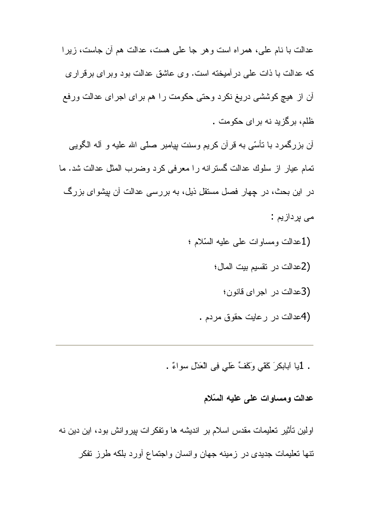عدالت با نام علي، همر اه است و هر جا علي هست، عدالت هم أن جاست، زير ا كه عدالت با ذات على در آميخته است. وى عاشق عدالت بود وبر اى برقرارى أن از هيچ كوششي دريغ نكرد وحتى حكومت را هم براي اجراي عدالت ورفع ظلم، برگزید نه بر ای حکومت . أن بزرگمرد با نأسّی به قرأن کریم وسنت بپامبر صلّی الله علیه و أله الگویبی نمام عيار از سلوك عدالت گسترانه را معرفى كرد وضرب المثل عدالت شد. ما در این بحث، در چهار فصل مستقل ذیل، به بررسی عدالت آن پیشوای بزرگ مے پر داز ہم:

- (1عدالت ومساوات على عليه السّلام ؛
	- (2عدالت در نقسيم بيت المال؛
		- (3عدالت در اجراى قانون؛
	- (4عدالت در رعايت حقوق مردم .
- . 1يا ابابكرَ كَفَّى وَكَفٍّ عَلَى فِي الْعَدْلِ سواءٌ .

## عدالت ومساوات على عليه السّلام

اولین تأثیر تعلیمات مقدس اسلام بر اندیشه ها وتفکر ات بپروانش بود، این دین نه نتها تعلیمات جدیدی در زمینه جهان وانسان واجتماع أورد بلکه طرز نفکر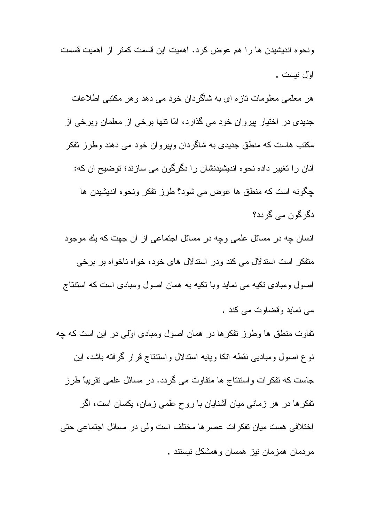ونحوه اندیشیدن ها را هم عوض کرد. اهمیت این قسمت کمتر از اهمیت قسمت او ّل نبست .

هر معلَّمی معلومات نازه ای به شاگردان خود می دهد و هر مکتبی اطلاعات جدیدی در اختیار بپروان خود می گذارد، امّا نتها برخی از معلمان وبرخی از مکتب هاست که منطق جدیدی به شاگر دان و بیر و ان خو د می دهند و طر ز ِ تفکر آنان را تغییر داده نحوه اندیشیدنشان را دگرگون می سازند؛ توضیح آن که: جگونه است که منطق ها عوض می شود؟ طرز تفکر ونحوه اندیشیدن ها دگر گون مے گر دد؟

انسان چه در مسائل علمی وچه در مسائل اجتماعی از آن جهت که بك موجود منفکر است استدلال می کند ودر استدلال های خود، خواه ناخواه بر برخی اصول ومبادی نکیه می نماید وبا نکیه به همان اصول ومبادی است که استنتاج مے نماید وقضاوت مے کند .

نفاوت منطق ها وطرز نفکرها در همان اصول ومبادی اوّلی در این است که چه نوع اصول ومبادیبی نقطه انکا وپایه اسندلال واستنتاج قرار گرفته باشد، این جاست که تفکرات واستتناج ها متفاوت می گردد. در مسائل علمی نقریباً طرز نفکر ها در هر زمانی میان آشنایان با روح علمی زمان، یکسان است، اگر اختلافی هست میان تفکرات عصر ها مختلف است ولی در مسائل اجتماعی حتی مردمان همزمان نیز همسان وهمشکل نیستند .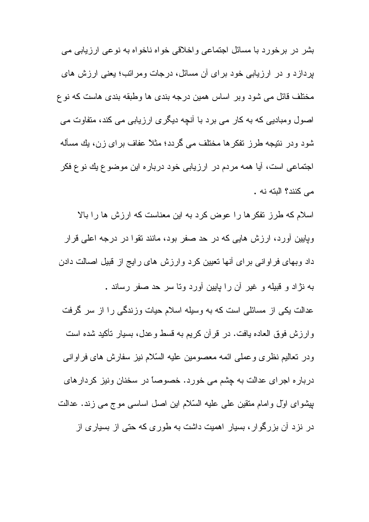بشر در برخورد با مسائل اجتماعی واخلاقی خواه ناخواه به نوعی ارزیابی می بردازد و در ارزیابی خود برای آن مسائل، درجات و مراتب؛ یعنی ارزش های مختلف قائل می شود وبر اساس همین درجه بندی ها وطبقه بندی هاست که نو ع اصول ومبادیی که به کار می برد با آنچه دیگری ارزیابی می کند، متفاوت می شود ودر نتیجه طرز تفکرها مختلف می گردد؛ مثلاً عفاف برای زن، یك مسأله اجتماعی است، أيا همه مردم در ارزيابي خود درباره اين موضوع يك نوع فكر مے كنند؟ البته نه .

اسلام که طرز نفکر ها را عوض کرد به این معناست که ارزش ها را بالا وپایین أورد، ارزش هایی که در حد صفر بود، مانند نقوا در درجه اعلی قرار داد وبهای فراوانی برای أنها تعیین کرد وارزش های رایج از قبیل اصالت دادن به نژاد و قبیله و غیر آن را پایین آورد وتا سر حد صفر رساند .

عدالت یکی از مسائلی است که به وسیله اسلام حیات وزندگی را از سر گرفت وارزش فوق العاده يافت. در قرأن كريم به قسط وعدل، بسيار تأكيد شده است ودر نعاليم نظرى وعملى ائمه معصومين عليه السّلام نيز سفارش هاى فراوانى درباره اجرای عدالت به چشم می خورد. خصوصاً در سخنان ونیز کردارهای بیشوای اول وامام منقین علمی علیه السّلام این اصل اساسی موج می زند. عدالت در نزد آن بزرگوار، بسیار اهمیت داشت به طوری که حتی از بسیاری از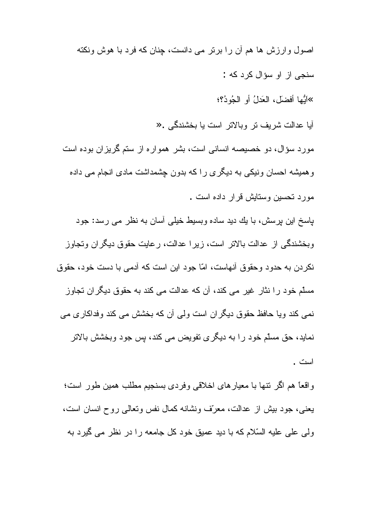اصول و ارزش ها هم آن را برتر می دانست، جنان که فرد با هوش ونکته سنجي از او سؤال کر د که :

»اَيُّها أَفضلَ، العَدلُ أو الْجُودُ؟؛

آبا عدالت شریف تر وبالاتر است یا بخشندگی . «

مورد سؤال، دو خصیصه انسانی است، بشر همواره از ستم گریزان بوده است و همیشه احسان ونیکی به دیگری را که بدون چشمداشت مادی انجام می داده مورد تحسین وستایش قرار داده است .

باسخ این بر سش، با یك دید ساده و بسیط خیلی آسان به نظر می رسد: جود وبخشندگی از عدالت بالاتر است، زیرا عدالت، رعایت حقوق دیگران وتجاوز نکر دن به حدو د و حقو ق آنهاست، امّا جو د این است که آدمی با دست خو د، حقوق مسلّم خود را نثار غیر می کند، آن که عدالت می کند به حقوق دیگران تجاوز نمی کند ویا حافظ حقوق دیگران است ولی أن که بخشش می کند وفداکاری می نماید، حق مسلّم خود را به دیگری نفویض می کند، پس جود وبخشش بالاتر است .

و اقعاً هم اگر نتها با معبارهای اخلاقی وفردی بسنجیم مطلب همین طور است؛ يعني، جود بيش از عدالت، معرّف ونشانه كمال نفس وتعالى روح انسان است، ولی علی علیه السّلام که با دید عمیق خود کل جامعه را در نظر می گیرد به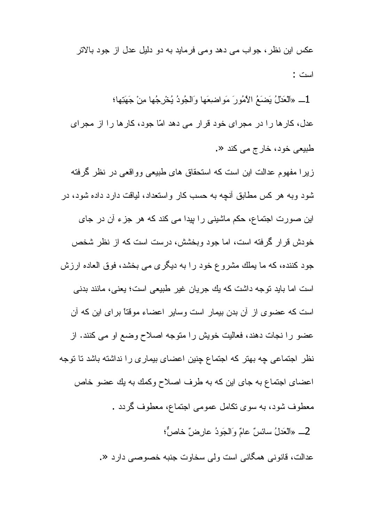عکس این نظر ، جو اب می دهد و می فرماید به دو دلیل عدل از جود بالاتر است :

1\_ «الْعَدْلُ يَضَعُ الْأَمُورَ مَواضِعَها وَالْجُودُ يُخْرِجُها مِنْ جَهَنِها؛ عدل، كارها را در مجراي خود قرار مي دهد امّا جود، كارها را از مجراي طبيعي خود، خارج مي كند «.

ز پر ا مفهوم عدالت این است که استحقاق های طبیعی وو اقعی در نظر گرفته شود وبه هر کس مطابق أنچه به حسب کار واستعداد، لیافت دارد داده شود، در این صورت اجتماع، حکم ماشینی را بپدا می کند که هر جزء آن در جای خودش قر ار گرفته است، اما جود وبخشش، در ست است که از نظر شخص جود کننده، که ما یملك مشروع خود را به دیگری می بخشد، فوق العاده ارزش است اما بايد نوجه داشت كه يك جريان غير طبيعي است؛ يعني، مانند بدني است که عضوی از آن بدن بیمار است وسایر اعضاء موقتاً برای این که آن عضو را نجات دهند، فعالیت خویش را متوجه اصلاح وضع او می کنند. از نظر اجتماعی چه بهتر که اجتماع چِنین اعضای بیماری را نداشته باشد تا توجه اعضای اجتماع به جای این که به طرف اصلاح وکمك به یك عضو خاص معطوف شود، به سوی نکامل عمومی اجتماع، معطوف گردد . 2\_ «الْعَدْلُ سائسٌ عامٌ وَالْجَودُ عارضٌ خاصٌّ؛ عدالت، قانوني همگاني است ولي سخاوت جنبه خصوصبي دارد «.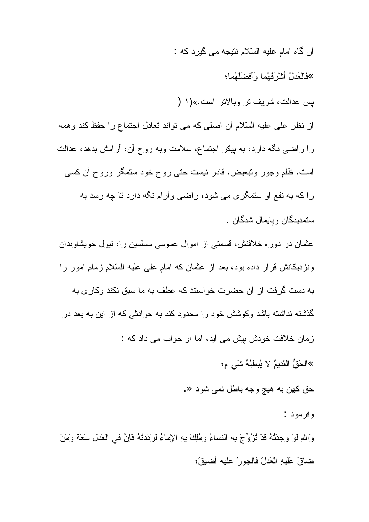آن گاه امام عليه السّلام نتيجه مي گيرد كه :

»فَالْعَدلُ أَشْرْ فُهُما وأَفْضِلَهُما؛

يس عدالت، شريف تر وبالاتر است.»(١ (

از نظر علي عليه السّلام أن اصلي كه مي نو اند نعادل اجتماع را حفظ كند و همه را راضبي نگه دارد، به بيكر اجتماع، سلامت وبه روح أن، أرامش بدهد، عدالت است. ظلم وجور ونتبعیض، قادر نیست حتبی روح خود ستمگر وروح آن کسی را که به نفع او ستمگری می شود، راضی وأرام نگه دارد تا چه رسد به ستمديدگان و پايمال شدگان .

عثمان در دوره خلافتش، قسمتی از اموال عمومی مسلمین را، نیول خویشاوندان ونز دیکانش قر ار داده بود، بعد از عثمان که امام علی علیه السّلام زمام امور را به دست گرفت از آن حضرت خواستند که عطف به ما سبق نکند وکاری به گذشته نداشته باشد وکوشش خود را محدود کند به حوادثی که از این به بعد در زمان خلافت خودش بیش می آید، اما او جواب می داد که :

»اَلْحَقُّ الْقَدِيمُ لا يُبِطِلُهُ شَيَّ ءِ؛

حق کهن به هيچ وجه باطل نمي شود «.

وفر مود :

وَاللَّهِ لَوْ وجِدْتُهُ قَدْ نُزُوِّجَ بِهِ النِّساءُ ومُلِكَ بِهِ الإِماءُ لرَدَدتُهُ فَإِنَّ في العَدلِ سَعَةً وَمَنْ ضاقَ عَلَيهِ الْعَدلُ فَالْجورِ عِليهِ أَضيقُ؛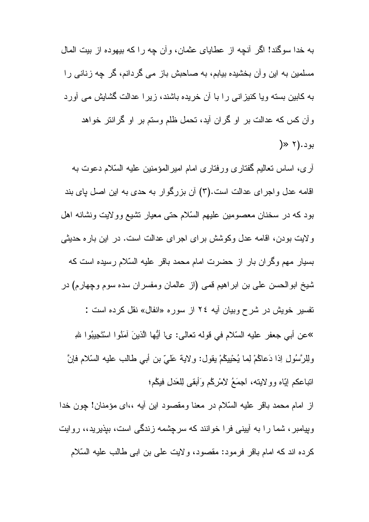به خدا سوگند! اگر آنچه از عطایای عثمان، و آن چه ر ا که بیهوده از بیت المال مسلمین به این و آن بخشیده بیابم، به صاحبش باز می گردانم، گر چه زنانی را به کابین بسته ویا کنیز انی را با أن خریده باشند، زیرا عدالت گشایش می أورد وأن كس كه عدالت بر او گران أيد، تحمل ظلم وستم بر او گرانتر خواهد  $\rightarrow$  7). بو د

أرى، اساس تعاليم گفتاري ورفتاري امام امير المؤمنين عليه السّلام دعوت به اقامه عدل واجرای عدالت است.(۳) آن بزرگوار به حدی به این اصل یای بند بود که در سخنان معصومین علیهم السّلام حتبی معیار نشیع وولایت ونشانه اهل ولايت بودن، اقامه عدل وكوشش براى اجراى عدالت است. در اين باره حديثى بسیار مهم وگران بار از حضرت امام محمد باقر علیه السّلام رسیده است که شيخ ابو الحسن على بن ابر اهيم قمى (از عالمان ومفسر ان سده سوم وچهارم) در نفسیر خویش در شرح وبیان آیه ٢٤ از سوره «انفال» نقل کرده است : »عن أبي جعفر عليه السّلام في قوله تعالى: ي\ أيُّها الّذينَ آمَنُوا اسْتَجِيبُوا للهِ ولِلرَّسُولِ اِذَا دَعاكُمْ لِما يُحْيِيكُمْ يقول: ولاية عَلَىَّ بنِ أَبِي طَالَبٍ عَلَيْهِ السَّلامِ فإنَّ اتباعكم إيّاه وولايته، اجمَعُ لامْرِكْم وَأَبقى لِلْعَدلِ فَيْكُم؛

از امام محمد باقر عليه السّلام در معنا ومقصود اين أيه ،،اى مؤمنان! چون خدا وبپامبر ، شما را به أبینی فرا خوانند که سرچشمه زندگی است، بپذیرید،، روایت كرده اند كه امام باقر فرمود: مقصود، ولايت على بن ابي طالب عليه السّلام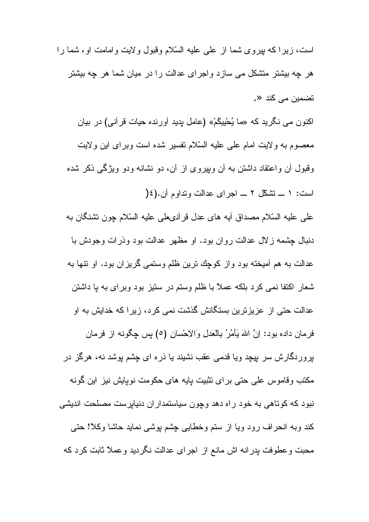است، زیرا که بیروی شما از علمی علیه السّلام وقبول ولایت وامامت او، شما را هر چه بیشتر منشکل می سازد و اجرای عدالت را در میان شما هر چه بیشتر تضمين مي کند «.

اکنون می نگرید که «ما یُحْیِیکُمْ» (عامل پدید آورنده حیات قرأنی) در بیان معصوم به ولايت امام على عليه السّلام نفسير شده است وبراى اين ولايت وقبول أن واعتقاد داشتن به أن وبپروی از أن، دو نشانه ودو ویژگی ذکر شده است: ١ ــ تشكّل ٢ ــ اجر اى عدالت وتداوم آن. (١٤

على عليه السّلام مصداق أيه هاى عدل فرأنـىعلى عليه السّلام چون نشنگان به دنبال چشمه زلال عدالت روان بود. او مظهر عدالت بود وذرات وجودش با عدالت به هم أميخته بود واز كوچك ترين ظلم وستمى گريزان بود. او نتها به شعار اکتفا نمی کرد بلکه عملاً با ظلم وستم در ستیز بود وبرای به با داشتن عدالت حتی از عزیزترین بستگانش گذشت نمی کرد، زیر ا که خدایش به او فرمان داده بود: اِنَّ اللهَ يَأْمُرُ بِالْعَدَلِ وَالاِحْسانِ (٥) بِس چِگونـه از فرمان پروردگارش سر بپچد ویا قدمی عقب نشیند یا ذره ای چشم بوشد نه، هرگز در مکتب و قاموس علی حتی بر ای نثبیت بایه های حکومت نویایش نیز این گونه نبود که کوتاهی به خود راه دهد وچون سیاستمداران دنیابرست مصلحت اندیشی كند وبه انحراف رود ويا از سنم وخطايبي چشم پوشبي نمايد حاشا وكلا! حتى محبت وعطوفت بدرانه اش مانع از اجراى عدالت نگرديد وعملاً ثابت كرد كه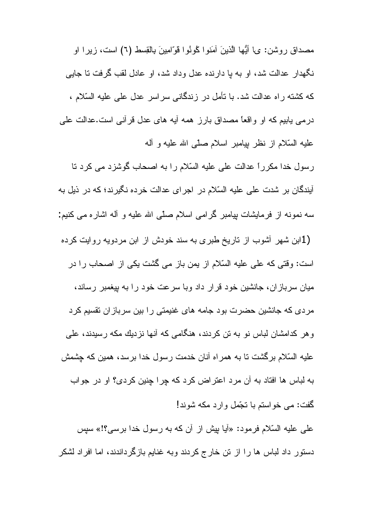مصداق روشن: ي! أَيُّها الَّذينَ آمَنُوا كُونُوا قَوَّامِينَ بِالْقِسط (٦) است، زيرا او نگهدار عدالت شد، او به با دارنده عدل وداد شد، او عادل لقب گرفت نا جایبی كه كشته راه عدالت شد. با نأمل در زندگانی سراسر عدل علی علیه السّلام ، درمی بابیم که او واقعاً مصداق بارز همه أیه های عدل قرأنی است.عدالت علی عليه السَّلام از نظر بيامبر اسلام صلَّى الله عليه و أله

رسول خدا مکرراً عدالت على عليه السّلام را به اصحاب گوشزد مى كرد تا أيندگان بر شدت على عليه السّلام در اجراى عدالت خرده نگيرند؛ كه در ذيل به سه نمونه از فرمایشات پیامبر گرامی اسلام صلّی الله علیه و أله اشاره می کنیم:

(1ابن شهر أشوب از تاريخ طبري به سند خودش از ابن مردويه روايت كرده است: وقتی که علی علیه السّلام از یمن باز می گشت یکی از اصحاب را در میان سربازان، جانشین خود قرار داد وبا سرعت خود را به بپغمبر رساند، مردی که جانشین حضرت بود جامه های غنیمتی را بین سربازان نقسیم کرد و هر کدامشان لباس نو به تن کردند، هنگامی که أنها نزدیك مکه رسیدند، علی عليه السّلام برگشت تا به همراه آنان خدمت رسول خدا برسد، همین که چشمش به لباس ها افتاد به آن مرد اعتراض كرد كه چرا چنين كردي؟ او در جواب گفت: می خواستم با نجّمل وارد مکه شوند!

على عليه السّلام فرمود: «أيا بِيش از أن كه به رسول خدا برسي؟!» سبِس دستور داد لباس ها را از تن خارج كردند وبه غنايم بازگرداندند، اما افراد لشكر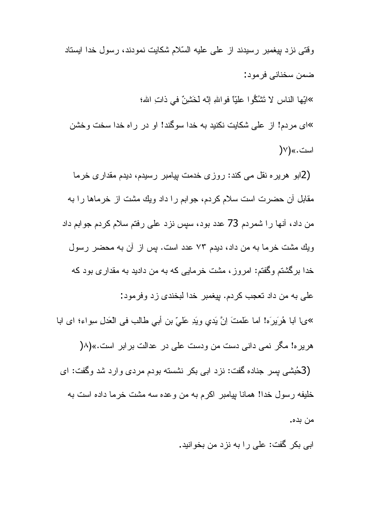وقتی نزد بیغمبر رسیدند از علی علیه السّلام شکایت نمودند، رسول خدا ایستاد ضمن سخنانے فر مود:

»الَّبِها النَّاس لا تَشْكُّوا عليًّا فواللهِ إنَّه لَخَشْنٌ في ذاتِ الله؛ »ای مردم! از علی شکایت نکنید به خدا سوگند! او در راه خدا سخت وخشن است.»(۷(

(2ابو ِ هرير ِه نقل مي كند: روزي خدمت بيامبر رسيدم، ديدم مقداري خرما مقابل أن حضرت است سلام كردم، جوابم را داد ويك مشت از خرماها را به من داد، أنها را شمردم 73 عدد بود، سپس نزد علي رفتم سلام كردم جوابم داد ويك مشت خرما به من داد، ديدم ٧٣ عدد است. پس از آن به محضر رسول خدا برگشتم وگفتم: امروز، مشت خرمایی که به من دادید به مقداری بود که علي به من داد نعجب كردم. بيغمبر خدا لبخندي زد وفرمود: »ىما ابا هُرَيرَه! اما عَلَمتَ اِنَّ يَدي ويَدِ عَلَىَّ بنِ أَبِي طَالَبٍ في الْعَدَلِ سِواء؛ اي ابا هریره! مگر نمی دانی دست من ودست علی در عدالت بر ابر است.»(۸( (3هُبشي پِس جناده گفت: نزد ابي بکر نشسته بودم مردي وارد شد وگفت: اي خليفه رسول خدا! همانا بيامبر اكرم به من وعده سه مشت خرما داده است به من بده.

ابي بکر گفت: علي را به نز د من بخوانيد.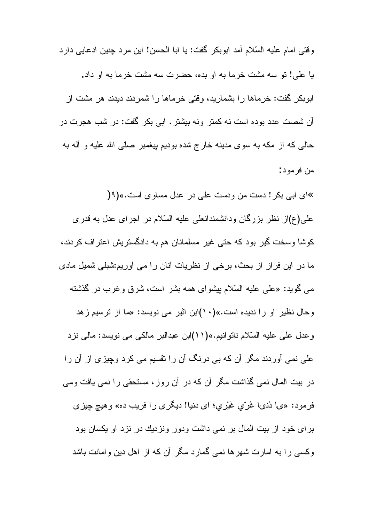وقتي امام عليه السّلام آمد ابوبكر گفت: يا ابا الحسن! اين مرد جنين ادعايي دارد با علي! تو سه مشت خرما به او بده، حضرت سه مشت خرما به او داد. ابوبکر گفت: خرماها را بشمارید، وقتی خرماها را شمردند دیدند هر مشت از أن شصت عدد بوده است نه كمتر ونه بيشتر . ابي بكر گفت: در شب هجرت در حالبي كه از مكه به سوى مدينه خارج شده بوديم بيغمبر صلَّبي الله عليه و أله به من فرمود:

»ای ابی بکر! دست من ودست علی در عدل مساوی است.»(9( علی(ع)از نظر بزرگان ودانشمندانعلی علیه السّلام در اجرای عدل به قدری کوشا وسخت گیر بود که حتی غیر مسلمانان هم به دادگستریش اعتراف کردند، ما در این فراز از بحث، برخی از نظریات آنان را می آوریم:شبلی شمیل مادی مبی گوید: «علمی علیه السّلام بیشوای همه بشر است، شرق وغرب در گذشته وحال نظیر او را ندیده است.»(۱۰)ابن اثیر می نویسد: «ما از نرسیم زهد وعدل على عليه السّلام ناتوانيم.»(١١)ابن عبدالبر مالكي مي نويسد: مالي نزد علمی نمی أوردند مگر أن كه بی درنگ أن را نقسیم می كرد وچیزی از أن را در بیت المال نمی گذاشت مگر آن که در آن روز، مستحقی را نمی یافت ومی فرمود: «يا دُنيا غُرٌي غَيْري؛ اي دنيا! ديگري را فريب ده» وهيچ چيزي برای خود از بیت المال بر نمی داشت ودور ونزدیك در نزد او یكسان بود وکسی را به امارت شهرها نمی گمارد مگر آن که از اهل دین وامانت باشد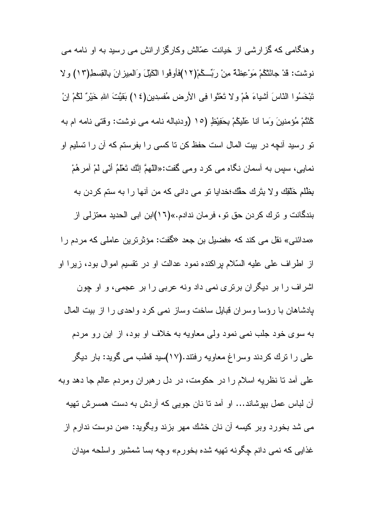وهنگامی که گزارشی از خیانت عمّالش وکارگزارانش می رسید به او نامه می نوشت: قدْ جائَتْكُمْ مَوْعِظَةٌ مِنْ رَبِّــكُمْ(١٢)فَأُوفُوا الْكَيْلَ وَالْمِيزانَ بِالْقِسطِ(١٢) ولا تَبْخَسُوا النّاسَ أشياءَ هُمْ ولا تَعْثَوا فِي الأرضِ مُفسِدين(١٤) بَقَيَّتَ اللهِ خَيْرٌ لَكُمْ اِنْ كُنْتُمْ مُؤمنينَ وَما أنا عَلَيْكُمْ بِحَفِيْظٍ (١٥ (ودنباله نامه مي نوشت: وقتي نامه ام به تو رسید آنچه در بیت المال است حفظ کن تا کسی را بفرستم که آن را تسلیم او نمايي، سيس به أسمان نكَّاه مي كرد ومي گفت:«اللَّهمَّ إنَّك تَعْلَمُ أنّي لَمْ أمرِهُمْ بِظُلْمِ خَلْقِكَ وِلا بِنَرِكَ حَقَّكَ؛خدايا نو مي داني كه من أنها را به سنم كردن به بندگانت و ترك كردن حق تو ، فرمان ندادم.»(١٦)ابن ابي الحديد معتزلي از «مدائنی» نقل می کند که «فضیل بن جعد «گفت: مؤثر ترین عاملی که مردم را از اطراف على عليه السّلام براكنده نمود عدالت او در نقسيم اموال بود، زيرا او اشراف را بر دیگران برتری نمی داد ونه عربی را بر عجمی، و او چون بادشاهان با رؤسا وسران قبایل ساخت وساز نمی کرد واحدی را از بیت المال به سوی خود جلب نمی نمود ولمی معاویه به خلاف او بود، از این رو مردم علی را ترك كردند وسراغ معاويه رفتند.(١٧)سيد قطب مي گويد: بار ديگر علي أمد نا نظريه اسلام را در حكومت، در دل رهبران ومردم عالم جا دهد وبه آن لباس عمل ببوشاند… او آمد نا نان جویبی که آردش به دست همسرش نهیه می شد بخورد وبر کیسه آن نان خشك مهر بزند وبگوید: «من دوست ندارم از غذایی که نمی دانم چگونه تهیه شده بخور<sub>م</sub>» وچه بسا شمشیر واسلحه میدان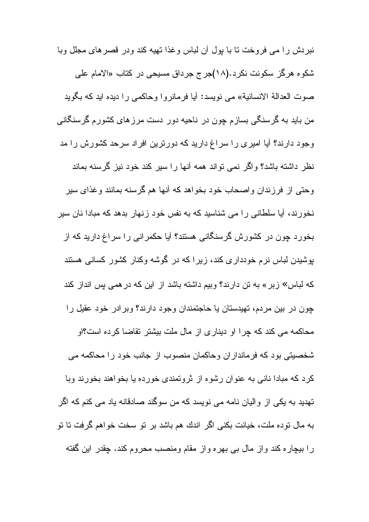نبردش را می فروخت نا با بول آن لباس وغذا نهیه کند ودر قصر های مجلل وبا شکوه هرگز سکونت نکرد.(۱۸)جرج جرداق مسیحی در کتاب «الامام علی صوت العدالة الانسانية» مي نويسد: أيا فرمانروا وحاكمي را ديده ايد كه بگويد من باید به گرسنگی بسازم چون در ناحیه دور دست مرزهای کشورم گرسنگانی وجود دارند؟ آیا امیری را سراغ دارید که دورترین افراد سرحد کشورش را مد نظر داشته باشد؟ واگر نمی نواند همه آنها را سیر کند خود نیز گرسنه بماند وحتى از فرزندان واصحاب خود بخواهد كه أنها هم گرسنه بمانند وغذاي سير نخور ند، آیا سلطانی را می شناسید که به نفس خود ز نهار بدهد که مبادا نان سیر بخورد چون در کشورش گرسنگانی هستند؟ آیا حکمرانی را سراغ دارید که از بوشیدن لباس نرم خودداری کند، زیر ا که در گوشه وکنار کشور کسانی هستند که لباس» زبر» به تن دارند؟ وبیم داشته باشد از این که در همی بس انداز کند چون در بین مردم، تهیدستان یا حاجتمندان وجود دارند؟ وبرادر خود عقیل را محاکمه می کند که چرا او دیناری از مال ملت بیشتر تقاضا کرده است؟او شخصيتي بود كه فر ماندار ان و حاكمان منصوب از جانب خود را محاكمه مي كرد كه مبادا ناني به عنوان رشوه از ثروتمندي خورده يا بخواهند بخورند وبا تھدید به یکی از والیان نامه می نویسد که من سوگند صادقانه یاد می کنم که اگر به مال نوده ملت، خیانت بکنی اگر اندك هم باشد بر نو سخت خواهم گرفت نا نو را بیچاره کند واز مال بی بهره واز مقام ومنصب محروم کند. چقدر این گفته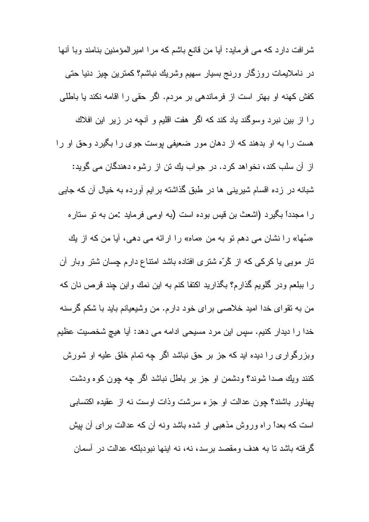شرافت دارد که می فرماید: آیا من قانع باشم که مرا امیر المؤمنین بنامند وبا آنها در ناملایمات روزگار ورنج بسیار سهیم وشریك نباشم؟ كمترین چیز دنیا حتى كفش كهنه او بهتر است از فرماندهی بر مردم. اگر حقی را اقامه نكند يا باطلی را از بین نبرد وسوگند یاد کند که اگر هفت اقلیم و آنچه در زیر این افلاك هست را به او بدهند که از دهان مور ضعیفی بوست جوی را بگیرد وحق او را از آن سلب کند، نخواهد کرد. در جواب یك تن از رشوه دهندگان می گوید: شبانه در زده اقسام شیرینی ها در طبق گذاشته برایم آورده به خیال آن که جایی را مجدداً بگیرد (اشعث بن قیس بوده است (به اومی فرماید :من به نو ستاره «سُها» را نشان می دهم نو به من «ماه» را ارائه می دهی، آیا من که از یك نار مویبی یا کرکبی که از کُرّه شتری افتاده باشد امتناع دارم چسان شتر وبار آن را ببلعم ودر گلویم گذارم؟ بگذارید اکتفا کنم به این نمك واین چند قرص نان که من به نقواي خدا اميد خلاصبي براي خود دارم. من وشيعيانم بايد با شكم گرسنه خدا را دیدار کنیم. سپس این مرد مسیحی ادامه می دهد: آیا هیچ شخصبت عظیم وبزرگواری را دیده اید که جز بر حق نباشد اگر چه تمام خلق علیه او شورش كنند ويك صدا شوند؟ ودشمن او جز بر باطل نباشد اگر چه چون كوه ودشت بِهناور باشند؟ چون عدالت او جزء سرشت وذات اوست نه از عقیده اکتسابی است که بعداً راه وروش مذهبی او شده باشد ونه آن که عدالت برای آن بیش گرفته باشد تا به هدف ومقصد برسد، نه، نه اینها نبودبلکه عدالت در آسمان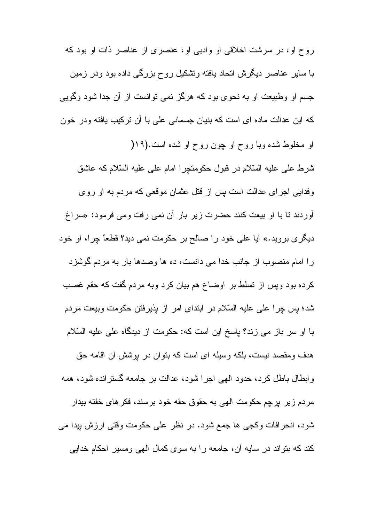روح او، در سرشت اخلاقی او وادبی او، عنصری از عناصر ذات او بود که با سایر عناصر دیگرش انحاد بافته ونشکیل روح بزرگی داده بود ودر زمین جسم او وطبیعت او به نحوی بود که هرگز نمی توانست از آن جدا شود وگویی که این عدالت ماده ای است که بنیان جسمانی علی با آن نرکیب یافته ودر خون او مخلوط شده وبا روح او چون روح او شده است.(۱۹( شرط على عليه السّلام در قبول حكومتچرا امام على عليه السّلام كه عاشق وفدایی اجرای عدالت است پس از قتل عثمان موقعی که مردم به او روی أوردند تا با او بيعت كنند حضرت زير بار أن نمي رفت ومي فرمود: «سراغ دیگری بروید.» آیا علی خود را صالح بر حکومت نمی دید؟ قطعاً چرا، او خود ر ا امام منصوب از جانب خدا می دانست، ده ها وصدها بار به مردم گوشزد كرده بود ويس از تسلط بر اوضاع هم بيان كرد وبه مردم گفت كه حقم غصب شد؛ پس چرا علمی علیه السّلام در ابتدای امر از پذیرفتن حکومت وبیعت مردم با او سر باز می زند؟ پاسخ این است که: حکومت از دیدگاه علی علیه السّلام هدف و مقصد نیست، بلکه و سیله ای است که بنو ان در بوشش آن اقامه حق وابطال باطل کرد، حدود الهی اجرا شود، عدالت بر جامعه گسترانده شود، همه مردم زير پرچم حكومت الهي به حقوق حقه خود برسند، فكرهاى خفته بيدار شود، انحرافات وكجي ها جمع شود. در نظر علي حكومت وقتي ارزش بيدا مي کند که بنواند در سایه آن، جامعه را به سوی کمال الهی ومسیر احکام خدایی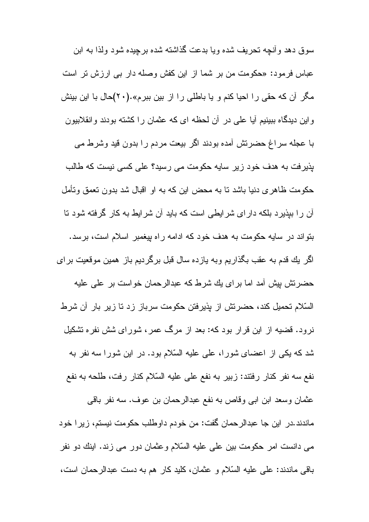سوق دهد و آنجه تحر یف شده و یا بدعت گذاشته شده بر جیده شو د و لذا به این عباس فرمود: «حكومت من بر شما از اين كفش وصله دار بي ارزش تر است مگر آن که حقی را احیا کنم و یا باطلی را از بین ببرم».(۲۰)حال با این بینش واین دیدگاه ببینیم آیا علی در آن لحظه ای که عثمان را کشته بودند وانقلابیون با عجله سراغ حضرتش أمده بودند اگر بیعت مردم را بدون قید وشرط می بذیر فت به هدف خود زیر سایه حکومت می رسید؟ علی کسی نیست که طالب حکومت ظاهری دنیا باشد نا به محض این که به او اقبال شد بدون نعمق ونأمل آن ر ا ببذیر د بلکه دار ای شر ایطے است که باید آن شر ایط به کار گرفته شود تا بنواند در سایه حکومت به هدف خود که ادامه راه بیغمبر اسلام است، برسد. اگر يك قدم به عقب بگذاريم وبه يازده سال قبل برگرديم باز همين موقعيت براي حضرتش بیش آمد اما بر ای یك شرط كه عبدالرحمان خواست بر علی علیه السّلام تحمیل کند، حضرتش از پذیرفتن حکومت سرباز زد تا زیر بار آن شرط نرود. قضیه از این قرار بود که: بعد از مرگ عمر، شورای شش نفره تشکیل

شد که یکی از اعضای شورا، علی علیه السّلام بود. در این شورا سه نفر به نفع سه نفر كنار رفتند: زبير به نفع على عليه السّلام كنار رفت، طلحه به نفع

عثمان وسعد ابن ابي وقاص به نفع عبدالرحمان بن عوف. سه نفر باقي ماندند .در این جا عبدالرحمان گفت: من خودم داوطلب حکومت نیستم، زیر ا خود می دانست امر حکومت بین علی علیه السّلام وعثمان دور می زند. اینك دو نفر باقی ماندند: علی علیه السّلام و عثمان، کلید کار هم به دست عبدالرحمان است،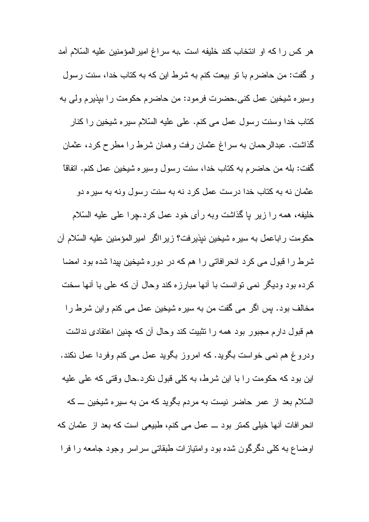هر كس راكه او انتخاب كند خليفه است .به سراغ امير المؤمنين عليه السّلام آمد و گفت: من حاضرم با نو بیعت کنم به شرط این که به کتاب خدا، سنت رسول وسيره شيخين عمل كني.حضرت فرمود: من حاضرم حكومت را بيذيرم ولي به كتاب خدا وسنت رسول عمل مي كنم. على عليه السّلام سيره شيخين را كنار گذاشت. عبدالرحمان به سراغ عثمان رفت و همان شرط را مطرح کرد، عثمان گفت: بله من حاضرم به كتاب خدا، سنت رسول وسيره شيخين عمل كنم. اتفاقا عثمان نه به کتاب خدا درست عمل کرد نه به سنت رسول ونه به سیره دو خليفه، همه را زير يا گذاشت وبه رأى خود عمل كرد.چرا على عليه السّلام حكومت راباعمل به سيره شيخين نيذيرفت؟ زير الكر امير المؤمنين عليه السّلام آن شرط را قبول می کرد انحرافاتی را هم که در دوره شیخین بیدا شده بود امضا كرده بود وديگر نمي توانست با أنها مبارزه كند وحال أن كه على با أنها سخت مخالف بود. پس اگر مے گفت من به سیر ہ شیخین عمل مے کنم و این شرط ر ا هم قبول دارم مجبور بود همه را تثبیت کند وحال آن که چنین اعتقادی نداشت ودروغ هم نمی خواست بگوید. که امروز بگوید عمل می کنم وفردا عمل نکند. این بود که حکومت را با این شرط، به کلی قبول نکرد.حال وقتی که علی علیه السّلام بعد از عمر حاضر نیست به مردم بگوید که من به سیره شیخین ـــ که انحرافات أنها خيلي كمتر بود ـــ عمل مي كنم، طبيعي است كه بعد از عثمان كه اوضاع به كلَّى دگرگون شده بود و امتياز ات طبقاتي سر اسر وجود جامعه را فرا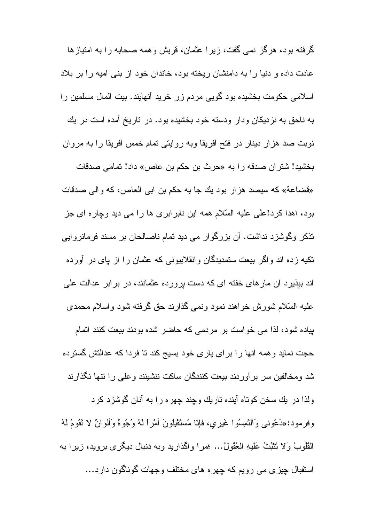گر فته بود، هر گز نمبی گفت، زیر ا عثمان، قریش و همه صحابه ر ا به امتیاز ها عادت داده و دنیا را به دامنشان ریخته بود، خاندان خود از بنی امیه را بر بلاد اسلامی حکومت بخشیده بود گویی مردم زر خرید أنهایند. بیت المال مسلمین را به ناحق به نزدیکان ودار ودسته خود بخشیده بود. در تاریخ آمده است در یك نوبت صد هزار دینار در فتح أفریقا وبه روایتی تمام خمس أفریقا را به مروان بخشيد! شتر ان صدقه را به «حرث بن حكم بن عاص» داد! تمامي صدقات «قضاعة» كه سيصد هزار بود يك جا به حكم بن ابي العاص، كه والي صدقات بود، اهدا کر د!علی علیه السّلام همه این نابر ابر ی ها ر ا می دید و چار ه ای جز نذکر وگوشزد نداشت. آن بزرگوار می دید نمام ناصالحان بر مسند فرمانروایی تکیه زده اند واگر بیعت ستمدیدگان وانقلابیونی که عثمان را از پای در آورده اند بیذیر د آن مارهای خفته ای که دست برورده عثمانند، در بر ابر عدالت علی عليه السَّلام شورش خواهند نمود ونمي گذارند حق گرفته شود واسلام محمدي بیاده شود، لذا می خواست بر مردمی که حاضر شده بودند بیعت کنند اتمام حجت نماید و همه آنها را برای پاری خود بسیج کند تا فردا که عدالتش گسترده شد و مخالفین سر بر آور دند بیعت کنندگان ساکت ننشینند و علی ر ا نتها نگذار ند ولذا در يك سخن كوناه أينده ناريك وجِند چهره را به أنان گوشزد كرد وفرمود:«دَعُوني وَالنَّصِسُوا غَيري، فإنَّا مُستَقْبِلُونَ أَمْراً لَهُ وُجُوهٌ وَأَلوانٌ لا نَقُومُ لَهُ الْقُلُوبُ وَلا نَتْبُتُ عَلَيْهِ الْعُقُولُ... ؛مرا واكذاريد وبه دنبال ديگرى برويد، زيرا به استقبال چیزی می رویم که چهره های مختلف وجهات گوناگون دارد…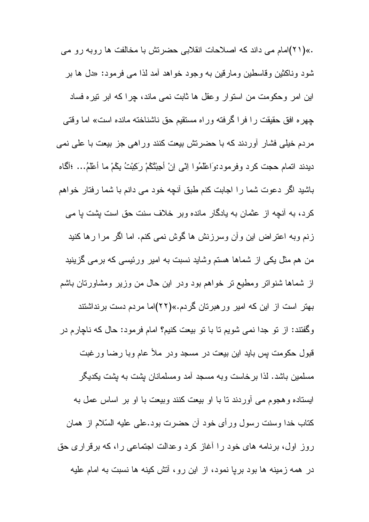.»(۲۱)امام می داند که اصلاحات انقلابی حضرتش با مخالفت ها روبه رو می شود وناکثین وقاسطین ومارقین به وجود خواهد آمد لذا مبی فرمود: «دل ها بر این امر وحکومت من استوار وعقل ها ثابت نمی ماند، چرا که ابر نیره فساد چهره افق حقیقت را فرا گرفته وراه مستقیم حق ناشناخته مانده است» اما وقتی مردم خَلِمی فَشَار أوردند که با حضرتش بیعت کنند وراهی جز بیعت با علی نمی ديدند اتمام حجت كرد وفرمود:وَاعْلَمُوا اِنِّي اِنْ أَجِيْتُكُمْ رَكِبْتُ بِكُمْ ما أَعْلَمُ... ؛أَكَاه باشید اگر دعوت شما را اجابت کنم طبق أنچه خود می دانم با شما رفتار خواهم کر د، به آنچه از عثمان به پادگار مانده و بر خلاف سنت حق است بشت با می زنم وبه اعتراض این وأن وسرزنش ها گوش نمی کنم. اما اگر مرا رها کنید من هم مثل یکی از شماها هستم وشاید نسبت به امیر ورئیسی که برمی گزینید از شماها شنواتر ومطيع تر خواهم بود ودر اين حال من وزير ومشاورتان باشم بهتر است از این که امیر ورهبرتان گردم.»(۲۲)اما مردم دست برنداشتند وگفتند: از نو جدا نمی شویم نا با نو بیعت کنیم؟ امام فرمود: حال که ناچارم در قبول حکومت بس باید این بیعت در مسجد ودر ملأ عام وبا رضا ورغبت مسلمین باشد. لذا برخاست وبه مسجد أمد ومسلمانان بشت به بشت بکدیگر ایستاده و هجوم می آوردند تا با او بیعت کنند وبیعت با او بر اساس عمل به كتاب خدا وسنت رسول ورأى خود أن حضرت بود.على عليه السّلام از همان روز اول، برنامه های خود را أغاز کرد وعدالت اجتماعی را، که برقراری حق در همه زمینه ها بود بریا نمود، از این رو، آنش کینه ها نسبت به امام علیه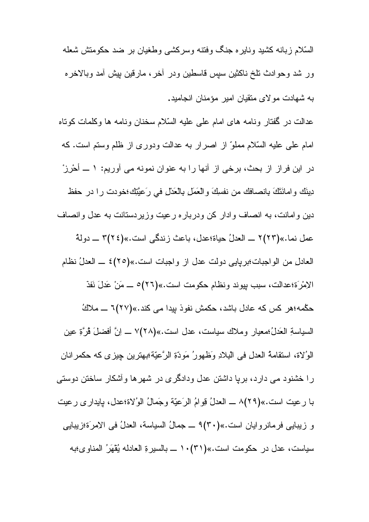السَّلام زبانه كشيد ونايره جنگ وفنته وسركشى وطغيان بر ضد حكومتش شعله ور شد وحوادث نلخ ناكثين سبس فاسطين ودر أخر، مارقين بيش أمد وبالاخره به شهادت مولای منقیان امیر مؤمنان انجامید.

عدالت در گفتار ونامه های امام علی علیه السّلام سخنان ونامه ها وکلمات کوناه امام على عليه السَّلام مملوِّ از اصرار به عدالت ودورى از ظلم وستم است. كه در این فراز از بحث، برخی از آنها را به عنوان نمونه می آوریم: ١ ــ أحرز دِينَكَ وامانَتَكَ بِانصافك من نفسِكَ والعَمَلِ بِالعَدْلِ في رَعيَّتِكِ؛خودت را در حفظ دین و امانت، به انصاف و ادار کن و در بار ه ر عیت و زیر دستانت به عدل و انصاف عمل نما.»(٢٢)٢ \_ العدلُ حياة؛عدل، باعث زندگي است.»(٢٢٤)٣ \_ دولة العادل من الواجبات؛بريايي دولت عدل از واجبات است.»(٢٥)٤ ــ العدلُ نظام الإمْرَة؛عدالت، سبب بيوند ونظام حكومت است.»(٢٦)٥ ـــ مَنْ عَدلَ نَفَذَ حکْمه؛هر کس که عادل باشد، حکمش نفوذ بیدا می کند.»(۲۷)7 ـــ ملاكُ السياسةِ العَدلُ؛معيارِ وملاك سياست، عدل است.»(٢٨)٧ ــ اِنَّ أفضلَ قُرَّةٍ عين الو'لاة، استقامةُ العدل في البِلادِ وَظْهِور ُ مَوِدّةِ الرَّعيّة؛بِهِتر بن جِبز ي كه حكمر انان را خشنود می دارد، برپا داشتن عدل ودادگری در شهرها وأشکار ساختن دوستی با رعيت است.»(٢٩)٨ ـــ العدلُ قِوامُ الرَعيّة وجَمالُ الوُلاة؛عدل، پايدار ي رعيت و زيبايي فرمانروايان است.»(٣٠)٩ \_ جمالُ السياسة، العدلُ في الإمرَة؛زيبايي سياست، عدل در حكومت است.»(٣١)١٠ \_ بالسيرةِ العادله يُقْهَرُ المناوى؛به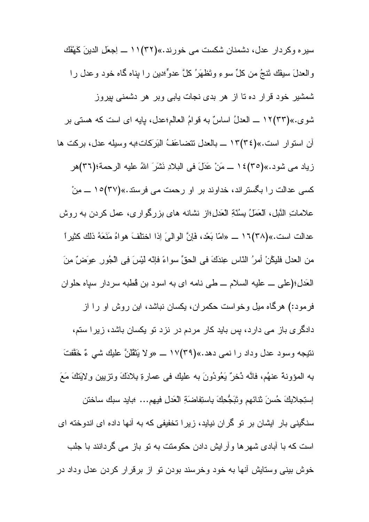سير ، وكردار عدل، دشمنان شكست مي خورند.»(٣٢) ١١ ـــ اِجعَلِ الدينَ كَهْفَكَ والعدلَ سيفَك تَنجُ من كلِّ سوءِ وتَظهَرُ كلَّ عدوٍّ؛دين را بناه گاه خود وعدل را شمشیر خود قرار ده تا از هر بدی نجات یابی وبر هر دشمنی بیروز شوي.»(٣٣)١٢ ــــ العدلُ اساسٌ به قولمُ العالمِ؛عدل، بايه اي است كه هستي بر آن استوار است.»(٣٤)١٣ ــ بالعدل تتضاعَفُ البَرِكات؛به وسيله عدل، بركت ها زياد مي شود.»(٣٥)٤ ١ ـــ مَنْ عَدَلَ في البلادِ نَشَرَ اللهُ عليه الرحمة؛(٣٦)هر کسی عدالت را بگستراند، خداوند بر او رحمت می فرستد.»(۳۷)۱۰ ــــ مِنْ علاماتِ النَّبل، العَمَلُ بِسُنَّةِ العَدلِ؛از نشانه هاي بزرگواري، عمل كردن به روش عدالت است.»(٣٨)١٦ \_\_ «امّا بَعْد، فَإِنَّ الوالبيَ اِذا اختلفَ هواهُ مَنَعَهُ ذلك كثيراً من العدل فليكُنْ أمرُ النّاسِ عِندَكَ في الحقِّ سواءً فإنّه لَيْسَ فِي الْجُورِ عِوصَنٌ مِنَ الْعَدْلِ؛(علي \_ عليه السلام \_ طي نامه اي به اسود بن قُطبه سردار سياه حلوان فرمود:) هرگاه میل وخواست حکمران، یکسان نباشد، این روش او را از دادگری باز می دارد، پس باید کار مردم در نزد نو یکسان باشد، زیرا ستم، نتيجه وسود عدل وداد را نمي دهد.»(٣٩)١٧ \_ «ولا يَتْقُلْنَّ عليك شي ءٌ خَقَّفْتَ بِهِ المؤونة عنهُم، فانَّه دُخرٌ يَعُودُونَ به عليك في عمارةِ بِلادَكَ وتزيينٍ ولاَبَنكَ مَعَ إستِجلايكَ حُسنَ ثنائهم وتَبَجُّحِكَ بِاستِفاضَةِ الْعَدلِ فيهم... ؛بايد سبك ساختن سنگینی بار ایشان بر تو گران نیاید، زیرا تخفیفی که به آنها داده ای اندوخته ای است که با آبادی شهر ها و آر ایش دادن حکومتت به نو باز می گردانند با جلب خوش بینی وستایش أنها به خود وخرسند بودن تو از برقرار کردن عدل وداد در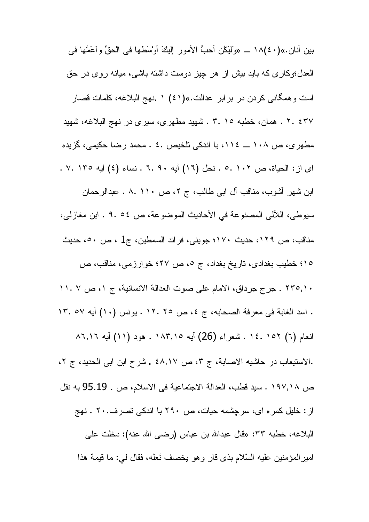بينِ آنانِ.»(٤٠)١٨ ـــ «ولَيَكُن أَحبُّ الأَمورِ ۖ إِلَيْكَ أُوسُطَها في الْحقِّ وِ اَعَمَّها في العدل؛وكاري كه بايد بيش از هر چيز دوست داشته باشي، ميانه روي در حق است و همگانی کردن در بر ابر عدالت.»(٤١) ١ .نهج البلاغه، کلمات قصار ٢٠٤٣٧ . همان، خطبه ٢٠١٥ . شهيد مطهري، سيري در نهج البلاغه، شهيد مطهر ي، ص ١٠٨ ـــ ١١١٤، با اندكي تلخيص ٤٠ . محمد رضا حكيمي، گزيده اى از : الحياة، ص ١٠٢ .٥ . نحل (١٦) آيه ٦. ٩ . ٦ . نساء (٤) آيه ١٣٥ .٧. . ابن شهر آشوب، مناقب آل ابی طالب، ج ۲، ص ۱۱۰ .۸ . عبدالرحمان سيو طي، اللآلي المصنو عة في الأحاديث الموضو عة، ص ٥٤ . ٩ . ابن مغاز لي، مناقب، ص ١٢٩، حديث ١٧٠؛ جويني، فرائد السمطين، ج1 ، ص ٥٠، حديث ١٥؛ خطيب بغدادي، تاريخ بغداد، ج ٥، ص ٢٧؛ خوارزمي، مناقب، ص ٢٣٥,١٠. جرج جرداق، الامام على صوت العدالة الانسانية، ج ١، ص ٧ ١١. ١ . اسد الغابة في معرفة الصحابه، ج ٤، ص ٢٥ ١٢. بونس (١٠) أيه ١٣. ١٣. انعام (٦) ١٥٢ .١٤ . شعراء (26) أيه ١٨٣,١٥ . هود (١١) أيه ٨٦,١٦ .الاستيعاب در حاشيه الاصابة، ج ٣، ص ٤٨,١٧ . شرح ابن ابي الحديد، ج ٢، ص ١٩٧,١٨ . سيد قطب، العدالة الاجتماعية في الاسلام، ص . 95.19 به نقل از : خلیل کمر ه ای، سرچشمه حیات، ص ۲۹۰ با اندکی تصرف۲۰۰ . نهج البلاغه، خطبه ٣٣: «قال عبدالله بن عباس (رضي الله عنه): دخلت على امير المؤمنين عليه السّلام بذي قار وهو يخصف نَعله، فقال لي: ما قيمة هذا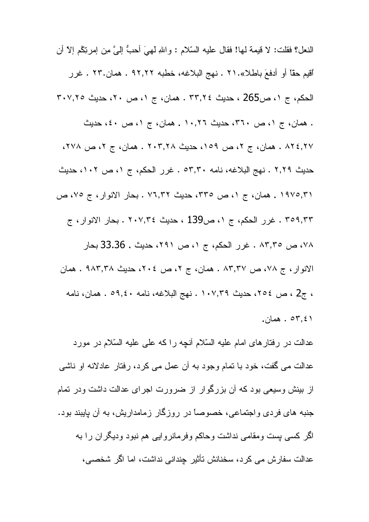النعل؟ فقلت: لا قيمة لها! فقال عليه السّلام : و اللهِ لَهِيَ أحبُّ إليَّ مِن إمرِنِكُم إلاّ أن أُقيِمِ حقًّا أَو أَدفعَ باطلاً».٢١ . نهج البلاغه، خطبه ٩٢,٢٢ . همان.٢٣ . غرر الحكم، ج ١، ص265 ، حديث ٣٣,٢٤ . همان، ج ١، ص ٢٠، حديث ٣٠٧,٢٥ . همان، ج ١، ص ٣٦٠، حديث ١٠,٢٦. همان، ج ١، ص ٤٠، حديث ٨٢٤,٢٧ . همان، ج ٢، ص ١٥٩، حديث ٢٠٣,٢٨ . همان، ج ٢، ص ٢٧٨، حديث ٢,٢٩ . نهج البلاغه، نامه ٥٣,٣٠ . غرر الحكم، ج ٥١ ص ١٠٢، حديث ١٩٧٥,٣١ . همان، ج ١، ص ٣٣٥، حديث ٧٦,٣٢ . بحار الانوار، ج ٧٥، ص ٣٥٩,٣٣ . غرر الحكم، ج ١، ص139 ، حديث ٢٠٧,٣٤ . بحار الانوار، ج ٧٨، ص ٨٣,٣٥ . غرر الحكم، ج ١، ص ٢٩١، حديث . 33.36 بحار الانوار، ج ٧٨، ص ٨٣,٣٧ . همان، ج ٢، ص ٢٠٤، حديث ٩٨٣,٣٨ . همان ، ج2 ، ص ٢٥٤، حديث ١٠٧,٣٩ . نهج البلاغه، نامه ٥٩,٤٠ . همان، نامه . همان  $\circ$ ۳٫٤۱ . همان

عدالت در رفتارهای امام علیه السّلام أنچه را که علی علیه السّلام در مورد عدالت می گفت، خود با نمام وجود به أن عمل می کرد، رفتار عادلانه او ناشی از بینش وسیعی بود که آن بزرگوار از ضرورت اجرای عدالت داشت ودر تمام جنبه های فردی واجتماعی، خصوصاً در روزگار زمامداریش، به آن پایبند بود. اگر کسی بست ومقامی نداشت وحاکم وفرمانروایی هم نبود ودیگران را به عدالت سفارش می کرد، سخنانش تأثیر جندانی نداشت، اما اگر شخصبی،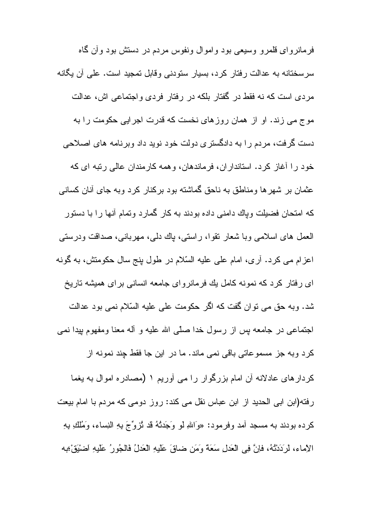فرمانروای قلمرو وسیعی بود و اموال ونفوس مردم در دستش بود و آن گاه سرسختانه به عدالت رفتار كرد، بسيار ستودني وقابل تمجيد است. على أن يگانه مردی است که نه فقط در گفتار بلکه در رفتار فردی واجتماعی اش، عدالت موج می زند. او از همان روزهای نخست که قدرت اجرایی حکومت را به دست گرفت، مردم را به دادگستری دولت خود نوید داد وبرنامه های اصلاحی خود را أغاز كرد. استانداران، فرماندهان، وهمه كارمندان عالمي رتبه اي كه عثمان بر شهرها ومناطق به ناحق گماشته بود برکنار کرد وبه جای أنان کسانی که امتحان فضبلت وباك دامنے داده بودند به کار گمار د وتمام آنها ر ا با دستور العمل های اسلامی وبا شعار نقوا، راستی، باك دلبی، مهربانبی، صدافت ودرستی اعزام می کرد. أرى، امام على عليه السّلام در طول بنج سال حکومتش، به گونه ای رفتار کرد که نمونه کامل یك فرمانروای جامعه انسانی برای همیشه تاریخ شد. وبه حق می نوان گفت که اگر حکومت علی علیه السّلام نمی بود عدالت اجتماعي در جامعه بس از رسول خدا صلّى الله عليه و آله معنا ومفهوم بيدا نمي كرد وبه جز مسموعاتي باقي نمي ماند. ما در اين جا فقط چند نمونه از کردارهای عادلانه أن امام بزرگوار را می آوریم ۱ (مصادره اموال به یغما رفته(ابن ابی الحدید از ابن عباس نقل می کند: روز دومی که مردم با امام بیعت كرده بودند به مسجد أمد وفرمود: «وَاللهِ لو وَجَدْتُهُ قد نُزوِّجَ بِهِ النِساء، وَمُلكِ بِهِ الإماء، لرَدَدْتُهُ، فإنَّ فِي الْعَدلِ سَعَةً وَمَن ضاقَ عَلَيهِ الْعَدلُ فَالْجُورُ عَلَيهِ اضْيَقْ؛به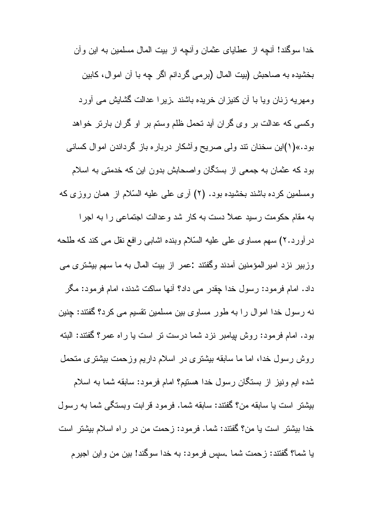خدا سوگند! أنچه از عطایای عثمان وأنچه از بیت المال مسلمین به این وأن بخشیده به صاحبش (بیت المال (برمی گردانم اگر چه با آن اموال، کابین ومهریه زنان ویا با آن کنیزان خریده باشند .زیرا عدالت گشایش می آورد وکسی که عدالت بر وی گران أید تحمل ظلم وستم بر او گران بارتر خواهد بود.»(۱)این سخنان نند ولمی صریح وأشکار درباره باز گرداندن اموال کسان*ی* بود که عثمان به جمعی از بستگان واصحابش بدون این که خدمتی به اسلام ومسلمین کرده باشند بخشیده بود. (۲) أرى علمي علیه السّلام از همان روزي که به مقام حکومت رسید عملاً دست به کار شد وعدالت اجتماعی را به اجرا در أورد.٢) سهم مساوي على عليه السَّلام وبنده اشابي رافع نقل مي كند كه طلحه وزبیر نزد امیرالمؤمنین أمدند وگفتند :عمر از بیت المال به ما سهم بیشتری می داد. امام فرمود: رسول خدا چقدر می داد؟ آنها ساکت شدند، امام فرمود: مگر نه رسول خدا اموال را به طور مساوى بين مسلمين نقسيم مى كرد؟ گفتند: چنين بود. امام فرمود: روش بیامبر نزد شما درست نر است یا راه عمر؟ گفتند: البته روش رسول خدا، اما ما سابقه بیشتری در اسلام داریم وزحمت بیشتری متحمل شده ایم و نیز از بستگان رسول خدا هستیم؟ امام فر مود: سابقه شما به اسلام بيشتر است يا سابقه من؟ گفتند: سابقه شما. فرمود قرابت وبستگي شما به رسول

خدا بيشتر است يا من؟ گفتند: شما. فرمود: زحمت من در راه اسلام بيشتر است يا شما؟ گفتند: زحمت شما سيس فرمود: به خدا سوگند! بين من واين اجيرم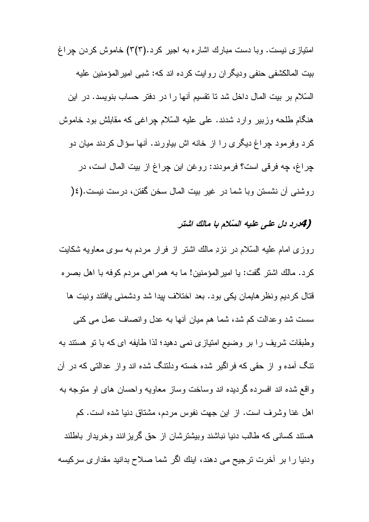امتیازی نیست. وبا دست مبارك اشار ه به اجیر كرد.(۳(۳) خاموش كردن چراغ بیت المالکشفی حنفی ودیگران روایت کرده اند که: شبی امیر المؤمنین علیه السّلام بر بيت المال داخل شد تا نقسيم أنها را در دفتر حساب بنويسد. در اين هنگام طلحه وزبیر وارد شدند. علمی علیه السّلام چراغی که مقابلش بود خاموش كرد وفرمود چراغ ديگرى را از خانه اش بياورند. آنها سؤال كردند ميان دو چراغ، چه فرقی است؟ فرمودند: روغن این چراغ از بیت المال است، در روشنبي أن نشستن وبا شما در غير بيت المال سخن گفتن، درست نيست.(٤(

### (4درد دل على عليه السلام با مالك اشتر

روزی امام علیه السّلام در نزدِ مالك اشتر از فرار مردم به سوی معاویه شكایت كرد. مالك اشتر گفت: يا اميرالمؤمنين! ما به همراهي مردم كوفه با اهل بصره قتال كرديم ونظر هايمان يكي بود. بعد اختلاف بيدا شد ودشمني يافتند ونيت ها سست شد وعدالت کم شد، شما هم میان أنها به عدل وانصاف عمل می کنی وطبقات شریف را بر وضیع امتیازی نمی دهید؛ لذا طایفه ای که با تو هستند به نتگ آمده و از حقی که فراگیر شده خسته ودلنتگ شده اند واز عدالتی که در آن واقع شده اند افسرده گردیده اند وساخت وساز معاویه واحسان های او متوجه به اهل غنا وشرف است. از این جهت نفوس مردم، مشتاق دنیا شده است. کم هستند کسانی که طالب دنیا نباشند و بیشتر شان از حق گریز انند و خریدار باطلند ودنیا را بر آخرت ترجیح می دهند، اینك اگر شما صلاح بدانید مقداری سركیسه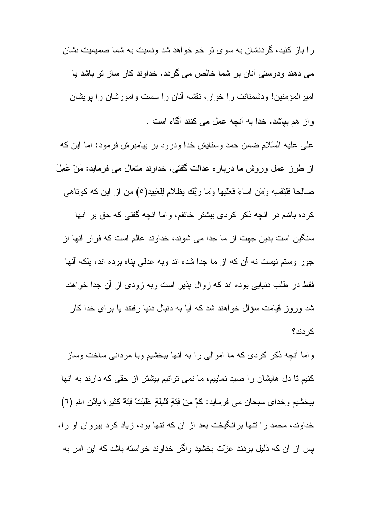را باز کنید، گردنشان به سوی تو خم خواهد شد ونسبت به شما صمیمیت نشان می دهند ودوستی آنان بر شما خالص می گردد. خداوند کار ساز نو باشد یا امیر المؤمنین! ودشمنانت را خوار ، نقشه آنان را سست وامورشان را بریشان واز هم بیاشد. خدا به أنچه عمل می کنند أگاه است .

علي عليه السّلام ضمن حمد وستايش خدا ودرود بر بيامبرش فرمود: اما اين كه از طرز عمل وروش ما درباره عدالت گفتی، خداوند متعال می فرماید: مَنْ عَمِلَ صالِحاً فَلِنَفْسِهِ وَمَنِ اساءَ فَعَلَيها وَما رَبُّك بِظلامٍ لِلْعَبِيدِ(٥) من از اين كه كوناهي

كرده باشم در أنجه ذكر كردي بيشتر خائفم، واما أنجه گفتي كه حق بر أنها سنگین است بدین جهت از ما جدا می شوند، خداوند عالم است که فرار آنها از جور وستم نیست نه آن که از ما جدا شده اند وبه عدلی بناه برده اند، بلکه آنها فقط در طلب دنیایی بوده اند که زوال بذیر است وبه زودی از آن جدا خواهند شد وروز قیامت سؤال خواهند شد که آیا به دنبال دنیا رفتند یا بر ای خدا کار كر دند؟

و اما أنجه ذکر کردی که ما اموالی را به أنها ببخشیم و با مردانی ساخت وساز کنیم تا دل هایشان را صید نماییم، ما نمی توانیم بیشتر از حقی که دارند به أنها ببخشيم وخداى سبحان مي فرمايد: كَمْ مِنْ فِئَةٍ قَليلَةٍ غَلَبَتْ فِئَةً كَثيرةً بِإِنْنِ اللهِ (٦) خداوند، محمد را نتها برانگیخت بعد از آن که نتها بود، زیاد کرد بیروان او را، بس از آن که ذلیل بودند عزّت بخشید واگر خداوند خواسته باشد که این امر به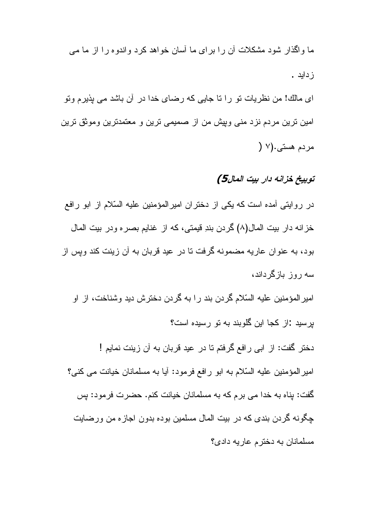ما واگذار شود مشکلات آن را بر ای ما آسان خواهد کرد واندوه را از ما می ز دابد .

اي مالك! من نظريات نو را نا جايي كه رضاي خدا در آن باشد مي بذيرم ونو امین ترین مردم نزد منی وبپش من از صمیمی ترین و معتمدترین وموثق ترین  $\setminus$  مر دم هستي. $\setminus$ 

## توبيخ خزانه دار بيت المال5)

در روایتی آمده است که یکی از دختران امیرالمؤمنین علیه السّلام از ابو رافع خز انه دار بيت المال(٨) گر دن بندِ قيمتي، كه از غنايم بصر ه و در بيت المال بود، به عنوان عاریه مضمونه گرفت نا در عید قربان به آن زینت کند وپس از سه روز بازگرداند،

امیر المؤمنین علیه السّلام گردن بند را به گردن دخترش دید وشناخت، از او بر سيد :از كجا اين گلوبند به تو ر سيده است؟

دختر گفت: از ابی رافع گرفتم تا در عید قربان به آن زینت نمایم ! امیر المؤمنین علیه السّلام به ابو رافع فرمود: أیا به مسلمانان خیانت می کنی؟ گفت: بناه به خدا می برم که به مسلمانان خیانت کنم. حضرت فرمود: بس چگونه گردن بندی که در بیت المال مسلمین بوده بدون اجازه من ورضایت مسلمانان به دختر م عار يه دادي؟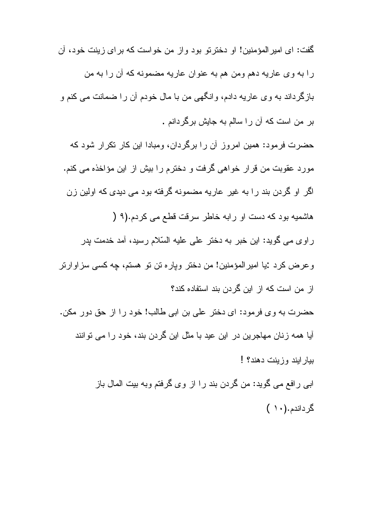گفت: اي امير المؤمنين! او دختر تو بود و از من خواست كه بر اي زينت خود، آن ر آ به وی عار به دهم ومن هم به عنوان عار به مضمونه که آن ر آ به من بازگرداند به وی عاریه دادم، وانگهی من با مال خودم آن را ضمانت می کنم و بر من است که آن را سالم به جایش برگردانم .

حضرت فرمود: همین امروز آن را برگردان، ومبادا این کار نکرار شود که مورد عقوبت من قرار خواهي گرفت و دخترم را بيش از اين مؤاخذه مي كنم. اگر او گردن بند را به غیر عاریه مضمونه گرفته بود می دیدی که اولین زن

هاشمیه بود که دست او رابه خاطر سرقت قطع می کردم.(۹ (

ر او ی مے گوید: این خبر یه دختر ً علے علیه السّلام رسید، آمد خدمت بدر وعرض كرد :يا اميرالمؤمنين! من دختر وپاره تن تو هستم، چه كسى سزاوارتر از من است كه از اين گردن بند استفاده كند؟

حضرت به وي فرمود: اي دختر علي بن ابي طالب! خود را از حق دور مكن. آیا همه زنان مهاجرین در این عید با مثل این گردن بند، خود را می توانند ببار ابند و زبنت دهند؟!

> ابی رافع می گوید: من گردن بند را از وی گرفتم وبه بیت المال باز گرداندم.(۱۰)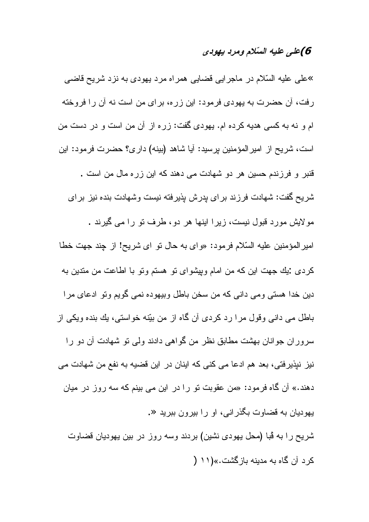## 6) على عليه السّلام ومرد يهودى

»علي عليه السّلام در ماجر ايي قضايي همر اه مرد يهودي به نزد شريح قاضي رفت، آن حضرت به يهودي فرمود: اين زره، براي من است نه آن را فروخته ام و نه به کسی هدیه کرده ام. یهودی گفت: زره از آن من است و در دست من است، شریح از امیرالمؤمنین پرسید: أیا شاهد (بینه) داری؟ حضرت فرمود: این قنبر و فرزندم حسین هر دو شهادت مے دهند که این زر ه مال من است . شریح گفت: شهادت فرزند برای پدرش پذیرفته نیست وشهادت بنده نیز برای مولایش مورد قبول نیست، زیرا اینها هر دو، طرف تو را می گیرند . امير المؤمنين عليه السّلام فرمود: «واى به حال نو اى شريح! از چند جهت خطا كردي :يك جهت اين كه من امام وبيشواي نو هستم ونو با اطاعت من مندين به دین خدا هستی ومی دانی که من سخن باطل وبیهوده نمی گویم ونو ادعای مرا باطل می دانی وقول مرا رد کردی آن گاه از من بیّنه خواستی، بك بنده ویكی از سروران جوانان بهشت مطابق نظر من گواهی دادند ولی نو شهادت أن دو را نیز نیذیرفتی، بعد هم ادعا می کنی که اینان در این قضیه به نفع من شهادت می دهند.» أن گاه فرمود: «من عقوبت نو را در این می بینم که سه روز در میان یهودیان به قضاوت بگذرانی، او را بیرون ببرید «. شريح را به قُبا (محل يهودي نشين) بردند وسه روز در بين يهوديان قضاوت

کر د آن گاه به مدینه باز گشت.»(۱۱ (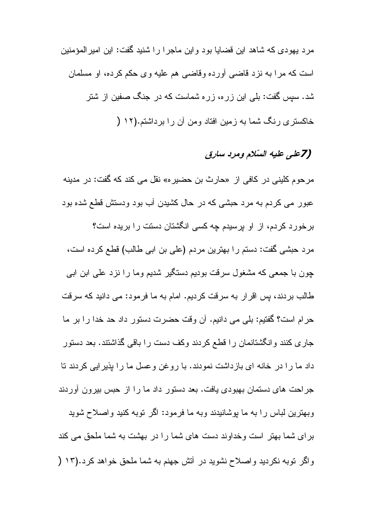مرد بهودي كه شاهد اين قضايا بود و اين ماجر ا را شنيد گفت: اين امير المؤمنين است که مرا به نزد قاضبی أورده وقاضبی هم علیه وی حکم کرده، او مسلمان شد. سپس گفت: بلبی این زره، زره شماست که در جنگ صفین از شتر خاکستری رنگ شما به زمین افتاد ومن آن را برداشتم.(۱۲ (

# (7على عليه السلام ومرد سارق

مرحوم كليني در كافي از «حارث بن حضير ه» نقل مي كند كه گفت: در مدينه عبور می کردم به مرد حبشی که در حال کشیدن آب بود ودستش قطع شده بود بر خو ر د کر دم، از او بر سیدم جه کسی انگشتان دستت ر ا بر یده است؟ مرد حبشی گفت: دستم را بهترین مردم (علی بن ابی طالب) قطع کرده است، چون با جمعی که مشغول سرقت بودیم دستگیر شدیم وما را نزد علمی ابن ابی طالب بردند، پس اقرار به سرقت کردیم. امام به ما فرمود: می دانید که سرقت حرام است؟ گفتيم: بلي مي دانيم. أن وقت حضرت دستور داد حد خدا را بر ما جاری کنند وانگشتانمان را قطع کردند وکف دست را باقی گذاشتند. بعد دستور داد ما را در خانه ای بازداشت نمودند. با روغن وعسل ما را بذیرایی کردند تا جراحت های دستمان بهبودی یافت. بعد دستور داد ما را از حبس بیرون آوردند وبهترین لباس را به ما پوشانیدند وبه ما فرمود: اگر نوبه کنید واصلاح شوید

بر ای شما بهتر است و خداوند دست های شما را در بهشت به شما ملحق می کند واگر نوبه نکردید واصلاح نشوید در آتش جهنم به شما ملحق خواهد کرد.(۱۲ (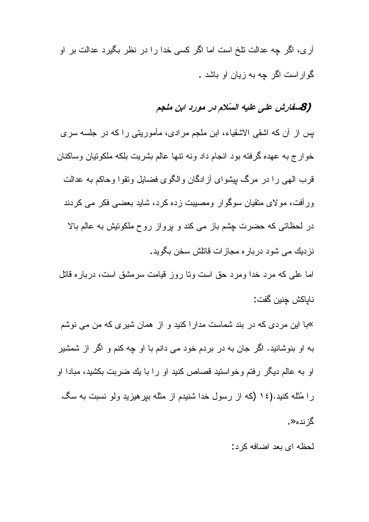آری، اگر چه عدالت نلخ است اما اگر کسی خدا را در نظر بگیرد عدالت بر او گو ار است اگر چه به زیان او باشد .

# (8سفارش على عليه السّلام در مورد ابن ملجم

بِسِ از ِ آن که اشقی الاشقیاء، ابنِ ملجم مر ادی، مأمور بِنبی را که در جلسه سر ی خوارج به عهده گرفته بود انجام داد ونه نتها عالم بشريت بلكه ملكونيان وساكنان قرب الهي را در مرگ بيشواي أز ادگان و الگوي فضايل ونقوا وحاكم به عدالت ور أفت، مولای متقیان سوگوار ومصبیت زده کرد، شاید بعضبی فکر می کردند در لحظاتی که حضرت چشم باز می کند و برواز روح ملکونیش به عالم بالا نزديك مي شود درباره مجازات قاتلش سخن بگويد.

اما علمی که مرد خدا ومرد حق است ونا روز قیامت سرمشق است، درباره قاتل ناباكش جنين گفت:

»با این مردی که در بند شماست مدار اکنید و از همان شیری که من می نوشم به او بنوشانید. اگر جان به در بردم خود می دانم با او چه کنم و اگر از شمشیر او به عالم دیگر رفتم وخواستید قصاص کنید او را با یك ضربت بكشید، مبادا او ر ا مُثله کنید.(١٤ (که از رسول خدا شنیدم از مثله بیر هیزید ولو نسبت به سگ گز نده≪.

لحظه ای بعد اضافه کرد: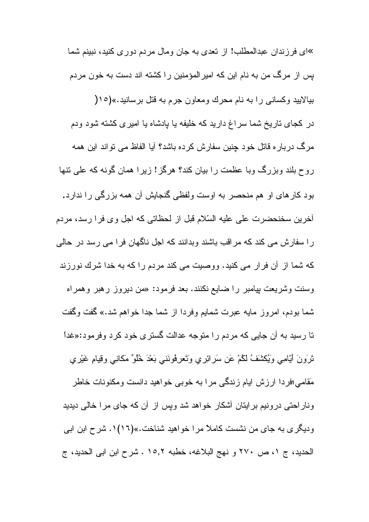»ای فر ز ندان عبدالمطلب! از نعدی به جان و مال مر دم دو ر ی کنید، نبینم شما بس از مرگ من به نام این که امیر المؤمنین را کشته اند دست به خون مردم بیالایید وکسانی را به نام محرك ومعاون جرم به قتل برسانید.»(١٥( در کجای ناریخ شما سراغ دارید که خلیفه یا پادشاه یا امیری کشته شود ودم مرگ درباره قاتل خود چنین سفارش کرده باشد؟ آیا الفاظ می تواند این همه روح بلند وبزرگ وبا عظمت را بیان کند؟ هرگز! زیرا همان گونه که علی نتها بود کارهای او هم منحصر به اوست ولفظی گنجایش آن همه بزرگی را ندارد. أخرين سخنحضرت على عليه السّلام قبل از لحظاتي كه اجل وى فرا رسد، مردم را سفارش می کند که مراقب باشند وبدانند که اجل ناگهان فرا می رسد در حالی كه شما از آن فرار مى كنيد. ووصيت مى كند مردم را كه به خدا شرك نورزند وسنت وشریعت بپامبر را ضایع نکنند. بعد فرمود: «من دیروز رهبر وهمراه شما بودم، امروز مايه عبرت شمايم وفردا از شما جدا خواهم شد.» گفت وگفت تا رسید به آن جایی که مردم را متوجه عدالت گستری خود کرد وفرمود:«غدا نَرَونَ أَيّامِي وَيُكتَنفُ لَكُمْ عَنِ سَرِائِرِي وَتَعرِفُونَني بَعْدَ خُلُوٌّ مَكانِي وقِيامٍ غَيْرِي مَقامی؛فر دا ارزش ایام زندگی مر ا به خوبی خواهید دانست و مکنونات خاطر وناراحتی درونیم برایتان آشکار خواهد شد ویس از آن که جای مرا خالی دیدید ودیگری به جای من نشست کاملاً مرا خواهید شناخت.»(۱۱)۰. شرح ابن ابی الحديد، ج ١، ص ٢٧٠ و نهج البلاغه، خطبه ١٥,٢ . شرح ابن ابي الحديد، ج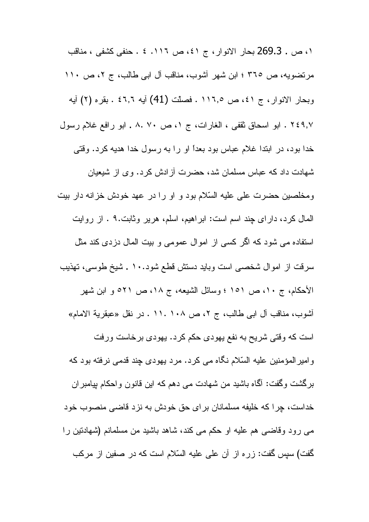١، ص . 269.3 بحار الانوار ، ج ٤١، ص ١١٦. ٤ . حنفي كشفي ، مناقب مرتضويه، ص ٣٦٥ ؛ ابن شهر أشوب، مناقب أل ابي طالب، ج ٢، ص ١١٠ وبحار الانوار، ج ٤١، ص ١١٦٫٥. فصلت (41) أيه ٤٦٫٦ . بقره (٢) أيه ٢٤٩,٧ . ابو اسحاق ثقفي ، الغارات، ج ١، ص ٧٠ .٨ . ابو رافع غلام رسول خدا بود، در ابتدا غلام عباس بود بعداً او را به رسول خدا هدیه کرد. وقتی شهادت داد که عباس مسلمان شد، حضرت آز ادش کر د. و ی از شیعیان ومخلصین حضرت علی علیه السّلام بود و او را در عهد خودش خزانه دار بیت المال كرد، داراى چند اسم است: ابراهيم، اسلم، هرير وثابت.٩ . از روايت استفاده می شود که اگر کسی از اموال عمومی و بیت المال دزدی کند مثل سرقت از اموال شخصبي است وبايد دستش قطع شود. ١٠ ـ شيخ طوسي، تهذيب الأحكام، ج ١٠، ص ١٥١ ؛ وسائل الشيعه، ج ١٨، ص ٢١٥ و ابن شهر أشوب، مناقب آل ابي طالب، ج ٢، ص ١٠٨ .١١. در نقل «عبقرية الامام» است که وقتی شریح به نفع یهودی حکم کرد. یهودی برخاست ورفت و امیر المؤمنین علیه السّلام نگاه می کرد. مرد یهودی چند قدمی نرفته بود که برگشت وگفت: آگما باشید من شهادت می دهم که این قانون واحکام بپامبر ان خداست، چرا كه خليفه مسلمانان براي حق خودش به نزد قاضى منصوب خود مبي رود وقاضبي هم عليه او حكم مبي كند، شاهد باشيد من مسلمانم (شهادتين را گفت) سپس گفت: زره از آن علی علیه السّلام است که در صفین از مرکب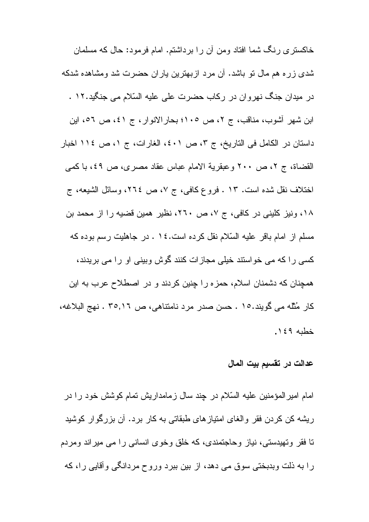خاکستری رنگ شما افتاد ومن أن را برداشتم. امام فرمود: حال که مسلمان شدی زره هم مال نو باشد. آن مرد ازبهترین باران حضرت شد ومشاهده شدکه در میدان جنگ نهروان در رکاب حضرت علی علیه السّلام می جنگید.۱۲ . ابن شهر أشوب، مناقب، ج ٢، ص ١٠٥؛ بحار الانوار ، ج ٤١، ص ٥٦، اين داستان در الكامل في التاريخ، ج ٣، ص ٤٠١، الغارات، ج ١، ص ١١٤ اخبار القضاة، ج ٢، ص ٢٠٠ وعبقرية الامام عباس عقاد مصرى، ص ٤٩، با كمبي اختلاف نقل شده است. ١٣ . فروع كافي، ج ٧، ص ٢٦٤، وسائل الشيعه، ج ١٨، ونيز كليني در كافي، ج ٧، ص ٢٦٠، نظير همين قضيه را از محمد بن مسلم از امام باقر علیه السّلام نقل کرده است. ١٤ . در جاهلیت رسم بوده که کسی را که می خواستند خیلی مجازات کنند گوش وبینی او را می بریدند، همچنان که دشمنان اسلام، حمز ه را چنین کردند و در اصطلاح عرب به این كار مُثْلَه مي گويند.١٥ . حسن صدر مرد نامتناهي، ص ٢٥,١٦ . نهج البلاغه، خطبه ١٤٩.

#### عدالت در تقسيم بيت المال

امام امیر المؤمنین علیه السّلام در چند سال زمامداریش تمام کوشش خود را در ریشه کن کردن فقر والغای امتیازهای طبقاتی به کار برد. آن بزرگوار کوشید تا فقر وتهیدستی، نیاز وحاجتمندی، که خلق وخوی انسانی را می میراند ومردم را به ذلت وبدبختی سوق می دهد، از بین ببرد وروح مردانگی وأقایی را، که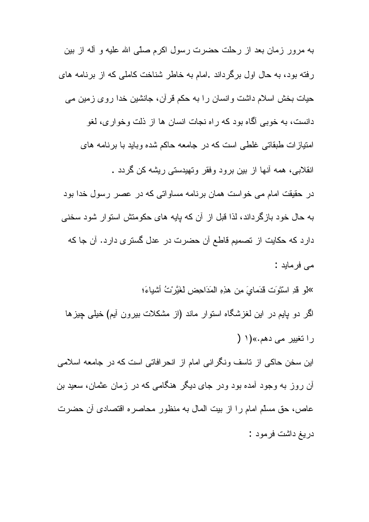به مرور زمان بعد از رحلت حضرت رسول اکرم صلَّبي الله عليه و أله از بين رفته بود، به حال اول برگرداند .امام به خاطر شناخت کاملی که از برنامه های حیات بخش اسلام داشت و انسان را به حکم قرآن، جانشین خدا روی زمین می دانست، به خوبی آگاه بود که راه نجات انسان ها از ذلت وخواری، لغو امتیازات طبقاتی غلطی است که در جامعه حاکم شده وباید با برنامه های انقلابی، همه آنها از بین برود وفقر وتهیدستی ریشه کن گردد . در حقيقت امام مي خواست همان برنامه مساواتي كه در عصر رسول خدا بود به حال خود بازگرداند، لذا قبل از آن که بایه های حکومتش استوار شود سخنی دارد كه حكايت از تصميم قاطع آن حضرت در عدل گسترى دارد. آن جا كه مے فرماید : »لمو قدِ اسْتَوَت قدَمايَ مِن هذِهِ المَدَاحِضِ لغَيَّرْتُ أشْياءَ؛ اگر دو بایم در این لغزشگاه استوار ماند (از مشکلات بیرون آیم) خیلی چیزها را تغییر مے دھم.»(۱ ( این سخن حاکی از ناسف ونگر انی امام از انحر افاتی است که در جامعه اسلامی أن روز به وجود أمده بود ودر جای دیگر هنگامی که در زمان عثمان، سعید بن عاص، حق مسلَّم امام را از بيت المال به منظور محاصره اقتصادي آن حضرت دريغ داشت فرمود :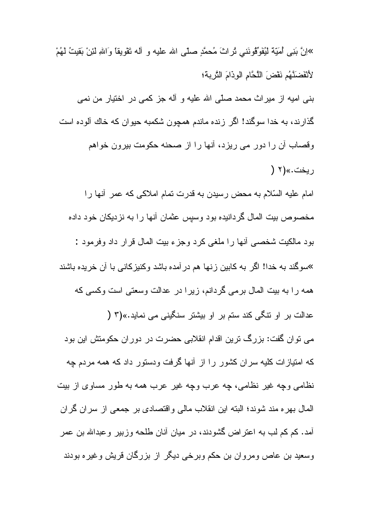»إِنَّ بَنِي أُمَيِّهٌ لَيُفَوِّقُو نَنِي ثُرِ ابْ َ مُحمَّدٍ صلَّى الله عليه و آله نَقْوِ بِقاً و اللهِ لئِن بَقيتُ لَهُمْ لأَنْفَضَنَّهُم نَقْضَ اللَّحَّامِ الْوِذَامَ النَّرِبةَ؛ بنبي اميه از ميراث محمد صلَّى الله عليه و أله جز كمبي در اختيار من نمبي گذارند، به خدا سوگند! اگر زنده ماندم همچون شکمبه حیوان که خاك آلوده است وقصاب أن را دور مي ريزد، أنها را از صحنه حكومت بيرون خواهم ريخت.»(۲ ( امام عليه السّلام به محض رسيدن به قدرت تمام املاكي كه عمر أنها را مخصوص بیت المال گردانیده بود وسپس عثمان أنها را به نزدیکان خود داده بود مالكيت شخصبي أنها را ملغي كرد وجزء بيت المال قرار داد وفرمود : <sup>»</sup>سوگند به خدا! اگر به کابین زنها هم در آمده باشد وکنیز کانبی با آن خریده باشند همه را به بیت المال برمی گردانم، زیرا در عدالت وسعتی است وکسی که عدالت بر او نتگی کند ستم بر او بیشتر سنگینی می نماید.»(۳ ( می توان گفت: بزرگ ترین اقدام انقلابی حضرت در دوران حکومتش این بود که امتیازات کلیه سران کشور را از أنها گرفت ودستور داد که همه مردم چه نظامی وچه غیر نظامی، چه عرب وچه غیر عرب همه به طور مساوی از بیت المال بهر ه مند شوند؛ البته این انقلاب مالی و اقتصادی بر جمعی از سر ان گر ان أمد. كم كم لب به اعتراض گشودند، در ميان أنان طلحه وزبير وعبدالله بن عمر وسعید بن عاص ومروان بن حکم وبرخی دیگر از بزرگان قریش وغیره بودند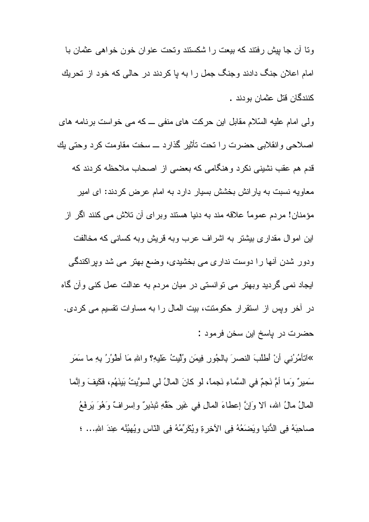ونا أن جا بيش رفتند كه بيعت را شكستند وتحت عنوان خون خواهي عثمان با امام اعلان جنگ دادند وجنگ جمل را به یا کردند در حالی که خود از تحریك كنندگان قتل عثمان بو دند .

ولی امام علیه السّلام مقابل این حرکت های منفی ــ که می خواست برنامه های اصلاحی و انقلابی حضرت را تحت تأثیر گذار د ــ سخت مقاومت کر د و حتی پك قدم هم عقب نشینی نکرد و هنگامی که بعضبی از اصحاب ملاحظه کردند که معاویه نسبت به پارانش بخشش بسیار دارد به امام عرض کردند: ای امیر مؤمنان! مردم عموماً علاقه مند به دنیا هستند وبر ای آن تلاش می کنند اگر از این اموال مقداری بیشتر به اشراف عرب وبه قریش وبه کسانی که مخالفت ودور شدن آنها را دوست نداری می بخشیدی، وضع بهتر می شد ویراکندگی ایجاد نمی گردید وبهتر می توانستی در میان مردم به عدالت عمل کنی وأن گاه در آخر وپس از استقرار حکومتت، بیت المال را به مساوات تقسیم می کردی. حضرت در باسخ اين سخن فرمود :

»اَنتَامُرُنِي أَنْ أَطْلُبَ النصرَ بِالْجُورِ فِيمَنِ وُلِّيتٍ عَلَيْهِ؟ واللهِ مَا أَطْوُرُ بِهِ ما سَمَرِ سَميرٌ وَما أُمَّ نَجمٌ في السَّماءِ نَجماً، لو كانَ المالُ لي لسوَّيتُ بَينَهُم، فَكَيفَ وإنَّما المالُ مالُ الله، ألا وَإِنَّ إعطاءَ المالِ فِي غَيْرِ حَقَّهِ نَبْذِينٌ واِسرافٌ وَهُوَ يَرِفَعُ صـاحِبَهُ فِي الدُّنيا ويَضَعَهُ فِي الأخِرةِ ويُكَرِّمُهُ فِي النّاسِ ويُهيُنُه عِندَ اللهِ... ؛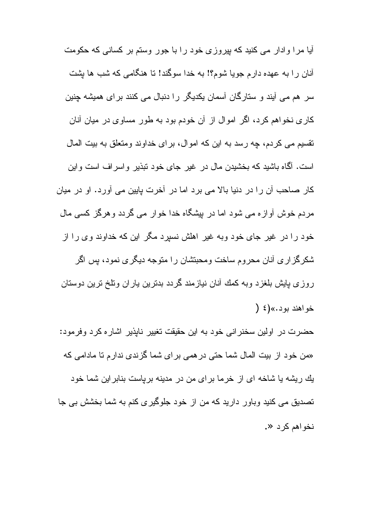آیا مرا وادار می کنید که بیروزی خود را با جور وستم بر کسانی که حکومت أنان را به عهده دارم جویا شوم؟! به خدا سوگند! نا هنگامی که شب ها بِشت سر هم می آیند و ستارگان آسمان یکدیگر را دنبال می کنند برای همیشه چنین کاری نخواهم کرد، اگر اموال از آن خودم بود به طور مساوی در میان آنان نقسیم می کردم، چه رسد به این که اموال، بر ای خداوند و متعلق به بیت المال است. آگماه باشید که بخشیدن مال در غیر جای خود نبذیر واسراف است واین کار صاحب أن را در دنیا بالا می برد اما در آخرت پایین می آورد. او در میان مردم خوش أوازه می شود اما در بیشگاه خدا خوار می گردد وهرگز کسی مال خود را در غیر جای خود وبه غیر اهلش نسپرد مگر این که خداوند وی را از شکرگزاری آنان محروم ساخت ومحبنشان را متوجه دیگری نمود، پس اگر روزی پایش بلغزد وبه کمك أنان نیازمند گردد بدنرین یاران ونلخ نرین دوستان  $\left( \begin{array}{c} 2 \end{array} \right)$  ذو اهند بو د.»(ځ

حضرت در اولین سخنرانی خود به این حقیقت تغییر نابذیر اشاره کرد وفرمود: «من خود از بیت المال شما حتی در ه*می* بر ای شما گز ندی ندار م تا مادا*می* که یك ریشه یا شاخه ای از خرما برای من در مدینه بریاست بنابراین شما خود تصدیق می کنید وباور دارید که من از خود جلوگیری کنم به شما بخشش بی جا نخو اهم کر د «.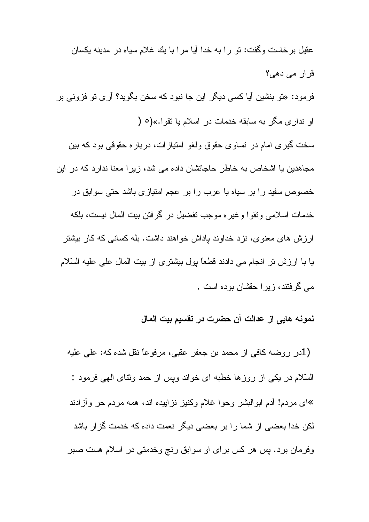عقبل بر خاست وگفت: نو را به خدا آیا مر ا با یك غلام سیاه در مدینه یكسان قرار مے دھے؟ فرمود: «تو بنشین آیا کسی دیگر این جا نبود که سخن بگوید؟ آری تو فزونی بر او نداری مگر به سابقه خدمات در اسلام یا نقوا.»(٥ ( سخت گیری امام در نساوی حقوق ولغو امتیازات، درباره حقوقی بود که بین مجاهدین یا اشخاص به خاطر حاجاتشان داده می شد، زیرا معنا ندارد که در این خصوص سفید را بر سیاه یا عرب را بر عجم امتیازی باشد حتی سوابق در خدمات اسلامی ونقوا و غیر ه موجب تفضیل در گرفتن بیت المال نیست، بلکه ارزش های معنوی، نزد خداوند باداش خواهند داشت. بله کسانی که کار بیشتر يا با ارزش تر انجام مي دادند قطعاً بول بيشتري از بيت المال على عليه السّلام می گرفتند، زیرا حقشان بوده است .

نمونه هايي از عدالت آن حضرت در تقسيم بيت المال

(1در روضه كافي از محمد بن جعفر عقبي، مرفوعًا نقل شده كه: علي عليه السَّلام در یکی از روزها خطبه ای خواند وپس از حمد وثنای المهی فرمود : »ای مردم! أدم ابوالبشر وحوا غلام وکنیز نزاییده اند، همه مردم حر وأزادند لکن خدا بعضبی از شما را بر بعضبی دیگر نعمت داده که خدمت گزار باشد وفرمان برد. پس هر کس برای او سوابق رنج وخدمتی در اسلام هست صبر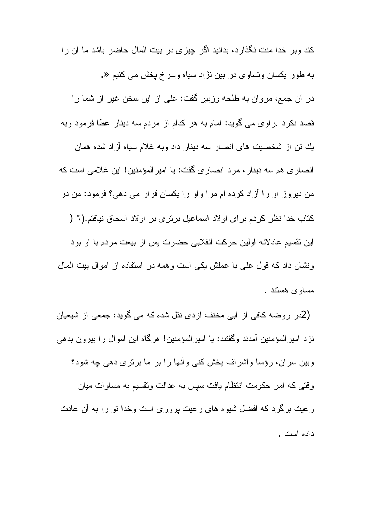کند و بر خدا منت نگذار د، بدانید اگر جیز ی در بیت المال حاضر باشد ما آن ر ا به طور یکسان ونسا*وی د*ر بین نژاد سیاه وسرخ پخش می کنیم «. در آن جمع، مروان به طلحه وزبیر گفت: علی از این سخن غیر از شما را قصد نكرد .راوي مي گويد: امام به هر كدام از مردم سه دينار عطا فرمود وبه بِك نن از شخصيت هاي انصـار سه دينار داد وبه غلام سياه آزاد شده همان انصاري هم سه دينار ، مرد انصاري گفت: يا امير المؤمنين! اين غلامي است كه من دیروز او را آزاد کرده ام مرا واو را یکسان قرار می دهی؟ فرمود: من در كتاب خدا نظر كردم براي او لاد اسماعيل برتري بر او لاد اسحاق نيافتم.(٦ ( اين نقسيم عادلانه اولين حركت انقلابي حضرت بس از بيعت مردم با او بود ونشان داد که قول علی با عملش یکی است و همه در استفاده از اموال بیت المال مساوى هستند .

(2در روضه كافي از ابي مخنف ازدي نقل شده كه مي گويد: جمعي از شيعيان نزد امیر المؤمنین أمدند وگفتند: یا امیر المؤمنین! هرگاه این اموال را بیرون بدهی وبین سران، رؤسا واشراف یخش کنبی و آنها را بر ما برنری دهی چه شود؟ وقتی که امر حکومت انتظام یافت سپس به عدالت ونقسیم به مساوات میان رعیت برگرد که افضل شیوه های رعیت بروری است وخدا نو را به آن عادت داده است .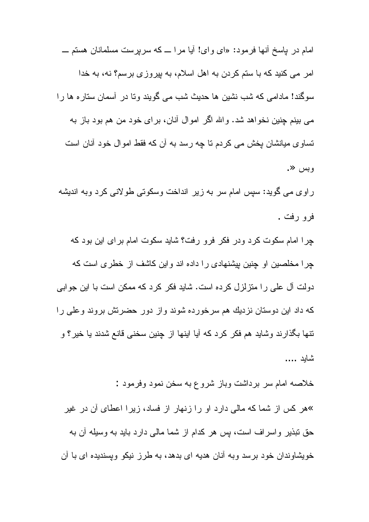امام در باسخ أنها فرمود: «اي واي! أبا مرا ــ كه سربرست مسلمانان هستم ـــ امر می کنید که با ستم کردن به اهل اسلام، به بیروزی برسم؟ نه، به خدا سوگند! مادامی که شب نشین ها حدیث شب می گویند و تا در ِ آسمان ستار ه ها ر ا می بینم چنین نخواهد شد. والله اگر اموال أنان، برای خود من هم بود باز به تساوی میانشان یخش می کردم تا چه رسد به آن که فقط اموال خود آنان است وبس «.

راوی می گوید: سپس امام سر به زیر انداخت وسکونی طولانی کرد وبه اندیشه فر و رفت .

چرا امام سکوت کرد ودر فکر فرو رفت؟ شاید سکوت امام برای این بود که چرا مخلصین او چنین بپشنهادی را داده اند واین کاشف از خطری است که دولت آل علمی را منزلزل کرده است. شاید فکر کرد که ممکن است با این جوابی که داد این دوستان نزدیك هم سرخورده شوند واز دور حضرنش بروند وعلی را نتها بگذارند وشايد هم فكر كرد كه أيا اينها از چنين سخني قانع شدند يا خير؟ و شابد ....

خلاصه امام سر برداشت وباز شروع به سخن نمود وفرمود : »هر کس از شما که مالی دارد او را زنهار از فساد، زیرا اعطای آن در غیر حق نبذیر و اسر اف است، بس هر کدام از شما مالی دارد باید به وسیله آن به خویشاوندان خود برسد وبه أنان هدیه ای بدهد، به طرز نیکو وپسندیده ای با أن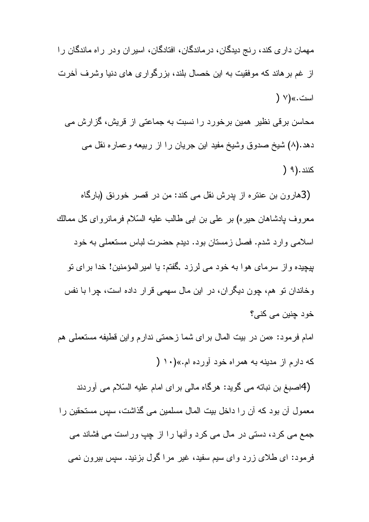مهمان دار ی کند، ر نج دیدگان، در ماندگان، افتادگان، اسیر ان و در ار اه ماندگان ر ا از غم برهاند که موفقیت به این خصال بلند، بزرگواری های دنیا وشرف أخرت است.»(۷ (

محاسن برقی نظیر همین برخورد را نسبت به جماعتی از قریش، گزارش می دهد.(۸) شیخ صدوق وشیخ مفید این جریان را از ربیعه وعماره نقل مبی کنند.(۹ (

(3هارون بن عنتره از پدرش نقل می کند: من در قصر خورنق (بارگاه معروف پادشاهان حیره) بر علی بن ابی طالب علیه السّلام فرمانروای کل ممالك اسلامی وارد شدم. فصل زمستان بود. دیدم حضرت لباس مستعملی به خود بيجيده و از ِ سر ماي هو ا به خود مي لر ز د .گفتم: يا امير المؤمنين! خدا بر اي نو وخاندان تو هم، چون دیگران، در این مال سهمی قرار داده است، چرا با نفس خود چنين مي کني؟

امام فرمود: «من در بيت المال براي شما زحمتي ندارم واين قطيفه مستعملي هم که دار م از مدينه به همر اه خود آور ده ام.»(١٠ (

(4اصبغ بن نباته می گوید: هرگاه مالی برای امام علیه السّلام می آوردند معمول آن بود که آن را داخل بیت المال مسلمین می گذاشت، سپس مستحقین را جمع می کرد، دستی در مال می کرد وأنها را از چپ وراست می فشاند می فرمود: ای طلای زرد وای سیم سفید، غیر مراگول بزنید. سپس بیرون نمی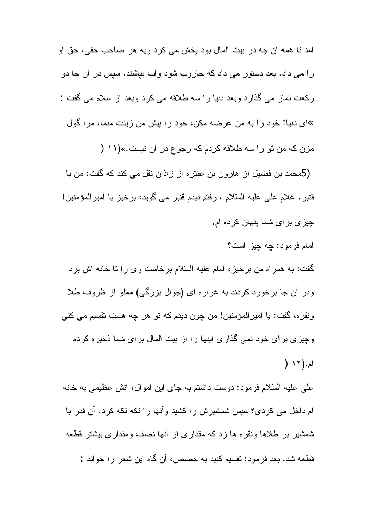آمد نا همه آن چه در بيت المال بود بخش مي كرد وبه هر صاحب حقي، حق او را می داد. بعد دستور می داد که جاروب شود و آب بیاشند. سپس در آن جا دو ركعت نماز مي گذارد وبعد دنيا را سه طلاقه مي كرد وبعد از سلام مي گفت : »ای دنیا! خود را به من عرضه مکن، خود را بیش من زینت منما، مرا گول مزن كه من تو را سه طلاقه كردم كه رجوع در آن نيست.»(١١ ( (5محمد بن فضيل از هارون بن عنتره از زاذان نقل مي كند كه گفت: من با قنبر ، غلام على عليه السّلام ، رفتم ديدم قنبر مي گويد: برخيز يا اميرالمؤمنين! چیز ی بر ای شما بنهان کرده ام.

امام فرمود: چه چیز است؟ گفت: به همراه من برخیز ، امام علیه السّلام برخاست وی را تا خانه اش برد ودر أن جا برخورد كردند به غراره اي (جوال بزرگي) مملو از ظروف طلا ونقره، گفت: يا اميرالمؤمنين! من چون ديدم كه نو هر چه هست نقسيم مى كنى وچیزی برای خود نمی گذاری اینها را از بیت المال برای شما ذخیره کرده ام. (١٢ (

علمی علیه السّلام فرمود: دوست داشتم به جای این اموال، أنش عظیمی به خانه ام داخل می کردی؟ سپس شمشیرش را کشید و آنها را تکه تکه کرد. آن قدر با شمشیر بر طلاها ونقره ها زد که مقداری از آنها نصف ومقداری بیشتر قطعه قطعه شد. بعد فرمود: نقسیم کنید به حصص، أن گاه این شعر را خواند :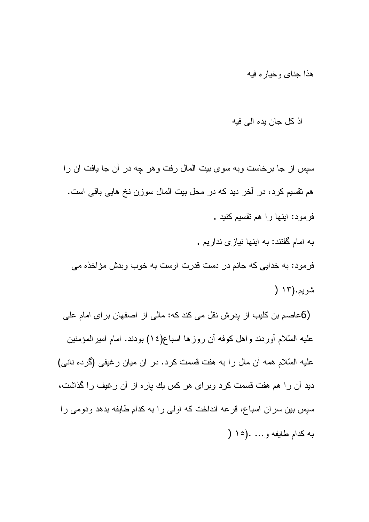هذا جناى وخياره فيه

### اذ كل جان بده الى فبه

سپس از جا برخاست وبه سوی بیت المال رفت و هر چه در آن جا یافت آن را هم نقسیم کرد، در آخر دید که در محل بیت المال سوزن نخ هایی باقی است. فرمود: اینها را هم نقسیم کنید .

به امام گفتند: به اینها نیاز ی ندار یم . فرمود: به خدایی که جانم در دست قدرت اوست به خوب وبدش مؤاخذه می شويم.(١٣ (

(6عاصم بن كليب از پدرش نقل مى كند كه: مالى از اصفهان براى امام على عليه السّلام أوردند واهل كوفه أن روزها اسباع(١٤) بودند. امام اميرالمؤمنين عليه السّلام همه أن مال را به هفت قسمت كرد. در أن ميان رغيفي (گرده ناني) دید آن را هم هفت قسمت کرد وبرای هر کس یك پاره از آن رغیف را گذاشت، سیس بین سران اسباع، قرعه انداخت که اولی را به کدام طایفه بدهد ودومی را به كدام طايفه و… .(١٥ (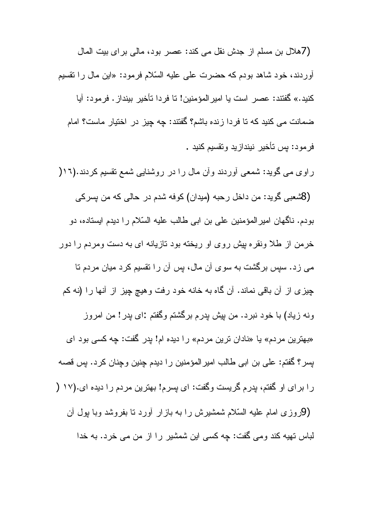(7هلال بن مسلم از جدش نقل می کند: عصر بود، مالی بر ای بیت المال أوردند، خود شاهد بودم كه حضرت على عليه السّلام فرمود: «ابن مال را نقسيم كنيد.» گفتند: عصر است يا امير المؤمنين! تا فردا تأخير بينداز . فرمود: آيا ضمانت می کنید که تا فردا زنده باشم؟ گفتند: چه چیز در اختیار ماست؟ امام فر مو د: بس تأخير نينداز يد و تقسيم كنيد .

راوی می گوید: شمعی آوردند و آن مال را در روشنایی شمع نقسیم کردند.(۱۲( (8شعبي گويد: من داخل رحبه (ميدان) كوفه شدم در حالي كه من بسركي بودم. ناگهان امیر المؤمنین علی بن ابی طالب علیه السّلام را دیدم ایستاده، دو خرمن از طلا ونقره بیش روی او ریخته بود تازیانه ای به دست ومردم را دور مے زد. سپس برگشت به سوی آن مال، بس آن را تقسیم کرد میان مردم تا چیزی از آن باقی نماند. آن گاه به خانه خود رفت وهیچ چیز از آنها را (نه کم ونه زیاد) با خود نبرد. من بپش پدرم برگشتم وگفتم :ای بدر ! من امروز «بهترین مردم» یا «نادان ترین مردم» را دیده ام! پدر گفت: چه کسی بود ای بسر؟ گفتم: على بن ابى طالب امير المؤمنين را ديدم چنين وچنان كرد. پس قصه را برای او گفتم، بدرم گریست وگفت: ای پسرم! بهترین مردم را دیده ای.(١٧ ( (9روزی امام علیه السّلام شمشیرش را به بازار آورد نا بفروشد وبا بول آن لباس نهيه كند ومي گفت: چه كسي اين شمشير را از من مي خرد. به خدا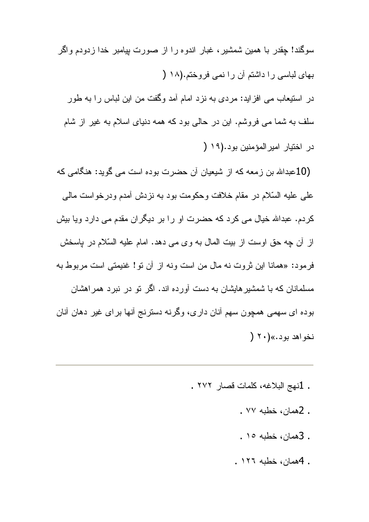سوگند! چقدر با همین شمشیر ، غبار اندو ه را از صورت بیامبر خدا زدودم واگر بهای لباسی را داشتم آن را نمی فروختم.(١٨ ( در استیعاب می افزاید: مردی به نزد امام آمد وگفت من این لباس را به طور سلف به شما می فروشم. این در حالی بود که همه دنیای اسلام به غیر از شام در اختيار امير المؤمنين بود.(١٩ (

(10عبدالله بن زمعه كه از شیعیان آن حضرت بوده است می گوید: هنگامی كه علمي عليه السّلام در مقام خلافت وحكومت بود به نزدش أمدم ودرخواست مالمي کردم. عبدالله خیال می کرد که حضرت او را بر دیگران مقدم می دارد ویا بیش از أن چه حق اوست از بیت المال به وی می دهد. امام علیه السّلام در باسخش فرمود: «همانا این ثروت نه مال من است ونه از آن نو! غنیمتی است مربوط به مسلمانان که با شمشیر هایشان به دست آورده اند. اگر نو در نبرد همر اهشان بوده ای سهمی همچون سهم آنان داری، وگرنه دسترنج أنها برای غیر دهان أنان نخو اهد بود.» (۲۰ (

- . 1نهج البلاغه، كلمات قصار ٢٧٢ .
	- . 2همان، خطبه ۷۷ .
	- . 3همان، خطبه ١٥.
	- . 4همان، خطبه ١٢٦.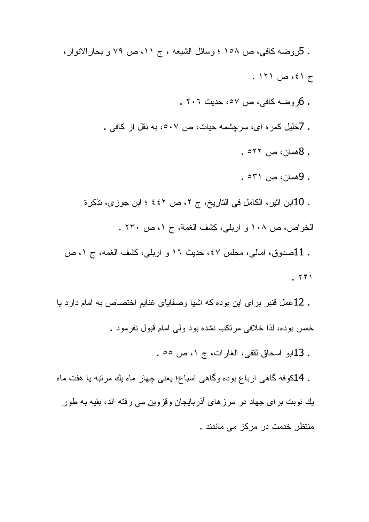. كروضه كافي، ص ١٥٨ ؛ وسائل الشيعه ، ج ١١، ص ٧٩ و بحارالانوار،  $. 171$  ص ١٢١. . 6روضه كافي، ص ٥٧، حديث ٢٠٦ . . 7خلیل کمر ه ای، سرچشمه حیات، ص ٥٠٧، به نقل از کافی . . 8همان، ص ۲۲م . . 9همان، ص ٥٣١ . . 10ابن اثير، الكامل في التاريخ، ج ٢، ص ٤٤٢ ؛ ابن جوزي، تذكرة الخواص، ص ١٠٨ و اربلي، كشف الغمة، ج ١، ص ٢٣٠ . . 11صدوق، امالی، مجلس ٤٧، حدیث ١٦ و اربلبي، كشف الغمه، ج ١، ص

 $. 771$ 

. 12عمل قنبر براي اين بوده كه اشيا وصفاياي غنايم اختصاص به امام دارد يا خمس بوده، لذا خلافی مرتکب نشده بود ولی امام قبول نفرمود .

. 13ابو اسحاق ثقفي، الغارات، ج ١، ص ٥٥ .

. 14کوفه گاهی ارباع بوده وگاهی اسباع؛ یعنی چهار ماه یك مرتبه یا هفت ماه یك نوبت بر ای جهاد در مرزهای آذربایجان وقزوین می رفته اند، بقیه به طور منتظر خدمت در مرکز مے ماندند .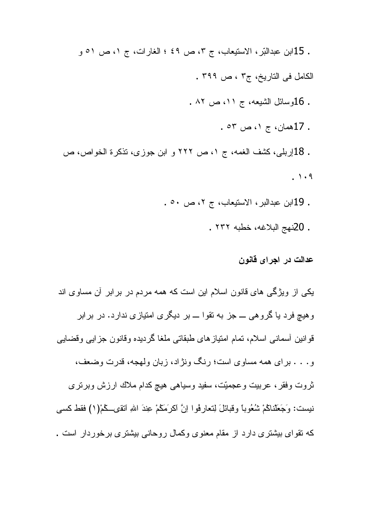. 15ابن عبدالَّتِر ، الاستيعاب، ج ٣، ص ٤٩ ؛ الغارات، ج ١، ص ٥١ و الكامل في التاريخ، ج٣ ، ص ٣٩٩ . . 16وسائل الشيعه، ج ١١، ص ٨٢ . . 17همان، ج ۱، ص ٥٣ . . 18إربلي، كَشْف الغمه، ج ١، ص ٢٢٢ و ابن جوزي، تذكرة الخواص، ص  $. \rightarrow .9$ . 19ابن عبدالبر ، الاستيعاب، ج ٢، ص ٥٠ .

. 20نهج البلاغه، خطبه ٢٣٢ .

عدالت در اجراي قانون

یکی از ویژگی های قانون اسلام این است که همه مردم در برابر آن مساوی اند وهیچ فرد یا گروهی ـــ جز به نقوا ـــ بر دیگری امتیازی ندارد. در برابر قوانين أسماني اسلام، تمام امتيازهاي طبقاتي ملغا گرديده وقانون جزايبي وقضايبي و. . . . براي همه مساوي است؛ رنگ ونژاد، زبان ولهجه، قدرت وضعف، ثروت وفقر ، عربیت وعجمیّت، سفید وسیاهی هیچ کدام ملاك ارزش وبرنری نيست: وَجَعَلْناكُمْ شُعُوباً وقبائلَ لِنعارِفُوا اِنَّ اكرَمَكُمْ عِندَ اللهِ انْقَى كُمْ(١) فقط كسي که نقوای بیشتری دارد از مقام معنوی وکمال روحانی بیشتری برخوردار است .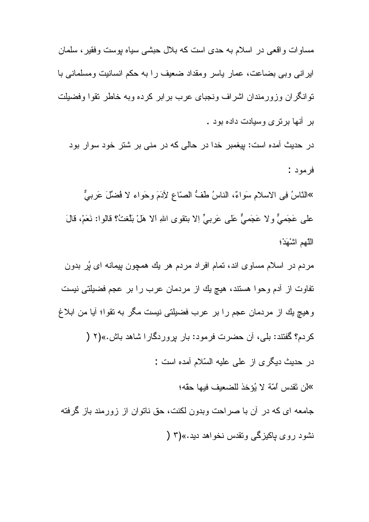مساو ات و اقعے در اسلام به حدی است که بلال حبشی سیاه بوست وفقیر ، سلمان ایرانی وبی بضاعت، عمار پاسر ومقداد ضعیف را به حکم انسانیت ومسلمانی با نوانگران وزورمندان اشراف ونجباى عرب برابر كرده وبه خاطر نقوا وفضيلت بر آنها بر تر ی وسیادت داده بود .

در حدیث آمده است: بیغمبر خدا در حالی که در منی بر شتر خود سوار بود فرمود :

»النّاسُ فِي الاسلامِ سَواءٌ، الناسُ طَفُّ الصّاعِ لِأَدَمَ وحَواءِ لا فُضلِّلَ عَربيٌّ علمي عَجَميٌّ ولا عَجَميٌّ عَلَمي عَربيٍّ إلا بنقوى اللهِ الا هَلْ بَلَّغتُ؟ قالوا: نَعَمْ، قالَ اللَّهم اشْهَدْ؛

مردم در اسلام مساوی اند، تمام افراد مردم هر یك همچون بیمانه ای پُر بدون تفاوت از أدم وحوا هستند، هيچ يك از مردمان عرب را بر عجم فضيلتي نيست و هيچ بِك از مردمان عجم را بر عرب فضيلتي نيست مگر به نقوا؛ آيا من ابلاغ كردم؟ گفتند: بلي، أن حضرت فرمود: بار بروردگارا شاهد باش.»(٢ ( در حدیث دیگر ی از علی علیه السّلام آمده است : كَان تَقدس أُمَّة لا بُوَخذ للضعيف فيها حقَّه؛ جامعه ای که در آن با صراحت وبدون لکنت، حق ناتوان از زورمند باز گرفته

نشود روی باکیزگی وتقدس نخواهد دید.»(۳ (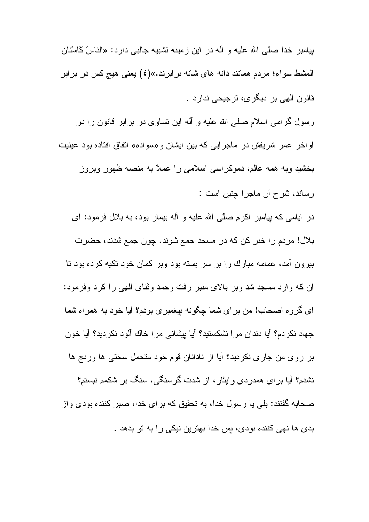بیامبر خدا صلّی الله علیه و آله در این زمینه تشبیه جالبی دارد: «الناسُ گاسْنانِ المَشْط سواء؛ مردم همانند دانه های شانه بر ابرند.»(٤) یعنی هیچ کس در بر ابر قانون الھي بر ديگر ي، ترجيحي ندارد .

رسول گرامی اسلام صلّی الله علیه و آله این نساوی در برابر قانون را در اواخر عمر شريفش در ماجرايي كه بين ايشان و «سواده» اتفاق افتاده بود عينيت بخشید وبه همه عالم، دموکراسی اسلامی را عملاً به منصه ظهور وبروز ر ساند، شرح آن ماجر ا جنین است :

در ایامی که بپامبر اکرم صلّی الله علیه و آله بیمار بود، به بلال فرمود: ای بلال! مردم را خبر كن كه در مسجد جمع شوند. چون جمع شدند، حضرت بیرون آمد، عمامه مبارك را بر سر بسته بود وبر كمان خود نكیه كرده بود تا أن كه وارد مسجد شد وبر بالاي منبر رفت وحمد وثناي الهي را كرد وفرمود: ای گروه اصحاب! من برای شما چگونه بیغمبری بودم؟ آیا خود به همراه شما جهاد نكردم؟ أيا دندان مرا نشكستيد؟ أيا بيشانـي مرا خاك ألود نكرديد؟ أيا خون بر روى من جارى نكرديد؟ أيا از نادانان قوم خود متحمل سختى ها ورنج ها نشدم؟ أيا براي همدردي وايثار، از شدت گرسنگي، سنگ بر شكمم نبستم؟ صحابه گفتند: بلی یا رسول خدا، به تحقیق که بر ای خدا، صبر کننده بودی و از بدی ها نهی کننده بودی، پس خدا بهترین نیکی را به تو بدهد .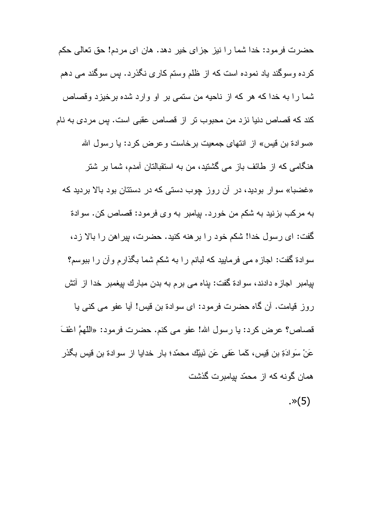حضرت فرمود: خدا شما را نیز جزای خیر دهد. هان ای مردم! حق تعالی حکم کرده وسوگند یاد نموده است که از ظلم وستم کاری نگذرد. پس سوگند می دهم شما را به خدا که هر که از ناحیه من ستمی بر او وارد شده برخیزد وقصاص كند كه قصاص دنيا نزد من محبوب تر از قصاص عقبى است. پس مردى به نام «سوادة بن قيس» از انتهاى جمعيت برخاست وعرض كرد: يا رسول الله هنگامی که از طائف باز می گشتید، من به استقبالتان آمدم، شما بر شتر «غضبا» سوار بودید، در آن روز چوب دستی که در دستتان بود بالا بردید که به مركب بزنيد به شكم من خورد. بيامبر به و ى فر مود: قصاص كن. سوادة گفت: ای رسول خدا! شکم خود را بر هنه کنید. حضرت، بیر اهن را بالا زد، سوادة گفت: اجاز ه مي فرماييد كه لبانم را به شكم شما بگذار م و آن ر ا ببوسم؟ بیامبر اجازه دادند، سوادة گفت: بِناه می برم به بدن مبارك بپغمبر خدا از آتش روز قيامت. أن كَاه حضرت فرمود: اي سوادة بن قيس! أيا عفو مي كني يا قصاص؟ عرض كرد: يا رسول الله! عفو مي كنم. حضرت فرمود: «اللَّهمَّ اعْفَ عَنْ سَوادَةِ بنِ قِيسٍ، كَما عَفي عَنِ نَبِيِّكِ محمّد؛ بار خدايا از سوادة بن قيس بگذر همان گونه که از محمّد بیامبر ت گذشت  $\cdot$   $\times$  (5)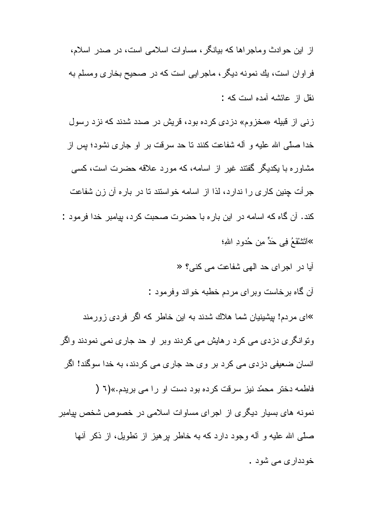از این حو ادث و ماجر اها که بیانگر ، مساو ات اسلامی است، در صدر اسلام، فراوان است، يك نمونه ديگر ، ماجرايي است كه در صحيح بخاري ومسلم به نقل از عائشه آمده است که :

زنی از قبیله «مخزوم» دزدی کرده بود، قریش در صدد شدند که نزد رسول خدا صلَّى الله عليه و آله شفاعت كنند نا حد سرقت بر او جار ي نشود؛ بس از مشاوره با یکدیگر گفتند غیر از اسامه، که مورد علاقه حضرت است، کسی جرأت چنین کاری را ندارد، لذا از اسامه خواستند تا در باره آن زن شفاعت كند. آن گاه كه اسامه در اين بار ه با حضرت صحبت كرد، بيامبر خدا فرمود : »اَتَتْنْقَعُ فِي حَدٍّ مِن حُدوٍ دِ اللهِ؛

آیا در اجرای حد الهی شفاعت می کنی؟ «

أن گاه برخاست وبرای مردم خطبه خواند وفرمود :

»ای مردم! بپشینیان شما هلاك شدند به این خاطر كه اگر فردی زورمند وتوانگری دزدی می کرد رهایش می کردند وبر او حد جاری نمی نمودند واگر انسا*ن* ضعیفی دزدی می کرد بر وی حد جاری می کردند، به خدا سوگند! اگر فاطمه دختر محمّد نیز سرقت کرده بود دست او را می بریدم.»(٦ ( نمونه های بسیار دیگری از اجرای مساوات اسلامی در خصوص شخص بیامبر صلَّـى الله عليه و أله وجود دارد كه به خاطر بر هيز از نطويل، از ذكر أنها خودداري مي شود .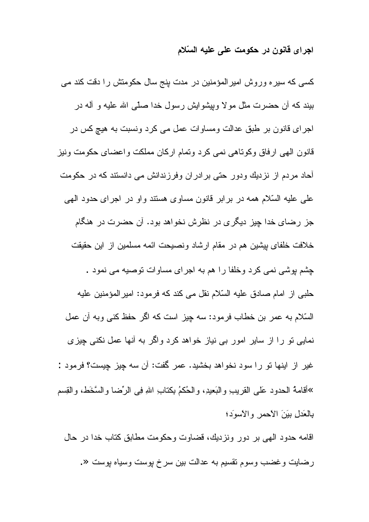# اجرای قانون در حکومت علی علیه السّلام

| کسی که سیره وروش امیرالمؤمنین در مدت پنج سال حکومتش را دقت کند می                           |
|---------------------------------------------------------------------------------------------|
| بیند که آن حضرت مثل مولا وبپشوایش رسول خدا صلّمی الله علیه و آله در                         |
| اجرا <i>ی</i> قانون بر طبق عدالت ومساوات عمل می کرد ونسبت به هیچ کس در                      |
| قانون الهى ارفاق وكوناهى نمى كرد ونمام اركان مملكت واعضاى حكومت ونيز                        |
| <mark>آحاد مردم از نزدیك ودور حتی برادران وفرزندانش می دانستند كه در حكومت</mark>           |
| علی علیه السّلام همه در بر ابر قانون مساوی هستند و او در اجرای حدود الهی                    |
| جز رضا <i>ی</i> خدا چیز دیگری در نظرش نخواهد بود. آن حضرت در هنگام                          |
| خلافت خلفاى بپشين هم در مقام ارشاد ونصيحت ائمه مسلمين از اين حقيقت                          |
| چشم پوشی نمی کرد وخلفا را هم به اجرای مساوات توصیه می نمود .                                |
| حلبی از امام صادق علیه السّلام نقل می کند که فرمود: امیرالمؤمنین علیه                       |
| السّلام به عمر بن خطاب فرمود: سه چیز است که اگر حفظ کنبی وبه آن عمل                         |
| نمایی تو را از سایر امور بی نیاز خواهد کرد واگر به آنها عمل نکنی <mark>چ</mark> یز <i>ی</i> |
| غير از اينها نو را سود نخواهد بخشيد. عمر گفت: أن سه چيز چيست؟ فرمود :                       |
| »أقامة الحدود عَلى القريب والبَعيدِ، والحُكمُ بكنابِ اللهِ فِي الرِّضا والسَّخَط، والقِسم   |
| بالعَدل بَيَنَ الأحمر والأسوَد؛                                                             |
|                                                                                             |

اقامه حدود الهي بر دور ونزديك، قضاوت وحكومت مطابق كتاب خدا در حال رضايت وغضب وسوم نقسيم به عدالت بين سرخ پوست وسياه پوست «.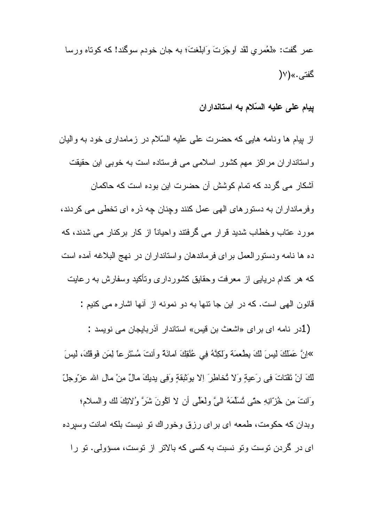عمر گَفت: «لَعُمر ي لَقَد أوجَز تَ وَابِلَغتَ؛ به جان خودم سوگند! که کوتاه ور سا گفتى.»(٧(

ييام على عليه السّلام به استانداران

از بیام ها ونامه هایی که حضرت علی علیه السّلام در زمامداری خود به والیان واستانداران مراکز مهم کشور اسلامی می فرستاده است به خوبی این حقیقت آشکار مے گر دد که تمام کو شش آن حضر ت ابن بو ده است که حاکمان وفرمانداران به دستورهای الهی عمل کنند وچنان چه ذره ای تخطی می کردند، مورد عتاب وخطاب شدید قرار می گرفتند واحیاناً از کار برکنار می شدند، که ده ها نامه ودستور العمل براي فرماندهان واستانداران در نهج البلاغه آمده است که هر کدام دریایی از معرفت وحقایق کشورداری وتأکید وسفارش به رعایت قانون الهي است. كه در اين جا نتها به دو نمونه از آنها اشار ه مي كنيم :

(1در نامه ای بر ای «اشعث بن قیس» استاندار آذربایجان می نویسد : »إِنَّ عَمَلَكَ لَبِسَ لَكَ بِطُعمَةٍ وَلَكِنَّهُ فِي عُنُقِكَ امانَةٍ وأنتَ مُسْتَرِعًا لِمَن فَوقُكَ، لَبِسَ لَكَ أَنْ نَقْتَاتَ فِي رَعِيةٍ وَلا تُخاطِرَ إِلا بِوَتَبِقَةٍ وَفِي بِدِيكَ مالٌ مِنْ مالِ الله عزّوجلّ وَانتَ مِن خُزَّانِهِ حتَّى تُسَلِّمَهُ الْمَيَّ ولعَلَّمِي أن لا الْمُونَ شَرَّ وُلانِكَ لَك والسلام؛ وبدان که حکومت، طمعه ای برای رزق وخوراك نو نیست بلکه امانت وسپرده ای در گردن نوست ونو نسبت به کسی که بالاتر از نوست، مسؤولی. نو را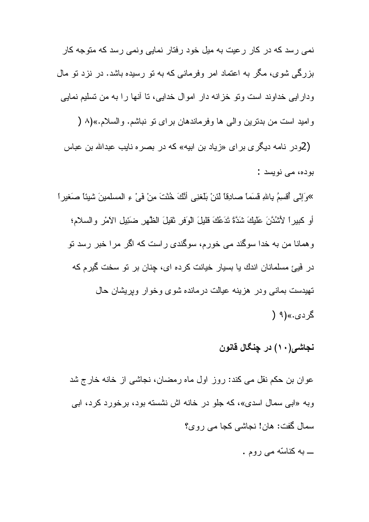نمی رسد که در کار رعیت به میل خود رفتار نمایی ونمی رسد که متوجه کار بزرگی شوی، مگر به اعتماد امر وفرمانی که به نو رسیده باشد. در نزد نو مال ودارایی خداوند است ونو خزانه دار اموال خدایی، نا أنها را به من نسلیم نمایی و اميد است من بدنرين و الى ها وفرماندهان بر اى نو نباشم. والسلام.»(٨ ( (2و در نامه دیگر ی بر ای «زباد بن ابیه» که در بصر ه نایب عبدالله بن عباس بودہ، می نویسد :

»وَإِنِّي أَقْسِمُ بِاللهِ قَسَماً صادِقاً لَئِنْ بَلْغَنِي أَنَّكَ خُنْتَ مِنْ فَيْ ءِ المسلمينَ شيئاً صَغيراً أو كبيرٍ! لأَشْدَّنَ عَلَيْكَ شَدَّةً تَدَعُكَ قُليلَ الوَفر ثقيلَ الظَّهر ضَئِيل الأَمْرِ والسلام؛ وهمانا من به خدا سوگند می خورم، سوگندی راست که اگر مرا خبر رسد نو در فَیئ مسلمانان اندك یا بسیار خیانت كرده ای، چنان بر تو سخت گیرم كه تهیدست بمانی و در هزینه عیالت در مانده شوی و خو ار ویریشان حال گر دی..»(۹ (

# نجاشي(١٠) در چنگال قانون

عوان بن حکم نقل می کند: روز اول ماه رمضان، نجاشی از خانه خارج شد وبه «ابی سمال اسدی»، که جلو در خانه اش نشسته بود، برخورد کرد، ابی سمال گفت: هان! نجاشی کجا می روی؟ ـــ به کناسّه می روم .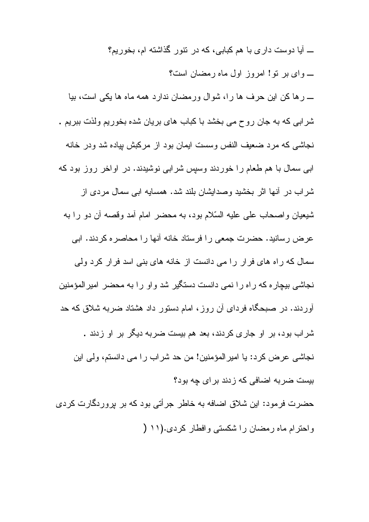ـــ آیا دوست دار ی با هم کبابی، که در نتور گذاشته ام، بخور بم؟ ۔ وای بر تو! امروز اول ماہ رمضان است؟ \_ رها كن اين حرف ها را، شوال ورمضان ندارد همه ماه ها يكي است، بيا شرابی که به جان روح می بخشد با کباب های بریان شده بخوریم ولذت ببریم . نجاشی که مرد ضعیف النفس وسست ایمان بود از مرکبش بیاده شد ودر خانه ابی سمال با هم طعام را خوردند وسپس شرابی نوشیدند. در اواخر روز بود که شراب در آنها اثر بخشید وصدایشان بلند شد. همسایه ابی سمال مردی از شيعيان و اصحاب علي عليه السّلام بود، به محضر لمام آمد وقصه آن دو را به عرض رسانید. حضرت جمعی را فرستاد خانه آنها را محاصره کردند. ابی سمال که راه های فرار را می دانست از خانه های بنی اسد فرار کرد ولی نجاشی بیچار ه که راه را نمی دانست دستگیر شد واو را به محضر امیرالمؤمنین أوردند. در صبحگاه فردای أن روز، امام دستور داد هشتاد ضربه شلاق که حد شراب بود، بر او جاری کردند، بعد هم بیست ضربه دیگر بر او زدند . نجاشي عرض كرد: يا امير المؤمنين! من حد شراب را مي دانستم، ولي اين بیست ضر به اضافی که ز دند بر ای جه بود؟ حضرت فرمود: این شلاق اضافه به خاطر جرأتی بود که بر بروردگارت کردی واحترام ماه رمضان را شكستى وافطار كردى.(١١ (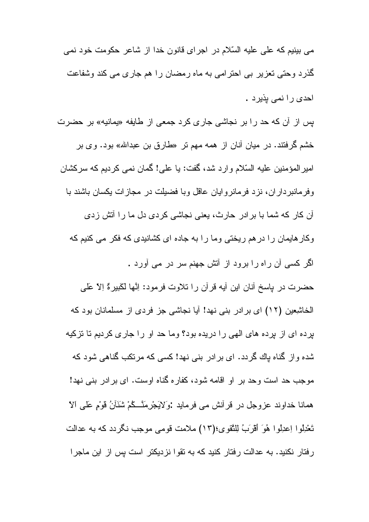مي بينيم كه على عليه السّلام در اجراي قانون خدا از شاعر حكومت خود نمي گذرد وحتی تعزیر بی احترامی به ماه رمضان را هم جاری می کند وشفاعت احدی را نمی بذیرد .

پس از آن که حد را بر نجاشی جاری کرد ج*معی* از طایفه «یمانیه» بر حضرت خشم گرفتند. در میان أنان از همه مهم نر «طارق بن عبدالله» بود. وی بر امیر المؤمنین علیه السّلام و ارد شد، گفت: یا علی! گمان نمی کردیم که سرکشان وفرمانبر دار ان، نزد فرمانر و ایان عاقل وبا فضیلت در مجاز ات یکسان باشند با آن كار كه شما با برادر حارث، يعني نجاشي كردي دل ما را أتش زدي وکار هایمان را در هم ریختی وما را به جاده ای کشانیدی که فکر می کنیم که لگر کسی آن راه را برود از آتش جهنم سر در می آورد . حضرت در پاسخ أنان اين أيه قرأن را نلاوت فرمود: اِنَّها لكَبيرةٌ اِلاَّ عَلَى الخاشعين (١٢) اي برادر بني نهد! آيا نجاشي جز فردي از مسلمانان بود كه برده ای از برده های الهی را دریده بود؟ وما حد او را جاری کردیم تا نزکیه شده واز گناه باك گردد. اى برادر بنى نهد! كسى كه مرتكب گناهى شود كه موجب حد است وحد بر او اقامه شود، کفار ه گناه اوست. ای بر ادر بنی نهد! همانا خداوند عزوجل در قرأنش مي فرمايد :وَلاَيَجْرِمَنَّــكُمْ شَنَأَنُ قَوْمٍ عَلَى الاّ تَعْدِلُوا اِعدِلُوا هُوَ أَقْرَبُ لِلنَّقوى؛(١٣) ملامت قومي موجب نكردد كه به عدالت رفتار نکنید. به عدالت رفتار کنید که به نقوا نزدیکتر است بس از این ماجرا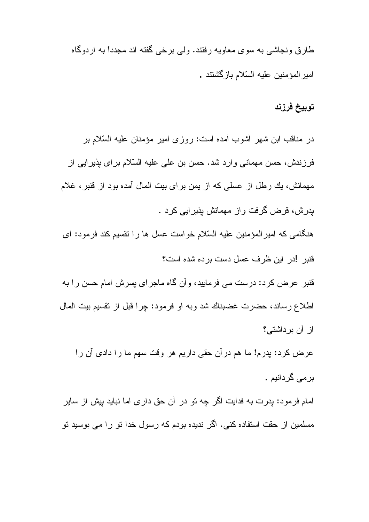طارق ونجاشی به سوی معاویه رفتند. ولی برخی گفته اند مجدداً به اردوگاه امير المؤمنين عليه السّلام باز گشتند .

### توبيخ فرزند

در مناقب ابن شهر أشوب أمده است: روزي امير مؤمنان عليه السّلام بر فرزندش، حسن مهمانی وارد شد. حسن بن علی علیه السّلام برای پذیرایی از مهمانش، يك رطل از عسلي كه از يمن بر اي بيت المال آمده بود از قنبر ، غلام بدرش، قرض گرفت واز مهمانش بذیرایی کرد . هنگامی که امیر المؤمنین علیه السّلام خواست عسل ها را نقسیم کند فرمود: ای قنبر ادر این ظرف عسل دست برده شده است؟ قنبر عرض کرد: درست می فرمایید، وأن گاه ماجرای پسرش امام حسن را به اطلاع رساند، حضرت غضبناك شد وبه او فرمود: چرا قبل از نقسیم بیت المال از آن برداشتی؟ عرض كرد: بدرم! ما هم در أن حقى داريم هر وقت سهم ما را دادي أن را بر مے گر دانیم .

امام فرمود: پدرت به فدایت اگر چه نو در آن حق داری اما نباید بپش از سایر مسلمین از حقت استفاده کنی. اگر ندیده بودم که رسول خدا نو را می بوسید نو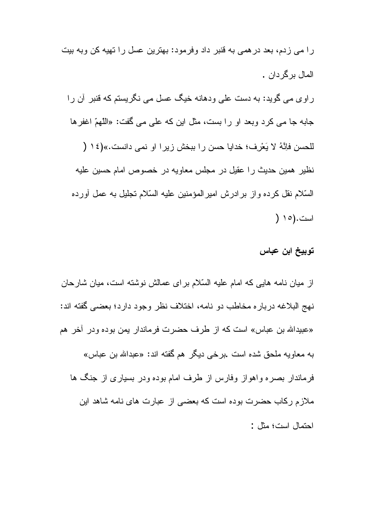را می زدم، بعد در همی به قنبر داد وفرمود: بهترین عسل را تهیه کن وبه بیت المال برگر دان . راوی می گوید: به دست علی ودهانه خیگ عسل می نگریستم که قنبر آن را جابه جا مي كرد وبعد او را بست، مثل اين كه على مي گفت: «اللّهمّ اغفرها للحسن فإنَّهُ لا يَعْرِف؛ خدايا حسن را بيخش زير ا او نمي دانست.»(١٤ ( نظیر همین حدیث را عقیل در مجلس معاویه در خصوص امام حسین علیه السَّلام نقل كرده واز برادرش اميرالمؤمنين عليه السَّلام نجليل به عمل أورده است.(١٥ (

### توبيخ ابن عباس

از میان نامه هایی که امام علیه السّلام برای عمالش نوشته است، میان شارحان نهج البلاغه درباره مخاطب دو نامه، اختلاف نظر وجود دارد؛ بعضبي گفته اند: «عبيدالله بن عباس» است كه از طرف حضرت فرماندار يمن بوده ودر آخر هم به معاويه ملحق شده است .برخي ديگر هم گفته اند: «عبدالله بن عباس» فرماندار بصره واهواز وفارس از طرف امام بوده ودر بسیاری از جنگ ها ملازم رکاب حضرت بوده است که بعضبی از عبارت های نامه شاهد این احتمال است؛ مثل :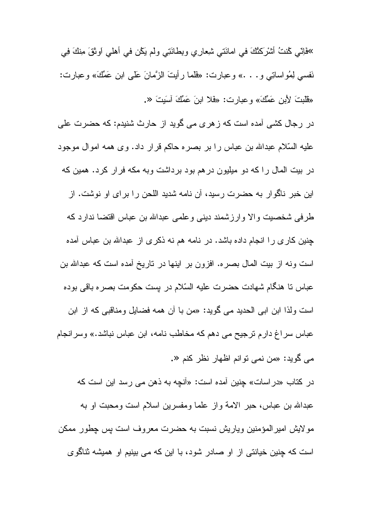»فَاِنِّي كُنْتُ أَشْرَكْنُكَ في امانَتي شَعِارِي وبِطانَتِي ولم يَكُن في أهلي اَوثَقَ مِنْكَ فِي نَفسي لِمُواساتِي و. . . » وعبارت: «فَلما رأيتَ الزَّمانَ عَلَى ابنِ عَمِّكَ» وعبارت: «قُلّْبِتَ لأَبْنِ عَمِّكَ» وعبارت: «فَلا ابنَ عَمِّكَ أَسَيِتَ «.

در رجال کشی آمده است که زهری می گوید از حارث شنیدم: که حضرت علی عليه السّلام عبدالله بن عباس را بر بصره حاكم قرار داد. وى همه اموال موجود در بیت المال را که دو میلیون درهم بود برداشت وبه مکه فرار کرد. همین که این خبر ناگوار به حضرت رسید، آن نامه شدید اللحن را برای او نوشت. از طرفی شخصیت والا وارزشمند دینی وعلمی عبدالله بن عباس اقتضا ندارد که جنین کاری را انجام داده باشد. در نامه هم نه ذکری از عبدالله بن عباس آمده است ونه از بیت المال بصره. افزون بر اینها در ناریخ أمده است که عبدالله بن عباس نا هنگام شهادت حضرت علیه السّلام در بست حکومت بصره باقی بوده است ولذا ابن ابي الحديد مي گويد: «من با أن همه فضايل ومناقبي كه از ابن عباس سراغ دارم ترجیح می دهم که مخاطب نامه، ابن عباس نباشد.» وسرانجام مي گويد: «من نمي توانم اظهار نظر كنم «.

در كتاب «در اسات» جنين آمده است: «آنچه به ذهن مي رسد اين است كه عبدالله بن عباس، حبر الامة واز علما ومفسرين اسلام است ومحبت او به مولايش اميرالمؤمنين وياريش نسبت به حضرت معروف است پس چطور ممكن است که چنین خیانتی از او صادر شود، با این که می بینیم او همیشه ثناگوی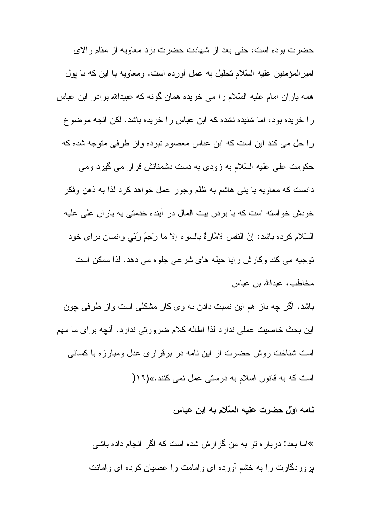حضرت بوده است، حتى بعد از شهادت حضرت نزد معاويه از مقام والاي امیر المؤمنین علیه السّلام نجلیل به عمل أورده است. ومعاویه با این که با بول همه یاران امام علیه السّلام را می خریده همان گونه که عبیدالله برادر ابن عباس را خریده بود، اما شنیده نشده که ابن عباس را خریده باشد. لکن أنچه موضوع را حل می کند این است که ابن عباس معصوم نبوده و از طرفی متوجه شده که حکومت علی علیه السّلام به زودی به دست دشمنانش قرار می گیرد ومی دانست که معاویه با بنبی هاشم به ظلم وجور عمل خواهد کرد لذا به ذهن وفکر خو دش خو استه است که با بر دن ببت المال در آبنده خدمتی به بار ان علی علبه السَّلام كرده باشد: إنَّ النفس لامَّارةٌ بالسوء إلا ما رَحِمَ رَبِّي وانسان براي خود نوجيه مي كند وكارش رابا حيله هاي شرعي جلو ه مي دهد. لذا ممكن است مخاطب، عبدالله بن عباس

باشد. اگر چه باز هم این نسبت دادن به وی کار مشکلی است واز طرفی چون این بحث خاصیت عملی ندار د لذا اطاله کلام ضر و ر تی ندار د. آنچه بر ای ما مهم است شناخت روش حضرت از این نامه در برقراری عدل ومبارزه با کسانی است که به قانون اسلام به درستی عمل نمی کنند.»(١٦/

نامه اوّل حضرت عليه السّلام به ابن عباس

»اما بعد! در بار ه تو به من گز ار ش شده است که اگر انجام داده باشبی بروردگارت را به خشم آورده ای وامامت را عصیان کرده ای وامانت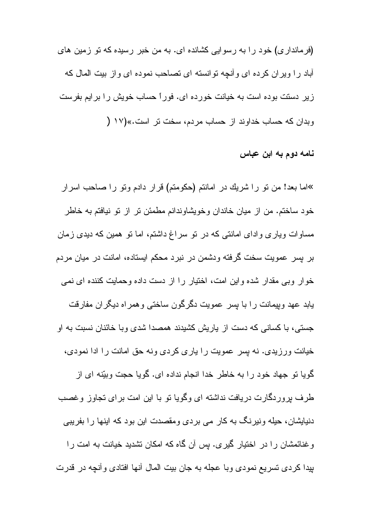(فرمانداری) خود را به رسوایی کشانده ای. به من خبر رسیده که نو زمین های آباد را ویران کرده ای و آنچه توانسته ای تصاحب نموده ای و از بیت المال که زیر دستت بوده است به خیانت خورده ای. فوراً حساب خویش را برایم بفرست وبدان كه حساب خداوند از حساب مردم، سخت تر است.»(١٧ (

نامه دوم به ابن عباس

»اما بعد! من نو را شريك در امانتم (حكومتم) قرار دادم ونو را صاحب اسرار خود ساختم. من از ميان خاندان وخويشاوندانم مطمئن تر از تو نيافتم به خاطر مساوات ویاری وادای امانتی که در نو سراغ داشتم، اما نو همین که دیدی زمان بر بسر عمويت سخت گرفته ودشمن در نبرد محکم ايستاده، امانت در ميان مردم خوار وبی مقدار شده واین امت، اختیار را از دست داده وحمایت کننده ای نمی یابد عهد ویپمانت را با بسر عمویت دگرگون ساختی وهمراه دیگران مفارقت جستی، با کسانی که دست از پاریش کشیدند همصدا شدی و با خائنان نسبت به او خیانت ورزیدی. نه بسر عمویت را باری کردی ونه حق امانت را ادا نمودی، گویا نو جهاد خود را به خاطر خدا انجام نداده ای. گویا حجت وبیّنه ای از طرف بروردگارت دریافت نداشته ای وگویا نو با این امت بر ای تجاوز وغصب دنیایشان، حیله ونیرنگ به کار می بردی ومقصدت این بود که اینها را بفریبی وغنائمشان را در اختیار گیری. بس آن گاه که امکان نشدید خیانت به امت را بيدا كردي تسريع نمودي وبا عجله به جان بيت المال أنها افتادي وأنچه در قدرت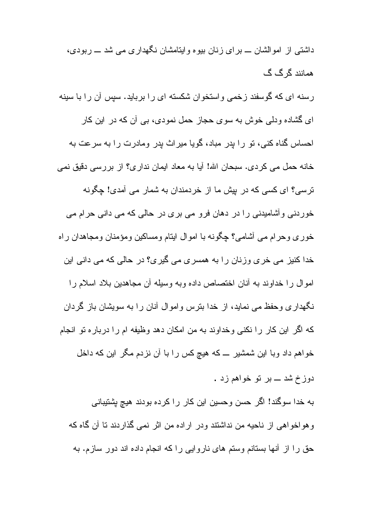داشتی از امو الشان ـــ بر ای ز نان بیو ه و اینامشان نگهدار ی می شد ـــ ر بودی، همانند گر گ گ

رسنه ای که گوسفند زخمی واستخوان شکسته ای را برباید. سپس آن را با سینه ای گشاده ودلی خوش به سوی حجاز حمل نمودی، بی آن که در این کار احساس گناه کنی، تو را بدر مباد، گویا میراث بدر ومادرت را به سرعت به خانه حمل می کردی. سبحان الله! آیا به معاد ایمان نداری؟ از بررسی دقیق نمی ترسی؟ ای کسی که در بیش ما از خردمندان به شمار می آمدی! چگونه خور دنبی و آشامیدنی را در دهان فرو می بری در حالی که می دانی حرام می خوری وحرام می أشامی؟ چگونه با اموال ایتام ومساکین ومؤمنان ومجاهدان راه خدا کنیز می خری وزنان را به همسری می گیری؟ در حالی که می دانی این اموال را خداوند به أنان اختصاص داده وبه وسيله أن مجاهدين بلاد اسلام را نگهداری وحفظ می نماید، از خدا بنرس واموال آنان را به سویشان باز گردان كه اگر اين كار را نكنى وخداوند به من امكان دهد وظيفه ام را درباره تو انجام خواهم داد وبا این شمشیر ــ که هیچ کس را با آن نزدم مگر این که داخل

دوز خ شد ـــ بر تو خواهم زد .

به خدا سوگند! اگر حسن وحسین این کار را کرده بودند هیچ پشتیبانی وهواخواهی از ناحیه من نداشتند ودر اراده من اثر نمی گذاردند تا آن گاه که حق را از آنها بستانم وستم های ناروایی را که انجام داده اند دور سازم. به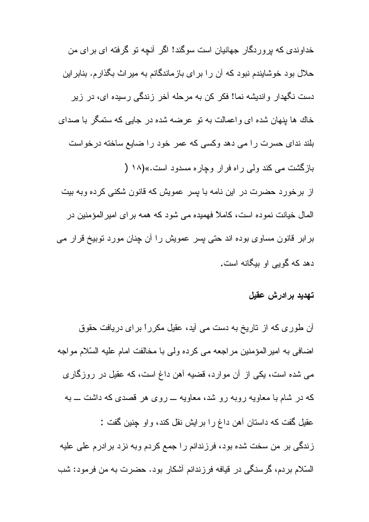خداوندی که بر و ر دگار جهانیان است سوگند! اگر آنجه تو گر فته ای بر ای من حلال بود خوشایندم نبود که آن را برای بازماندگانم به میراث بگذارم. بنابراین دست نگهدار واندیشه نما! فکر کن به مرحله آخر زندگی رسیده ای، در زیر خاك ها بنهان شده اى واعمالت به نو عرضه شده در جايبي كه ستمگر با صداى بلند ندای حسرت را می دهد وکسی که عمر خود را ضایع ساخته درخواست بازگشت می کند ولی راه فرار وچاره مسدود است.»(۱۸ ( از برخورد حضرت در این نامه با بسر عمویش که قانون شکنی کرده وبه بیت المال خیانت نمو ده است، کاملاً فهمیده می شود که همه بر ای امیر المؤمنین در برابر قانون مساوی بوده اند حتی پسر عمویش را آن چنان مورد توبیخ قرار می دهد که گویی او بیگانه است.

#### تهديد بر ادر ش عقبل

آن طوری که از تاریخ به دست می آید، عقیل مکرراً برای دریافت حقوق اضافی به امیر المؤمنین مراجعه می کرده ولی با مخالفت امام علیه السّلام مواجه می شده است، یکی از آن موارد، قضیه آهن داغ است، که عقیل در روزگاری که در شام با معاویه روبه رو شد، معاویه ـــ روی هر قصدی که داشت ـــ به عقيل گفت كه داستان أهن داغ را برايش نقل كند، واو چنين گفت : زندگی بر من سخت شده بود، فرزندانم را جمع کردم وبه نزد برادرم علی علیه السّلام بردم، گرسنگی در قیافه فرزندانم أشكار بود. حضرت به من فرمود: شب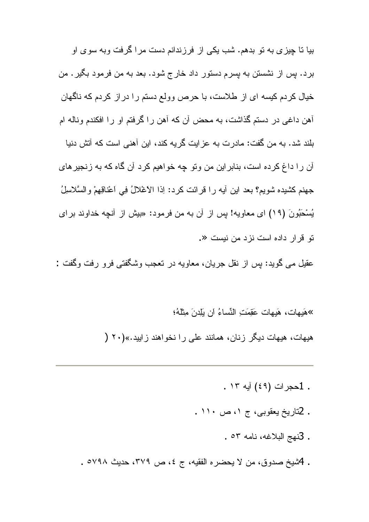بیا نا چیزی به نو بدهم. شب یکی از فرزندانم دست مرا گرفت وبه سوی او برد. پس از نشستن به پسرم دستور داد خارج شود. بعد به من فرمود بگیر . من خیال کردم کیسه ای از طلاست، با حرص وولع دستم را در از کردم که ناگهان أهن داغی در دستم گذاشت، به محض أن كه أهن را گرفتم او را افكندم وناله ام بلند شد. به من گفت: مادرت به عزایت گریه کند، این آهنی است که آتش دنیا آن را داغ کرده است، بنابراین من وتو چه خواهیم کرد آن گاه که به زنجیرهای جهنم كشيده شويم؟ بعد اين أيه را قرائت كرد: اِذا الاغلالُ فِي اعْناقِهِمْ والسَّلاسلُ يُسْحَبُونَ (١٩) اي معاويه! بس از آن به من فرمود: «بيش از آنچه خداوند براي نو قرار داده است نزد من نیست «.

عقيل مي گويد: پس از نقل جريان، معاويه در نعجب وشگفتي فرو رفت وگفت :

»هَدِهات، هَدِهات حَقِّمَتِ النَّساءُ أن بَلِّدنَ مِثْلُهُ؛

هیهات، هیهات دیگر زنان، همانند علی را نخواهند زایید.»(۲۰ (

- . 1حجرات (٤٩) آيه ١٣ .
- . 2تاريخ يعقوبي، ج ١، ص ١١٠ .
	- . 3نهج البلاغه، نامه ٥٣.
- . 4شيخ صدوق، من لا يحضره الفقيه، ج ٤، ص ٣٧٩، حديث ٥٧٩٨ .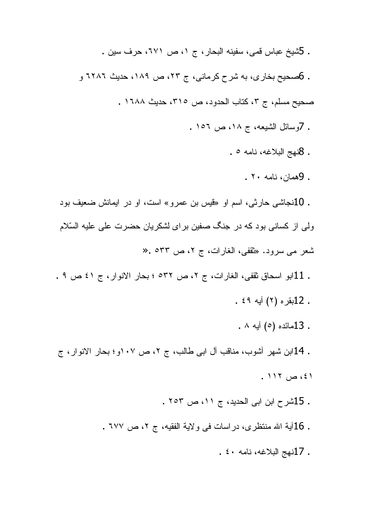- . 5شيخ عباس قمي، سفينه البحار ، ج ١، ص ٦٧١، حرف سين . . 6صحيح بخاري، به شرح كرماني، ج ٢٣، ص ١٨٩، حديث ٦٢٨٦ و صحيح مسلم، ج ٣، كتاب الحدود، ص ٣١٥، حديث ١٦٨٨ . . 7وسائل الشيعه، ج ١٨، ص ١٥٦ . . 8نهج البلاغه، نامه ٥ . . 9همان، نامه ۲۰ . . 10نجاشی حارثی، اسم او «فیس بن عمرو» است، او در ایمانش ضعیف بود ولی از کسانی بود که در جنگ صفین بر ای لشکریان حضرت علی علیه السّلام شعر مي سرود. «ثقفي، الغارات، ج ٢، ص ٥٣٣ .« . 11ابو اسحاق ثقفي، الغارات، ج ٢، ص ٥٣٢ ؛ بحار الانوار، ج ٤١ ص ٩ . . 12بقره (۲) أيه ٤٩ . . 13مائده (٥) أيه ٨ . . 14ابن شهر أشوب، مناقب أل ابي طالب، ج ٢، ص ١٠٧و؛ بحار الانوار، ج  $.117$  ص ١١٢. . 15شرح ابن ابی الحدید، ج ١١، ص ٢٥٣ .
	- . 16آية الله منتظري، دراسات في ولاية الفقيه، ج ٢، ص ٦٧٧ .
		- . 17نهج البلاغه، نامه ٤٠ .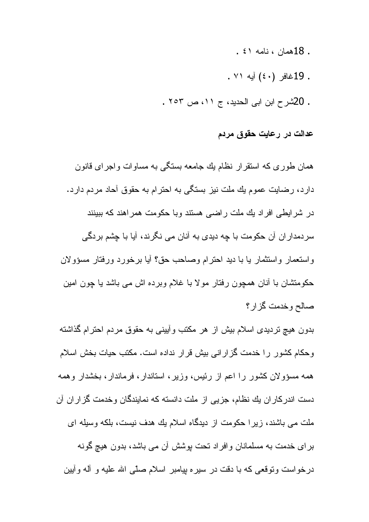- . 18همان ، نامه ٤١ .
- . 19غافر (٤٠) أيه ٧١ .
- . 20شرح ابن ابی الحدید، ج ١١، ص ٢٥٣ .

### عدالت در رعايت حقوق مردم

همان طوری که استقرار نظام بك جامعه بستگی به مساوات واجرای قانون دارد، رضایت عموم یك ملت نیز بستگی به احترام به حقوق آحاد مردم دارد. در شر ایطے افر اد بك ملت ر اضبى هستند و با حكومت همر اهند كه ببینند سردمداران آن حکومت با چه دیدی به آنان می نگرند، آیا با چشم بردگی واستعمار واستثمار يا با ديد احترام وصاحب حق؟ أيا برخورد ورفتار مسؤولان حکومنتشان با أنان همچون رفتار مولا با غلام وبرده اش می باشد یا چون امین صالح وخدمت كزار؟

بدون هیچ تردیدی اسلام بیش از هر مکتب وأبینی به حقوق مردم احترام گذاشته وحكام كشور را خدمت گزاراني بيش قرار نداده است. مكتب حيات بخش اسلام همه مسؤولان کشور را اعم از رئیس، وزیر، استاندار، فرماندار، بخشدار وهمه دست اندرکار ان یك نظام، جزیی از ملت دانسته كه نمایندگان وخدمت گزار ان آن ملت می باشند، زیرا حکومت از دیدگاه اسلام یك هدف نیست، بلکه وسیله ای برای خدمت به مسلمانان وافراد تحت بوشش آن می باشد، بدون هیچ گونه درخواست ونوقعی که با دقت در سیره بپامبر اسلام صلَّی الله علیه و أله وأبین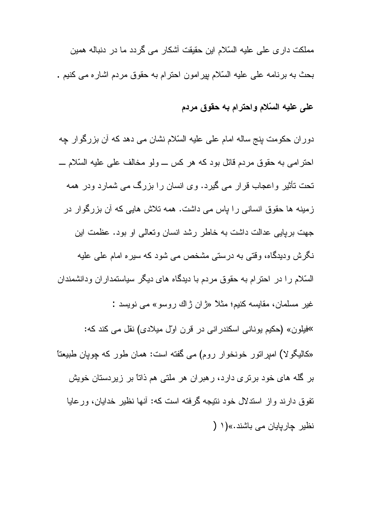مملکت دار ی علی علیه السّلام این حقیقت آشکار می گردد ما در دنباله همین بحث به برنامه على عليه السّلام بيرامون احترام به حقوق مردم اشاره مى كنيم .

## على عليه السّلام واحترام به حقوق مردم

دوران حکومت بنج ساله امام علی علیه السّلام نشان می دهد که آن بزرگوار چه احترامی به حقوق مردم قائل بود که هر کس ـــ ولو مخالف علی علیه السّلام ـــ تحت تأثیر و اعجاب قرار می گیرد. وی انسان را بزرگ می شمارد ودر همه ز مینه ها حقوق انسانی را باس می داشت. همه تلاش هایی که آن بزرگوار در جهت بریایی عدالت داشت به خاطر رشد انسان وتعالی او بود. عظمت این نگرش ودیدگاه، وقتی به درستی مشخص می شود که سیره امام علی علیه السّلام را در احترام به حقوق مردم با دیدگاه های دیگر سیاستمداران ودانشمندان غیر مسلمان، مقایسه کنیم؛ مثلاً «ژان ژاك روسو» مي نویسد : »فيلون» (حکيم يوناني اسکندراني در قرن اول ميلادي) نقل مي کند که: «کالیگو لا) امیر اتور خونخوار روم) می گفته است: همان طور که چوپان طبیعتاً بر گله های خود برتری دارد، رهبران هر ملتی هم ذاتاً بر زیردستان خویش تفوق دارند واز استدلال خود نتیجه گرفته است که: أنها نظیر خدایان، ورعایا نظیر چاریایان می باشند.»(۱ (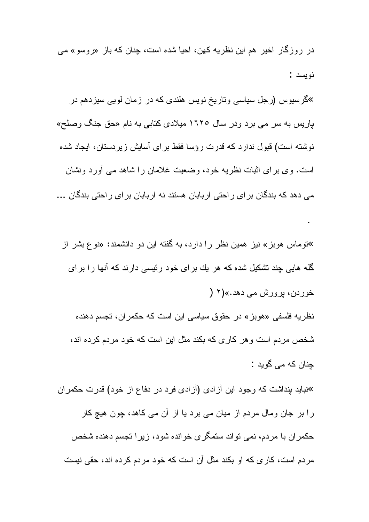در روزگار اخیر هم این نظریه کهن، احیا شده است، چنان که باز «روسو» می نوبسد:

»گرسیوس (رجل سیاسی وتاریخ نویس هلندی که در زمان لویی سیزدهم در پاریس به سر می برد ودر سال ۱۶۲۰ میلادی کتابی به نام «حق جنگ وصلح» نوشته است) قبول ندارد که قدرت رؤسا فقط برای أسایش زیردستان، ایجاد شده است. وی برای اثبات نظریه خود، وضعیت غلامان را شاهد می أورد ونشان می دهد که بندگان بر ای راحتی اربابان هستند نه اربابان بر ای راحتی بندگان …

»توماس هوبز» نیز همین نظر را دارد، به گفته این دو دانشمند: «نوع بشر از گله هایی چند تشکیل شده که هر یك بر ای خود رئیسی دارند که آنها را بر ای خوردن، برورش مي دهد.»(٢ ( نظریه فلسفی «هوبز» در حقوق سیاسی این است که حکمران، تجسم دهنده شخص مردم است و هر كار ى كه بكند مثل اين است كه خود مردم كرده اند، جنان که می گوید :

»نباید بنداشت که وجود این آزادی (آزادی فرد در دفاع از خود) قدرت حکمران را بر جان ومال مردم از میان می برد یا از آن می کاهد، چون هیچ کار حکمر اِن با مر دم، نمی نو اند ستمگر ی خو انده شود، زیر ا تجسم دهنده شخص مردم است، كار ى كه او بكند مثل آن است كه خود مردم كرده اند، حقى نيست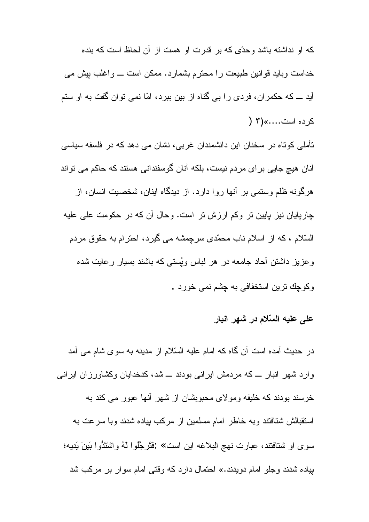كه او نداشته باشد وحدّى كه بر قدرت او هست از آن لحاظ است كه بنده خداست وباید قوانین طبیعت را محترم بشمارد. ممکن است ـــ واغلب بیش می آید ـــ که حکمران، فردی را بی گناه از بین ببرد، امّا نمی نوان گفت به او ستم کر ده است.....»(۳ (

تأملی کوتاه در سخنان این دانشمندان غربی، نشان می دهد که در فلسفه سیاسی آنان هیچ جایی بر ای مردم نیست، بلکه آنان گوسفندانی هستند که حاکم می تواند هرگونه ظلم وستمی بر آنها روا دارد. از دیدگاه اینان، شخصیت انسان، از جار پایان نیز پایین تر وکم ارزش تر است. وحال آن که در حکومت علی علیه السّلام ، كه از اسلام ناب محمّدي سرچِمشه مي گيرد، احترام به حقوق مردم وعزیز داشتن أحاد جامعه در هر لباس ویُستبی که باشند بسیار رعایت شده وکوچك ترين استخفافي به چشم نمي خورد .

### على عليه السّلام در شهر انبار

در حدیث آمده است آن گاه که امام علیه السّلام از مدینه به سوی شام می آمد وارد شهر انبار ــ که مردمش ایرانی بودند ـــ شد، کدخدایان وکشاورزان ایرانی خرسند بودند که خلیفه و مولای محبوبشان از شهر آنها عبور می کند به استقبالش شتافتند وبه خاطر امام مسلمین از مرکب بیاده شدند وبا سرعت به سوى او شتافتند، عبارت نهج البلاغه اين است» :فَتَرجَّلُوا لَهُ واشْتَدُّوا بَينَ يَديه؛ بیاده شدند وجلو امام دویدند.» احتمال دارد که وقتی امام سوار بر مرکب شد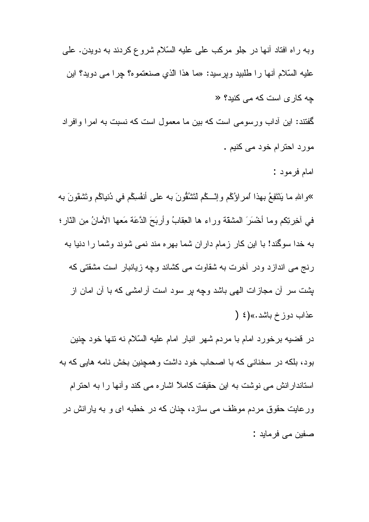وبه راه افتاد أنها در جلو مركب على عليه السّلام شروع كردند به دويدن. على عليه السّلام أنها را طلبيد ويرسيد: «ما هذا الّذي صنعتموه؟ جرا مي دويد؟ اين چه کاری است که می کنید؟ « گفتند: این آداب ورسومی است که بین ما معمول است که نسبت به امرا و افراد مورد احترام خود می کنیم .

امام فرمود :

»واللهِ ما يَنْتَفِعُ بهذا امراؤُكُم وإنَّـــكُم لَتَتْنُقُونَ بـه علـى أنفْسِكُم فـى دُنياكُم وتَشْقَونَ بـه في أخِرتِكم وما أُخْسَرَ الْمَشْقَة وراء ها الْعِقَابُ وأربَحَ الدَّعَة مَعها الأمانُ مِن الذَّارِ؛ به خدا سوگند! با این کار زمام داران شما بهره مند نمی شوند وشما را دنیا به رنج می انداز د و در آخرت به شقاوت می کشاند و چه زیانبار است مشقتی که پشت سر آن مجازات الهی باشد وچه بر سود است آرامشی که با آن امان از عذاب دوز خ باشد.»(٤ (

در قضیه برخورد امام با مردم شهر انبار امام علیه السّلام نه نتها خود چنین بود، بلکه در سخنانی که با اصحاب خود داشت و همچنین بخش نامه هایی که به استاندار انش می نوشت به این حقیقت کاملاً اشار ه می کند و آنها را به احترام ور عایت حقوق مردم موظف می ساز د، جنان که در خطبه ای و به پار انش در صفين مي فرمايد :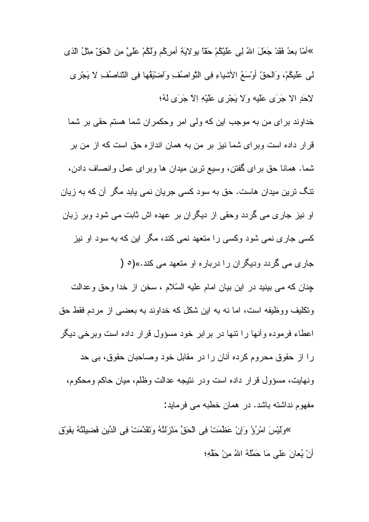»أَمَّا بِعدُ فَقَدْ جَعَلَ اللهُ لِي عَلَيْكُمْ حَقًّا بِهِ لاَيَةِ أَمرِكُم وَلَكُمْ عَلَيَّ مِن الْحَقّ مثلُ الذي لى عَلَيْكُمْ، وَالْحقِّ أَوْسَعُ الأَشْيَاءِ فِي النَّواصُفِ وَاضْيَقُها فِي النُّناصُفِ لا يَجْرِي لِاحَدِ الاَ جَرَى عَلَيه وَلاَ يَجْرِى عَلَيْهِ اِلاَ جَرَى لَهُ؛

خداوند برای من به موجب این که ولی امر وحکمران شما هستم حقی بر شما قر از داده است و بر ای شما نیز بر من به همان انداز ه حق است که از من بر شما. همانا حق براى گفتن، وسيع نرين ميدان ها وبراى عمل وانصاف دادن، نتگ نرین میدان هاست. حق به سود کسی جریان نمی بابد مگر آن که به زیان او نیز جار ی مے گر دد وحقے از دیگر ان پر عهده اش ثابت مے شود ویر زیان کسی جاری نمی شود وکسی را متعهد نمی کند، مگر این که به سود او نیز

جاری می گردد ودیگران را درباره او متعهد می کند.»(0 (

جنان كه مي بينيد در اين بيان امام عليه السّلام ، سخن از خدا وحق وعدالت ونكليف ووظيفه است، اما نه به اين شكل كه خداوند به بعضبى از مردم فقط حق اعطاء فرموده وأنها را نتها در برابر خود مسؤول قرار داده است وبرخي ديگر را از حقوق محروم كرده آنان را در مقابل خود وصاحبان حقوق، بي حد ونهايت، مسؤول قرار داده است ودر نتيجه عدالت وظلم، ميان حاكم ومحكوم، مفهوم نداشته باشد. در همان خطبه می فرماید:

»ولَّبْسَ امْرُوُّ وَإِنْ عَظْمَتْ فِي الْحَقِّ مَنْزِلَتُهُ ونَقَدَّمَتْ فِي الدِّينِ فَضِيلَتُهُ بِفَوْقِ أَنْ يُعانَ عَلَى مَا حَمَّلَهُ اللهُ مِنْ حَقَّهِ؛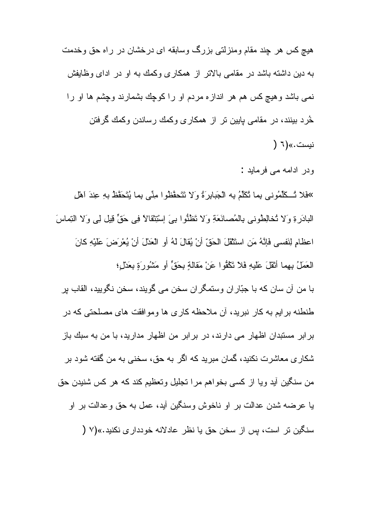هيچ کس هر چند مقام ومنزلتي بزرگ وسابقه اي درخشان در راه حق وخدمت به دین داشته باشد در مقامی بالاتر از همکاری وکمك به او در ادای وظایفش نمبي باشد وهيچ كس هم هر اندازه مردم او را كوچك بشمارند وچشم ها او را خُرد بینند، در مقامی پایین نر از همکاری وکمك رساندن وکمك گرفتن نيست.»(٦ (

ودر ادامه می فرماید :

> فَلا تُسكَلِّمُوني بِما تُكَلِّمُ بِه الْجَبابِرَةُ وَلا نَتَحقَّظُوا مِنِّي بِما يُتَحَقَّظُ بِهِ عِندَ اهْل الْبَادَرِةِ وَلا تُخالِطُوني بِالْمُصانَعَةِ وَلا تَظْنُوا بِيَ إِسْتِنْقَالاً فِي حَقٍّ قِيلٍ لِي وَلا النِماسَ اعظامِ لِنَفسي فَإِنَّهُ مَنِ استَثْقَلَ الْحَقِّ أَنْ يُقالَ لَهُ أَوِ الْعَدْلَ أَنْ يُعْرَضَ عَلَيْهِ كانَ الْعَمَلُ بِهِما أَنْقُلَ عَلَيْهِ فَلاَ تَكْفُوا عَنْ مَقَالَةٍ بِحَقٍّ أَو مَشْوُرٍ ۚ بِعَدْلٍ؛ با من أن سان كه با جبّار ان وستمگر ان سخن مى گويند، سخن نگوييد، القاب بر طنطنه بر ایم به کار نبرید، آن ملاحظه کار ی ها و موافقت های مصلحتی که در بر ابر مستبدان اظهار می دارند، در بر ابر من اظهار مدارید، با من به سبك باز شکاری معاشرت نکنید، گمان مبرید که اگر به حق، سخنی به من گفته شود بر من سنگین آید ویا از کسی بخواهم مرا نجلیل وتعظیم کند که هر کس شنیدن حق يا عرضه شدن عدالت بر او ناخوش وسنگين أيد، عمل به حق وعدالت بر او سنگین تر است، پس از سخن حق یا نظر عادلانه خودداری نکنید.»(۷ (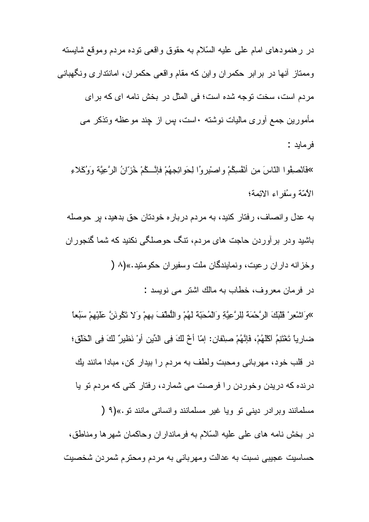در رهنمودهای امام علی علیه السّلام به حقوق و اقعی نوده مردم وموقع شایسته وممتاز أنها در برابر حكمران واين كه مقام واقعي حكمران، امانتداري ونگهباني مردم است، سخت توجه شده است؛ في المثل در بخش نامه اي كه براي مأمورين جمع أورى ماليات نوشته ∙است، پس از چند موعظه ونذكر مى فر مايد :

بِهَفَانْصِفُوا النَّاسَ مِن أَنْفُسِكُمْ واصْبِرِوُا لِحَوِائِجِهُمْ فَإِنَّــكُمْ خُزَّانُ الرَّعِيَّة وَوُكَلاءِ الأمّة وسُفر اء الإئمة؛

به عدل و انصاف، رفتار كنيد، به مردم دربار ه خودتان حق بدهيد، بر حوصله باشید و در ابر آور دن حاجت های مرادم، نتگ حوصلگی نکنید که شما گنجور ان وخزانه داران رعيت، ونمايندگان ملت وسفيران حكومتيد.»(٨ (

در فرمان معروف، خطاب به مالك اشتر مي نويسد :

»وَاشْعِرْ قَلْبَكَ الرَّحْمَة لِلرَّعِيَّةِ وَالْمُحَبَّة لَهُمْ وِاللُّطْفَ بِهِمْ وَلا تَكُونَنَّ عَلَيْهِمْ سَبُعا ضارِياً تَغْتَنِمُ اكْلَهُمْ، فَإِنَّهُمْ صِنْفانٍ: إمّا أَخْ لَكَ فِي الدِّينِ أَوْ نَظْيِرٌ لَكَ فِي الْخَلْقِ؛ در قلب خود، مهربانی ومحبت ولطف به مردم را بیدار کن، مبادا مانند یك درنده که دریدن وخوردن را فرصت می شمارد، رفتار کنی که مردم تو یا مسلمانند وبرادر دینی تو ویا غیر مسلمانند وانسانی مانند تو.»(۹ ( در بخش نامه های علی علیه السّلام به فرمانداران وحاکمان شهرها ومناطق، حساسيت عجيبي نسبت به عدالت ومهرباني به مردم ومحترم شمردن شخصيت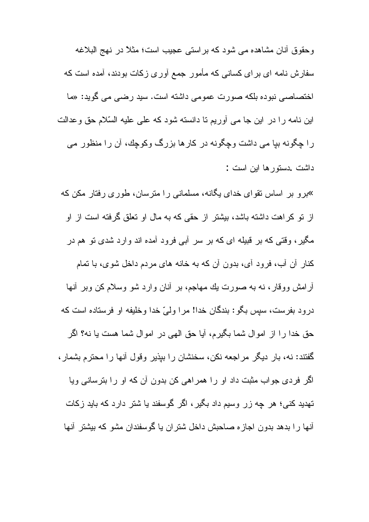و حقوق آنان مشاهده مے شود که بر استے عجیب است؛ مثلاً در نهج البلاغه سفارش نامه ای برای کسانی که مأمور جمع آوری زکات بودند، آمده است که اختصاصی نبوده بلکه صورت عمومی داشته است. سید رضی می گوید: «ما این نامه را در این جا می أوریم نا دانسته شود که علی علیه السّلام حق وعدالت را چگونه بیا می داشت وچگونه در کارها بزرگ وکوچك، آن را منظور می داشت دستورها اين است :

<sup>»</sup>بر و بر اساس نقوای خدای بگانه، مسلمانی را مترسان، طوری رفتار مکن که از نو کراهت داشته باشد، بیشتر از حقی که به مال او تعلق گرفته است از او مگیر ، وقتی که بر قبیله ای که بر سر أبی فرود أمده اند وارد شدی تو هم در کنار آن آب، فرود آی، بدون آن که به خانه های مردم داخل شوی، با تمام أرامش ووقار ، نه به صورت يك مهاجم، بر أنان وارد شو وسلام كن وبر أنها درود بفرست، سپس بگو : بندگان خدا! مرا وليّ خدا وخليفه او فرستاده است كه حق خدا را از اموال شما بگیرم، أیا حق الهی در اموال شما هست یا نه؟ اگر گفتند: نه، بار دیگر مراجعه نکن، سخنشان را بپذیر وقول أنها را محترم بشمار ، اگر فردی جواب مثبت داد او را همراهی کن بدون آن که او را بترسانی ویا تهدید کنبی؛ هر چه زر وسیم داد بگیر، اگر گوسفند یا شتر دارد که باید زکات أنها را بدهد بدون اجازه صاحبش داخل شنران یا گوسفندان مشو که بیشتر آنها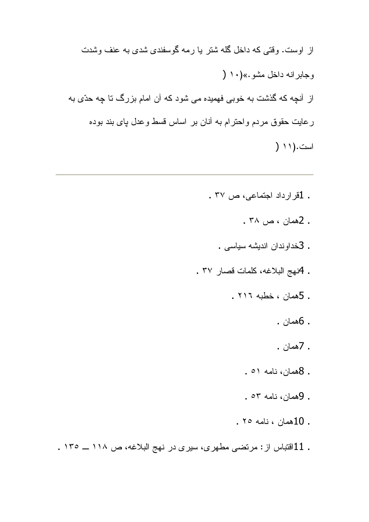- . 1قرارداد اجتماعی، ص ۳۷.
	- . 2همان ، ص ۳۸ .
	- . 3خداوندان اندیشه سیاسی
- . 4نهج البلاغه، كلمات قصار ٣٧ .
	- . 5همان ، خطبه ٢١٦ .
		- . 6همان .
		- . 7همان .
		- . 8همان، نامه ٥١.
		- . 9همان، نامه ٥٣ .
		- . محمان ، نامه ٢٥ .
- . 11افتباس از : مرتضى مطهرى، سيرى در نهج البلاغه، ص ١١٨ \_ ١٣٥ .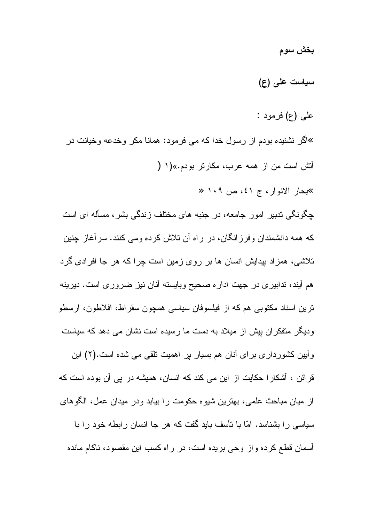بخش سوم

### سیاست علی (ع)

علمي (ع) فرمود :

»اگر نشنیده بودم از رسول خدا که می فرمود: همانا مکر وخدعه وخیانت در أنش است من از همه عرب، مكارتر بودم.»(١ ( »بحار الانوار، ج ٤١، ص ١٠٩ «

جگونگی ندبیر امور جامعه، در جنبه های مختلف زندگی بشر ، مسأله ای است که همه دانشمندان وفرز انگان، در راه آن تلاش کرده ومی کنند. سرآغاز چنین تلاشی، همزاد بپدایش انسان ها بر روی زمین است چرا که هر جا افرادی گرد هم آیند، ندابیری در جهت اداره صحیح وبایسته آنان نیز ضروری است. دیرینه ترين اسناد مكتوبي هم كه از فيلسوفان سياسي همجون سقراط، افلاطون، ارسطو ودیگر متفکران بیش از میلاد به دست ما رسیده است نشان می دهد که سیاست وأبين كشورداري براي أنان هم بسيار بر اهميت نلقي مي شده است.(٢) اين قرائن ، آشکارا حکایت از این می کند که انسان، همیشه در پی آن بوده است که از ميان مباحث علمي، بهترين شيوه حكومت را بيابد ودر ميدان عمل، الگوهاي سیاسی را بشناسد. امّا با تأسف باید گفت که هر جا انسان رابطه خود را با آسمان قطع کرده و از وجی بریده است، در راه کسب این مقصود، ناکام مانده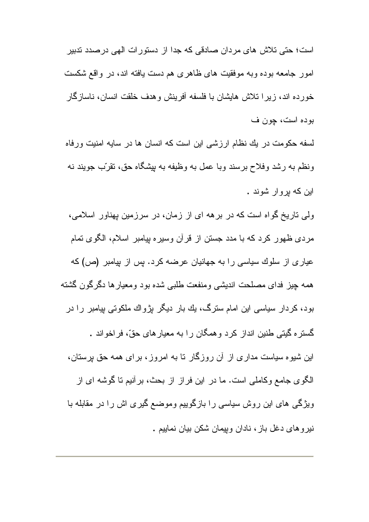است؛ حتی تلاش های مردان صادقی که جدا از دستورات الهی درصدد تدبیر امور جامعه بوده وبه موفقیت های ظاهری هم دست یافته اند، در واقع شکست خورده اند، زیرا تلاش هایشان با فلسفه أفرینش وهدف خلقت انسان، ناساز گار بوده است، چون ف

لسفه حکومت در یك نظام ارزشمی این است كه انسان ها در سایه امنیت ورفاه ونظم به رشد وفلاح برسند وبا عمل به وظیفه به بیشگاه حق، نقرّب جویند نه این که بر و ار شوند .

و لمی تاریخ گو اه است که در بر هه ای از زمان، در سرزمین بهناور اسلامی، مردی ظهور کرد که با مدد جستن از قرآن وسیره پیامبر اسلام، الگوی تمام عیاری از سلوك سیاسی را به جهانیان عرضه كرد. بس از بیامبر (ص) كه همه چیز فدای مصلحت اندیشی ومنفعت طلبی شده بود ومعیارها دگرگون گشته بود، کردار سیاسی این امام سترگ، یك بار دیگر بژواك ملكوتی بیامبر را در گستره گیتی طنین انداز کرد وهمگان را به معیارهای حقّ، فراخواند . این شیوه سیاست مداری از آن روزگار نا به امروز، برای همه حق پرستان، الكَوى جامع وكاملي است. ما در اين فراز از بحث، برأنيم نا گوشه اي از ویژگی های این روش سیاسی را بازگوییم وموضع گیری اش را در مقابله با نیر و های دغل باز ، نادان وییمان شکن بیان نماییم .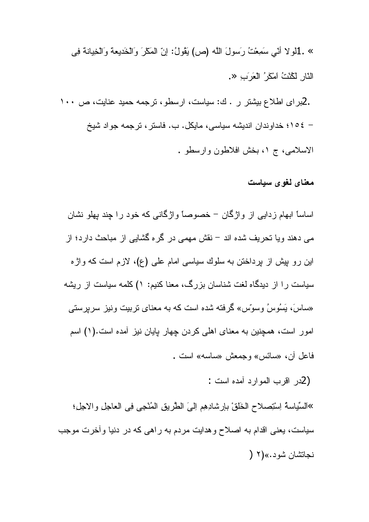» .1لو لا أنّي سَمِعْتُ رِسولَ اللَّه (ص) يَقُولُ: إنّ المَكْرِ وَالْخَدِيعةِ وَالْخِيانةِ فِي النّارِ لَكُنْتُ اَمْكَرُ الْعَرَبِ «.

.2برای اطلاع بیشتر ر . ك: سیاست، ارسطو ، ترجمه حمید عنایت، ص ١٠٠ – ١٥٤؛ خداوندان انديشه سياسي، مايكل. ب. فاستر ، ترجمه جو اد شيخ الاسلامي، ج ١، بخش افلاطون وارسطو .

#### معنای لغوی سیاست

اساساً ابـهام ز دایـی از و اژ گان – خصـوصـاً و اژ گانـی کـه خو د ر ا جند بـهلو نشان می دهند ویا تحریف شده اند – نقش مهمی در گره گشایی از مباحث دارد؛ از این رو بیش از برداختن به سلوك سیاسی امام علی (ع)، لازم است كه و اژ ه سیاست را از دیدگاه لغت شناسان بزرگ، معنا کنیم: ۱) کلمه سیاست از ریشه «ساسَ، بَسُوسُ وسوّس» گرفته شده است که به معنای نربیت ونیز سرپرستی امور است، همچنین به معنای اهلی کردن چهار پایان نیز آمده است.(۱) اسم فاعل آن، «سائس» وجمعش «ساسه» است .

(2در اقرب الموارد آمده است :

»السِّياسةُ اِسْتِصلاح الْخَلْقْ بْإِرْشَادِهِمْ اِلْمَى الْطَّرِيقِ الْمُنْحِي فِي الْعَاجِلِ وْالْاجِلْ؛ سیاست، یعنی اقدام به اصلاح و هدایت مردم به راهی که در دنیا وأخرت موجب نجاتشان شود.»(۲ (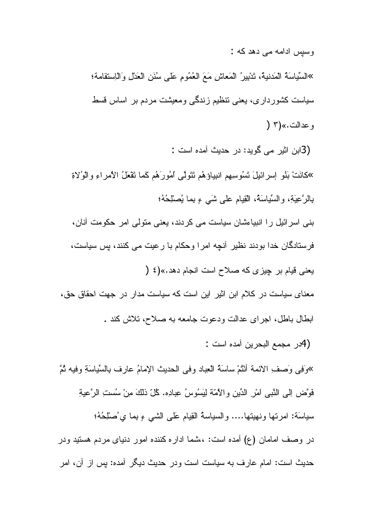وسیس ادامه می دهد که :

»السِّياسَةُ الْمَدنيةُ، تَدْبِيرُ الْمَعاشِ مَعَ الْعُمُومِ عَلَى سُنَنِ الْعَدْلِ وَالْـاِستقامة؛ سیاست کشورداری، یعنی نتظیم زندگی ومعیشت مردم بر اساس قسط و عدالت.»(۳ (

(3ابن اثیر می گوید: در حدیث آمده است :

»كَانَتْ بَنُو ٳسرائيلَ تَسُوسِيهِم انبيباؤهُم تَتَولَّى ٱمُورَهُم كَما تَقْعَلُ الأَمراءِ والوُلاةِ بِالرَّعِيَةِ، والسِّياسَةُ، الْقِيام على شَي ءِ بِما يُصلْحُهُ؛

بنی اسرائیل را انبیاءشان سیاست می کردند، یعنی متولی امر حکومت أنان، فرستادگان خدا بودند نظیر آنچه امرا وحکام با رعیت می کنند، پس سیاست،

یعنی قیام بر چیزی که صلاح است انجام دهد.»(٤ (

معنای سیاست در کلام ابن اثیر این است که سیاست مدار در جهت احقاق حق، ابطال باطل، اجرای عدالت ودعوت جامعه به صلاح، نلاش کند .

(4در مجمع البحرين أمده است :

»وَفِي وَصِفِ الائمةِ أَنْثُمْ ساسَةُ الْعِبادِ وفي الحديثِ الإمامُ عارِفٍ بِالسِّياسَةِ وفِيهِ ثُمَّ فَوَّض اِلِّي النَّبِي اَمْرِ الدِّينِ والأُمَّة لِيَسُوسُ عِبادِه. كُلّ ذلكَ مِنْ سُستِ الرَّعيةِ سباسَة: امرنها ونهينها.... والسباسةُ القِيام عَلَى الشَّبِي ءِ بِما ي ُصْلِحُهُ؛ در وصف امامان (ع) أمده است: ،،شما اداره کننده امور دنیای مردم هستید ودر حدیث است: امام عارف به سیاست است ودر حدیث دیگر آمده: پس از آن، امر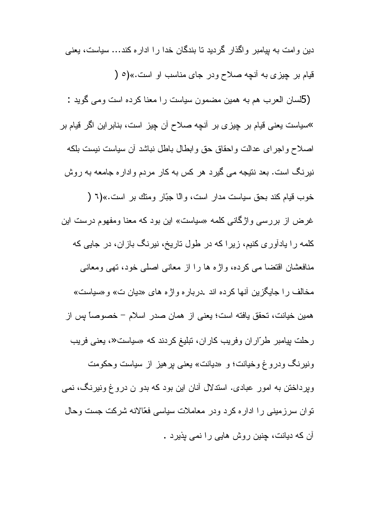دین و امت به بیامبر و اگذار گر دید تا بندگان خدا ر ۱ ادار ه کند… سیاست، یعنی قیام بر چیزی به آنچه صلاح ودر جای مناسب او است.»(٥ ( (5لسان العرب هم به همین مضمون سیاست را معنا کرده است ومی گوید : »سیاست یعنی قیام بر چیز ی بر آنچه صـلاح آن چیز است، بنابر این اگر قیام بر اصلاح واجراى عدالت واحقاق حق وابطال باطل نباشد أن سياست نيست بلكه نیر نگ است. بعد نتیجه مبی گیر د هر کس به کار مردم و ادار ه جامعه به روش خوب قيام كند بحق سياست مدار است، وإلا جبّار ومنك بر است.»(٦ ( غرض از بررسی واژگانی کلمه «سیاست» این بود که معنا ومفهوم درست این کلمه را یادآوری کنیم، زیرا که در طول ناریخ، نیرنگ بازان، در جایی که منافعشان اقتضا می کرده، و اژه ها را از معانی اصلی خود، نهی ومعانی مخالف را جایگزین آنها کرده اند .دربار ه واژ ه های «دیان ت» و «سیاست» همين خيانت، تحقق يافته است؛ يعني از همان صدر اسلام – خصوصاً بس از رحلت بیامبر طرّاران وفریب کاران، تبلیغ کردند که «سیاست«، یعنی فریب ونیرنگ ودروغ وخیانت؛ و «دیانت» یعنی بر هیز از سیاست وحکومت وپرداختن به امور عبادی. استدلال أنان این بود که بدو ن دروغ ونیرنگ، نمی نوان سرزمینی را اداره کرد ودر معاملات سیاسی فعّالانه شرکت جست وحال آن که دیانت، چنین روش هایی را نمی پذیرد .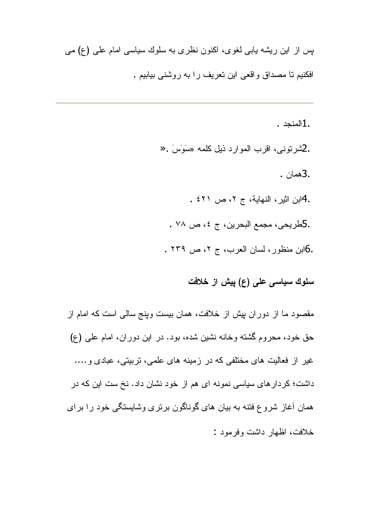بس از این ریشه باببی لغوی، اکنون نظری به سلوك سیاسبی امام علمی (ع) مبی افكنيم نا مصداق واقعي اين نعريف را به روشني بيابيم .

> .1المنجد . .2شرنوني، اقرب الموارد ذيل كلمه «سَوَسَ .< .3همان . .4ابن اثير، النهاية، ج ٢، ص ٤٢١ . .5طريحي، مجمع البحرين، ج ٤، ص ٧٨ . .6ابن منظور، لسان العرب، ج ٢، ص ٢٣٩ .

# سلوك سياسي على (ع) ييش از خلافت

مقصود ما از دوران بیش از خلافت، همان بیست وینج سالبی است که امام از حق خود، محروم گشته وخانه نشین شده، بود. در این دوران، امام علی (ع) غیر از فعالیت های مختلفی که در زمینه های علمی، نربیتی، عبادی و …. داشت؛ کردار های سیاسی نمونه ای هم از خود نشان داد. نخ ست این که در همان أغاز شروع فنته به بیان های گوناگون برنری وشایستگی خود را برای خلافت، اظهار داشت وفر مود :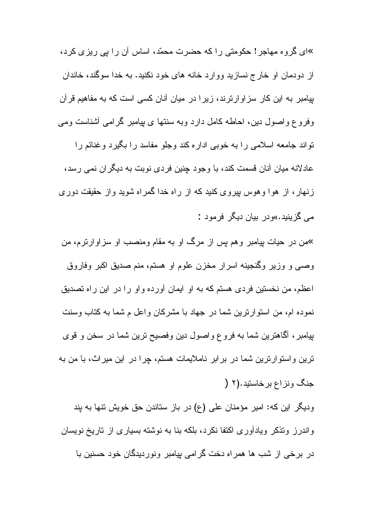»ای گروه مهاجر! حکومتی را که حضرت محمّد، اساس آن را بی ریز ی کرد، از دودمان او خارج نسازید ووارد خانه های خود نکنید. به خدا سوگند، خاندان بیامبر به این کار سزاوارترند، زیرا در میان آنان کسی است که به مفاهیم قرآن وفروع واصول دین، احاطه کامل دارد وبه سنتها ی پیامبر گرامی أشناست ومی نواند جامعه اسلامی را به خوبی اداره کند وجلو مفاسد را بگیرد وغنائم را عادلانه میان آنان قسمت کند، با وجود چِنین فردی نوبت به دیگران نمی رسد، زنهار، از هوا وهوس بیروی کنید که از راه خدا گمراه شوید واز حقیقت دوری مے گز بنبد.»و در ایبان دیگر افر مواد :

<sup>یم</sup>من در حیات بپامبر وهم پس از مرگ او به مقام ومنصب او سزاوارترم، من وصبي و وزير وگنجينه اسرار مخزن علوم او هستم، منم صديق اكبر وفاروق اعظم، من نخستین فردی هستم که به او ایمان آورده واو را در این راه تصدیق نموده ام، من استوارترين شما در جهاد با مشركان واعل م شما به كتاب وسنت بیامبر ، أكماهترین شما به فروع واصول دین وفصیح ترین شما در سخن و قوی ترین واستوارترین شما در برابر ناملایمات هستم، چرا در این میراث، با من به جنگ ونزاع برخاستید.(۲ (

ودیگر این که: امیر مؤمنان علی (ع) در باز ستاندن حق خویش نتها به بند واندرز ونذکر ویادأوری اکتفا نکرد، بلکه بنا به نوشته بسیاری از ناریخ نویسان در برخی از شب ها همراه دخت گرامی بپامبر ونوردیدگان خود حسنین با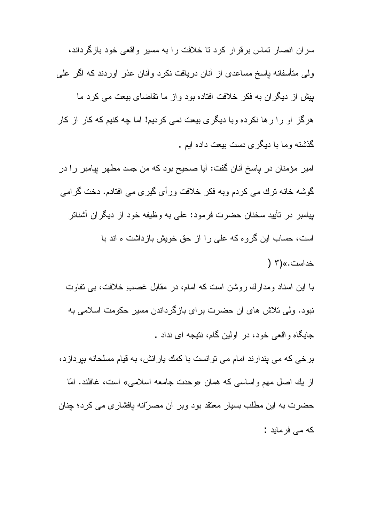سران انصار نماس برقرار كرد نا خلافت را به مسیر واقعی خود بازگرداند، ولی متأسفانه باسخ مساعدی از آنان دریافت نکرد وأنان عذر أوردند که اگر علی بیش از دیگران به فکر خلافت افتاده بود واز ما تقاضای بیعت می کرد ما هرگز او را رها نكرده وبا ديگرى بيعت نمى كرديم! اما چه كنيم كه كار از كار گذشته وما با دیگری دست بیعت داده ایم .

امیر مؤمنان در پاسخ آنان گفت: آیا صحیح بود که من جسد مطهر بپامبر را در گوشه خانه ترك مي كردم وبه فكر خلافت ورأى گيرى مي افتادم. دخت گرامي بیامبر در نأیید سخنان حضرت فرمود: علی به وظیفه خود از دیگران أشناتر است، حساب این گروه که علی را از حق خویش بازداشت ه اند با

خداست.»(۳ (

با این اسناد ومدارك روشن است كه امام، در مقابل غصب ِخلافت، بی نفاوت نبود. ولی تلاش های آن حضرت برای بازگرداندن مسیر حکومت اسلامی به جابگاه و اقعي خو د، در اولين گام، نتيجه اي نداد . برخی که می بندارند امام می نوانست با کمك يارانش، به قيام مسلحانه بپردازد، از يك اصل مهم واساسي كه همان «وحدت جامعه اسلامي» است، غافلند. امّا

حضرت به این مطلب بسیار معتقد بود وبر آن مصرّانه پافشاری می کرد؛ چِنان كه مے فر ماہد :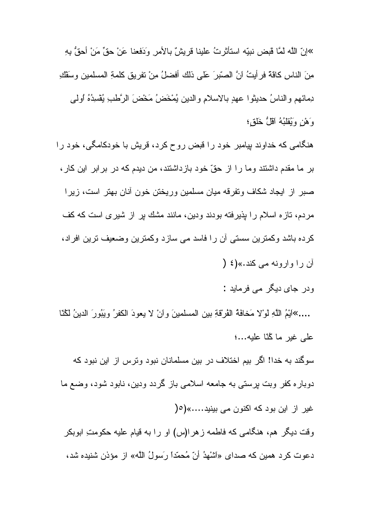»إنّ اللَّه لمَّا قبض نبيّه استأثر تُ علينا قر يشّ بالأمر ِ وَدَفعنا عَنْ حقٍّ مَنْ أَحقُّ بِهِ ۖ مِنَ الناسِ كاقة فرأيتُ انَّ الصّبرَ عَلى ذلك أفضلُ مِنْ نفريقٍ كلمةِ المسلمينِ وسَقْكِ دِمائهم والناسُ حديثوا عهدٍ بالاسلامِ والدين يُمْخَضُ مَخْضَ الرَّطْبِ يُفْسِدُهُ أُولِمِي وَهْنِ وَيُقْلَبُهُ آقَلٌ خَلْقٍ؛

هنگامی که خداوند بیامبر خود را قبض روح کرد، قریش با خودکامگی، خود را بر ما مقدم داشتند وما را از حقّ خود بازداشتند، من دیدم که در بر ابر این کار ، صبر از ایجاد شکاف ونفرقه میان مسلمین وریختن خون آنان بهتر است، زیرا مر دم، تاز ه اسلام ر ا بذیر فته بودند و دین، مانند مشك بر از شیر ی است كه كف كرده باشد وكمنزين سستى أن را فاسد مى سازد وكمنزين وضعيف نزين افراد، أن را وارونه مي كند.»(٤ (

ودر جا*ی دی*گر مے فرماید :

....»اَيْمُ اللَّهِ لوْلا مَخافَةُ الْفُرْقَةِ بين المسلمينَ وانْ لا يعودَ الكفرُ ويَبُورَ الدينُ لَكُنّا على غير ما كُنّا عليه...؛

سوگند به خدا! اگر بیم اختلاف در بین مسلمانان نبود ونرس از این نبود که دوباره کفر وبت برستی به جامعه اسلامی باز گردد ودین، نابود شود، وضع ما غیر از این بود که اکنون می بینید.....»(0( وقت دیگر هم، هنگامی که فاطمه زهرا(س) او را به قیام علیه حکومتِ ابوبکر

دعوت كرد همين كه صداى «اَشْهدُ أنّ مُحمّداً رَسولُ اللَّه» از مؤذن شنيده شد،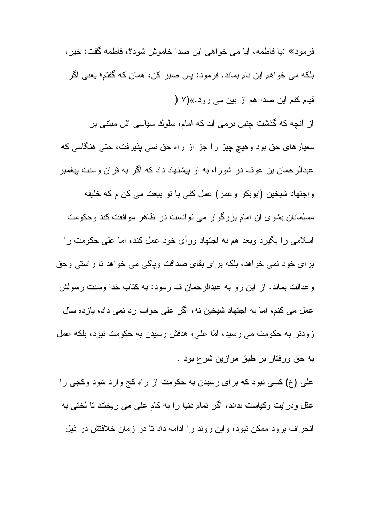فرمود» :یا فاطمه، أیا می خواهی این صدا خاموش شود؟، فاطمه گفت: خیر ، بلکه می خواهم این نام بماند. فرمود: بس صبر کن، همان که گفتم؛ یعنی اگر قيام كنم اين صدا هم از بين مي رود.»(٧ ( از آنچه که گذشت چنین برمی آید که امام، سلوك سیاسی اش مبتنی بر معیارهای حق بود وهیچ چیز را جز از راه حق نمی بذیرفت، حتی هنگامی که عبدالرحمان بن عوف در شورا، به او بیشنهاد داد که اگر به قرآن وسنت بیغمبر و اجتهاد شيخين (ابوبكر وعمر) عمل كني با نو بيعت مي كن م كه خليفه مسلمانان بشوی آن امام بزرگوار می توانست در ظاهر موافقت کند وحکومت اسلامی را بگیرد وبعد هم به اجتهاد ورأی خود عمل کند، اما علی حکومت را

بر ای خود نمی خواهد، بلکه بر ای بقای صداقت ویاکی می خواهد تا راستی وحق وعدالت بماند. از این رو به عبدالرحمان ف رمود: به کتاب خدا وسنت رسولش عمل مے کنم، اما به اجتھاد شیخین نه، اگر علی جو اب ر د نمے داد، یاز ده سال زودتر به حکومت می رسید، امّا علی، هدفش رسیدن به حکومت نبود، بلکه عمل به حق ورفتار بر طبق موازين شرع بود .

علي (ع) کسي نبود که بر اي رسيدن به حکومت از راه کج وارد شود وکجي را عقل ودرایت وکیاست بداند، اگر تمام دنیا را به کام علی می ریختند تا لختی به انحراف برود ممکن نبود، واین روند را ادامه داد تا در زمان خلافتش در ذیل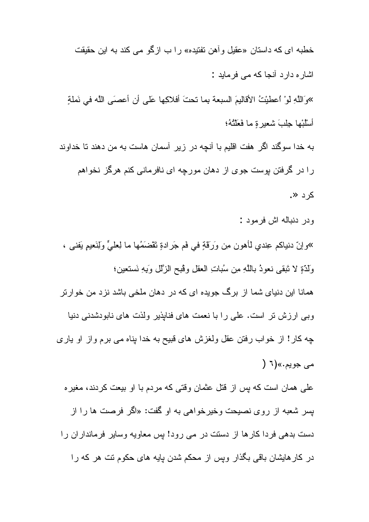خطبه ای که داستان «عقیل و آهن نفتیده» را ب ازگو می کند به این حقیقت اشار ہ دار د آنجا که مے فر مابد : »وَاللَّهِ لو ْ اعطيْتُ الأقاليمَ السبعة بما تحتَ أفلاكِها عَلَى أن أعصنَى اللَّه في نَملةٍ أَسْلَبْها جِلبَ شعبر ة ما فَعَلَتْهُ؛ به خدا سوگند اگر هفت اقلیم با آنچه در زیر آسمان هاست به من دهند تا خداوند را در گرفتن پوست جوی از دهان مورچه ای نافرمانی کنم هرگز نخواهم کرد ≪.

و در ادنباله اش فر مو د :

»وإنّ دنياكم عِندي لـأهون مِن وَرَقَّةٍ في فَم جَرادةٍ نَقْضَمُها ما لِعليٍّ وَلِنَعيمٍ بَفني ، وَلَدَةٍ لا نَبقى نعوذُ بِاللَّهِ مِن سُباتِ العقلِ وقْبِحِ الزَّللِ وَبِهِ نَستَعينٍ؛ همانا این دنیای شما از برگ جویده ای که در دهان ملخی باشد نزد من خوارتر وبی ارزش تر است. علی را با نعمت های فنابذیر ولذت های نابودشدنی دنیا چه کار! از خواب رفتن عقل ولغزش های قبیح به خدا بناه می برم واز او یاری مي جويم.»(٦ (

علمی همان است که پس از قتل عثمان وقتی که مردم با او بیعت کردند، مغیر ه بسر شعبه از روى نصيحت وخيرخواهي به او گفت: «اگر فرصت ها را از دست بدهی فردا کار ها از دستت در می رود! بس معاویه وسایر فرمانداران را در کار هایشان باقی بگذار ویس از محکم شدن پایه های حکوم نت هر که را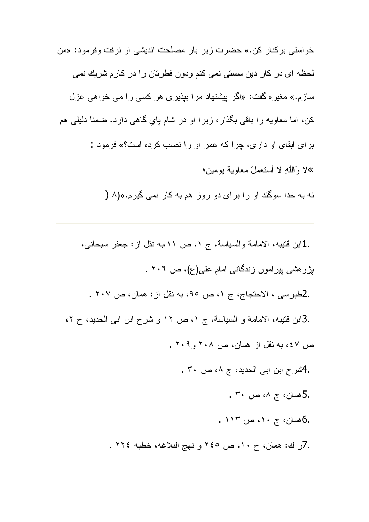خواستی برکنار کن.» حضرت زیر بار مصلحت اندیشی او نرفت وفرمود: «من لحظه ای در کار دین سستی نمی کنم ودون فطرتان را در کارم شریك نمی سازم.» مغیره گفت: «اگر بپشنهاد مرا ببذیری هر کسی را می خواهی عزل کن، اما معاویه را باقی بگذار ، زیرا او در شام پایِ گاهی دارد. ضمناً دلیلی هم برای ابقای او داری، چراکه عمر او را نصب کرده است؟» فرمود : »لا وَاللَّهِ لا أَستَعْمَلُ مَعَاوِيَّة يومِينِ؛

نه به خدا سوگند او را برای دو روز هم به کار نمی گیرم.»(۸ (

.1ابن قتيبه، الامامة والسياسة، ج ١، ص ١١،به نقل از : جعفر سبحاني، بِزْوِهشي بِيرِامون زِندگاني امام علي(ع)، ص ٢٠٦ . .2طبرسي ، الاحتجاج، ج ١، ص ٩٥، به نقل از : همان، ص ٢٠٧ . .3ابن قتيبه، الامامة و السياسة، ج ١، ص ١٢ و شرح ابن ابي الحديد، ج ٢، ص ٤٧، به نقل از همان، ص ٢٠٨ و ٢٠٩ . ـ اكشرح ابن ابي الحديد، ج ٨، ص ٣٠ ـ . 5همان، ج ۰، ص ۳۰. .6همان، ج ۱۰، ص ۱۱۳. . 7ر ك: همان، ج ١٠، ص ٢٤٥ و نهج البلاغه، خطبه ٢٢٤ .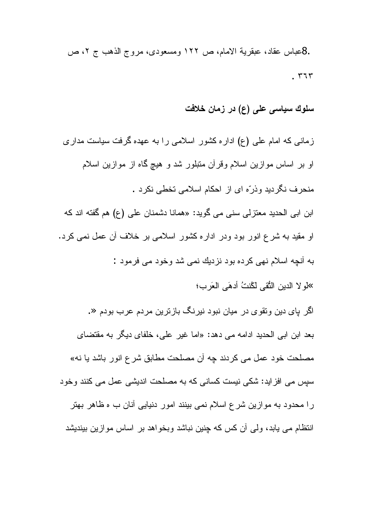.8عباس عقاد، عبقرية الامام، ص ١٢٢ ومسعودي، مروج الذهب ج ٢، ص  $.777$ 

سلوك سياسى على (ع) در زمان خلافت

زمانی که امام علی (ع) اداره کشور اسلامی را به عهده گرفت سیاست مداری او بر اساس موازین اسلام وقرآن متبلور شد و هیچ گاه از موازین اسلام منحرف نگر دید و ذر ّه ای از احکام اسلامی تخطی نکر د .

ابن ابی الحدید معتز لی سنی می گوید: «همانا دشمنان علی (ع) هم گفته اند که او مقید به شرع انور بود ودر اداره کشور اسلامی بر خلاف آن عمل نمی کرد. به آنچه اسلام نهي كرده بود نز ديك نمي شد وخود مي فر مود :

> لو لا الدين النُّقي لكُنتُ أدهَى العَرب؛

اگر بای دین ونقوی در میان نبود نیرنگ بازنرین مردم عرب بودم «. بعد ابن ابی الحدید ادامه می دهد: «اما غیر علی، خلفای دیگر به مقتضای مصلحت خود عمل می کردند چه أن مصلحت مطابق شرع انور باشد یا نه» سیس می افزاید: شکی نیست کسانی که به مصلحت اندیشی عمل می کنند وخود ر ا محدود به موازين شر ع اسلام نمي بينند امور دنيايي آنان ب ه ظاهر بهتر انتظام می یابد، ولی آن کس که چنین نباشد وبخواهد بر اساس موازین بیندیشد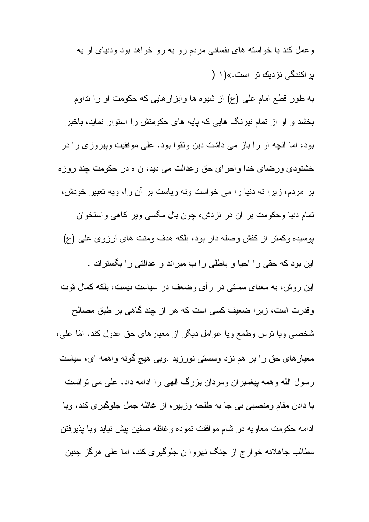وعمل کند با خواسته های نفسانی مردم رو به رو خواهد بود ودنیای او به بر اکندگی نز دیك تر است.»(۱ ( به طور قطع امام علی (ع) از شیوه ها وابزارهایی که حکومت او را نداوم بخشد و او از نمام نیرنگ هایی که پایه های حکومتش را استوار نماید، باخبر بود، اما أنچه او را باز می داشت دین ونقوا بود. علی موفقیت وپیروزی را در خشنودي ورضاي خدا واجراي حق وعدالت مي ديد، ن ه در حكومت چند روزه بر مردم، زیرا نه دنیا را می خواست ونه ریاست بر آن را، وبه تعبیر خودش، تمام دنیا وحکومت بر آن در نزدش، جون بال مگسی ویر کاهی واستخوان بوسیده وکمنر از کفش وصله دار بود، بلکه هدف ومنت های آرزوی علی (ع) این بود که حقی را احیا و باطلبی را ب میراند و عدالتی را بگستراند . این روش، به معنای سستی در رأی وضعف در سیاست نیست، بلکه کمال قوت وقدرت است، زیرا ضعیف کسی است که هر از چند گاهی بر طبق مصالح شخصبی ویا نرس وطمع ویا عوامل دیگر از معیارهای حق عدول کند. امّا علمی، معیارهای حق را بر هم نزد وسستی نورزید .وبی هیچ گونه واهمه ای، سیاست رسول الله وهمه بيغمبران ومردان بزرگ الهي را ادامه داد. علي مي توانست با دادن مقام ومنصبي بي جا به طلحه وزبير ، از غائله جمل جلوگيري كند، وبا ادامه حکومت معاويه در شام موافقت نموده وغائله صفين بيش نيايد وبا بذيرفتن مطالب جاهلانه خوارج از جنگ نهروا ن جلوگیری کند، اما علی هرگز چنین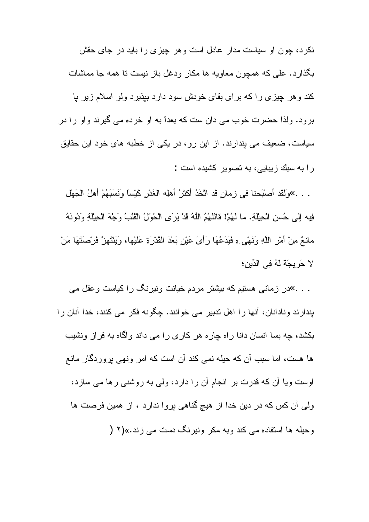نکرد، چون او سیاست مدار عادل است و هر چیزی را باید در جای حقش بگذارد. علی که همچون معاویه ها مکار ودغل باز نیست تا همه جا مماشات کند و هر چیزی را که برای بقای خودش سود دارد بپذیرد ولو اسلام زیر یا برود. ولذا حضرت خوب مي دان ست كه بعداً به او خرده مي گيرند واو را در سیاست، ضعیف می بندارند. از این رو، در یکی از خطبه های خود این حقایق را به سبك زيبايى، به نصوير كشيده است :

. . . »ولَقَد أصبْحنا في زمانٍ قد اتَّخَذَ أكثرُ أهلِه الغَدْرِ كَيْساً ونَسَبَهُمْ أهلُ الْجَهْلِ فِيه إلى حُسنِ الْحِيْلَةِ. ما لهُمْ! فَاتَلَّهُمُ اللَّهُ قَدْ يَرَى الْحُولُ الْقُلَّبُ وَجْهَ الْحِيْلَةِ وَدُونَهُ مانعٌ مِنْ أَمْرِ اللَّهِ وَنَهْى وِ فَيَدَعُهَا رَأَىَ عَيْنِ بَعْدَ الْقُدْرَةِ عَلَيْها، وَيَنْتَهِنّ فُرْصتَهَا مَنْ لا حَرِيجَةَ لَهُ فِي الدِّينِ؛

. . . »در زمانی هستیم که بیشتر مردم خیانت ونیرنگ را کیاست و عقل می بندارند ونادانان، أنها را اهل ندبير مي خوانند. چگونه فكر مي كنند، خدا أنان را بکشد، چه بسا انسان دانا راه چاره هر کاری را می داند وآگاه به فراز ونشیب ها هست، اما سبب آن که حیله نمی کند آن است که امر ونهی پروردگار مانع اوست و یا آن که قدرت بر انجام آن را دارد، ولی به روشنی رها می سازد، ولی أن كس كه در دين خدا از هيچ گناهی پروا ندارد ، از همين فرصت ها و حیله ها استفاده مے کند وبه مکر ونیرنگ دست مے زند.»(۲ (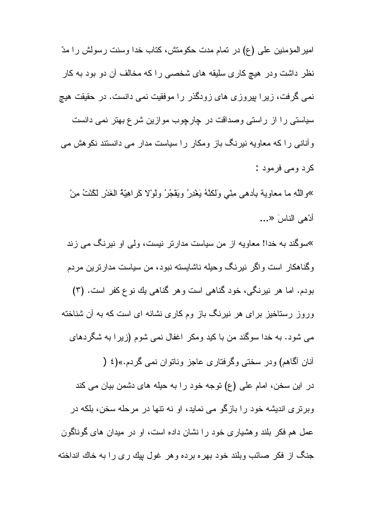امير المؤمنين على (ع) در تمام مدت حكومتش، كتاب خدا وسنت رسولش را مدّ نظر داشت ودر هیچ کاری سلیقه های شخصبی را که مخالف آن دو بود به کار نمی گرفت، زیرا بپروزی های زودگذر را موفقیت نمی دانست. در حقیقت هیچ سیاستی را از راستی وصداقت در چارچوب موازین شرع بهتر نمی دانست و آنانی را که معاویه نیرنگ باز ومکار را سیاست مدار می دانستند نکوهش می کر د ومے فرمود :

»واللَّهِ ما معاوية بأدهى مِنَّى وَلكنَّهُ يَغْدِرُ ويَقْجُرُ ولوْلا كَراهِيَّةُ الغَدْرِ لَكُنْتُ مِنْ أدْهي الناس َ<...

<sup>»</sup>سوگند به خدا! معاویه از من سیاست مدارتر نیست، ولی او نیرنگ می زند و گناهکار ِ است و اگر ِ نبر نگ و حبله ناشابسته نبود، من سباست مدار تر بن مر دم بودم. اما هر نیرنگی، خود گناهی است و هر گناهی یك نوع كفر است. (۳) وروز رستاخیز برای هر نیرنگ باز وم کاری نشانه ای است که به آن شناخته می شود. به خدا سوگند من با کید ومکر اغفال نمی شوم (زیرا به شگردهای آنان آگاهم) و در سختی وگر فتار ی عاجز وناتو ان نمبی گر دم.»(٤ ( در این سخن، امام علی (ع) نوجه خود را به حیله های دشمن بیان می کند وبر تر ی اندیشه خود ر ا باز گو ً می نماید، او نه نتها در مرحله سخن، بلکه در عمل هم فکر بلند و هشیار ی خود را نشان داده است، او در میدان های گوناگون جنگ از فکر صائب وبلند خود بهره برده وهر غول بیك رى را به خاك انداخته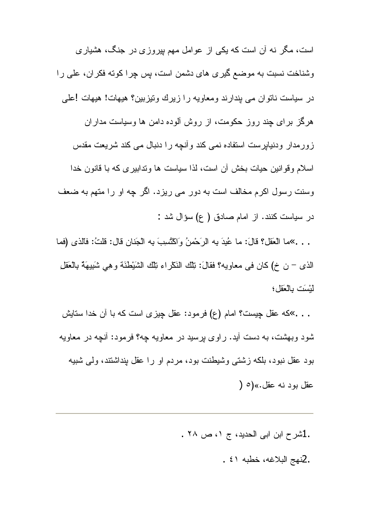است، مگر نه آن است که یکی از عوامل مهم بیروزی در جنگ، هشیاری وشناخت نسبت به موضع گیری های دشمن است، پس چرا کونه فکران، علی را در سیاست ناتوان می بندارند ومعاویه را زیرك ونیزبین؟ هیهات! هیهات !علی هرگز برای چند روز حکومت، از روش آلوده دامن ها وسیاست مداران زورمدار ودنیابرست استفاده نمی کند وأنچه را دنبال می کند شریعت مقدس اسلام وقوانین حیات بخش أن است، لذا سیاست ها وتدابیری که با قانون خدا وسنت رسول اکرم مخالف است به دور می ریزد. اگر چه او را متهم به ضعف در سیاست کنند. از امام صادق ( ع) سؤال شد :

. . . »ما العَقل؟ قالَ: ما عُبِدَ بِه الرَحْمنُ وَاكْتُسِبَ بِه الْجَنانِ قال: قلتُ: فالذي (فما الذي – ن خ) كان في معاويه؟ فقالَ: نِلْك النَكْر اء نِلْك الشَّيْطْنَة وهِي شَبَيبِهَة بِالْعَقْلِ لَيْسَتِ بِالْعَقَلِ؛

. . . »كه عقل چیست؟ امام (ع) فرمود: عقل چیزی است كه با آن خدا ستایش شود وبهشت، به دست آید. راوی برسید در معاویه چه؟ فرمود: آنچه در معاویه بود عقل نبود، بلكه زشتى وشيطنت بود، مردم او را عقل بنداشتند، ولى شبيه عقل بود نه عقل.»(٥ (

> .1شرح ابن ابی الحدید، ج ۰، ص ۲۸ . . 2نهج البلاغه، خطبه ٤١.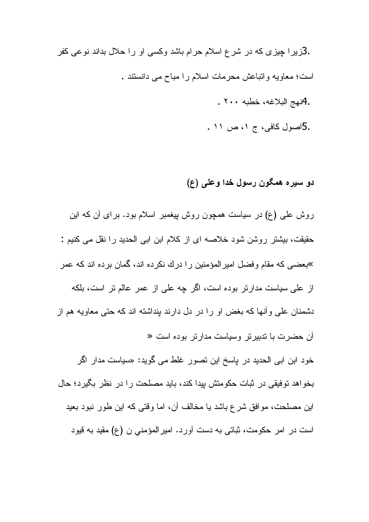.3زیرا چیزی که در شرع اسلام حرام باشد وکسی او را حلال بداند نوعی کفر است؛ معاويه وانباعش محرمات اسلام را مباح مي دانستند . .4نهج البلاغه، خطبه ٢٠٠. .5اصول كافى، ج ١، ص ١١ .

# دو سيره همگون رسول خدا وعلى (ع)

روش علی (ع) در سیاست همچون روش بپغمبر اسلام بود. برای أن که این حقيقت، بيشتر روشن شود خلاصه اي از كلام ابن ابي الحديد را نقل مي كنيم : »بعضی که مقام وفضل امیر المؤمنین را درك نكرده اند، گمان برده اند که عمر از على سياست مدارتر بوده است، اگر چه على از عمر عالم تر است، بلكه دشمنان علمی وأنها که بغض او را در دل دارند بنداشته اند که حتی معاویه هم از آن حضرت با ندبیر نر وسیاست مدارنر بوده است « خود ابن ابی الحدید در پاسخ این تصور غلط می گوید: «سیاست مدار اگر بخواهد نوفیقی در ثبات حکومتش بیدا کند، باید مصلحت را در نظر بگیرد؛ حال

این مصلحت، موافق شرع باشد یا مخالف آن، اما وقتی که این طور نبود بعید است در امر حکومت، ثباتی به دست آورد. امیر المؤمنی ن (ع) مقید به قیود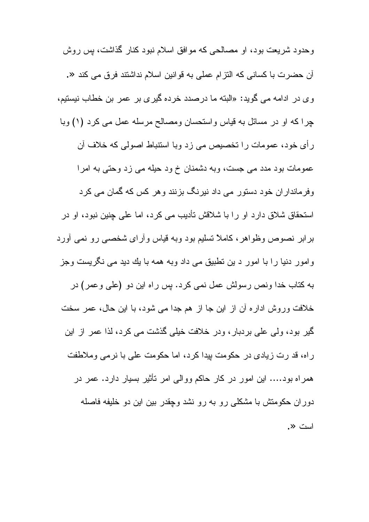وحدود شریعت بود، او مصالحی که موافق اسلام نبود کنار گذاشت، پس روش آن حضرت با كساني كه التز ام عملي به قو انين اسلام نداشتند فر ق مي كند «. وى در ادامه مى گويد: «البته ما درصدد خرده گيرى بر عمر بن خطاب نيستيم، چرا که او در مسائل به قیاس واستحسان ومصالح مرسله عمل می کرد (۱) وبا ر أي خود، عمومات را تخصيص مي زد وبا استنباط اصولي كه خلاف آن عمومات بود مدد می جست، وبه دشمنان خ ود حیله می زد وحتی به امرا وفرمانداران خود دستور می داد نیرنگ بزنند و هر کس که گمان می کرد استحقاق شلاق دارد او را با شلاقش تأديب مي كرد، اما على جنين نبود، او در برابر نصوص وظواهر، كاملاً نسليم بود وبه قياس وأراى شخصى رو نمى أورد وامور دنیا را با امور د بن نطبیق می داد وبه همه با یك دید می نگریست وجز به کتاب خدا ونص رسولش عمل نمی کرد. بس راه این دو (علی وعمر) در خلافت وروش ادار ه آن از این جا از هم جدا می شود، با این حال، عمر سخت گیر بود، ولی علی بردبار ، ودر خلافت خیلی گذشت می کرد، لذا عمر از این ر اه، قد ر ت زیادی در حکومت بیدا کر د، اما حکومت علی با نر می وملاطفت همراه بود…. این امور در کار حاکم ووالبی امر نأثیر بسیار دارد. عمر در دوران حکومتش با مشکلی رو به رو نشد وچقدر بین این دو خلیفه فاصله است «.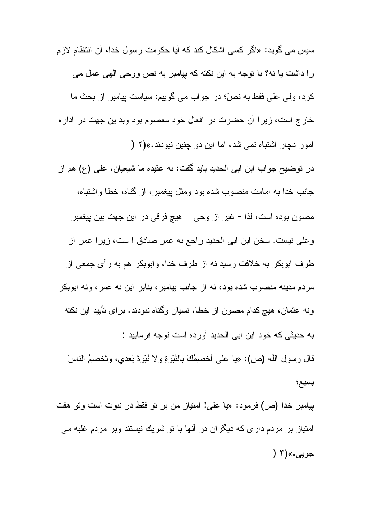سبس مے گو بد: «اگر کسے اشکال کند که آبا حکومت ر سو ل خدا، آن انتظام لاز م را داشت یا نه؟ با نوجه به این نکته که بپامبر به نص ووحی الهی عمل می كرد، ولَّـى علَّـى فقط به نصٌّ؛ در جواب مـى گوييم: سياست بپيامبر از بحث ما خارج است، زیرا آن حضرت در افعال خود معصوم بود وبد بن جهت در اداره امور دجار اشتباه نمي شد، اما اين دو جنين نبو دند.»(٢ ( در نوضيح جواب ابن ابي الحديد بايد گفت: به عقيده ما شيعيان، علي (ع) هم از جانب خدا به امامت منصوب شده بود ومثل بیغمبر ، از گناه، خطا واشتباه، مصون بوده است، لذا - غير از وحي – هيچ فرقي در اين جهت بين پيغمبر وعلى نيست. سخن ابن ابي الحديد راجع به عمر صادق ا ست، زير ا عمر از طرف ابوبکر به خلافت رسید نه از طرف خدا، وابوبکر هم به رأى جمعى از

مردم مدینه منصوب شده بود، نه از جانب بیامبر ، بنابر این نه عمر ، ونه ابوبکر ونه عثمان، هيچ كدام مصون از خطا، نسيان وگناه نبودند. براي تأييد اين نكته به حدیثی که خود ابن ابی الحدید آورده است توجه فر مایید : قال رسول الله (ص): «يا على أخصمِكَ بالنُبِّوةِ ولا نُبِّوةَ بَعدي، وتَخصمِ الناسَ بسبع؛

بیامبر خدا (ص) فرمود: «یا علی! امتیاز من بر نو فقط در نبوت است ونو هفت امتیاز بر مردم داری که دیگران در أنها با تو شریك نیستند وبر مردم غلبه می جويبي.»(٣ (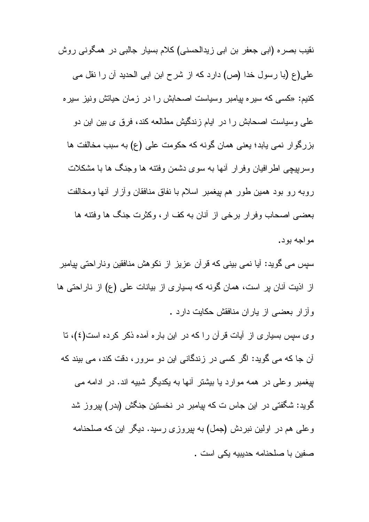نقیب بصره (ابی جعفر بن ابی زیدالحسنی) کلام بسیار جالبی در همگونی روش علمی(ع (با رسول خدا (ص) دارد که از شرح ابن ابی الحدید آن را نقل می کنیم: «کسی که سیره بیامبر وسیاست اصحابش را در زمان حیاتش ونیز سیره علمی وسیاست اصحابش را در ایام زندگیش مطالعه کند، فرق ی بین این دو بزرگوار نمی یابد؛ یعنی همان گونه که حکومت علی (ع) به سبب مخالفت ها وسریپچی اطرافیان وفرار أنها به سوی دشمن وفتنه ها وجنگ ها با مشکلات روبه رو بود همین طور هم بیغمبر اسلام با نفاق منافقان وأزار أنها ومخالفت بعضبي اصحاب وفرار برخي از آنان به كف ار ، وكثرت جنگ ها وفتنه ها مو اجه بو د .

سپس می گوید: أیا نمی بینی که قرأن عزیز از نکوهش منافقین وناراحتی پیامبر از اذیت آنان پر است، همان گونه که بسیاری از بیانات علی (ع) از ناراحتی ها وأزار بعضبي از ياران منافقش حكايت دارد .

و ی سپس بسیار ی از آبات قرآن را که در این بار ه آمده ذکر کرده است(٤)، تا آن جا که می گوید: اگر کسی در زندگانی این دو سرور، دقت کند، می بیند که بیغمبر و علم در همه موارد یا بیشتر آنها به یکدیگر شبیه اند. در ادامه می گوید: شگفتی در این جاس ت که بیامبر در نخستین جنگش (بدر) بپروز شد وعلمی هم در اولین نبردش (جمل) به پیروزی رسید. دیگر این که صلحنامه صفين با صلحنامه حديبيه بكي است .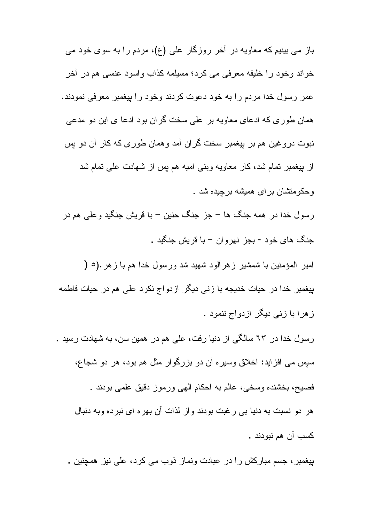باز می بینیم که معاویه در آخر روزگار علی (ع)، مردم را به سوی خود می خواند وخود را خليفه معرفي مي كرد؛ مسيلمه كذاب واسود عنسى هم در أخر عمر رسول خدا مردم را به خود دعوت كردند وخود را بيغمبر معرفي نمودند. همان طوری که ادعای معاویه بر علی سخت گران بود ادعا ی این دو مدعی نبوت دروغین هم بر بیغمبر سخت گران آمد وهمان طوری که کار آن دو بس از بیغمبر تمام شد، کار معاویه وبنی امیه هم پس از شهادت علی تمام شد و حکو منشان بر ای همیشه بر جیده شد .

رسول خدا در همه جنگ ها – جز جنگ حنین – با قریش جنگید وعلی هم در جنگ های خود - بجز نهروان – با قریش جنگید .

امیر المؤمنین با شمشیر زهرآلود شهید شد ورسول خدا هم با زهر .(٥ ( بیغمبر خدا در حیات خدیجه با زن*ی* دیگر ازدواج نکرد علی هم در حیات فاطمه ز هرا با زنی دیگر ازدواج ننمود .

رسول خدا در ٦٣ سالگي از دنيا رفت، علي هم در همين سن، به شهادت رسيد . سيس مي افزايد: اخلاق وسيره آن دو بزرگوار مثل هم بود، هر دو شجاع، فصيح، بخشنده وسخي، عالم به احكام الهي ورموز دقيق علمي بودند . هر دو نسبت به دنیا بی رغبت بودند واز لذات آن بهره ای نبرده وبه دنبال کسب آ*ن* هم نبو دند .

بیغمبر ، جسم مبارکش را در عبادت ونماز ذوب می کرد، علی نیز همچنین .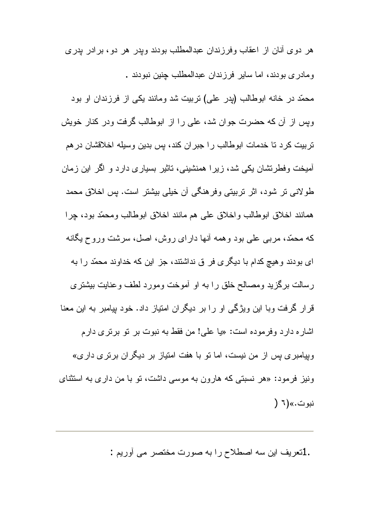هر دو ی آنان از اعقاب وفرزندان عبدالمطلب بودند ویدر هر دو ، بر ادر بدر ی و مادر ی بو دند، اما سایر فر ز ندان عبدالمطلب جنبن نبو دند .

محمّد در خانه ابوطالب (يدر علي) نربيت شد ومانند يكي از فرزندان او بود وبس از أن كه حضرت جوان شد، على را از ابوطالب گرفت ودر كنار خويش تربیت کرد تا خدمات ابوطالب را جبران کند، بس بدین وسیله اخلاقشان در هم آمیخت وفطرنشان یکی شد، زیرا همنشینی، ناثیر بسیاری دارد و اگر این زمان طولانی تر شود، اثر تربیتی وفرهنگی آن خیلی بیشتر است. پس اخلاق محمد همانند اخلاق ابوطالب واخلاق على هم مانند اخلاق ابوطالب ومحمّد بود، جرا که محمّد، مربّی علّی بود وهمه أنّها دارای روش، اصل، سرشت وروح یگانه ای بودند و هیچ کدام با دیگری فر ق نداشتند، جز این که خداوند محمّد ر ا به رسالت برگزید ومصالح خلق را به او آموخت ومورد لطف وعنایت بیشتری قرار گرفت وبا این ویژگی او را بر دیگران امتیاز داد. خود پیامبر به این معنا اشاره دارد وفرموده است: «يا علي! من فقط به نبوت بر نو برنري دارم وبیامبر ی بس از من نیست، اما تو با هفت امتیاز بر دیگر ان بر تر ی دار ی» ونیز فرمود: «هر نسبتی که هارون به موسی داشت، تو با من داری به استثنای نبوت.»(٦ (

.1نعریف این سه اصطلاح را به صورت مختصر می آوریم :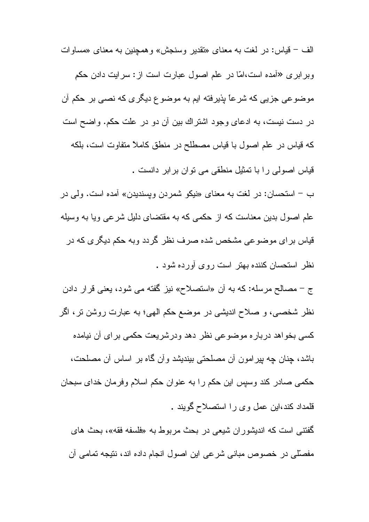الف – قياس: در لغت به معناى «نقدير وسنجش» وهمچنين به معناى «مساوات وبر ابر ی «آمده است،امّا در علم اصول عبارت است از : سر ایت دادن حکم موضوعي جزيي كه شرعاً بذيرفته ايم به موضوع ديگري كه نصبي بر حكم أن در دست نیست، به ادعای وجود اشتراك بین آن دو در علت حكم. واضح است که قیاس در علم اصول با قیاس مصطلح در منطق کاملاً متفاوت است، بلکه قياس اصولي را با تمثيل منطقي مي توان برابر دانست .

ب – استحسان: در لغت به معنای «نیکو شمردن ویسندیدن» آمده است. ولی در علم اصول بدین معناست که از حکمی که به مقتضای دلیل شرعی ویا به وسیله قیاس برای موضوعی مشخص شده صرف نظر گردد وبه حکم دیگری که در نظر استحسان کننده بهتر است روی آورده شود .

ج – مصـالح مرسله: كـه بـه أن «استصـلاح» نيز گفته مـي شود، يعنـي قرار دادن نظر شخصبي، و صلاح انديشي در موضع حكم الهي؛ به عبارت روشن تر ، اگر کسی بخواهد درباره موضوعی نظر دهد ودرشریعت حکمی برای آن نیامده باشد، چنان چه پیرامون أن مصلحتی بیندیشد وأن گاه بر اساس أن مصلحت، حکمی صادر کند وسپس این حکم را به عنوان حکم اسلام وفرمان خدای سبحان قلمداد کند،این عمل وی را استصلاح گویند .

گفتنی است که اندیشور ان شیعی در بحث مربوط به «فلسفه فقه»، بحث های مفصلّلي در خصوص مباني شرعي اين اصول انجام داده اند، نتيجه تمامي أن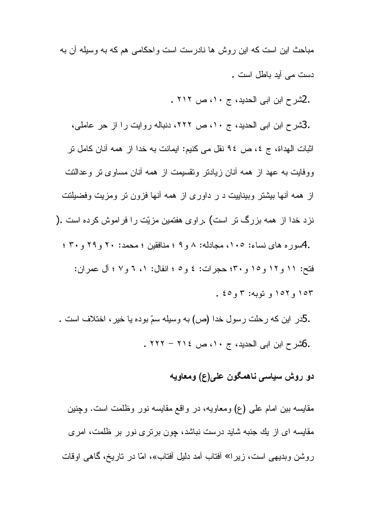مباحث این است که این روش ها نادرست است و احکامی هم که به وسیله آن به دست مے آبد باطل است .

.2شرح ابن ابی الحدید، ج ۱۰، ص ۲۱۲ .

.3شرح ابن ابی الحدید، ج ۱۰، ص ۲۲۲، دنباله روایت را از حر عاملی، اثبات الهداة، ج ٤، ص ٩٤ نقل مي كنيم: ايمانت به خدا از همه آنان كامل تر ووفايت به عهد از همه أنان زيادتر ونقسيمت از همه أنان مساوى تر وعدالتت از همه أنها بیشتر وبیناییت د ر داوری از همه أنها فزون تر ومزیت وفضیلتت نزد خدا از همه بزرگ تر است) .راوی هفتمین مزیّت را فراموش کرده است .( .4سوره های نساء: ۱۰۵، مجادله: ۸ و ۹ ؛ منافقین ؛ محمد: ۲۰ و ۲۹ و ۳۰ ؛ فتح: ١١ و ١٢ و ١٥ و ٣٠؛ حجر ات: ٤ و ٥ ؛ انفال: ١، ٦ و ٧ ؛ آل عمر ان: ۱۵۳ و ۱۵۲ و توبه: ۳ و ٤٥ ـ

.5در این که رحلت رسول خدا (ص) به وسیله سمّ بوده یا خیر ، اختلاف است . .6شرح ابن ابی الحدید، ج ١٠، ص ٢١٤ - ٢٢٢ .

دو روش سياسي ناهمگون علي(ع) ومعاويه

مقایسه بین امام علمی (ع) ومعاویه، در واقع مقایسه نور وظلمت است. وچنین مقایسه ای از یك جنبه شاید درست نباشد، چون برتری نور بر ظلمت، امری روشن وبدیهی است، زیرا» أفتاب أمد دلیل أفتاب»، امّا در تاریخ، گماهی اوقات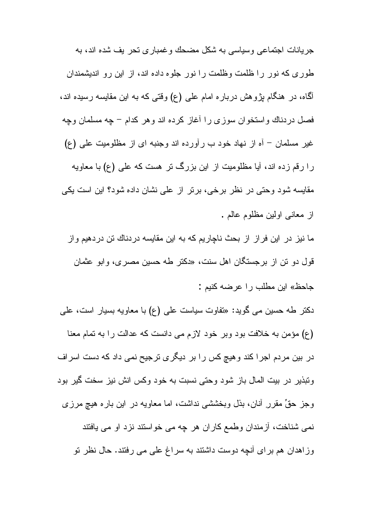جر بانات اجتماعی و سیاسی به شکل مضحك و غمبار ی تحر یف شده اند، به طوری که نور را ظلمت وظلمت را نور جلوه داده اند، از این رو اندیشمندان آگماه، در هنگام پژوهش درباره امام علمی (ع) وقتبی که به این مقایسه رسیده اند، فصل دردناك واستخوان سوزى را أغاز كرده اند وهر كدام – چه مسلمان وچه غیر مسلمان – أه از نهاد خود ب رأورده اند وجنبه ای از مظلومیت علی (ع) را رقم زده اند، آبا مظلومیت از این بزرگ تر هست که علمی (ع) با معاویه مقایسه شود وحتی در نظر برخی، برتر از علی نشان داده شود؟ این است یکی از معانی اولین مظلوم عالم . ما نیز در این فراز از بحث ناچاریم که به این مقایسه دردناك تن دردهیم واز

قول دو نن از برجستگان اهل سنت، «دکتر طه حسین مصری، وابو عثمان جاحظ» این مطلب را عرضه کنیم :

دکتر طه حسین می گوید: «تفاوت سیاست علی (ع) با معاویه بسیار است، علی (ع) مؤمن به خلافت بود وبر خود لازم می دانست که عدالت را به نمام معنا در بین مردم اجرا کند و هیچ کس را بر دیگری ترجیح نمی داد که دست اسراف وتبذیر در بیت المال باز شود وحتی نسبت به خود وکس انش نیز سخت گیر بود وجز حقٍّ مقرر ِ أنـان، بذل وبخششـي نداشت، امـا مـعـاويـه در اين بـار ه هيچ مرزى نمی شناخت، أزمندان وطمع كاران هر چه می خواستند نزد او می یافتند وزاهدان هم برای أنچه دوست داشتند به سراغ علی می رفتند. حال نظر نو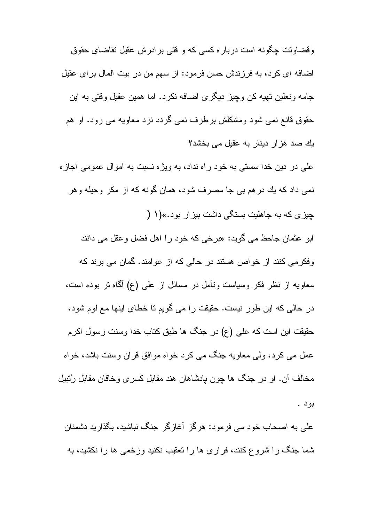وقضاوتت چگونه است درباره کسی که و قتی برادرش عقیل نقاضای حقوق اضافه ای کرد، به فرزندش حسن فرمود: از سهم من در بیت المال بر ای عقیل جامه ونعلين نهيه كن وچيز ديگرى اضافه نكرد. اما همين عقيل وقتى به اين حقوق قانع نمی شود ومشکلش برطرف نمی گردد نزد معاویه می رود. او هم یك صد هزار دینار به عقیل می بخشد؟ علي در دين خدا سستي به خود راه نداد، به ويژه نسبت به اموال عمومي اجازه نمي داد كه يك در هم بي جا مصرف شود، همان گونه كه از مكر وحيله و هر جیز ی که به جاهلیت بستگی داشت بیز ار بود.»(۱ ( ابو عثمان جاحظ می گوید: «برخی که خود را اهل فضل وعقل می دانند

وفکرمی کنند از خواص هستند در حالی که از عوامند. گمان می برند که معاویه از نظر فکر وسیاست وتأمل در مسائل از علمی (ع) آگما تر بوده است، در حالی که این طور نیست. حقیقت را می گویم تا خطای اینها مع لوم شود، حقيقت اين است كه على (ع) در جنگ ها طبق كتاب خدا وسنت رسول اكرم عمل مے کرد، ولی معاویه جنگ می کرد خواه موافق قرآن وسنت باشد، خواه مخالف آن. او در جنگ ها چون پادشاهان هند مقابل کسری وخاقان مقابل رُتبیل بو د .

علی به اصحاب خود می فرمود: هرگز آغازگر جنگ نباشید، بگذارید دشمنان شما جنگ را شروع کنند، فراری ها را تعقیب نکنید وزخمی ها را نکشید، به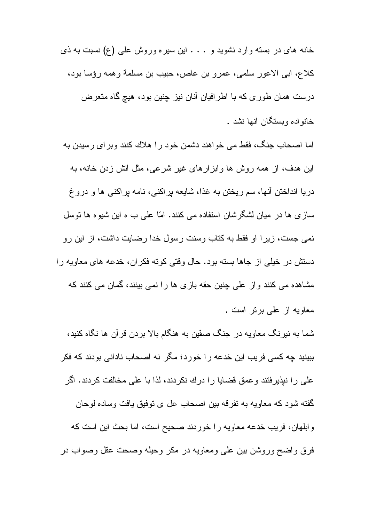خانه های در بسته وارد نشوید و . . . این سیره وروش علی (ع) نسبت به ذی كلاع، ابي الاعور سلمي، عمرو بن عاص، حبيب بن مسلمة وهمه رؤسا بود، درست همان طوری که با اطرافیان أنان نیز چنین بود، هیچ گاه متعرض خانو اده وبستگان آنها نشد .

اما اصحاب جنگ، فقط می خواهند دشمن خود را هلاك كنند وبرای رسیدن به این هدف، از همه روش ها وابزارهای غیر شرعی، مثل آتش زدن خانه، به دریا انداختن آنها، سم ریختن به غذا، شایعه بر اکنبی، نامه بر اکنبی ها و دروغ ساز ی ها در میان لشگرشان استفاده می کنند. امّا علی ب ه این شیوه ها نوسل نمی جست، زیرا او فقط به کتاب وسنت رسول خدا رضایت داشت، از این رو دستش در خیلی از جاها بسته بود. حال وقتی کوته فکران، خدعه های معاویه را مشاهده می کنند واز علی چنین حقه بازی ها را نمی بینند، گمان می کنند که معاويه از علي بر تر است .

شما به نیرنگ معاویه در جنگ صقین به هنگام بالا بردن قرآن ها نگاه کنید، ببینید چه کسی فریب این خدعه را خورد؛ مگر نه اصحاب نادانی بودند که فکر علمی را نبذیرفتند وعمق قضایا را درك نكردند، لذا با علمی مخالفت كردند. اگر گفته شود که معاویه به نفرقه بین اصحاب عل ی نوفیق یافت وساده لوحان وابلهان، فريب خدعه معاويه را خوردند صحيح است، اما بحث اين است كه فرق واضح وروشن بین علمی ومعاویه در مکر وحیله وصحت عقل وصواب در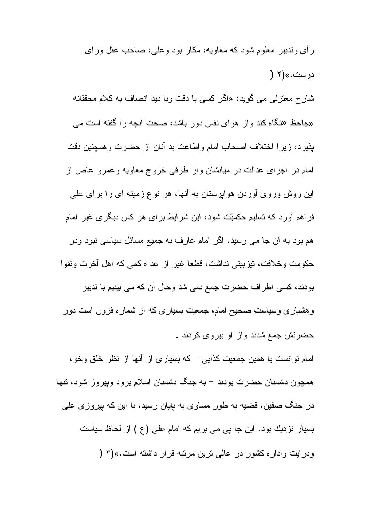ر أي وندبير ً معلوم شود كه معاويه، مكار بود و علي، صاحب عقل وراي در ست.»(۲ ( شارح معتزلی می گوید: «اگر کسی با دقت وبا دید انصاف به کلام محققانه «جاحظ «نگاه کند واز هوای نفس دور باشد، صحت أنچه را گفته است می بذيرد، زيرا اختلاف اصحاب امام واطاعت بد أنان از حضرت وهمچنين دقت امام در اجرای عدالت در میانشان واز طرفی خروج معاویه وعمرو عاص از این روش وروی أوردن هواپرستان به أنها، هر نوع زمینه ای را برای علی فراهم آورد که نسلیم حکمیّت شود، این شرایط برای هر کس دیگری غیر امام هم بود به آن جا می رسید. اگر امام عارف به جمیع مسائل سیاسی نبود ودر حكومت وخلافت، تيزبيني نداشت، قطعًا غير از عد ه كمبي كه اهل أخرت ونقوا بودند، كسى اطراف حضرت جمع نمى شد وحال آن كه مى بينيم با تدبير وهشیاری وسیاست صحیح امام، جمعیت بسیاری که از شماره فزون است دور حضرتش جمع شدند و از او بیروی کردند . امام نوانست با همین جمعیت کذابی – که بسیاری از آنها از نظر خُلق وخو،

همچون دشمنان حضرت بودند – به جنگ دشمنان اسلام برود وپیروز شود، تنها در جنگ صفین، قضیه به طور مساوی به پایان رسید، با این که پیروزی علی بسیار نزدیك بود. این جا پی می بریم كه امام علی (ع ) از لحاظ سیاست ودرايت واداره كشور در عالى ترين مرتبه قرار داشته است.»(٣ (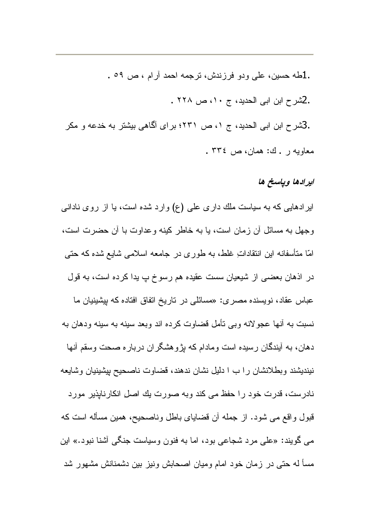.1طه حسين، على ودو فرزندش، نرجمه احمد آرام ، ص ٥٩ . .2شرح ابن ابی الحدید، ج ١٠، ص ٢٢٨ . .3شرح ابن ابی الحدید، ج ۱، ص ۲۳۱؛ برای آگاهی بیشتر به خدعه و مکر معاويه ر . ك: همان، ص ٣٣٤ .

### ایرادها ویاسخ ها

ایر ادهایی که به سیاست ملك داری علی (ع) وارد شده است، یا از روی نادانی و جهل به مسائل آن زمان است، یا به خاطر کینه و عداوت با آن حضرت است، امّا متأسفانه این انتقاداتِ غلط، به طوری در جامعه اسلامی شایع شده که حتبی در اذهان بعضبي از شيعيان سست عقيده هم رسوخ پ يدا كرده است، به قول عباس عقاد، نویسنده مصری: «مسائلی در تاریخ اتفاق افتاده که بیشینیان ما نسبت به أنها عجولانه وبي نأمل قضاوت كرده اند وبعد سينه به سينه ودهان به دهان، به أيندگان رسيده است ومادام كه بِژوهشگران درباره صحت وسقم أنها نیندیشند وبطلانشان را ب ا دلیل نشان ندهند، قضاوت ناصحیح بپشینیان وشایعه نادرست، قدرت خود را حفظ می کند وبه صورت بك اصل انكارنابذير مورد قبول واقع مبي شود. از جمله أن قضاياي باطل وناصحيح، همين مسأله است كه می گویند: «علی مرد شجاعی بود، اما به فنون وسیاست جنگی آشنا نبود.» این مسأ له حتى در زمان خود امام وميان اصحابش ونيز بين دشمنانش مشهور شد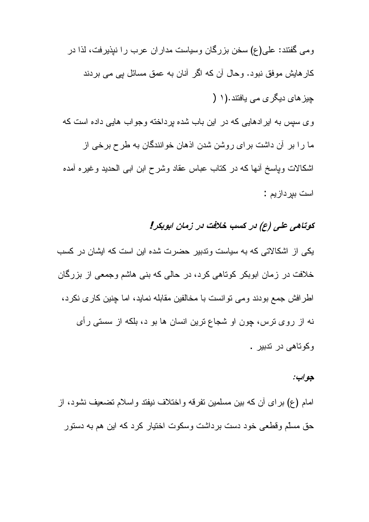ومی گفتند: علی(ع) سخن بزرگان وسیاست مداران عرب را نیذیرفت، لذا در کار هایش موفق نبود. وحال آن که اگر آنان به عمق مسائل یی می بردند چیز های دیگری می یافتند.(۱ (

وی سپس به ایرادهایی که در این باب شده برداخته وجواب هایی داده است که ما را بر آن داشت برای روشن شدن اذهان خوانندگان به طرح برخی از اشکالات ویاسخ أنها که در کتاب عباس عقاد وشرح ابن ابی الحدید وغیره أمده است بير داز يم :

# کوتاهی علی (ع) در کسب خلافت در زمان ابوبکر!

یکی از اشکالاتی که به سیاست وندبیر حضرت شده این است که ایشان در کسب خلافت در زمان ابوبکر کوتاهی کرد، در حالی که بنی هاشم وجمعی از بزرگان اطرافش جمع بودند ومی نوانست با مخالفین مقابله نماید، اما چنین کاری نکرد، نه از روی ترس، چون او شجاع ترین انسان ها بو د، بلکه از سستی رأی و کو تاهے در تدبیر ۔

#### جو اب:

امام (ع) بر اي أن كه بين مسلمين نفرقه و اختلاف نيفتد و اسلام نضعيف نشود، از حق مسلّم وقطعی خود دست بر داشت وسکوت اختیار کر د که این هم به دستور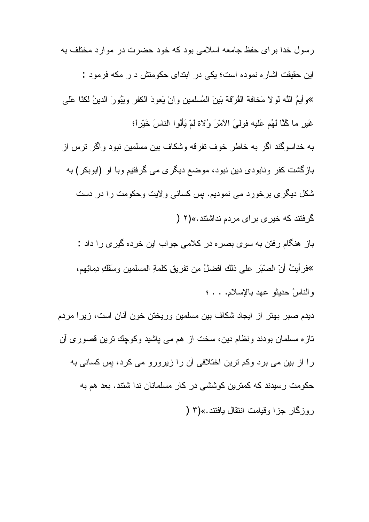رسول خدا بر ای حفظ جامعه اسلامی بود که خود حضرت در موارد مختلف به این حقیقت اشاره نموده است؛ یکی در ابتدای حکومتش د ر مکه فرمود : »وأيمُ اللَّه لو لا مَخافة الڤرقة بَينَ المُسلمين وأنْ يَعودَ الكفر ويَبُورَ الدينُ لكنّا عَلَى غَيْرٍ ما كُنَّا لَهُم عَليه فولِّيَ الأَمْرَ وُلاة لَمْ يَأْلُوا الناسَ خَيْرٍ أَ؛ به خداسو گند اگر به خاطر خوف نفرقه وشکاف بین مسلمین نبود و اگر ترس از بازگشت کفر ونابودی دین نبود، موضع دیگری می گرفتیم وبا او (ابوبکر) به شکل دیگر ی برخورد می نمودیم. بس کسانی و لایت وحکومت را در دست گرفتند که خیری بر ای مردم نداشتند.»(۲ ( باز هنگام رفتن به سوی بصره در کلامی جواب این خرده گیری را داد : »فر أبتُ أنّ الصنّرَ على ذلك أفضلُ مِن نفرٍ بق كلمةِ المسلمين وسَفْكِ دِمائِهِم، والناسُ حديثو عهد بالإسلام. . . ؛

دیدم صبر بهتر از ایجاد شکاف بین مسلمین وریختن خون أنان است، زیرا مردم نازہ مسلمان بودند ونظام دین، سخت از ہم می پاشید وکوچك نرین قصوری أن را از بین می برد وکم ترین اختلافی آن را زیرورو می کرد، پس کسانی به حکومت رسیدند که کمترین کوششی در کار مسلمانان ندا شتند. بعد هم به ر و زگار جز ا و قبامت انتقال بافتند.»(۳ (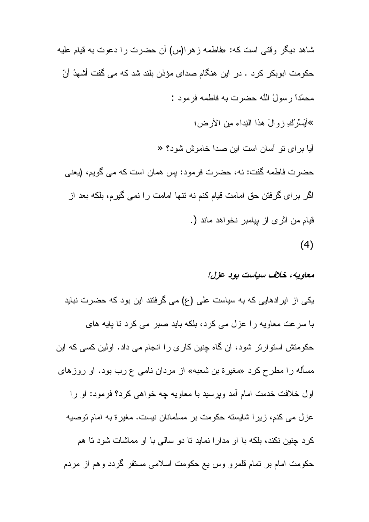شاهد دیگر وقتی است که: «فاطمه زهرا(س) أن حضرت را دعوت به قیام علیه حکومت ابوبکر کرد . در این هنگام صدای مؤذن بلند شد که می گفت أشهدُ أنّ محمّداً رسولُ اللّه حضرت به فاطمه فرمود : »أَبَسِّرُكِ زِوِالَ هذا النِداء مِن الأرضِ؛ أيا براى نو أسان است اين صدا خاموش شود؟ « حضرت فاطمه گفت: نه، حضرت فرمود: پس همان است که می گویم، (یعنی اگر برای گرفتن حق امامت قیام کنم نه نتها امامت را نمی گیرم، بلکه بعد از قيام من اثر ي از بيامبر نخواهد ماند (.  $(4)$ 

### معاويه، خلاف سياست بوڊ عزل!

یکی از ایرادهایی که به سیاست علی (ع) می گرفتند این بود که حضرت نباید با سرعت معاويه را عزل مي كرد، بلكه بايد صبر مي كرد تا بايه هاي حکومتش استوارتر شود، آن گاه چنین کاری را انجام می داد. اولین کسی که این مسأله را مطرح كرد «مغيرة بن شعبه» از مردان نامى ع رب بود. او روزهاى اول خلافت خدمت امام أمد وبرسيد با معاويه چه خواهي كرد؟ فرمود: او را عزل می کنم، زیرا شایسته حکومت بر مسلمانان نیست. مغیر ة به امام توصیه کرد چنین نکند، بلکه با او مدار ا نماید نا دو سالی با او مماشات شود نا هم حکومت امام بر تمام قلمرو وس یع حکومت اسلامی مستقر گردد وهم از مردم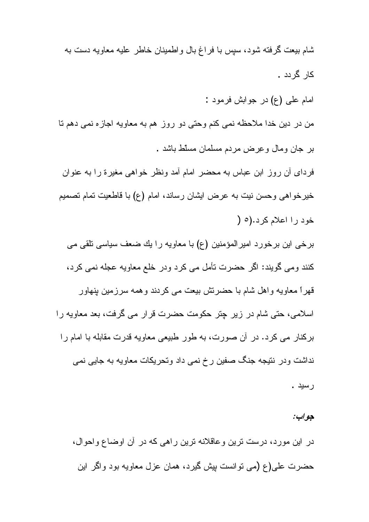شام بيعت گرفته شود، سپس با فراغ بال واطمينان خاطر عليه معاويه دست به کار گر دد .

امام علمي (ع) در جوابش فرمود :

من در دین خدا ملاحظه نمی کنم وحتی دو روز هم به معاویه اجازه نمی دهم نا بر جان ومال وعِرض مردم مسلمان مسلط باشد .

فردای أن روز ابن عباس به محضر امام أمد ونظر خواهی مغیرة را به عنوان خیرخواهی وحسن نیت به عرض ایشان رساند، امام (ع) با قاطعیت تمام تصمیم خود را اعلام کرد.(٥ (

برخی این برخورد امیرالمؤمنین (ع) با معاویه را یك ضعف سیاسی نلقی می كنند ومي گويند: اگر حضرت تأمل مي كرد ودر خلع معاويه عجله نمي كرد، قھر ا معاویه و اھل شام با حضر نش بیعت مے کر دند و ھمه سر ز مین بنھاور اسلامی، حتی شام در زیر چتر حکومت حضرت قرار می گرفت، بعد معاویه را برکنار می کرد. در آن صورت، به طور طبیعی معاویه قدرت مقابله با امام را نداشت ودر نتیجه جنگ صفین رخ نمی داد وتحریکات معاویه به جایی نمی

رسيد .

#### جو اب:

در این مورد، درست نرین وعاقلانه نرین راهی که در آن اوضاع واحوال، حضرت علي(ع (مي نوانست بيش گيرد، همان عزل معاويه بود واگر اين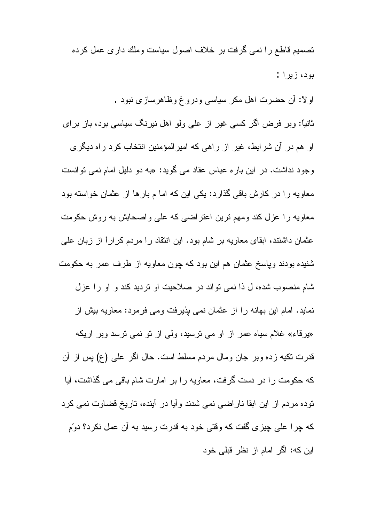تصمیم قاطع را نمبی گرفت بر خلاف اصول سیاست وملك دار ی عمل كرده بود، زيرا :

اولاً: أن حضرت اهل مكر سياسي ودروغ وظاهرسازي نبود . ثانیاً: وبر فرض اگر کسی غیر از علی ولو اهل نیرنگ سیاسی بود، باز برای او هم در آن شرایط، غیر از راهی که امیرالمؤمنین انتخاب کرد راه دیگری وجود نداشت. در این باره عباس عقاد می گوید: «به دو دلیل امام نمی نوانست معاویه را در کارش باقی گذارد: یکی این که اما م بارها از عثمان خواسته بود معاویه را عزل کند ومهم نرین اعتراضی که علی واصحابش به روش حکومت عثمان داشتند، ابقای معاویه بر شام بود. این انتقاد را مردم کراراً از زبان علمی شنیده بودند وپاسخ عثمان هم این بود که چون معاویه از طرف عمر به حکومت شام منصوب شده، ل ذا نمي نواند در صلاحيت او نرديد كند و او را عزل نماید. امام این بهانه را از عثمان نمی پذیرفت ومی فرمود: معاویه بیش از «یرقاء» غلام سیاه عمر از او می نرسید، ولی از نو نمی نرسد وبر اریکه قدرت نكيه زده وبر جان ومال مردم مسلط است. حال اگر على (ع) بس از أن كه حكومت را در دست گرفت، معاويه را بر امارت شام باقي مي گذاشت، آيا نوده مردم از این ابقا ناراضی نمی شدند و آیا در آینده، تاریخ قضاوت نمی کرد كه چرا على چيزى گفت كه وقتى خود به قدرت رسيد به أن عمل نكرد؟ دوّم این که: اگر امام از نظر قبلی خود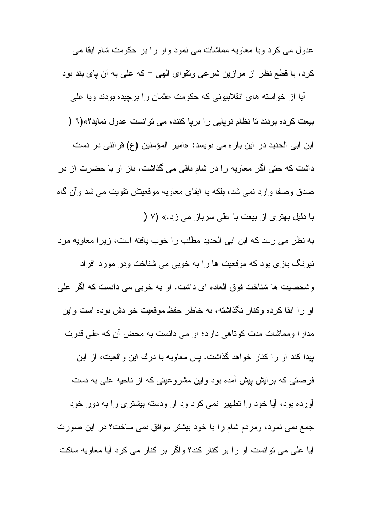عدول مبي كرد وبا معاويه مماشات مبي نمود واو را بر حكومت شام ابقا مبي كرد، با قطع نظر از موازين شرعي وتقواي الهي – كه على به آن باي بند بود – أيا از خواسته هاى انقلابيونى كه حكومت عثمان را برچيده بودند وبا على بیعت کرده بودند تا نظام نویایی را بریا کنند، می توانست عدول نماید؟»(٦ ( ابن ابی الحدید در این بار ه می نویسد: «امیر المؤمنین (ع) قرائنی در دست داشت که حتی اگر معاویه را در شام باقی می گذاشت، باز او با حضرت از در صدق وصفا وارد نمبي شد، بلكه با ابقاى معاويه موقعيتش نقويت مبي شد وأن گاه با دلیل بهتری از بیعت با علی سرباز می زد.» (٧ (

به نظر می رسد که ابن ابی الحدید مطلب را خوب یافته است، زیرا معاویه مرد نیرنگ بازی بود که موقعیت ها را به خوبی می شناخت ودر مورد افراد وشخصيت ها شناخت فوق العاده اي داشت. او به خوبي مي دانست كه اگر علي او را ابقا کرده وکنار نگذاشته، به خاطر حفظ موقعیت خو دش بوده است واین

مدارا ومماشات مدت كوناهي دارد؛ او مي دانست به محض أن كه على قدرت بیدا کند او را کنار خواهد گذاشت. بس معاویه با درك این و اقعیت، از این فر صتبی که بر ایش بیش آمده بود و این مشر و عیتی که از ناحیه علی به دست اورده بود، آیا خود را تطهیر نمی کرد ود ار ودسته بیشتری را به دور خود جمع نمی نمود، ومردم شام را با خود بیشتر موافق نمی ساخت؟ در این صورت آیا علی می نوانست او را بر کنار کند؟ واگر بر کنار می کرد آیا معاویه ساکت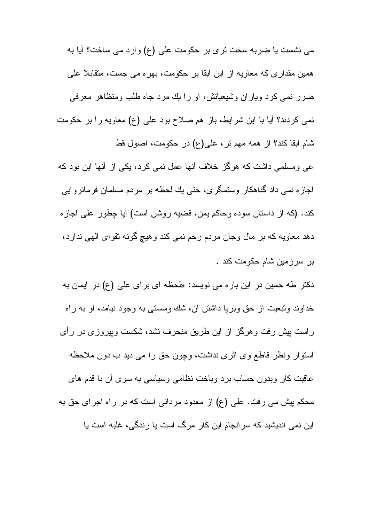می نشست یا ضربه سخت تری بر حکومت علی (ع) وارد می ساخت؟ آیا به همین مقداری که معاویه از این ابقا بر حکومت، بهره می جست، متقابلاً علی ضرر نمی کرد ویاران وشیعیانش، او را یك مرد جاه طلب ومتظاهر معرفی نمی کردند؟ آیا با این شرایط، باز هم صلاح بود علی (ع) معاویه را بر حکومت شام ابقا كند؟ از همه مهم نر، على(ع) در حكومت، اصول قط عبی ومسلمبی داشت که هرگز خلاف آنها عمل نمبی کرد، یکی از آنها این بود که لجازه نمی داد گناهکار وستمگری، حتی یك لحظه بر مردم مسلمان فرمانروايي کند. (که از داستان سوده و حاکم پمن، قضیه روشن است) آیا چطور علی اجاز ه دهد معاويه كه بر مال وجان مردم رحم نمي كند وهيچ گونه نقواي الهي ندارد، بر سرزمین شام حکومت کند .

دکتر طه حسین در این باره می نویسد: «لحظه ای برای علی (ع) در ایمان به خداوند ونبعیت از حق وبریا داشتن أن، شك وسستبي به وجود نیامد، او به راه راست بپش رفت وهرگز از این طریق منحرف نشد، شکست وبپروزی در رأی استوار ونظر قاطع وي اثري نداشت، وچون حق را مي ديد ب دون ملاحظه عاقبت کار وبدون حساب برد وباختِ نظامی وسیاسی به سوی أن با قدم های محکم بیش می رفت. علی (ع) از معدود مردانی است که در راه اجرای حق به این نمی اندیشید که سر انجام این کار مرگ است یا زندگی، غلبه است یا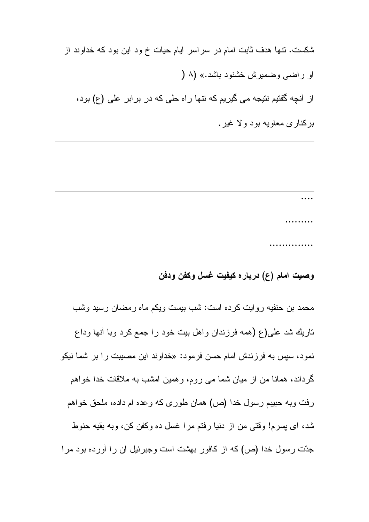شکست. نتها هدف ثابت امام در سراسر ایام حیات خ ود این بود که خداوند از او راضبي وضمبر ش خشنود باشد.» (۸ ( از آنچه گفتیم نتیجه می گیریم که نتها راه حلی که در برابر علی (ع) بود،

برکنار ی معاویه بود و لا غیر .

. . . . . . . . . . . . . . . . . . . . . . . . . . .

# وصيت امام (ع) دربار ه کيفيت غسل وکفن ودفن

محمد بن حنفیه روایت کرده است: شب بیست ویکم ماه رمضان رسید وشب تاريك شد على(ع (همه فرزندان واهل بيت خود را جمع كرد وبا أنها وداع نمود، سپس به فر زِ نِدش امام حسن فر مود: «خداو ند این مصبیت ر ا بر شما نیکو گرداند، همانا من از میان شما می روم، وهمین امشب به ملاقات خدا خواهم رفت وبه حبيبم رسول خدا (ص) همان طوري كه وعده ام داده، ملحق خواهم شد، ای پسرم! وقتی من از دنیا رفتم مرا غسل ده وکفن کن، وبه بقیه حنوط جدّت رسول خدا (ص) كه از كافور بهشت است وجبرئيل أن را أورده بود مرا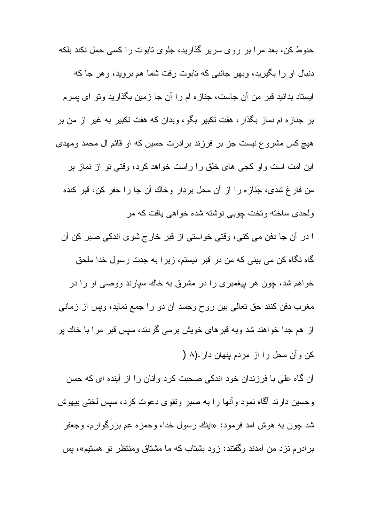حنوط کن، بعد مرا بر روی سریر گذارید، جلوی تابوت را کسی حمل نکند بلکه دنبال او را بگیرید، وبهر جانبی که تابوت رفت شما هم بروید، وهر جا که ایستاد بدانید قبر من آن جاست، جنازه ام را آن جا زمین بگذارید ونو ای پسرم بر جنازه ام نماز بگذار ، هفت تکبیر بگو ، وبدان که هفت تکبیر به غیر از من بر هیچ کس مشروع نیست جز بر فرزند برادرت حسین که او قائم آل محمد ومهدی این امت است و او کجی های خلق را راست خواهد کرد، وقتی تو از نماز بر من فار غ شدی، جناز ه را از آن محل بردار وخاك آن جا را حفر كن، قبر كنده ولحدی ساخته و تخت جوبے نوشته شده خواهے بافت که مر ا در أن جا دفن مي كني، وقتي خواستي از قبر خارج شوي اندكي صبر كن أن

گاه نگاه کن می بینی که من در قبر نیستم، زیر ا به جدت رسول خدا ملحق خواهم شد، چون هر بیغمبری را در مشرق به خاك سیارند ووصبی او را در مغرب دفن كنند حق تعالى بين روح وجسد أن دو را جمع نمايد، وبس از زماني از هم جدا خواهند شد وبه قبرهای خویش برمی گردند، سپس قبر مرا با خاك پر کن و آن محل را از مردم بنهان دار .(۸ (

آن گاه علی با فرزندان خود اندکی صحبت کرد وأنان را از أينده ای که حسن وحسين دارند أگماه نمود وأنها را به صبر ونقوى دعوت كرد، سپس لختى بيهوش شد چون به هوش آمد فرمود: «اينك رسول خدا، وحمزه عم بزرگوارم، وجعفر برادرم نزد من أمدند وگفتند: زود بشتاب كه ما مشتاق ومنتظر نو هستیم»، بس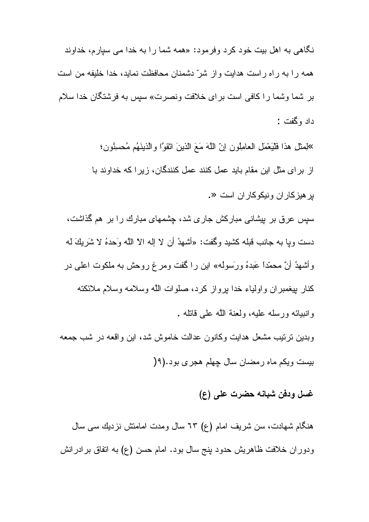نگاهی به اهل بیت خود کرد وفرمود: «همه شما را به خدا می سپارم، خداوند همه را به راه راست هدایت واز شرّ دشمنان محافظت نماید، خدا خلیفه من است بر شما وشما را كافي است براي خلافت ونصرت» سپس به فرشتگان خدا سلام داد وگفت :

»لِمثِّل هذا فَلْيَعْمَلِ العامِلُونِ إنَّ اللَّهَ مَعَ الَّذينَ اتَّقوًّا والَّذينَهُم مُحسِنُونِ؛ از برای مثل این مقام باید عمل کنند عمل کنندگان، زیرا که خداوند با بر هيز كار ان ونيكو كار ان است «.

سپس عرق بر بیشانی مبارکش جاری شد، چشمهای مبارك را بر هم گذاشت، دست وبا به جانب قبله كشيد وكَفت: «أشهدُ أن لا إله الاِّ اللَّه وَحدهُ لا شَرَ بِكَ له وأشهدُ أنَّ محمَّدًا عَبدهُ ورَسولُه» اين را گفت ومرغ روحش به ملكوت اعلى در كنار بيغمبران واولياء خدا برواز كرد، صلوات الله وسلامه وسلام ملائكته و انبيائه ورسله عليه، ولعنة الله على قاتله .

وبدین نرتیب مشعل هدایت وکانون عدالت خاموش شد، این واقعه در شب جمعه بیست ویکم ماه رمضان سال چهلم هجری بود.(۹(

## غسل ودفن شبانه حضرت على (ع)

هنگام شهادت، سن شریف امام (ع) ٦٣ سال ومدت امامنش نزدیك سی سال ودور ان خلافت ظاهريش حدود بنج سال بود. امام حسن (ع) به اتفاق بر ادرانش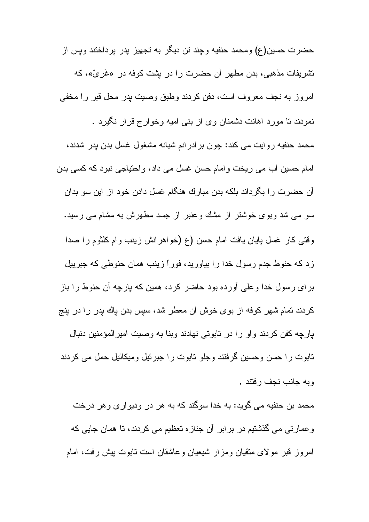حضرت حسين(ع) ومحمد حنفيه وجند تن ديگر به تجهيز بدر برداختند ويس از تشریفات مذهبی، بدن مطهر آن حضرت را در بشت کوفه در «غَریّ»، که امروز به نجف معروف است، دفن كردند وطبق وصيت بدر محل قبر را مخفى نمودند نا مورد اهانت دشمنان وی از بنبی امیه وخوار ج قرار نگیرد . محمد حنفیه روایت می کند: چون بر ادر انم شبانه مشغول غسل بدن بدر شدند، امام حسین أب می ریخت و امام حسن غسل می داد، و احتیاجی نبود که کسی بدن آن حضرت را بگرداند بلکه بدن مبارك هنگام غسل دادن خود از اين سو بدان سو می شد وبوی خوشتر از مشك وعنبر از جسد مطهرش به مشام می رسید. وقتبي كار غسل يايان يافت امام حسن (ع (خواهرانش زينب وام كلثوم را صدا زد که حنوط جدم رسول خدا را بیاورید، فوراً زینب همان حنوطی که جبرییل بر ای رسول خدا وعلی آورده بود حاضر کرد، همین که بارچه آن حنوط را باز كردند تمام شهر كوفه از بوى خوش أن معطر شد، سپس بدن باك بدر را در بنج پارچه کفن کردند واو را در تابوتی نهادند وبنا به وصیت امیرالمؤمنین دنبال تابوت را حسن وحسین گرفتند وجلو تابوت را جبرئیل ومیکائیل حمل می کردند وبه جانب نجف رفتند .

محمد بن حنفیه می گوید: به خدا سوگند که به هر در ودیواری و هر درخت وعمارتی می گذشتیم در برابر أن جنازه تعظیم می کردند، تا همان جایی که امروز قبر مولای منقیان ومزار شیعیان وعاشقان است نابوت بیش رفت، امام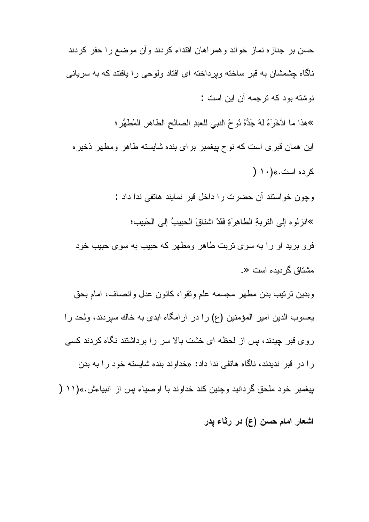حسن بر جناز ه نماز خواند و همر اهان اقتداء کردند و آن موضع ر ا حفر کردند ناگاه چشمشان به قبر ساخته ویرداخته ای افتاد ولوحی را یافتند که به سریانی نوشته بود که ترجمه آن این است : »هذا ما ادَّخَرَهُ لهُ جَدُّهُ ثوحُ النبي للعبدِ الصالحِ الطاهرِ المُطهَّرِ ؛ این همان قبری است که نوح پیغمبر برای بنده شایسته طاهر ومطهر ذخیره کر ده است.» (۱۰ ( وچون خواستند أن حضرت را داخل قبر نمايند هاتفي ندا داد : >انزلوه إلى النزبةِ الطاهِرَةِ فَقَدْ اشتاقَ الحبيبُ إلى الحَبيب؛ فرو برید او را به سوی تربت طاهر ومطهر که حبیب به سوی حبیب خود مشتاق گر دیده است «. وبدين نرتيب بدن مطهر مجسمه علم ونقوا، كانون عدل وانصاف، امام بحق يعسوب الدين امير المؤمنين (ع) را در آرامگاه ابدي به خاك سيردند، ولحد را روی قبر چیدند، بس از لحظه ای خشت بالا سر را برداشتند نگاه کردند کسی را در قبر ندیدند، ناگاه هاتفی ندا داد: «خداوند بنده شایسته خود را به بدن بيغمبر خود ملحق گردانيد وچنين كند خداوند با اوصياء پس از انبياءش.»(١١ (

اشعار امام حسن (ع) در رثاء پدر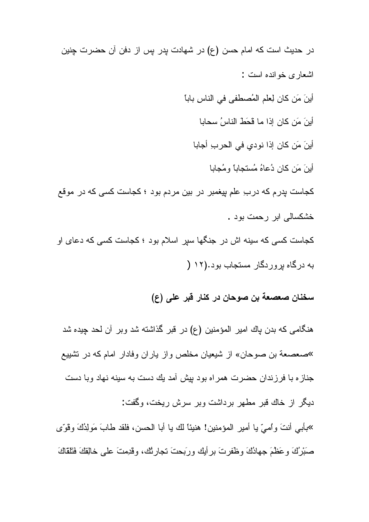در حدیث است که امام حسن (ع) در شهادت بدر بس از دفن آن حضرت چنین اشعار ی خو انده است : أينَ مَن كان لِعلم المُصطفى في الناسِ باباً أينَ مَن كان إذا ما قَحَطَ الناسُ سحابا أينَ مَن كان إذا نودي في الحربِ أجابا أينَ مَن كان دُعاهُ مُستجاباً ومُجابا کجاست بدر مکه در ب ِ علم بیغمبر در بین مردم بود ؛ کجاست کسی که در موقع خشکسالی ابر رحمت بود . کجاست کسی که سینه اش در جنگها سیر اسلام بود ؛ کجاست کسی که دعای او به درگاه بروردگار مستجاب بود.(۱۲ (

# سخنان صعصعة بن صوحان در كنار قبر على (ع)

هنگامی که بدن پاك امیر المؤمنین (ع) در قبر گذاشته شد وبر آن لحد چیده شد »صعصعة بن صوحان» از شیعیان مخلص و از پار ان وفادار امام که در تشییع جنازه با فرزندان حضرت همراه بود بيش أمد يك دست به سينه نهاد وبا دست

ديگر از خاك قبر مطهر برداشت وبر سرش ريخت، وگفت:

»بأبي أنتَ وأميِّ يا أمير المؤمنين! هنيئًا لك يا أبا الحسن، فلقد طابَ مَولِدُكَ وقوِّي صَبْرُكَ وعَظْمَ جهادُكَ وظَّفرتَ برأيك ورَبِّحتَ تجارثُك، وقَدِمتَ على خالِقِكَ فَتَلْقَاكَ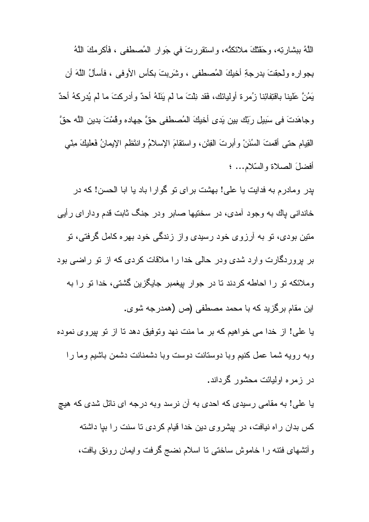اللَّهُ ببِشارتِه، وحَقَّتُكَ ملائكتُه، واستقررتَ في جَوارِ المُصطفى ، فَأكرمكَ اللَّهُ بِجوارِهِ ولحِقتَ بِدرِجةِ أخيكَ المُصطفى ، وشَرِبتَ بكأسِ الأوفى ، فأسألُ اللَّهَ أن يَمُنَّ عَلَيْنا بِاقْتِفائِنا زُمرة أُوليائك، فَقد نِلْتَ ما لم يَنَلّهُ أحدٌ وأدركتَ ما لم يُدركهُ أحدٌ وجاهَدتَ في سَبيلِ ربِّك بين يَدى أخيكَ المُصطفى حقَّ جهاده وقُمْتَ بدين اللَّه حقَّ القِيام حتى أفمتَ السُنَنْ وأبرتَ الفِتَن، واسنقامَ الإسلامُ وانتَظم الإيمانُ فَعليكَ مِنَّى أفضلَ الصلاة والسّلام... ؛

پدر ومادرم به فدایت یا علی! بهشت برای تو گوارا باد یا ابا الحسن! که در خاندانی باك به وجود آمدى، در سختيها صابر ودر جنگ ثابت قدم وداراى رأيي متین بودی، تو به آرزوی خود رسیدی واز زندگی خود بهره کامل گرفتی، تو بر پروردگارت وارد شدی ودر حالی خدا را ملاقات کردی که از نو راضی بود وملائكه نو را احاطه كردند نا در جوار بپغمبر جايگزين گشتى، خدا نو را به این مقام برگزید که با محمد مصطفی (ص (همدرجه شوی. یا علی! از خدا می خواهیم که بر ما منت نهد وتوفیق دهد تا از تو بپروی نموده و به رو به شما عمل کنیم و با دوستانت دوست و با دشمنانت دشمن باشیم و ما ر ا

در زمره اولیائت محشور گرداند.

یا علی! به مقامی رسیدی که احدی به أن نرسد وبه درجه ای نائل شدی که هیچ کس بدان راه نیافت، در پیشروی دین خدا قیام کردی تا سنت را بیا داشته وأنشهاى فتنه را خاموش ساختى نا اسلام نضج گرفت وإيمان رونق يافت،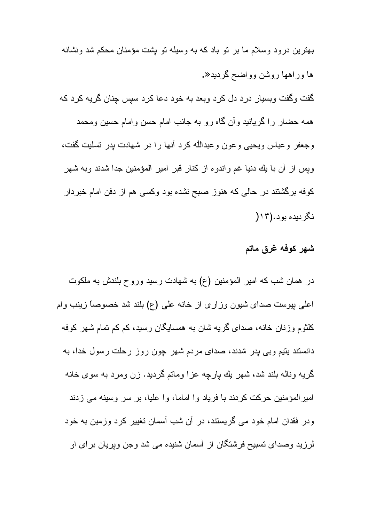بهترین درود وسلام ما بر تو باد که به وسیله تو پشت مؤمنان محکم شد ونشانه ها وراهها روشن وواضح گردید«. گفت وگفت وبسیار درد دل کرد وبعد به خود دعا کرد سپس چنان گریه کرد که همه حضار را گریانید وأن گاه رو به جانب امام حسن وامام حسین ومحمد وجعفر وعباس ويحيى وعون وعبدالله كرد أنها را در شهادت بدر نسليت گفت، وپس از أن با يك دنيا غم واندوه از كنار قبر امير المؤمنين جدا شدند وبه شهر کوفه برگشتند در حالی که هنوز صبح نشده بود وکسی هم از دفن امام خبردار نگر دیده بود. (۱۲

## شهر كوفه غرق ماتم

در همان شب كه امير المؤمنين (ع) به شهادت رسيد وروح بلندش به ملكوت اعلمي پيوست صداي شيون وزاري از خانه عليي (ع) بلند شد خصوصاً زينب وام کلثوم وزنان خانه، صدای گریه شان به همسایگان رسید، کم کم تمام شهر کوفه دانستند بنیم وبی پدر شدند، صدای مردم شهر چون روز رحلت رسول خدا، به گریه وناله بلند شد، شهر یك پارچه عزا وماتم گردید. زن ومرد به سوی خانه امیر المؤمنین حرکت کردند با فریاد و ا اماما، و ا علیا، بر سر وسینه می زدند ودر فقدان امام خود می گریستند، در آن شب آسمان تغییر کرد وزمین به خود لرزید وصدای تسبیح فرشتگان از آسمان شنیده می شد وجن وپریان برای او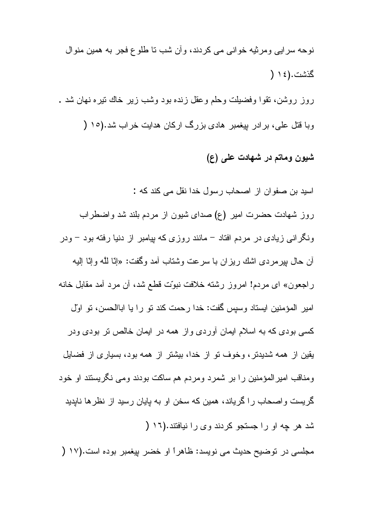نوحه سرايي ومرثيه خواني مي كردند، وأن شب نا طلوع فجر به همين منوال گذشت.(١٤ ( روز روشن، نقوا وفضيلت وحلم وعقل زنده بود وشب زير خاك نيره نهان شد .

وبا قتل علی، برادر بیغمبر هادی بزرگ ارکان هدایت خراب شد.(١٥ (

## شیون وماتم در شهادت علمی (ع)

اسید بن صفوان از اصحاب رسول خدا نقل می کند که : روز شهادت حضرت امیر (ع) صدای شیون از مردم بلند شد واضطراب ونگرانی زیادی در مردم افتاد – مانند روزی که بپامبر از دنیا رفته بود – ودر أن حال بيرمردي اشك ريزان با سرعت وشتاب أمد وگفت: «إنّا للَّه وإنّا اليه راجعون» اي مردم! امروز رشته خلافت نبوّت قطع شد، أن مرد أمد مقابل خانه امير المؤمنين ايستاد وسيس گفت: خدا رحمت كند تو را يا اباالحسن، تو اوّل کسی بودی که به اسلام ایمان أوردی واز همه در ایمان خالص تر بودی ودر يقين از همه شديدتر، وخوف تو از خدا، بيشتر از همه بود، بسياري از فضايل ومناقب امیر المؤمنین را بر شمرد ومردم هم ساکت بودند ومی نگریستند او خود گریست واصحاب را گریاند، همین که سخن او به پایان رسید از نظرها ناپدید شد هر چه او را جستجو كردند وى را نيافتند.(١٦ (

مجلسي در نوضيح حديث مي نويسد: ظاهراً او خضر بيغمبر بوده است.(١٧ (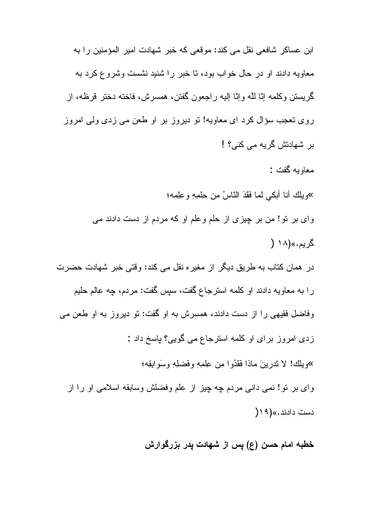ابن عساکر شافعے نقل مے کند: موقعے که خبر شھادت امیر المؤمنین را به معاويه دادند او در حال خواب بود، تا خبر را شنبد نشست وشر و ع كر د به گريستن وكلمه إنّا للَّه وإنّا إليه راجعون گفتن، همسرش، فاخته دختر قرظه، از روی تعجب سؤال کرد ای معاویه! تو دیروز بر او طعن می زدی ولی امروز بر شهادتش گريه مي کني؟ ! معاويه گفت : »ويلك أنا أبكي لما فَقَدَ النّاسُ مِن حِلْصِهِ وعِلِمه؛ وای بر نو! من بر چیزی از حلم وعلم او که مردم از دست دادند می گر يم.»(۱۸ ( در همان كتاب به طريق ديگر از مغيره نقل مي كند: وقتي خبر شهادت حضرت را به معاويه دادند او كلمه استرجاع گفت، سپس گفت: مردم، چه عالم حليم وفاضل فقیهی را از دست دادند، همسرش به او گفت: تو دیروز به او طعن می زدی امروز برای او کلمه استرجاع می گویی؟ باسخ داد : »وبِلْك! لا نَدْرِينَ ماذا فَقَدُوا مِن عِلْمِهِ وفَضْلِهِ وسَوَابِقِهِ؛ وای بر نو! نمی دانی مردم چه چیز از علم وفضلش وسابقه اسلامی او را از دست دادند.» (١٩ ١

خطبه امام حسن (ع) پس از شهادت پدر بزرگوارش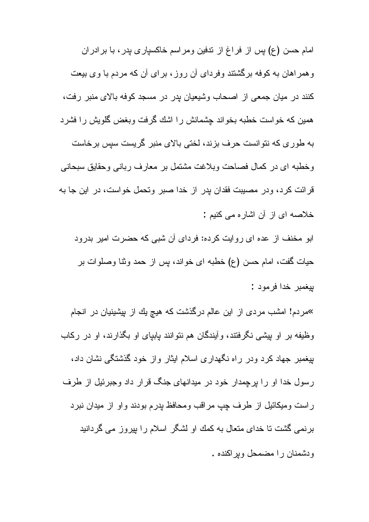امام حسن (ع) بس از فراغ از ندفین و مراسم خاکسیار ی بدر ، با بر ادر ان وهمراهان به کوفه برگشتند وفردای آن روز، برای آن که مردم با وی بیعت كنند در ميان جمعي از اصحاب وشيعيان بدر در مسجد كوفه بالاي منبر رفت، همین که خواست خطبه بخواند چشمانش را اشك گرفت وبغض گلویش را فشرد به طور ی که نتوانست حرف بزند، لختی بالای منبر گریست سپس برخاست وخطبه اي در كمال فصاحت وبلاغت مشتمل بر معارف رباني وحقايق سبحاني قرائت کرد، ودر مصیبت فقدان پدر از خدا صبر وتحمل خواست، در این جا به خلاصه ای از آن اشار ه می کنیم : ابو مخنف از عده ای روایت کرده: فردای آن شبی که حضرت امیر بدرود حیات گفت، امام حسن (ع) خطبه ای خواند، پس از حمد وثنا وصلوات بر

بيغمبر خدا فرمود :

<sup>»</sup>مردم! امشب مردی از این عالم درگذشت که هیچ یك از بیشینیان در انجام وظیفه بر او بیشی نگرفتند، و آیندگان هم نتوانند بابیای او بگذارند، او در رکاب بیغمبر جهاد کرد ودر راه نگهداری اسلام ایثار واز خود گذشتگی نشان داد، رسول خدا او را برجمدار خود در میدانهای جنگ قرار داد وجبرئیل از طرف راست وميكائيل از طرف چپ مراقب ومحافظ پدرم بودند واو از ميدان نبرد برنمی گشت تا خدای متعال به کمك او لشگر اسلام را بپروز می گردانید ويشمنان را مضمحل ويراكنده .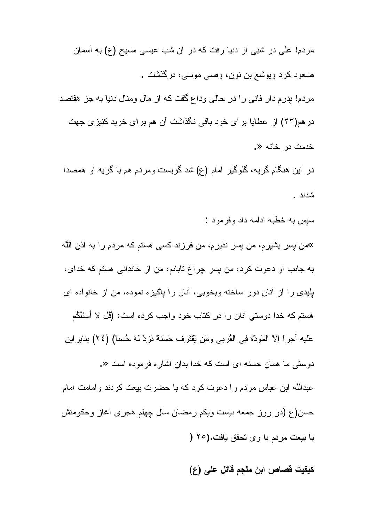مردم! علی در شبی از دنیا رفت که در آن شب عیسی مسیح (ع) به آسمان صعود کرد ويوشع بن نون، وصبي موسى، درگذشت . مردم! پدرم دار فانی را در حالی وداع گفت که از مال ومنال دنیا به جز هفتصد در هم(۲۳) از عطایا بر ای خود باقی نگذاشت آن هم بر ای خرید کنیز ی جهت خدمت در خانه «.

در این هنگام گریه، گلوگیر امام (ع) شد گریست ومردم هم با گریه او همصدا شدند .

سبس به خطبه ادامه داد وفر مود :

»من بسر بشیرم، من بسر نذیرم، من فرزند کسی هستم که مردم را به اذن الله به جانب او دعوت كرد، من بسر چراغ تابانم، من از خاندانى هستم كه خداى، بلِيدي را از أنان دور ساخته وبخوبي، أنان را بِاكيزِه نموده، من از خانواده اي هستم كه خدا دوستي آنان را در كتاب خود واجب كرده است: (ڤل لا أسئلْكُم عَليه أجراً إلاَّ المَودَّة فِي الْقُربِي ومَن يَقْتَرِف حَسَنَةً نَزِدْ لَهُ حُسناً) (٢٤) بنابر اين دوستی ما همان حسنه ای است که خدا بدان اشاره فرموده است «. عبداللَّه ابن عباس مردم را دعوت كرد كه با حضرت بيعت كردند وامامت امام حسن(ع (در روز جمعه بیست ویکم رمضان سال چهلم هجری أغاز وحکومتش با بيعت مردم با وى نحقق يافت.(٢٥ (

كيفيت قصاص ابن ملجم قاتل على (ع)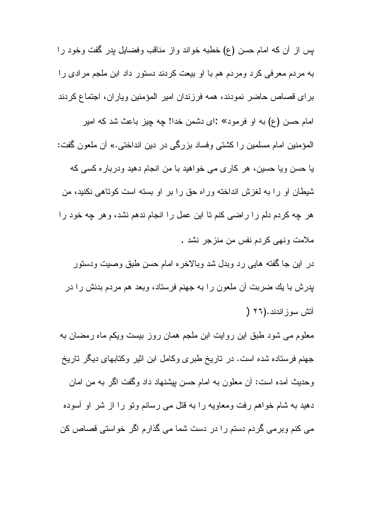بس از آن که امام حسن (ع) خطبه خواند واز مناقب وفضایل بدر گفت وخود را به مردم معرفی کرد ومردم هم با او بیعت کردند دستور داد ابن ملجم مرادی را براي قصاص حاضر نمودند، همه فرزندان امير المؤمنين وياران، اجتماع كردند امام حسن (ع) به او فرمود» :اى دشمن خدا! چه چيز باعث شد كه امير المؤمنين امام مسلمين را كشتي وفساد بزرگي در دين انداختي.» آن ملعون گفت: یا حسن ویا حسین، هر کاری می خواهید با من انجام دهید ودرباره کسی که شيطان او را به لغزش انداخته وراه حق را بر او بسته است كوناهي نكنيد، من هر چه كردم دلم را راضى كنم تا اين عمل را انجام ندهم نشد، وهر چه خود را ملامت ونهي كردم نفس من منزجر نشد .

در این جا گفته هایبی رد وبدل شد وبالاخره امام حسن طبق وصبیت ودستور پدرش با يك ضربت أن ملعون را به جهنم فرستاد، وبعد هم مردم بدنش را در أتش سوز اندند.(٢٦ (

معلوم می شود طبق این روایت ابن ملجم همان روز بیست ویکم ماه رمضان به جهنم فرستاده شده است. در تاریخ طبری وکامل ابن اثیر وکتابهای دیگر تاریخ وحديث أمده است: أن معلون به امام حسن بيشنهاد داد وگفت اگر به من امان دهید به شام خواهم رفت ومعاویه را به قتل می رسانم ونو را از شر او أسوده می کنم وبرمی گردم دستم را در دست شما می گذارم اگر خواستی قصاص کن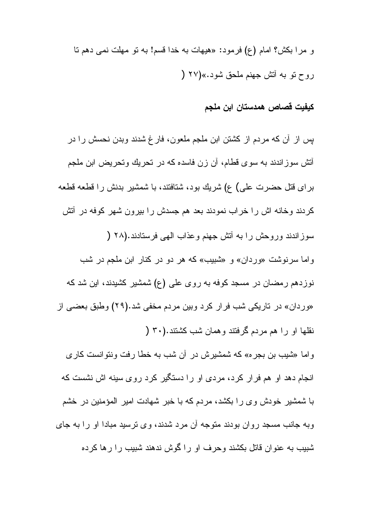و مرا بكش؟ امام (ع) فرمود: «هيهات به خدا قسم! به نو مهلت نمي دهم نا روح نو به أنش جهنم ملحق شود.»(۲۷ (

## كيفيت قصاص همدستان ابن ملجم

بس از آن که مردم از کشتن ابن ملجم ملعون، فارغ شدند وبدن نحسش را در أنش سوزاندند به سوی قطام، أن زن فاسده که در تحریك وتحریض ابن ملجم بر ای قتل حضرت علی) ع) شریك بود، شتافتند، با شمشیر بدنش را قطعه قطعه كردند وخانه اش را خراب نمودند بعد هم جسدش را بیرون شهر كوفه در أنش سوز اندند وروحش را به أنش جهنم وعذاب الهي فرستادند.(٢٨ ( واما سرنوشت «وردان» و «شبیب» که هر دو در کنار ابن ملجم در شب نوزدهم رمضان در مسجد کوفه به روی علی (ع) شمشیر کشیدند، این شد که «وردان» در تاریکی شب فرار کرد وبین مردم مخفی شد.(۲۹) وطبق بعضبی از نقلها او را هم مردم گرفتند و همان شب کشتند.(۳۰ ( واما «شيب بن بجره» كه شمشيرش در أن شب به خطا رفت ونتوانست كارى انجام دهد او هم فرار كرد، مردى او را دستگير كرد روى سينه اش نشست كه با شمشیر خودش وی را بکشد، مردم که با خبر شهادت امیر المؤمنین در خشم

وبه جانب مسجد روان بودند متوجه أن مرد شدند، وی نرسید مبادا او را به جای شبیب به عنوان قاتل بکشند وحرف او را گوش ندهند شبیب را رها کرده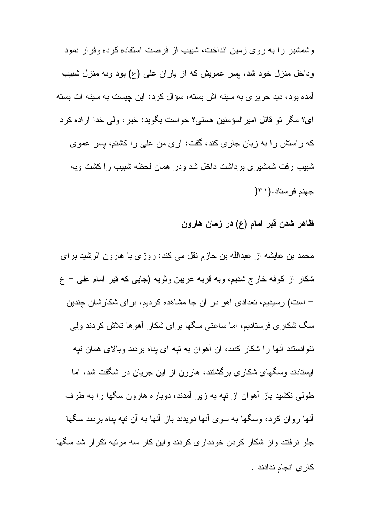وشمشیر را به روی زمین انداخت، شبیب از فرصت استفاده کرده وفرار نمود وداخل منزل خود شد، بسر عمويش كه از ياران على (ع) بود وبه منزل شبيب آمده بود، دید حریری به سینه اش بسته، سؤال کرد: این چیست به سینه ات بسته اي؟ مكَّن نو قاتل امير المؤمنين هستي؟ خواست بكويد: خير ، ولي خدا ار اده كرد كه راستش را به زبان جاري كند، گفت: آري من علي را كشتم، پس عموي شبیب رفت شمشیری برداشت داخل شد ودر همان لحظه شبیب را کشت وبه جهنم فرستاد.(٣١(

ظاهر شدن قبر امام (ع) در زمان هارون

محمد بن عایشه از عبداللَّه بن حازم نقل می کند: روزی با هارون الرشید برای شکار از کوفه خارج شدیم، وبه قریه غریین وثویه (جایبی که قبر امام علمی – ع – است) رسیدیم، تعدادی آهو در آن جا مشاهده کردیم، بر ای شکارشان چندین سگ شکاری فرستادیم، اما ساعتی سگها برای شکار آهوها تلاش کردند ولی نتوانستند آنها را شکار کنند، آن آهوان به نیه ای بناه بردند وبالای همان نیه ایستادند وسگهای شکاری برگشتند، هارون از این جریان در شگفت شد، اما طولبی نکشید باز آهوان از نتیه به زیر آمدند، دوباره هارون سگها را به طرف أنها روان كرد، وسگها به سوى أنها دويدند باز أنها به أن نيه يناه بردند سگها جلو نرفتند واز شکار کردن خودداری کردند واین کار سه مرتبه نکرار شد سگها كار ى انجام ندادند .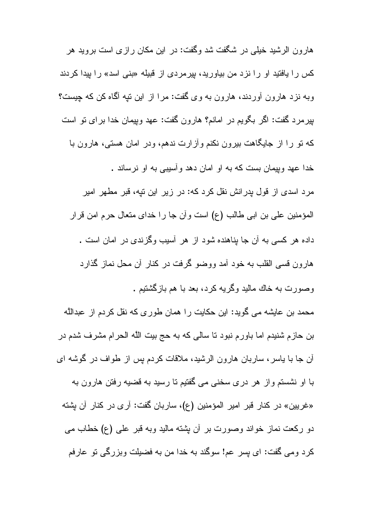هارون الرشید خیلی در شگفت شد وگفت: در این مکان رازی است بروید هر کس را یافتید او را نزد من بیاورید، بیرمردی از قبیله «بنی اسد» را بیدا کردند وبه نزد هارون أوردند، هارون به وی گفت: مرا از این نیه آگاه کن که چیست؟ بیرمرد گفت: اگر بگویم در امانم؟ هارون گفت: عهد وبیمان خدا برای تو است که نو را از جایگاهت بیرون نکنم وأزارت ندهم، ودر امان هستی، هارون با خدا عهد ويپمان بست كه به او امان دهد وأسيبي به او نرساند . مرد اسدی از قول بدرانش نقل کرد که: در زیر این نیه، قبر مطهر امیر المؤمنين على بن ابي طالب (ع) است وأن جا را خداي متعال حرم امن قرار داده هر کسی به آن جا بناهنده شود از هر آسیب وگزیندی در امان است . هارون قسی القلب به خود أمد ووضو گرفت در کنار أن محل نماز گذارد وصورت به خاك ماليد وگر به كرد، بعد با هم باز گشتيم .

محمد بن عايشه مي گويد: اين حكايت را همان طور ي كه نقل كردم از عبدالله بن حازم شنیدم اما باورم نبود نا سالی که به حج بیت الله الحرام مشرف شدم در أن جا با یاسر، ساربان هارون الرشید، ملاقات کردم پس از طواف در گوشه ای

با او نشستم واز هر دری سخنی می گفتیم تا رسید به قضیه رفتن هارون به «غريين» در كنار قبر امير المؤمنين (ع)، ساربان گفت: أرى در كنار أن بشته دو رکعت نماز خواند وصورت بر أن بشته مالید وبه قبر علی (ع) خطاب می كرد ومي گفت: اي پسر عم! سوگند به خدا من به فضيلت وبزرگي تو عارفم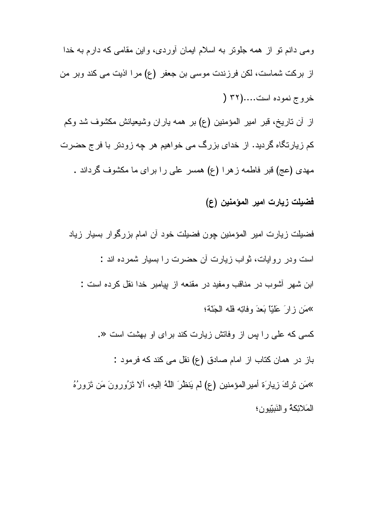ومی دانم نو از همه جلونز به اسلام ایمان آوردی، واین مقامی که دارم به خدا از بركت شماست، لكن فرزندت موسى بن جعفر (ع) مرا اذيت مى كند وبر من خروج نموده است.....(۳۲ (

از أن ناريخ، قبر امير المؤمنين (ع) بر همه ياران وشيعيانش مكشوف شد وكم کم زیارتگاه گردید. از خدای بزرگ می خواهیم هر چه زودتر با فرج حضرت مهدی (عج) قبر فاطمه زهرا (ع) همسر علی را برای ما مکشوف گرداند .

فضيلت زيارت امير المؤمنين (ع)

فضيلت زيارت امير المؤمنين چون فضيلت خود آن امام بزرگوار بسيار زياد است ودر روایات، ثواب زیارت آن حضرت را بسیار شمرده اند : ابن شهر آشوب در مناقب ومفید در مقنعه از بیامبر خدا نقل کرده است : »مَن زِ إِنَّ عَلَيًّْا بَعْدَ وَفَاتِهِ فَلَهُ الْجَنَّةُ؛ کسی که علی را پس از وفاتش زیارت کند برای او بهشت است «. باز در همان كتاب از امام صادق (ع) نقل مى كند كه فرمود : »مَن تَركَ زِيارَة أمير المؤمنين (ع) لم يَنظُرَ اللَّهُ اِلْيهِ، ألا تَزْوِرونَ مَن تَزورُهُ

المَلائِكةُ و النَبِيّونِ؛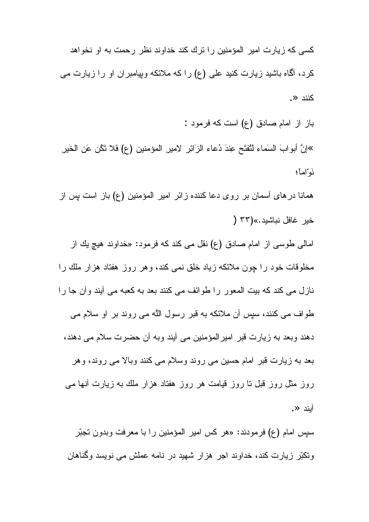کسی که زیارت امیر المؤمنین را ترك كند خداوند نظر رحمت به او نخواهد کرد، آگاه باشید زیارت کنید علی (ع) را که ملائکه ویپامبر ان او را زیارت می کنند «.

باز از امام صادق (ع) است که فرمود : »إنَّ أبوابَ السَماء لَنُفتَح عِندَ دُعاء الزّائِرِ لاميرِ المؤمنين (ع) فلا تَكْن عَن الخَيرِ نَوَّاماً؛

همانا در های أسمان بر روی دعا كننده زائر امیر المؤمنین (ع) باز است پس از خبر غافل نياشيد.»(٣٣ (

امالی طوسی از امام صادق (ع) نقل می کند که فرمود: «خداوند هیچ یك از مخلوقات خود را جون ملائکه زیاد خلق نمی کند، و هر روز هفتاد هزار ملك را نازل می کند که بیت المعور را طوائف می کنند بعد به کعبه می آیند وأن جا را طواف می کنند، سیس اُن ملائکه به قبر رسول اللَّه می روند بر او سلام می دهند وبعد به زيارت قبر اميرالمؤمنين مي أيند وبه أن حضرت سلام مي دهند، بعد به زیارت قبر امام حسین می روند وسلام می کنند وبالا می روند، و هر روز مثل روز قبل نا روز قیامت هر روز هفتاد هزار ملك به زیارت أنها مى ابند «.

سپس امام (ع) فرمودند: «هر كس امير المؤمنين را با معرفت وبدون تجبّر ونکبّر زیارت کند، خداوند اجر هزار شهید در نامه عملش می نویسد وگناهان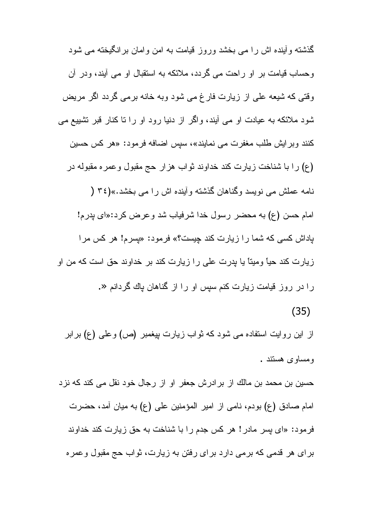گذشته و آینده اش را مبی بخشد وروز قیامت به امن و امان بر انگیخته مبی شود وحساب قیامت بر او راحت می گردد، ملائکه به استقبال او می آیند، ودر آن وقتی که شیعه علی از زیارت فارغ می شود وبه خانه برمی گردد اگر مریض شود ملائکه به عیادت او می آیند، واگر از دنیا رود او را نا کنار قبر نشییع می کنند وبرایش طلب مغفرت می نمایند»، سپس اضافه فرمود: «هر کس حسین (ع) را با شناخت زیارت کند خداوند ثواب هزار حج مقبول وعمره مقبوله در نامه عملش می نویسد وگناهان گذشته وأینده اش را می بخشد.»(٣٤ ( امام حسن (ع) به محضر رسول خدا شرفیاب شد و عرض کرد:«ای بدر م! باداش کسی که شما را زیارت کند چیست؟» فرمود: «پسرم! هر کس مرا زیارت کند حیأ ومیتأ یا پدرت علی را زیارت کند بر خداوند حق است که من او را در روز قیامت زیارت کنم سپس او را از گناهان پاك گردانم «.  $(35)$ 

از این روایت استفاده می شود که ثواب زیارت بیغمبر (ص) وعلی (ع) برابر ومساوى هستند .

حسین بن محمد بن مالك از برادرش جعفر او از رجال خود نقل می كند كه نزد امام صادق (ع) بودم، نامي از امير المؤمنين علي (ع) به ميان أمد، حضرت فرمود: «ای پسر مادر! هر کس جدم را با شناخت به حق زیارت کند خداوند برای هر قدمی که برمی دارد برای رفتن به زیارت، ثواب حج مقبول وعمره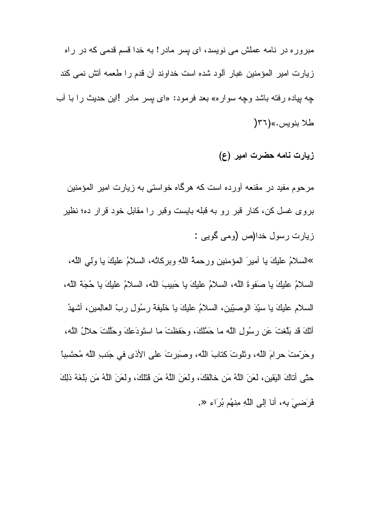مبروره در نامه عملش می نویسد، ای بسر مادر ! به خدا قسم قدمی که در راه زيارت امير المؤمنين غبار ألود شده است خداوند أن قدم را طعمه أنش نمي كند چه بپاده رفته باشد وچه سواره» بعد فرمود: «ای بسر مادر !این حدیث را با أب طلا بنويس.»(٣٦

زیارت نامه حضرت امیر (ع)

مرحوم مفید در مقنعه آورده است که هرگاه خواستی به زیارت امیر المؤمنین بروی غسل کن، کنار قبر رو به قبله بایست وقبر را مقابل خود قرار ده؛ نظیر زیارت رسول خدا(ص (ومی گویی :

»السلامُ عليكَ يا أميرَ المؤمنين ورحمةُ اللَّهِ وبركانُه، السلامُ عليكَ يا وَلَمِي اللَّه، السلامُ عليكَ يا صَفوةَ اللَّه، السلامُ عليكَ يا حَبيبَ اللَّه، السلامُ عليكَ يا حُجَةَ اللَّه، السلام عليكَ يا سبِّدَ الوصبِّينِ، السلامُ عليكَ يا خَليفة رسُولِ ربِّ العالِمينِ، أشهدُ أَنَّكَ قَدْ بَلَّغْتَ عَنِ رِسُولِ اللَّه ما حَمَّلُكَ، وحَفظتَ ما استَودَعكَ وحَلَّلتَ حلالُ اللَّه، وحَرِّمتَ حرامَ اللَّه، ونَّلوتَ كنابَ اللَّه، وصَبَرتَ على الأذى في جَنبِ اللَّه مُحتَسِبًا حتَّى أناكَ البَقين، لعَنَ اللَّهُ مَن خالفَكَ، ولعَنَ اللَّهُ مَن قُتَلَكَ، ولعَنَ اللَّهُ مَن بَلغَهُ ذلِكَ فَرَضييَ بِه، أنا إلى اللَّهِ مِنهُم بُرَاءٍ «.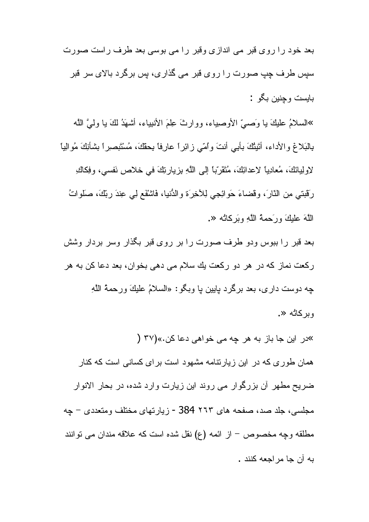بعد خود را روی قبر می اندازی وقبر را می بوسی بعد طرف راست صورت سپس طرف چپ صورت را روی قبر می گذاری، بس برگر د بالای سر قبر بابست و جنين بگو :

»السلامُ عليكَ يا وَصَّىَّ الأوصياء، ووارثَ عِلْمَ الأنبياء، أُشْهَدُ لَكَ يا وليَّ اللَّه بِالْبَلاغِ والأداء، أَتَيْتُكَ بِأْبِي أَنْتَ وَٱمِّي زِائِرٍ! عارِفًا بِحَقَّكَ، مُسْتَبْصِيرٍ! بشأنِكَ مُوالِيا لاولِيانَكَ، مُعادِياً لاعدائِكَ، مُنْقَرَّباً إلى اللَّهِ بزيارتِكَ في خلاصٍ نَفسى، وفِكاكِ رَقَبِنِي مِنِ النَّارَ، وقضاءَ حَوِّائِجِي لِلأَخِرَةِ وِالدُّنيا، فَاشْقَعِ لِي عِندَ رِبِّكَ، صلواتُ اللَّهَ عليكَ ورَحمةُ اللَّهِ وبَرِكانُه «.

بعد قبر را ببوس ودو طرف صورت را بر روی قبر بگذار وسر بردار وشش ركعت نماز كه در هر دو ركعت يك سلام مي دهي بخوان، بعد دعا كن به هر چه دوست داري، بعد برگرد پايين پا وبگو: «السلامُ عليكَ ورحمةُ اللَّهِ وبركائه «.

»در این جا باز به هر چه می خواهی دعا کن.»(۳۷ ( همان طور ی که در این زیارتنامه مشهود است برای کسانی است که کنار ضریح مطهر أن بزرگوار می روند این زیارت وارد شده، در بحار الانوار مجلسی، جلد صد، صفحه های ۲۲۳ 384 - زبار تهای مختلف ومتعددی – جه مطلقه وجه مخصوص – از ائمه (ع) نقل شده است که علاقه مندان می توانند به آن جا مر اجعه کنند .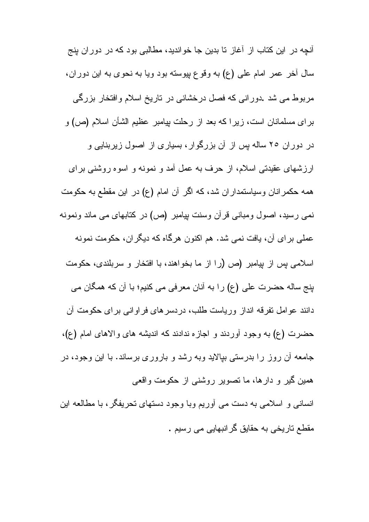أنچه در این کتاب از أغاز تا بدین جا خواندید، مطالبی بود که در دوران پنج سال آخر عمر امام علمي (ع) به وقوع بپوسته بود ويا به نحوي به اين دوران، مربوط می شد .دورانی که فصل درخشانی در تاریخ اسلام وافتخار بزرگی برای مسلمانان است، زیرا که بعد از رحلت بیامبر عظیم الشأن اسلام (ص) و در دوران ۲۰ ساله پس از آن بزرگوار، بسیاری از اصول زیربنایی و ارزشهای عقیدتی اسلام، از حرف به عمل آمد و نمونه و اسوه روشنی برای همه حکمرانان وسیاستمداران شد، که اگر آن امام (ع) در این مقطع به حکومت نمی رسید، اصول ومبانی قرآن وسنت بیامبر (ص) در کتابهای می ماند ونمونه عملی بر ای آن، یافت نمی شد. هم اکنون هرگاه که دیگر ان، حکومت نمونه اسلامی پس از پیامبر (ص (را از ما بخواهند، با افتخار و سربلندی، حکومت بنج ساله حضرت على (ع) را به أنان معرفي مي كنيم؛ با أن كه همگان مي دانند عوامل نفرقه انداز وریاست طلب، دردسرهای فراوانی برای حکومت آن حضرت (ع) به وجود أوردند و اجازه ندادند كه انديشه هاى والاهاى امام (ع)، جامعه آن روز را بدرستی بپالاید وبه رشد و باروری برساند. با این وجود، در همین گیر و دارها، ما نصویر روشنی از حکومت و اقعی انسانی و اسلامی به دست می آوریم وبا وجود دستهای تحریفگر، با مطالعه این مقطع ناریخی به حقایق گرانبهایی می رسیم .